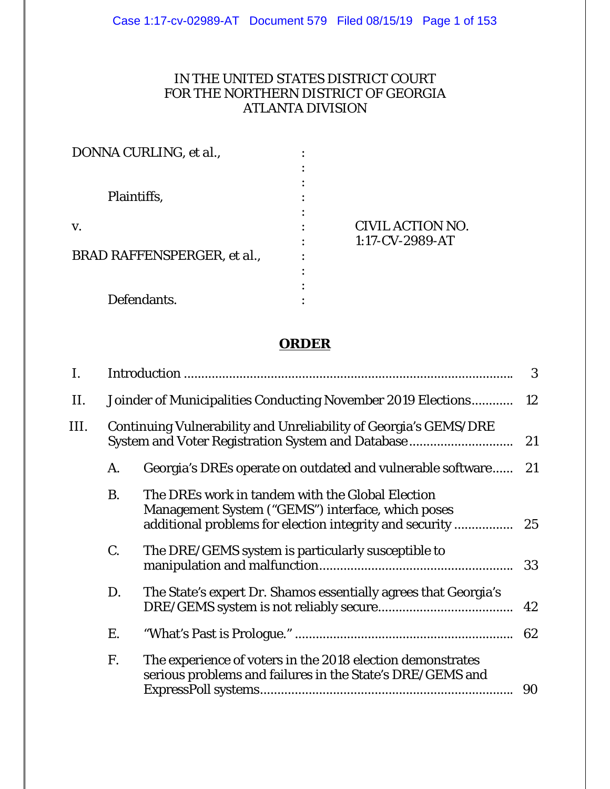## IN THE UNITED STATES DISTRICT COURT FOR THE NORTHERN DISTRICT OF GEORGIA ATLANTA DIVISION

| DONNA CURLING, et al.,             |                         |  |
|------------------------------------|-------------------------|--|
|                                    |                         |  |
|                                    |                         |  |
| Plaintiffs,                        |                         |  |
| V.                                 | <b>CIVIL ACTION NO.</b> |  |
|                                    | 1:17-CV-2989-AT         |  |
| <b>BRAD RAFFENSPERGER, et al.,</b> |                         |  |
|                                    |                         |  |
|                                    |                         |  |
| Defendants.                        |                         |  |

# **ORDER**

| I.   |           |                                                                                                                                                                  | 3   |
|------|-----------|------------------------------------------------------------------------------------------------------------------------------------------------------------------|-----|
| П.   |           | Joinder of Municipalities Conducting November 2019 Elections 12                                                                                                  |     |
| III. |           | Continuing Vulnerability and Unreliability of Georgia's GEMS/DRE<br>System and Voter Registration System and Database                                            | 21  |
|      | A.        | Georgia's DREs operate on outdated and vulnerable software                                                                                                       | -21 |
|      | <b>B.</b> | The DREs work in tandem with the Global Election<br>Management System ("GEMS") interface, which poses<br>additional problems for election integrity and security | 25  |
|      | C.        | The DRE/GEMS system is particularly susceptible to                                                                                                               | 33  |
|      | D.        | The State's expert Dr. Shamos essentially agrees that Georgia's                                                                                                  | 42  |
|      | Е.        |                                                                                                                                                                  | -62 |
|      | F.        | The experience of voters in the 2018 election demonstrates<br>serious problems and failures in the State's DRE/GEMS and                                          | 90  |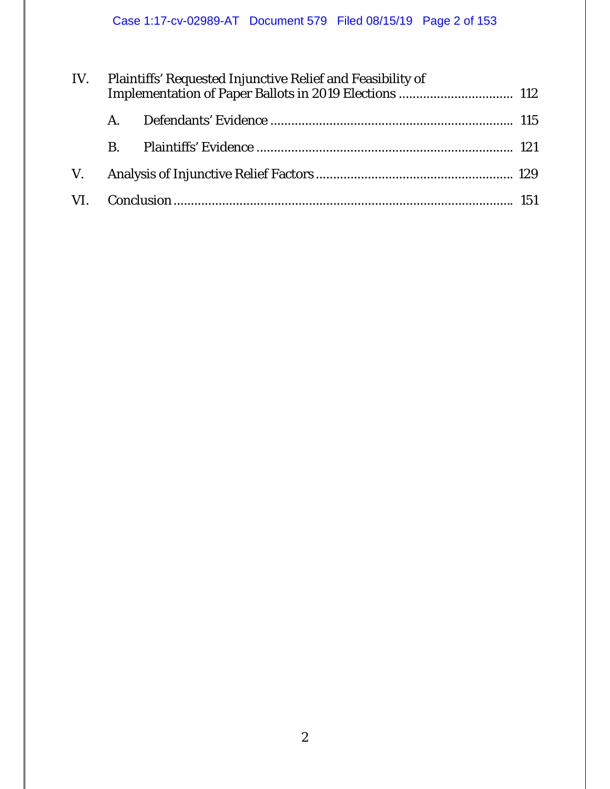| IV. |                | Plaintiffs' Requested Injunctive Relief and Feasibility of |  |  |  |
|-----|----------------|------------------------------------------------------------|--|--|--|
|     |                |                                                            |  |  |  |
|     | $\mathbf{B}$ . |                                                            |  |  |  |
|     |                |                                                            |  |  |  |
|     |                |                                                            |  |  |  |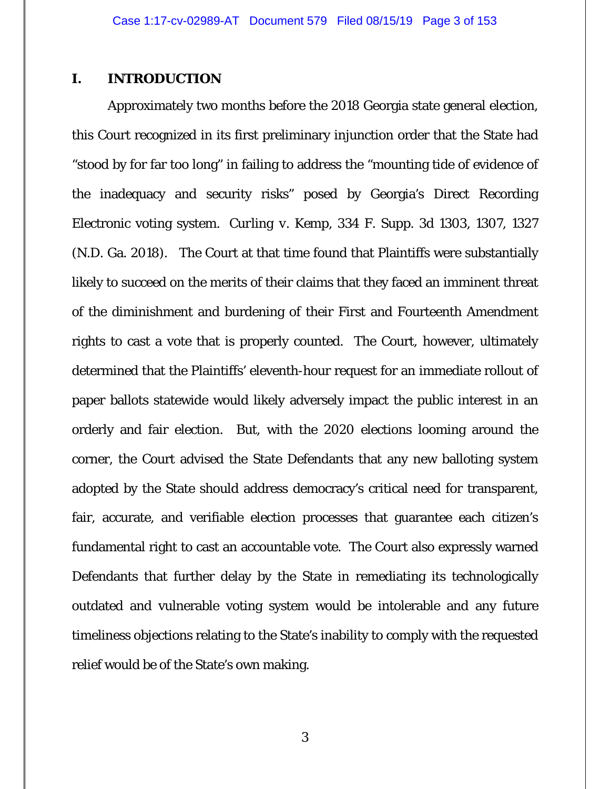### **I. INTRODUCTION**

Approximately two months before the 2018 Georgia state general election, this Court recognized in its first preliminary injunction order that the State had "stood by for far too long" in failing to address the "mounting tide of evidence of the inadequacy and security risks" posed by Georgia's Direct Recording Electronic voting system. *Curling v. Kemp*, 334 F. Supp. 3d 1303, 1307, 1327 (N.D. Ga. 2018). The Court at that time found that Plaintiffs were substantially likely to succeed on the merits of their claims that they faced an imminent threat of the diminishment and burdening of their First and Fourteenth Amendment rights to cast a vote that is properly counted. The Court, however, ultimately determined that the Plaintiffs' eleventh-hour request for an immediate rollout of paper ballots statewide would likely adversely impact the public interest in an orderly and fair election. But, with the 2020 elections looming around the corner, the Court advised the State Defendants that any new balloting system adopted by the State should address democracy's critical need for transparent, fair, accurate, and verifiable election processes that guarantee each citizen's fundamental right to cast an accountable vote. The Court also expressly warned Defendants that further delay by the State in remediating its technologically outdated and vulnerable voting system would be intolerable and any future timeliness objections relating to the State's inability to comply with the requested relief would be of the State's own making.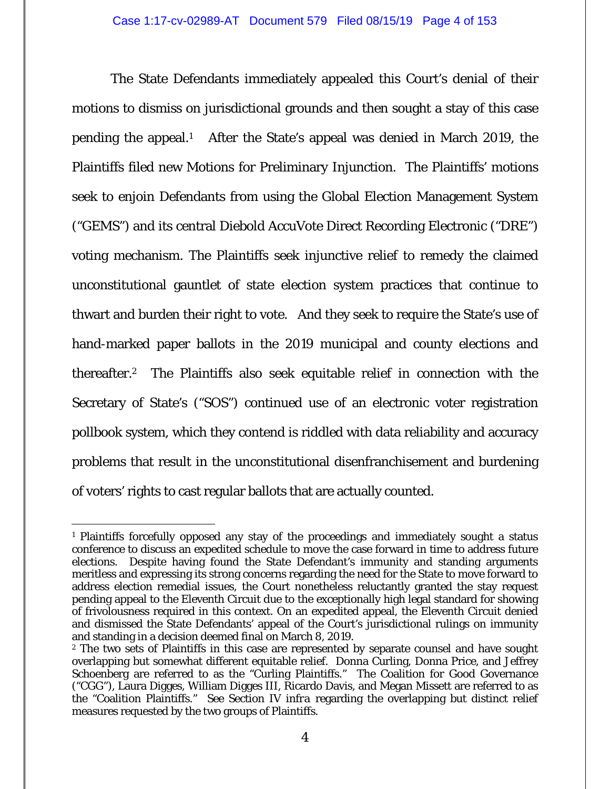The State Defendants immediately appealed this Court's denial of their motions to dismiss on jurisdictional grounds and then sought a stay of this case pending the appeal.1 After the State's appeal was denied in March 2019, the Plaintiffs filed new Motions for Preliminary Injunction. The Plaintiffs' motions seek to enjoin Defendants from using the Global Election Management System ("GEMS") and its central Diebold AccuVote Direct Recording Electronic ("DRE") voting mechanism. The Plaintiffs seek injunctive relief to remedy the claimed unconstitutional gauntlet of state election system practices that continue to thwart and burden their right to vote. And they seek to require the State's use of hand-marked paper ballots in the 2019 municipal and county elections and thereafter.2 The Plaintiffs also seek equitable relief in connection with the Secretary of State's ("SOS") continued use of an electronic voter registration pollbook system, which they contend is riddled with data reliability and accuracy problems that result in the unconstitutional disenfranchisement and burdening of voters' rights to cast regular ballots that are actually counted.

 $\overline{a}$ 1 Plaintiffs forcefully opposed any stay of the proceedings and immediately sought a status conference to discuss an expedited schedule to move the case forward in time to address future elections. Despite having found the State Defendant's immunity and standing arguments meritless and expressing its strong concerns regarding the need for the State to move forward to address election remedial issues, the Court nonetheless reluctantly granted the stay request pending appeal to the Eleventh Circuit due to the exceptionally high legal standard for showing of frivolousness required in this context. On an expedited appeal, the Eleventh Circuit denied and dismissed the State Defendants' appeal of the Court's jurisdictional rulings on immunity and standing in a decision deemed final on March 8, 2019.

<sup>2</sup> The two sets of Plaintiffs in this case are represented by separate counsel and have sought overlapping but somewhat different equitable relief. Donna Curling, Donna Price, and Jeffrey Schoenberg are referred to as the "Curling Plaintiffs." The Coalition for Good Governance ("CGG"), Laura Digges, William Digges III, Ricardo Davis, and Megan Missett are referred to as the "Coalition Plaintiffs." *See* Section IV *infra* regarding the overlapping but distinct relief measures requested by the two groups of Plaintiffs.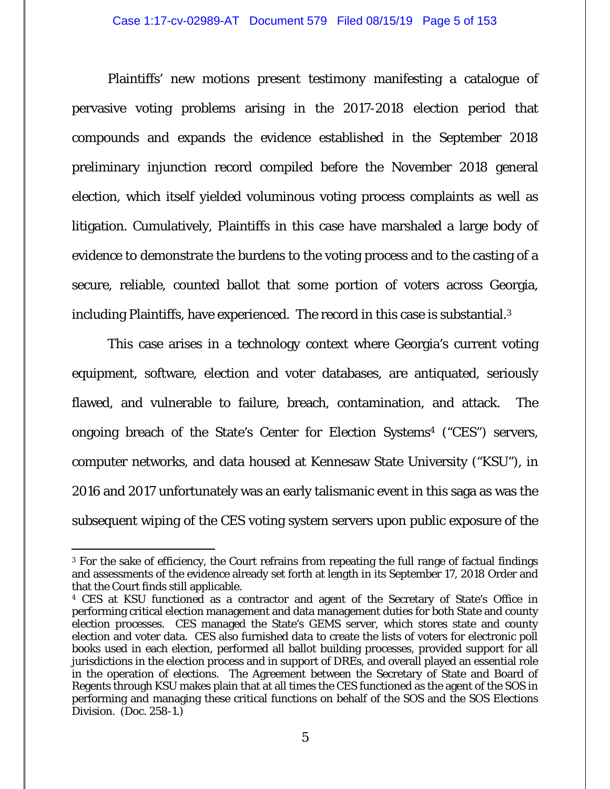Plaintiffs' new motions present testimony manifesting a catalogue of pervasive voting problems arising in the 2017-2018 election period that compounds and expands the evidence established in the September 2018 preliminary injunction record compiled before the November 2018 general election, which itself yielded voluminous voting process complaints as well as litigation. Cumulatively, Plaintiffs in this case have marshaled a large body of evidence to demonstrate the burdens to the voting process and to the casting of a secure, reliable, counted ballot that some portion of voters across Georgia, including Plaintiffs, have experienced. The record in this case is substantial.<sup>3</sup>

This case arises in a technology context where Georgia's current voting equipment, software, election and voter databases, are antiquated, seriously flawed, and vulnerable to failure, breach, contamination, and attack. The ongoing breach of the State's Center for Election Systems4 ("CES") servers, computer networks, and data housed at Kennesaw State University ("KSU"), in 2016 and 2017 unfortunately was an early talismanic event in this saga as was the subsequent wiping of the CES voting system servers upon public exposure of the

<sup>3</sup> For the sake of efficiency, the Court refrains from repeating the full range of factual findings and assessments of the evidence already set forth at length in its September 17, 2018 Order and that the Court finds still applicable.

<sup>4</sup> CES at KSU functioned as a contractor and agent of the Secretary of State's Office in performing critical election management and data management duties for both State and county election processes. CES managed the State's GEMS server, which stores state and county election and voter data. CES also furnished data to create the lists of voters for electronic poll books used in each election, performed all ballot building processes, provided support for all jurisdictions in the election process and in support of DREs, and overall played an essential role in the operation of elections. The Agreement between the Secretary of State and Board of Regents through KSU makes plain that at all times the CES functioned as the agent of the SOS in performing and managing these critical functions on behalf of the SOS and the SOS Elections Division. (Doc. 258-1.)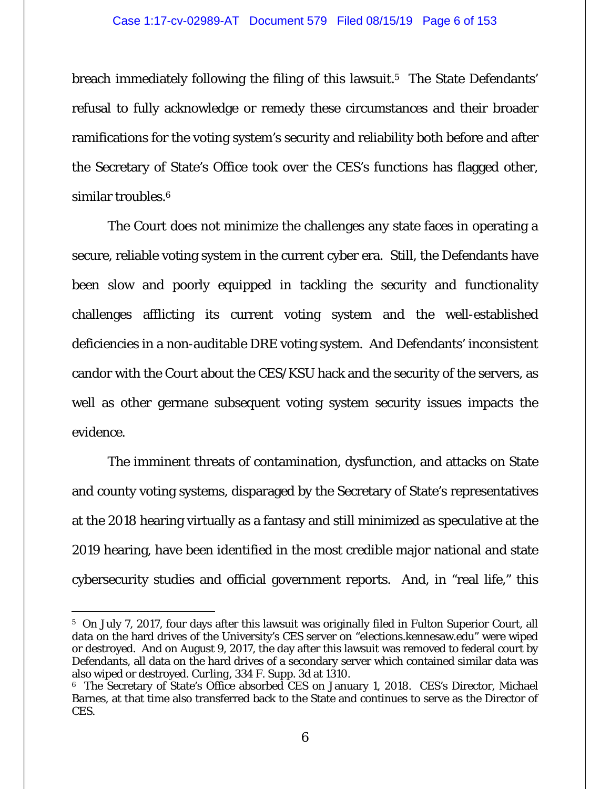breach immediately following the filing of this lawsuit.<sup>5</sup> The State Defendants' refusal to fully acknowledge or remedy these circumstances and their broader ramifications for the voting system's security and reliability both before and after the Secretary of State's Office took over the CES's functions has flagged other, similar troubles.<sup>6</sup>

The Court does not minimize the challenges any state faces in operating a secure, reliable voting system in the current cyber era. Still, the Defendants have been slow and poorly equipped in tackling the security and functionality challenges afflicting its current voting system and the well-established deficiencies in a non-auditable DRE voting system. And Defendants' inconsistent candor with the Court about the CES/KSU hack and the security of the servers, as well as other germane subsequent voting system security issues impacts the evidence.

The imminent threats of contamination, dysfunction, and attacks on State and county voting systems, disparaged by the Secretary of State's representatives at the 2018 hearing virtually as a fantasy and still minimized as speculative at the 2019 hearing, have been identified in the most credible major national and state cybersecurity studies and official government reports. And, in "real life," this

<sup>5</sup> On July 7, 2017, four days after this lawsuit was originally filed in Fulton Superior Court, all data on the hard drives of the University's CES server on "elections.kennesaw.edu" were wiped or destroyed. And on August 9, 2017, the day after this lawsuit was removed to federal court by Defendants, all data on the hard drives of a secondary server which contained similar data was also wiped or destroyed. *Curling,* 334 F. Supp. 3d at 1310.

<sup>6</sup> The Secretary of State's Office absorbed CES on January 1, 2018. CES's Director, Michael Barnes, at that time also transferred back to the State and continues to serve as the Director of CES.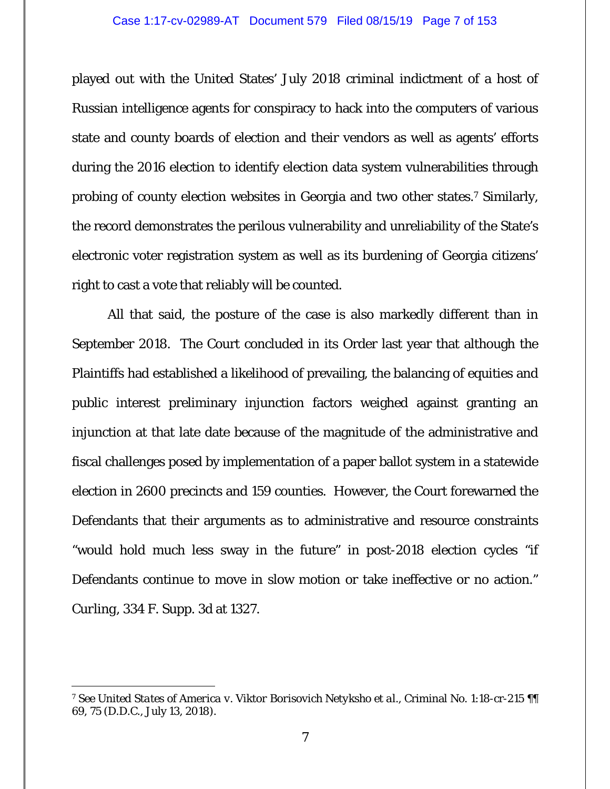#### Case 1:17-cv-02989-AT Document 579 Filed 08/15/19 Page 7 of 153

played out with the United States' July 2018 criminal indictment of a host of Russian intelligence agents for conspiracy to hack into the computers of various state and county boards of election and their vendors as well as agents' efforts during the 2016 election to identify election data system vulnerabilities through probing of county election websites in Georgia and two other states.7 Similarly, the record demonstrates the perilous vulnerability and unreliability of the State's electronic voter registration system as well as its burdening of Georgia citizens' right to cast a vote that reliably will be counted.

All that said, the posture of the case is also markedly different than in September 2018. The Court concluded in its Order last year that although the Plaintiffs had established a likelihood of prevailing, the balancing of equities and public interest preliminary injunction factors weighed against granting an injunction at that late date because of the magnitude of the administrative and fiscal challenges posed by implementation of a paper ballot system in a statewide election in 2600 precincts and 159 counties. However, the Court forewarned the Defendants that their arguments as to administrative and resource constraints "would hold much less sway in the future" in post-2018 election cycles "if Defendants continue to move in slow motion or take ineffective or no action." *Curling*, 334 F. Supp. 3d at 1327.

<sup>7</sup> *See United States of America v. Viktor Borisovich Netyksho et al.*, Criminal No. 1:18-cr-215 ¶¶ 69, 75 (D.D.C., July 13, 2018).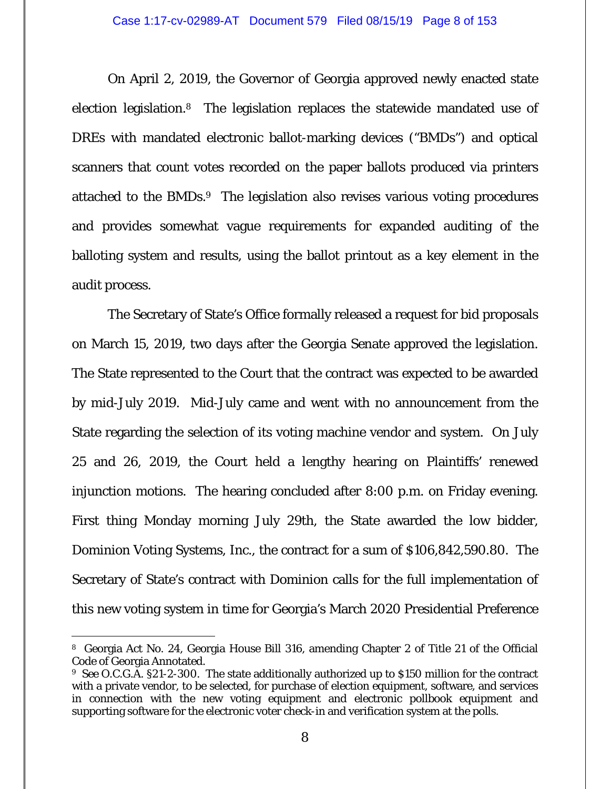On April 2, 2019, the Governor of Georgia approved newly enacted state election legislation.8 The legislation replaces the statewide mandated use of DREs with mandated electronic ballot-marking devices ("BMDs") and optical scanners that count votes recorded on the paper ballots produced via printers attached to the BMDs.9 The legislation also revises various voting procedures and provides somewhat vague requirements for expanded auditing of the balloting system and results, using the ballot printout as a key element in the audit process.

The Secretary of State's Office formally released a request for bid proposals on March 15, 2019, two days after the Georgia Senate approved the legislation. The State represented to the Court that the contract was expected to be awarded by mid-July 2019. Mid-July came and went with no announcement from the State regarding the selection of its voting machine vendor and system. On July 25 and 26, 2019, the Court held a lengthy hearing on Plaintiffs' renewed injunction motions. The hearing concluded after 8:00 p.m. on Friday evening. First thing Monday morning July 29th, the State awarded the low bidder, Dominion Voting Systems, Inc., the contract for a sum of \$106,842,590.80. The Secretary of State's contract with Dominion calls for the full implementation of this new voting system in time for Georgia's March 2020 Presidential Preference

 $\overline{a}$ 8 Georgia Act No. 24, Georgia House Bill 316, amending Chapter 2 of Title 21 of the Official Code of Georgia Annotated.

<sup>9</sup> *See* O.C.G.A. §21-2-300. The state additionally authorized up to \$150 million for the contract with a private vendor, to be selected, for purchase of election equipment, software, and services in connection with the new voting equipment and electronic pollbook equipment and supporting software for the electronic voter check-in and verification system at the polls.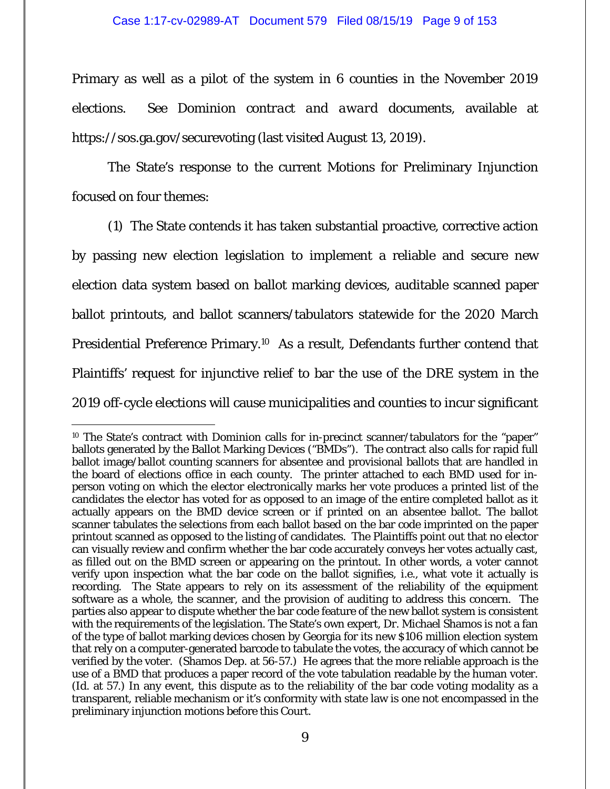Primary as well as a pilot of the system in 6 counties in the November 2019 elections. *See Dominion contract and award documents*, available at https://sos.ga.gov/securevoting (last visited August 13, 2019).

The State's response to the current Motions for Preliminary Injunction focused on four themes:

(1) The State contends it has taken substantial proactive, corrective action by passing new election legislation to implement a reliable and secure new election data system based on ballot marking devices, auditable scanned paper ballot printouts, and ballot scanners/tabulators statewide for the 2020 March Presidential Preference Primary.10 As a result, Defendants further contend that Plaintiffs' request for injunctive relief to bar the use of the DRE system in the 2019 off-cycle elections will cause municipalities and counties to incur significant

<sup>&</sup>lt;sup>10</sup> The State's contract with Dominion calls for in-precinct scanner/tabulators for the "paper" ballots generated by the Ballot Marking Devices ("BMDs"). The contract also calls for rapid full ballot image/ballot counting scanners for absentee and provisional ballots that are handled in the board of elections office in each county. The printer attached to each BMD used for inperson voting on which the elector electronically marks her vote produces a printed list of the candidates the elector has voted for as opposed to an image of the entire completed ballot as it actually appears on the BMD device screen or if printed on an absentee ballot. The ballot scanner tabulates the selections from each ballot based on the bar code imprinted on the paper printout scanned as opposed to the listing of candidates. The Plaintiffs point out that no elector can visually review and confirm whether the bar code accurately conveys her votes actually cast, as filled out on the BMD screen or appearing on the printout. In other words, a voter cannot verify upon inspection what the bar code on the ballot signifies, *i.e.*, what vote it actually is recording. The State appears to rely on its assessment of the reliability of the equipment software as a whole, the scanner, and the provision of auditing to address this concern. The parties also appear to dispute whether the bar code feature of the new ballot system is consistent with the requirements of the legislation. The State's own expert, Dr. Michael Shamos is not a fan of the type of ballot marking devices chosen by Georgia for its new \$106 million election system that rely on a computer-generated barcode to tabulate the votes, the accuracy of which cannot be verified by the voter. (Shamos Dep. at 56-57.) He agrees that the more reliable approach is the use of a BMD that produces a paper record of the vote tabulation readable by the human voter. (*Id.* at 57.) In any event, this dispute as to the reliability of the bar code voting modality as a transparent, reliable mechanism or it's conformity with state law is one not encompassed in the preliminary injunction motions before this Court.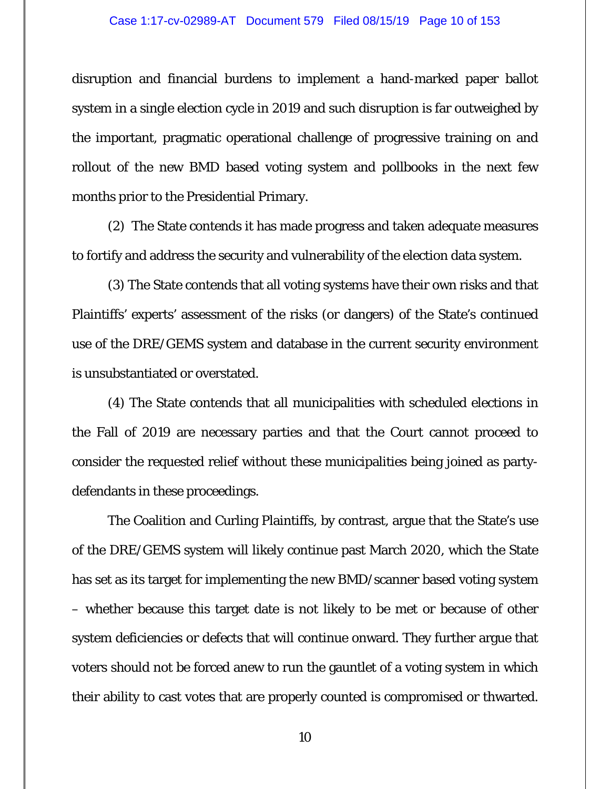#### Case 1:17-cv-02989-AT Document 579 Filed 08/15/19 Page 10 of 153

disruption and financial burdens to implement a hand-marked paper ballot system in a single election cycle in 2019 and such disruption is far outweighed by the important, pragmatic operational challenge of progressive training on and rollout of the new BMD based voting system and pollbooks in the next few months prior to the Presidential Primary.

(2) The State contends it has made progress and taken adequate measures to fortify and address the security and vulnerability of the election data system.

(3) The State contends that all voting systems have their own risks and that Plaintiffs' experts' assessment of the risks (or dangers) of the State's continued use of the DRE/GEMS system and database in the current security environment is unsubstantiated or overstated.

(4) The State contends that all municipalities with scheduled elections in the Fall of 2019 are necessary parties and that the Court cannot proceed to consider the requested relief without these municipalities being joined as partydefendants in these proceedings.

The Coalition and Curling Plaintiffs, by contrast, argue that the State's use of the DRE/GEMS system will likely continue past March 2020, which the State has set as its target for implementing the new BMD/scanner based voting system – whether because this target date is not likely to be met or because of other system deficiencies or defects that will continue onward. They further argue that voters should not be forced anew to run the gauntlet of a voting system in which their ability to cast votes that are properly counted is compromised or thwarted.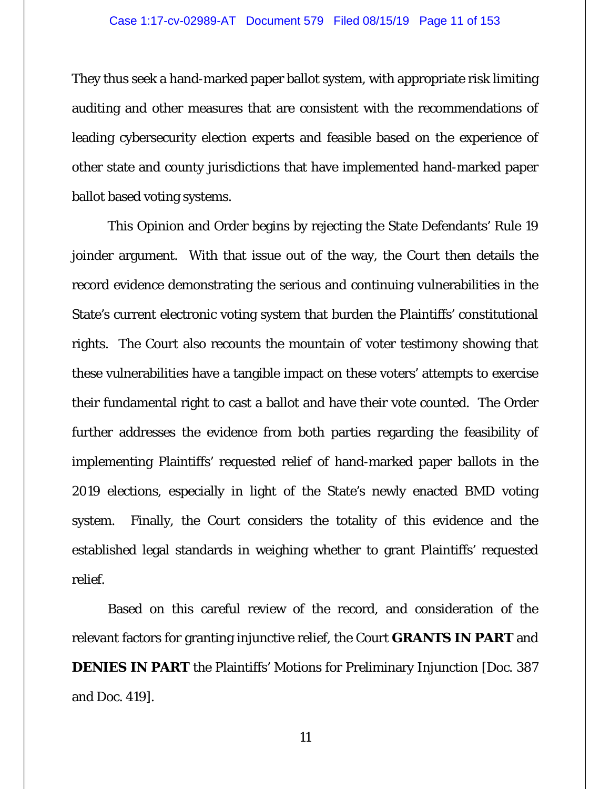They thus seek a hand-marked paper ballot system, with appropriate risk limiting auditing and other measures that are consistent with the recommendations of leading cybersecurity election experts and feasible based on the experience of other state and county jurisdictions that have implemented hand-marked paper ballot based voting systems.

This Opinion and Order begins by rejecting the State Defendants' Rule 19 joinder argument. With that issue out of the way, the Court then details the record evidence demonstrating the serious and continuing vulnerabilities in the State's current electronic voting system that burden the Plaintiffs' constitutional rights. The Court also recounts the mountain of voter testimony showing that these vulnerabilities have a tangible impact on these voters' attempts to exercise their fundamental right to cast a ballot and have their vote counted. The Order further addresses the evidence from both parties regarding the feasibility of implementing Plaintiffs' requested relief of hand-marked paper ballots in the 2019 elections, especially in light of the State's newly enacted BMD voting system. Finally, the Court considers the totality of this evidence and the established legal standards in weighing whether to grant Plaintiffs' requested relief.

Based on this careful review of the record, and consideration of the relevant factors for granting injunctive relief, the Court **GRANTS IN PART** and **DENIES IN PART** the Plaintiffs' Motions for Preliminary Injunction [Doc. 387] and Doc. 419].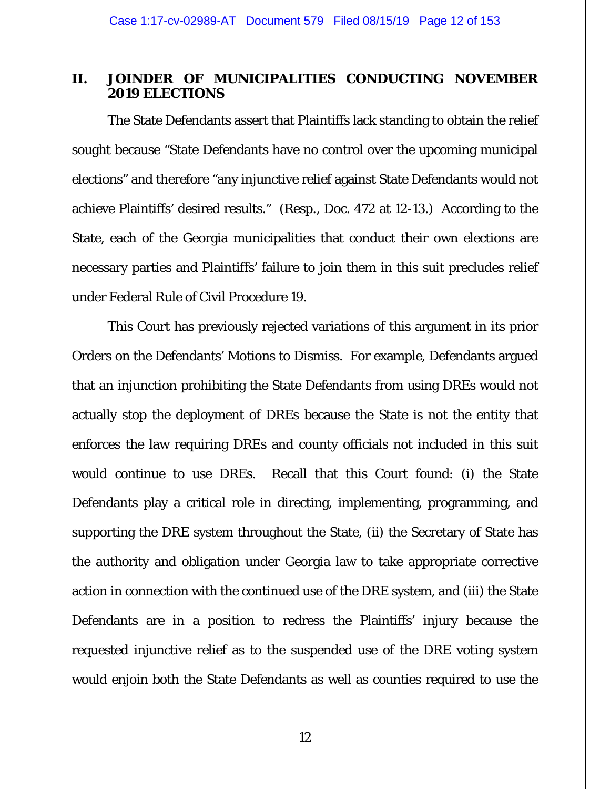### **II. JOINDER OF MUNICIPALITIES CONDUCTING NOVEMBER 2019 ELECTIONS**

 The State Defendants assert that Plaintiffs lack standing to obtain the relief sought because "State Defendants have no control over the upcoming municipal elections" and therefore "any injunctive relief against State Defendants would not achieve Plaintiffs' desired results." (Resp., Doc. 472 at 12-13.) According to the State, each of the Georgia municipalities that conduct their own elections are necessary parties and Plaintiffs' failure to join them in this suit precludes relief under Federal Rule of Civil Procedure 19.

This Court has previously rejected variations of this argument in its prior Orders on the Defendants' Motions to Dismiss. For example, Defendants argued that an injunction prohibiting the State Defendants from using DREs would not actually stop the deployment of DREs because the State is not the entity that enforces the law requiring DREs and county officials not included in this suit would continue to use DREs. Recall that this Court found: (i) the State Defendants play a critical role in directing, implementing, programming, and supporting the DRE system throughout the State, (ii) the Secretary of State has the authority and obligation under Georgia law to take appropriate corrective action in connection with the continued use of the DRE system, and (iii) the State Defendants are in a position to redress the Plaintiffs' injury because the requested injunctive relief as to the suspended use of the DRE voting system would enjoin both the State Defendants as well as counties required to use the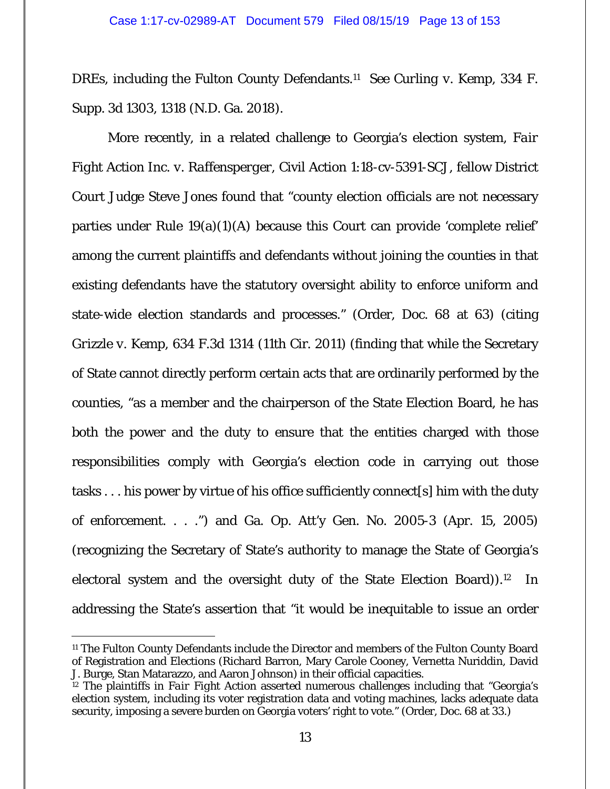DREs, including the Fulton County Defendants.11 *See Curling v. Kemp*, 334 F. Supp. 3d 1303, 1318 (N.D. Ga. 2018).

More recently, in a related challenge to Georgia's election system, *Fair Fight Action Inc. v. Raffensperger*, Civil Action 1:18-cv-5391-SCJ, fellow District Court Judge Steve Jones found that "county election officials are not necessary parties under Rule  $19(a)(1)(A)$  because this Court can provide 'complete relief' among the current plaintiffs and defendants without joining the counties in that existing defendants have the statutory oversight ability to enforce uniform and state-wide election standards and processes." (Order, Doc. 68 at 63) (citing *Grizzle v. Kemp*, 634 F.3d 1314 (11th Cir. 2011) (finding that while the Secretary of State cannot directly perform certain acts that are ordinarily performed by the counties, "as a member and the chairperson of the State Election Board, he has both the power and the duty to ensure that the entities charged with those responsibilities comply with Georgia's election code in carrying out those tasks . . . his power by virtue of his office sufficiently connect[s] him with the duty of enforcement. . . .") and Ga. Op. Att'y Gen. No. 2005-3 (Apr. 15, 2005) (recognizing the Secretary of State's authority to manage the State of Georgia's electoral system and the oversight duty of the State Election Board)).12 In addressing the State's assertion that "it would be inequitable to issue an order

-

<sup>11</sup> The Fulton County Defendants include the Director and members of the Fulton County Board of Registration and Elections (Richard Barron, Mary Carole Cooney, Vernetta Nuriddin, David J. Burge, Stan Matarazzo, and Aaron Johnson) in their official capacities.

<sup>&</sup>lt;sup>12</sup> The plaintiffs in *Fair Fight Action* asserted numerous challenges including that "Georgia's election system, including its voter registration data and voting machines, lacks adequate data security, imposing a severe burden on Georgia voters' right to vote." (Order, Doc. 68 at 33.)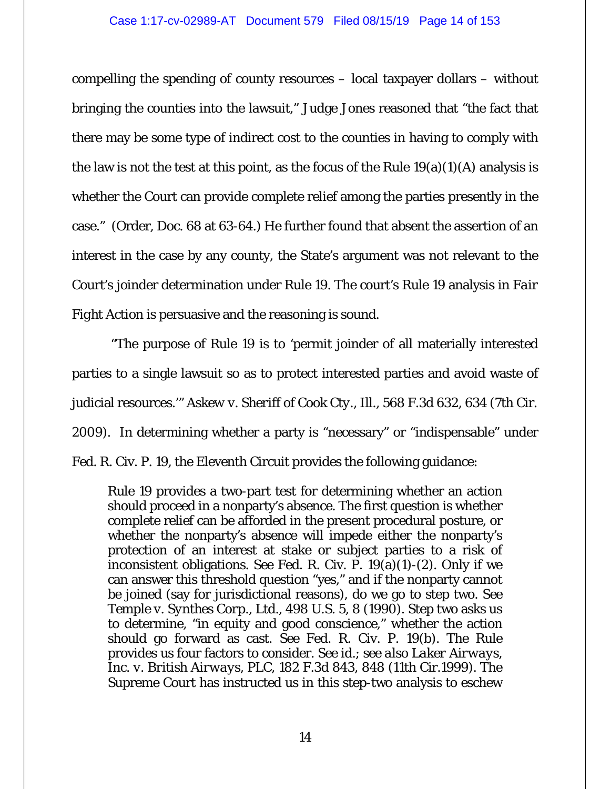compelling the spending of county resources – local taxpayer dollars – without bringing the counties into the lawsuit," Judge Jones reasoned that "the fact that there may be some type of indirect cost to the counties in having to comply with the law is not the test at this point, as the focus of the Rule  $19(a)(1)(A)$  analysis is whether the Court can provide complete relief among the parties presently in the case." (Order, Doc. 68 at 63-64.) He further found that absent the assertion of an interest in the case by any county, the State's argument was not relevant to the Court's joinder determination under Rule 19. The court's Rule 19 analysis in *Fair Fight Action* is persuasive and the reasoning is sound.

 "The purpose of Rule 19 is to 'permit joinder of all materially interested parties to a single lawsuit so as to protect interested parties and avoid waste of judicial resources.'" *Askew v. Sheriff of Cook Cty., Ill.*, 568 F.3d 632, 634 (7th Cir. 2009). In determining whether a party is "necessary" or "indispensable" under Fed. R. Civ. P. 19, the Eleventh Circuit provides the following guidance:

Rule 19 provides a two-part test for determining whether an action should proceed in a nonparty's absence. The first question is whether complete relief can be afforded in the present procedural posture, or whether the nonparty's absence will impede either the nonparty's protection of an interest at stake or subject parties to a risk of inconsistent obligations. *See* Fed. R. Civ. P. 19(a)(1)-(2). Only if we can answer this threshold question "yes," and if the nonparty cannot be joined (say for jurisdictional reasons), do we go to step two. *See Temple v. Synthes Corp., Ltd.*, 498 U.S. 5, 8 (1990). Step two asks us to determine, "in equity and good conscience," whether the action should go forward as cast. *See* Fed. R. Civ. P. 19(b). The Rule provides us four factors to consider. *See id.*; *see also Laker Airways, Inc. v. British Airways, PLC*, 182 F.3d 843, 848 (11th Cir.1999). The Supreme Court has instructed us in this step-two analysis to eschew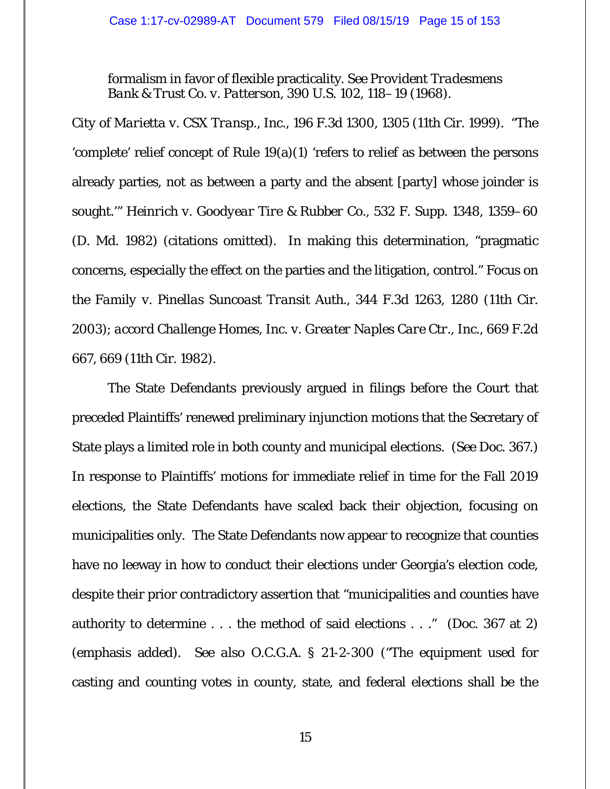formalism in favor of flexible practicality. *See Provident Tradesmens Bank & Trust Co. v. Patterson*, 390 U.S. 102, 118–19 (1968).

*City of Marietta v. CSX Transp., Inc.*, 196 F.3d 1300, 1305 (11th Cir. 1999). "The 'complete' relief concept of Rule 19(a)(1) 'refers to relief as between the persons already parties, not as between a party and the absent [party] whose joinder is sought.'" *Heinrich v. Goodyear Tire & Rubber Co.*, 532 F. Supp. 1348, 1359–60 (D. Md. 1982) (citations omitted). In making this determination, "pragmatic concerns, especially the effect on the parties and the litigation, control." *Focus on the Family v. Pinellas Suncoast Transit Auth.*, 344 F.3d 1263, 1280 (11th Cir. 2003); *accord Challenge Homes, Inc. v. Greater Naples Care Ctr., Inc.*, 669 F.2d 667, 669 (11th Cir. 1982).

The State Defendants previously argued in filings before the Court that preceded Plaintiffs' renewed preliminary injunction motions that the Secretary of State plays a limited role in both county and municipal elections. (*See* Doc. 367.) In response to Plaintiffs' motions for immediate relief in time for the Fall 2019 elections, the State Defendants have scaled back their objection, focusing on municipalities only. The State Defendants now appear to recognize that counties have no leeway in how to conduct their elections under Georgia's election code, despite their prior contradictory assertion that "municipalities *and counties* have authority to determine . . . the method of said elections . . ." (Doc. 367 at 2) (emphasis added). *See also* O.C.G.A. § 21-2-300 ("The equipment used for casting and counting votes in county, state, and federal elections shall be the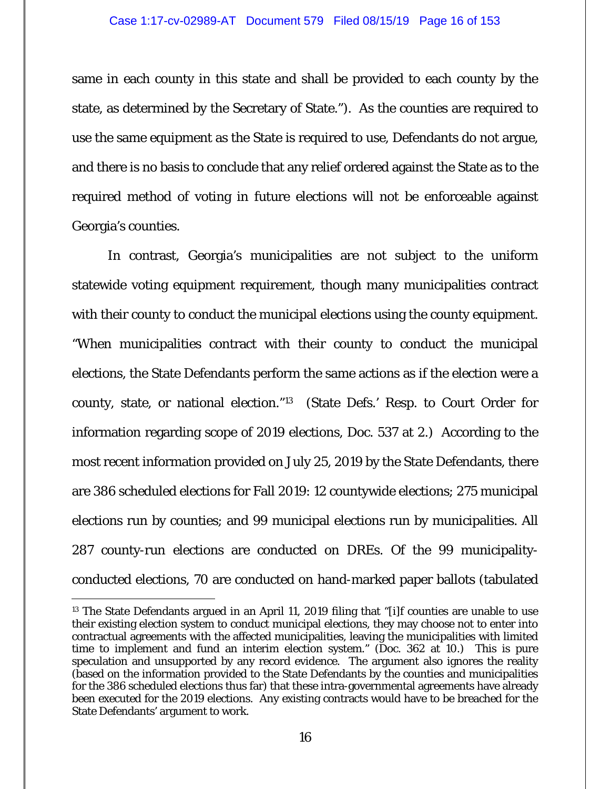same in each county in this state and shall be provided to each county by the state, as determined by the Secretary of State."). As the counties are required to use the same equipment as the State is required to use, Defendants do not argue, and there is no basis to conclude that any relief ordered against the State as to the required method of voting in future elections will not be enforceable against Georgia's counties.

In contrast, Georgia's municipalities are not subject to the uniform statewide voting equipment requirement, though many municipalities contract with their county to conduct the municipal elections using the county equipment. "When municipalities contract with their county to conduct the municipal elections, the State Defendants perform the same actions as if the election were a county, state, or national election."13 (State Defs.' Resp. to Court Order for information regarding scope of 2019 elections, Doc. 537 at 2.) According to the most recent information provided on July 25, 2019 by the State Defendants, there are 386 scheduled elections for Fall 2019: 12 countywide elections; 275 municipal elections run by counties; and 99 municipal elections run by municipalities. All 287 county-run elections are conducted on DREs. Of the 99 municipalityconducted elections, 70 are conducted on hand-marked paper ballots (tabulated

-

<sup>&</sup>lt;sup>13</sup> The State Defendants argued in an April 11, 2019 filing that "[i]f counties are unable to use their existing election system to conduct municipal elections, they may choose not to enter into contractual agreements with the affected municipalities, leaving the municipalities with limited time to implement and fund an interim election system." (Doc. 362 at 10.) This is pure speculation and unsupported by any record evidence. The argument also ignores the reality (based on the information provided to the State Defendants by the counties and municipalities for the 386 scheduled elections thus far) that these intra-governmental agreements have already been executed for the 2019 elections. Any existing contracts would have to be breached for the State Defendants' argument to work.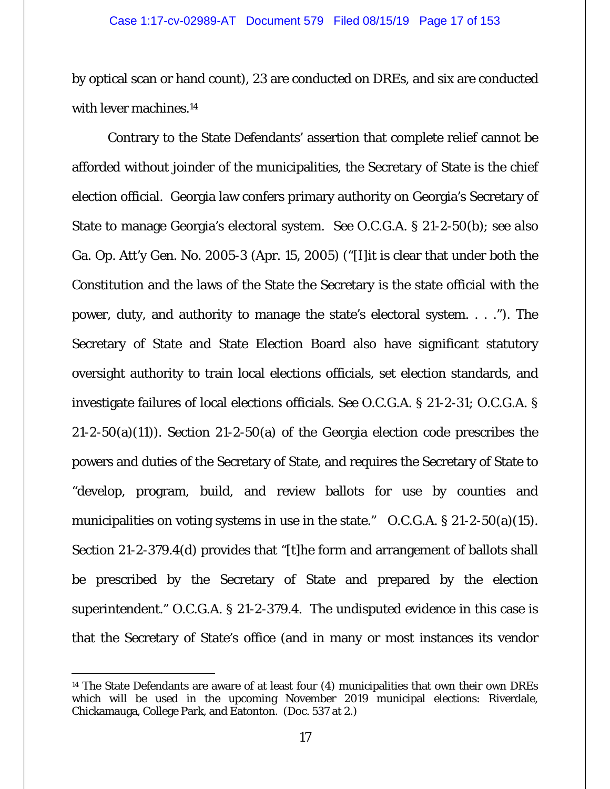by optical scan or hand count), 23 are conducted on DREs, and six are conducted with lever machines.<sup>14</sup>

Contrary to the State Defendants' assertion that complete relief cannot be afforded without joinder of the municipalities, the Secretary of State is the chief election official. Georgia law confers primary authority on Georgia's Secretary of State to manage Georgia's electoral system. *See* O.C.G.A. § 21-2-50(b); *see also* Ga. Op. Att'y Gen. No. 2005-3 (Apr. 15, 2005) ("[I]it is clear that under both the Constitution and the laws of the State the Secretary is the state official with the power, duty, and authority to manage the state's electoral system. . . ."). The Secretary of State and State Election Board also have significant statutory oversight authority to train local elections officials, set election standards, and investigate failures of local elections officials. *See* O.C.G.A. § 21-2-31; O.C.G.A. §  $21-2-50(a)(11)$ . Section  $21-2-50(a)$  of the Georgia election code prescribes the powers and duties of the Secretary of State, and requires the Secretary of State to "develop, program, build, and review ballots for use by counties and municipalities on voting systems in use in the state." O.C.G.A. § 21-2-50(a)(15). Section 21-2-379.4(d) provides that "[t]he form and arrangement of ballots shall be prescribed by the Secretary of State and prepared by the election superintendent." O.C.G.A. § 21-2-379.4. The undisputed evidence in this case is that the Secretary of State's office (and in many or most instances its vendor

-

<sup>&</sup>lt;sup>14</sup> The State Defendants are aware of at least four  $(4)$  municipalities that own their own DREs which will be used in the upcoming November 2019 municipal elections: Riverdale, Chickamauga, College Park, and Eatonton. (Doc. 537 at 2.)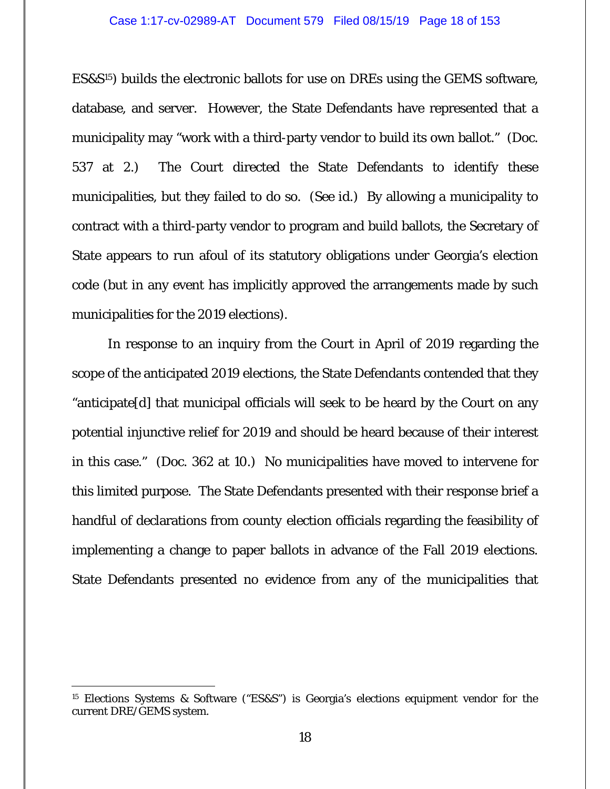#### Case 1:17-cv-02989-AT Document 579 Filed 08/15/19 Page 18 of 153

ES&S15) builds the electronic ballots for use on DREs using the GEMS software, database, and server. However, the State Defendants have represented that a municipality may "work with a third-party vendor to build its own ballot." (Doc. 537 at 2.) The Court directed the State Defendants to identify these municipalities, but they failed to do so. (*See id.*) By allowing a municipality to contract with a third-party vendor to program and build ballots, the Secretary of State appears to run afoul of its statutory obligations under Georgia's election code (but in any event has implicitly approved the arrangements made by such municipalities for the 2019 elections).

In response to an inquiry from the Court in April of 2019 regarding the scope of the anticipated 2019 elections, the State Defendants contended that they "anticipate[d] that municipal officials will seek to be heard by the Court on any potential injunctive relief for 2019 and should be heard because of their interest in this case." (Doc. 362 at 10.) No municipalities have moved to intervene for this limited purpose. The State Defendants presented with their response brief a handful of declarations from *county* election officials regarding the feasibility of implementing a change to paper ballots in advance of the Fall 2019 elections. State Defendants presented no evidence from any of the municipalities that

<sup>15</sup> Elections Systems & Software ("ES&S") is Georgia's elections equipment vendor for the current DRE/GEMS system.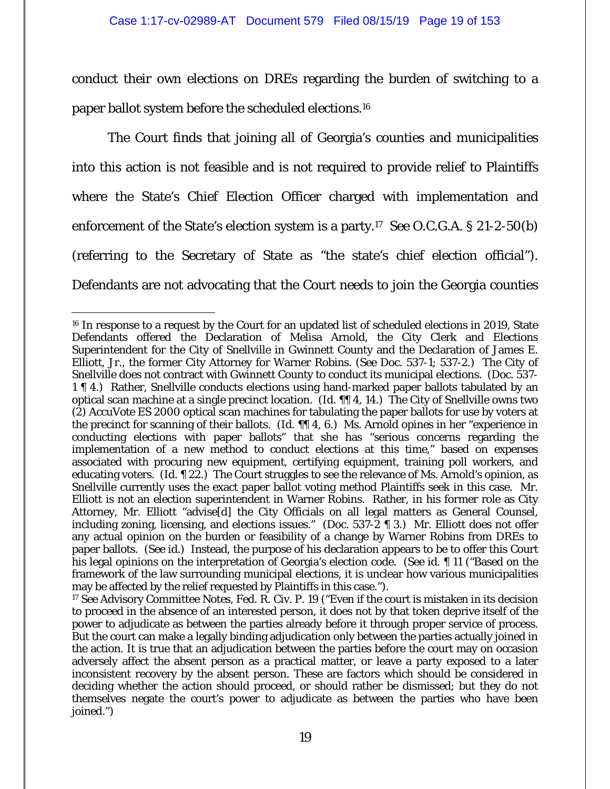conduct their own elections on DREs regarding the burden of switching to a paper ballot system before the scheduled elections.16

The Court finds that joining all of Georgia's counties and municipalities into this action is not feasible and is not required to provide relief to Plaintiffs where the State's Chief Election Officer charged with implementation and enforcement of the State's election system is a party.17 *See* O.C.G.A. § 21-2-50(b) (referring to the Secretary of State as "the state's chief election official"). Defendants are not advocating that the Court needs to join the Georgia counties

 $\overline{a}$ <sup>16</sup> In response to a request by the Court for an updated list of scheduled elections in 2019, State Defendants offered the Declaration of Melisa Arnold, the City Clerk and Elections Superintendent for the City of Snellville in Gwinnett County and the Declaration of James E. Elliott, Jr., the former City Attorney for Warner Robins. (*See* Doc. 537-1; 537-2.) The City of Snellville does not contract with Gwinnett County to conduct its municipal elections. (Doc. 537- 1 ¶ 4.) Rather, Snellville conducts elections using hand-marked paper ballots tabulated by an optical scan machine at a single precinct location. (*Id.* ¶¶ 4, 14.) The City of Snellville owns two (2) AccuVote ES 2000 optical scan machines for tabulating the paper ballots for use by voters at the precinct for scanning of their ballots. (*Id.* ¶¶ 4, 6.) Ms. Arnold opines in her "experience in conducting elections with paper ballots" that she has "serious concerns regarding the implementation of a new method to conduct elections at this time," based on expenses associated with procuring new equipment, certifying equipment, training poll workers, and educating voters. (*Id.* ¶ 22.) The Court struggles to see the relevance of Ms. Arnold's opinion, as Snellville currently uses the exact paper ballot voting method Plaintiffs seek in this case. Mr. Elliott is not an election superintendent in Warner Robins. Rather, in his former role as City Attorney, Mr. Elliott "advise[d] the City Officials on all legal matters as General Counsel, including zoning, licensing, and elections issues." (Doc. 537-2 ¶ 3.) Mr. Elliott does not offer any actual opinion on the burden or feasibility of a change by Warner Robins from DREs to paper ballots. (*See id.*) Instead, the purpose of his declaration appears to be to offer this Court his legal opinions on the interpretation of Georgia's election code. (*See id.* ¶ 11 ("Based on the framework of the law surrounding municipal elections, it is unclear how various municipalities may be affected by the relief requested by Plaintiffs in this case.").

<sup>17</sup> *See* Advisory Committee Notes, Fed. R. Civ. P. 19 ("Even if the court is mistaken in its decision to proceed in the absence of an interested person, it does not by that token deprive itself of the power to adjudicate as between the parties already before it through proper service of process. But the court can make a legally binding adjudication only between the parties actually joined in the action. It is true that an adjudication between the parties before the court may on occasion adversely affect the absent person as a practical matter, or leave a party exposed to a later inconsistent recovery by the absent person. These are factors which should be considered in deciding whether the action should proceed, or should rather be dismissed; but they do not themselves negate the court's power to adjudicate as between the parties who have been joined.")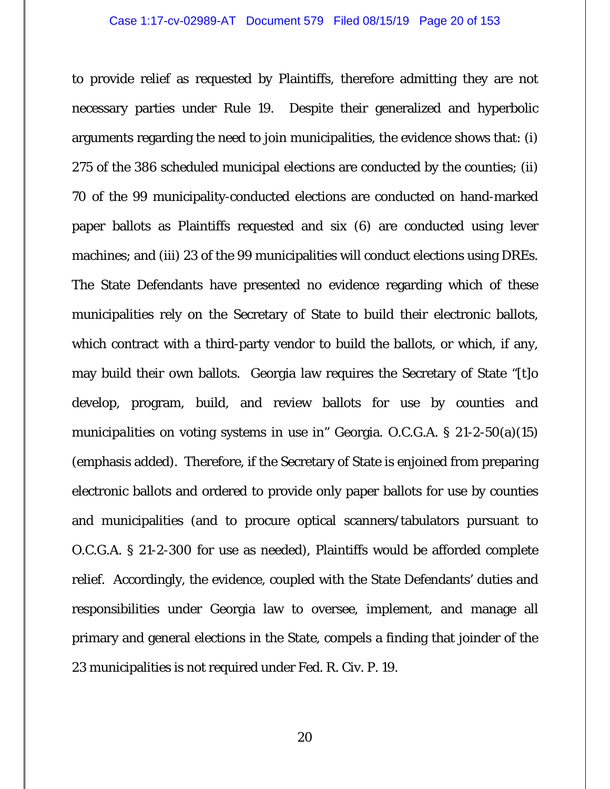#### Case 1:17-cv-02989-AT Document 579 Filed 08/15/19 Page 20 of 153

to provide relief as requested by Plaintiffs, therefore admitting they are not necessary parties under Rule 19. Despite their generalized and hyperbolic arguments regarding the need to join municipalities, the evidence shows that: (i) 275 of the 386 scheduled municipal elections are conducted by the counties; (ii) 70 of the 99 municipality-conducted elections are conducted on hand-marked paper ballots as Plaintiffs requested and six (6) are conducted using lever machines; and (iii) 23 of the 99 municipalities will conduct elections using DREs. The State Defendants have presented no evidence regarding which of these municipalities rely on the Secretary of State to build their electronic ballots, which contract with a third-party vendor to build the ballots, or which, if any, may build their own ballots. Georgia law requires the Secretary of State "[t]o develop, program, build, and review ballots for use by *counties and municipalities* on voting systems in use in" Georgia. O.C.G.A. § 21-2-50(a)(15) (emphasis added). Therefore, if the Secretary of State is enjoined from preparing electronic ballots and ordered to provide only paper ballots for use by counties and municipalities (and to procure optical scanners/tabulators pursuant to O.C.G.A. § 21-2-300 for use as needed), Plaintiffs would be afforded complete relief. Accordingly, the evidence, coupled with the State Defendants' duties and responsibilities under Georgia law to oversee, implement, and manage all primary and general elections in the State, compels a finding that joinder of the 23 municipalities is not required under Fed. R. Civ. P. 19.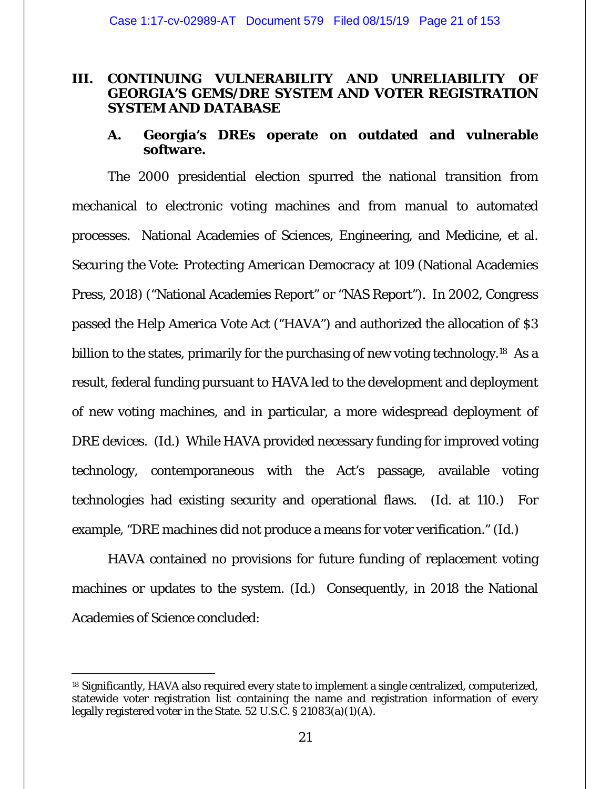### **III. CONTINUING VULNERABILITY AND UNRELIABILITY OF GEORGIA'S GEMS/DRE SYSTEM AND VOTER REGISTRATION SYSTEM AND DATABASE**

### **A. Georgia's DREs operate on outdated and vulnerable software.**

The 2000 presidential election spurred the national transition from mechanical to electronic voting machines and from manual to automated processes. National Academies of Sciences, Engineering, and Medicine, et al. *Securing the Vote: Protecting American Democracy* at 109 (National Academies Press, 2018) ("National Academies Report" or "NAS Report"). In 2002, Congress passed the Help America Vote Act ("HAVA") and authorized the allocation of \$3 billion to the states, primarily for the purchasing of new voting technology.<sup>18</sup> As a result, federal funding pursuant to HAVA led to the development and deployment of new voting machines, and in particular, a more widespread deployment of DRE devices. (*Id.*) While HAVA provided necessary funding for improved voting technology, contemporaneous with the Act's passage, available voting technologies had existing security and operational flaws. (*Id.* at 110.) For example, "DRE machines did not produce a means for voter verification." (*Id.*)

HAVA contained no provisions for future funding of replacement voting machines or updates to the system. (*Id.*) Consequently, in 2018 the National Academies of Science concluded:

<sup>-</sup>18 Significantly, HAVA also required every state to implement a single centralized, computerized, statewide voter registration list containing the name and registration information of every legally registered voter in the State. 52 U.S.C. § 21083(a)(1)(A).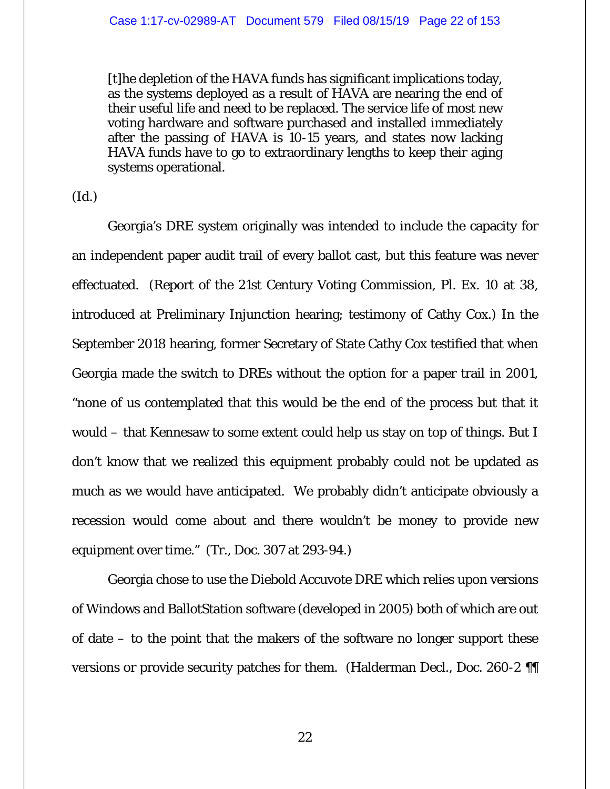[t]he depletion of the HAVA funds has significant implications today, as the systems deployed as a result of HAVA are nearing the end of their useful life and need to be replaced. The service life of most new voting hardware and software purchased and installed immediately after the passing of HAVA is 10-15 years, and states now lacking HAVA funds have to go to extraordinary lengths to keep their aging systems operational.

(*Id.*)

Georgia's DRE system originally was intended to include the capacity for an independent paper audit trail of every ballot cast, but this feature was never effectuated. (Report of the 21st Century Voting Commission, Pl. Ex. 10 at 38, introduced at Preliminary Injunction hearing; testimony of Cathy Cox.) In the September 2018 hearing, former Secretary of State Cathy Cox testified that when Georgia made the switch to DREs without the option for a paper trail in 2001, "none of us contemplated that this would be the end of the process but that it would – that Kennesaw to some extent could help us stay on top of things. But I don't know that we realized this equipment probably could not be updated as much as we would have anticipated. We probably didn't anticipate obviously a recession would come about and there wouldn't be money to provide new equipment over time." (Tr., Doc. 307 at 293-94.)

Georgia chose to use the Diebold Accuvote DRE which relies upon versions of Windows and BallotStation software (developed in 2005) both of which are out of date – to the point that the makers of the software no longer support these versions or provide security patches for them. (Halderman Decl., Doc. 260-2 ¶¶

22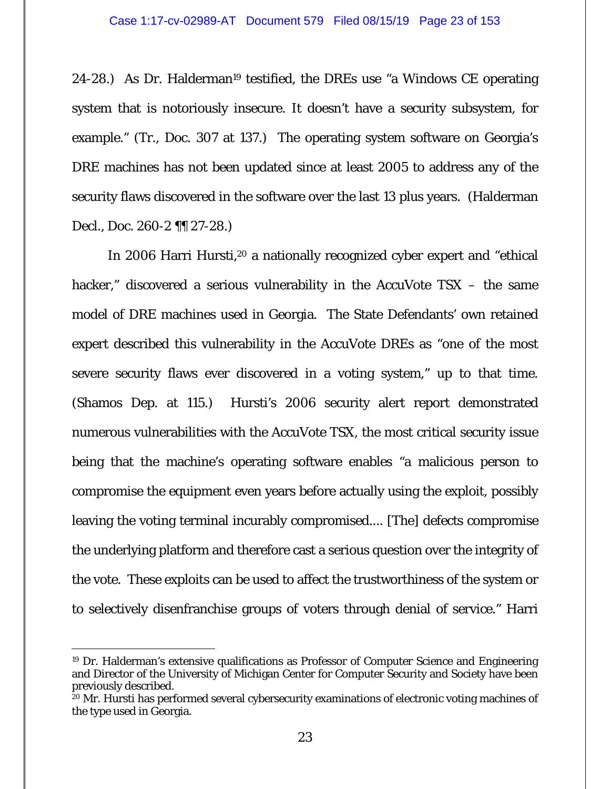24-28.) As Dr. Halderman19 testified, the DREs use "a Windows CE operating system that is notoriously insecure. It doesn't have a security subsystem, for example." (Tr., Doc. 307 at 137.) The operating system software on Georgia's DRE machines has not been updated since at least 2005 to address any of the security flaws discovered in the software over the last 13 plus years. (Halderman Decl., Doc. 260-2 ¶¶ 27-28.)

In 2006 Harri Hursti,<sup>20</sup> a nationally recognized cyber expert and "ethical hacker," discovered a serious vulnerability in the AccuVote TSX – the same model of DRE machines used in Georgia. The State Defendants' own retained expert described this vulnerability in the AccuVote DREs as "one of the most severe security flaws ever discovered in a voting system," up to that time. (Shamos Dep. at 115.) Hursti's 2006 security alert report demonstrated numerous vulnerabilities with the AccuVote TSX, the most critical security issue being that the machine's operating software enables "a malicious person to compromise the equipment even years before actually using the exploit, possibly leaving the voting terminal incurably compromised.... [The] defects compromise the underlying platform and therefore cast a serious question over the integrity of the vote. These exploits can be used to affect the trustworthiness of the system or to selectively disenfranchise groups of voters through denial of service." Harri

<sup>19</sup> Dr. Halderman's extensive qualifications as Professor of Computer Science and Engineering and Director of the University of Michigan Center for Computer Security and Society have been previously described.

<sup>&</sup>lt;sup>20</sup> Mr. Hursti has performed several cybersecurity examinations of electronic voting machines of the type used in Georgia.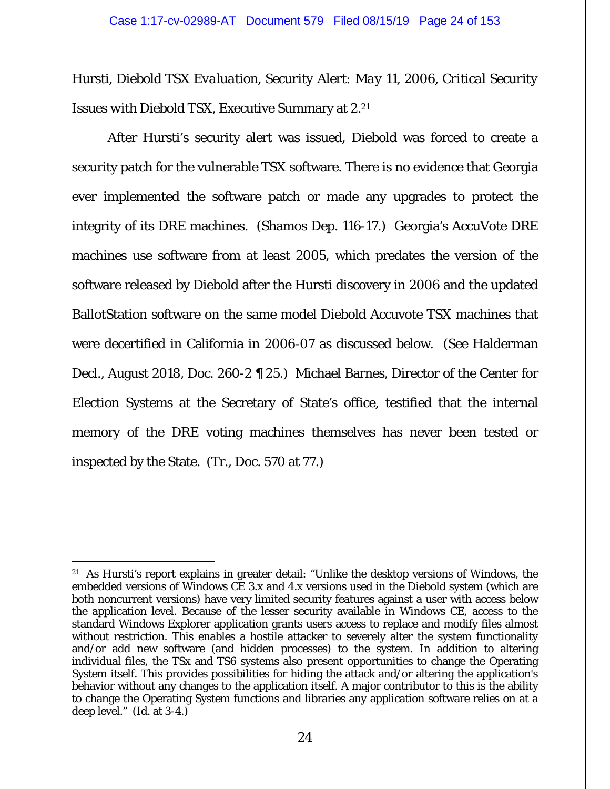Hursti, *Diebold TSX Evaluation, Security Alert: May 11, 2006, Critical Security Issues with Diebold TSX*, Executive Summary at 2.<sup>21</sup>

After Hursti's security alert was issued, Diebold was forced to create a security patch for the vulnerable TSX software. There is no evidence that Georgia ever implemented the software patch or made any upgrades to protect the integrity of its DRE machines. (Shamos Dep. 116-17.) Georgia's AccuVote DRE machines use software from at least 2005, which predates the version of the software released by Diebold after the Hursti discovery in 2006 and the updated BallotStation software on the same model Diebold Accuvote TSX machines that were decertified in California in 2006-07 as discussed below. (*See* Halderman Decl., August 2018, Doc. 260-2 ¶ 25.) Michael Barnes, Director of the Center for Election Systems at the Secretary of State's office, testified that the internal memory of the DRE voting machines themselves has never been tested or inspected by the State. (Tr., Doc. 570 at 77.)

<sup>-</sup>21 As Hursti's report explains in greater detail: "Unlike the desktop versions of Windows, the embedded versions of Windows CE 3.x and 4.x versions used in the Diebold system (which are both noncurrent versions) have very limited security features against a user with access below the application level. Because of the lesser security available in Windows CE, access to the standard Windows Explorer application grants users access to replace and modify files almost without restriction. This enables a hostile attacker to severely alter the system functionality and/or add new software (and hidden processes) to the system. In addition to altering individual files, the TSx and TS6 systems also present opportunities to change the Operating System itself. This provides possibilities for hiding the attack and/or altering the application's behavior without any changes to the application itself. A major contributor to this is the ability to change the Operating System functions and libraries any application software relies on at a deep level." (*Id.* at 3-4.)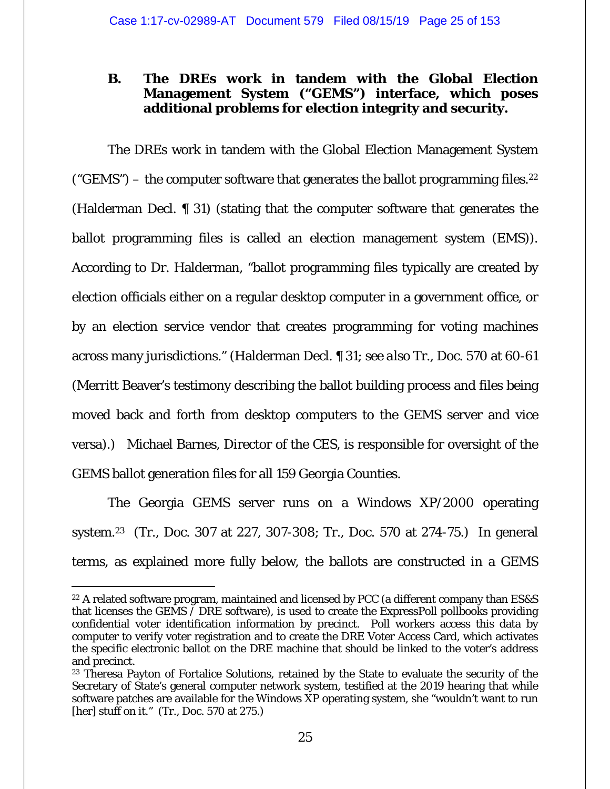### **B. The DREs work in tandem with the Global Election Management System ("GEMS") interface, which poses additional problems for election integrity and security.**

The DREs work in tandem with the Global Election Management System ("GEMS") – the computer software that generates the ballot programming files.<sup>22</sup> (Halderman Decl. ¶ 31) (stating that the computer software that generates the ballot programming files is called an election management system (EMS)). According to Dr. Halderman, "ballot programming files typically are created by election officials either on a regular desktop computer in a government office, or by an election service vendor that creates programming for voting machines across many jurisdictions." (Halderman Decl. ¶ 31; *see also* Tr., Doc. 570 at 60-61 (Merritt Beaver's testimony describing the ballot building process and files being moved back and forth from desktop computers to the GEMS server and vice versa).) Michael Barnes, Director of the CES, is responsible for oversight of the GEMS ballot generation files for all 159 Georgia Counties.

The Georgia GEMS server runs on a Windows XP/2000 operating system.23 (Tr., Doc. 307 at 227, 307-308; Tr., Doc. 570 at 274-75.) In general terms, as explained more fully below, the ballots are constructed in a GEMS

 $\overline{a}$ 22 A related software program, maintained and licensed by PCC (a different company than ES&S that licenses the GEMS / DRE software), is used to create the ExpressPoll pollbooks providing confidential voter identification information by precinct. Poll workers access this data by computer to verify voter registration and to create the DRE Voter Access Card, which activates the specific electronic ballot on the DRE machine that should be linked to the voter's address and precinct.

<sup>&</sup>lt;sup>23</sup> Theresa Payton of Fortalice Solutions, retained by the State to evaluate the security of the Secretary of State's general computer network system, testified at the 2019 hearing that while software patches are available for the Windows XP operating system, she "wouldn't want to run [her] stuff on it." (Tr., Doc. 570 at 275.)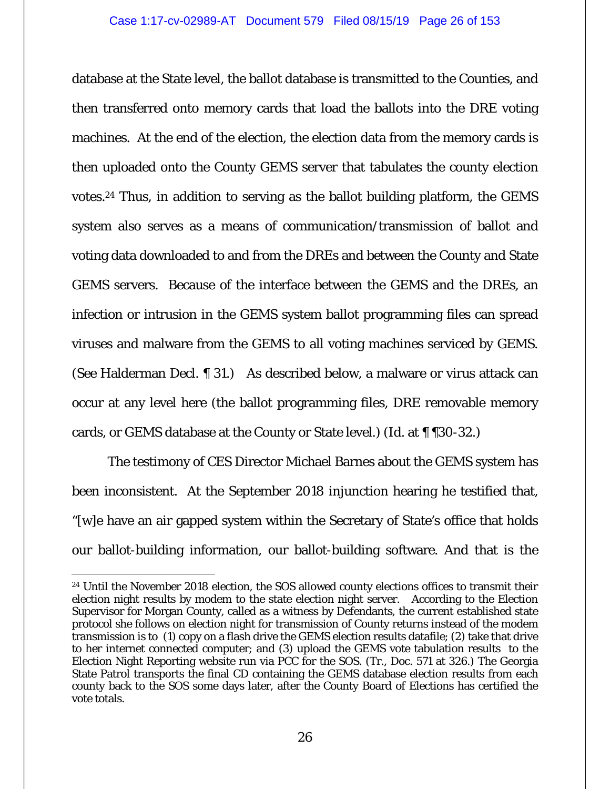database at the State level, the ballot database is transmitted to the Counties, and then transferred onto memory cards that load the ballots into the DRE voting machines. At the end of the election, the election data from the memory cards is then uploaded onto the County GEMS server that tabulates the county election votes.24 Thus, in addition to serving as the ballot building platform, the GEMS system also serves as a means of communication/transmission of ballot and voting data downloaded to and from the DREs and between the County and State GEMS servers. Because of the interface between the GEMS and the DREs, an infection or intrusion in the GEMS system ballot programming files can spread viruses and malware from the GEMS to all voting machines serviced by GEMS. (*See* Halderman Decl. ¶ 31.) As described below, a malware or virus attack can occur at any level here (the ballot programming files, DRE removable memory cards, or GEMS database at the County or State level.) (*Id.* at ¶ ¶30-32.)

The testimony of CES Director Michael Barnes about the GEMS system has been inconsistent. At the September 2018 injunction hearing he testified that, "[w]e have an air gapped system within the Secretary of State's office that holds our ballot-building information, our ballot-building software. And that is the

<sup>&</sup>lt;sup>24</sup> Until the November 2018 election, the SOS allowed county elections offices to transmit their election night results by modem to the state election night server. According to the Election Supervisor for Morgan County, called as a witness by Defendants, the current established state protocol she follows on election night for transmission of County returns instead of the modem transmission is to (1) copy on a flash drive the GEMS election results datafile; (2) take that drive to her internet connected computer; and (3) upload the GEMS vote tabulation results to the Election Night Reporting website run via PCC for the SOS. (Tr., Doc. 571 at 326.) The Georgia State Patrol transports the final CD containing the GEMS database election results from each county back to the SOS some days later, after the County Board of Elections has certified the vote totals.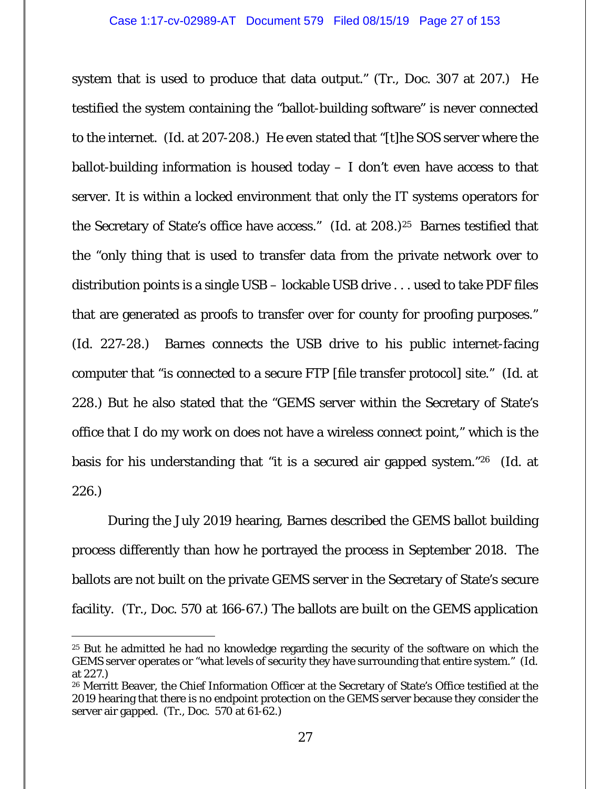system that is used to produce that data output." (Tr., Doc. 307 at 207.) He testified the system containing the "ballot-building software" is never connected to the internet. (*Id.* at 207-208.) He even stated that "[t]he SOS server where the ballot-building information is housed today  $-$  I don't even have access to that server. It is within a locked environment that only the IT systems operators for the Secretary of State's office have access." (*Id.* at 208.)<sup>25</sup> Barnes testified that the "only thing that is used to transfer data from the private network over to distribution points is a single USB – lockable USB drive . . . used to take PDF files that are generated as proofs to transfer over for county for proofing purposes." (*Id.* 227-28.) Barnes connects the USB drive to his public internet-facing computer that "is connected to a secure FTP [file transfer protocol] site." (*Id.* at 228.) But he also stated that the "GEMS server within the Secretary of State's office that I do my work on does not have a wireless connect point," which is the basis for his understanding that "it is a secured air gapped system."26 (*Id.* at 226.)

During the July 2019 hearing, Barnes described the GEMS ballot building process differently than how he portrayed the process in September 2018. The ballots are not built on the private GEMS server in the Secretary of State's secure facility. (Tr., Doc. 570 at 166-67.) The ballots are built on the GEMS application

<sup>&</sup>lt;sup>25</sup> But he admitted he had no knowledge regarding the security of the software on which the GEMS server operates or "what levels of security they have surrounding that entire system." (*Id.* at 227.)

<sup>26</sup> Merritt Beaver, the Chief Information Officer at the Secretary of State's Office testified at the 2019 hearing that there is no endpoint protection on the GEMS server because they consider the server air gapped. (Tr., Doc. 570 at 61-62.)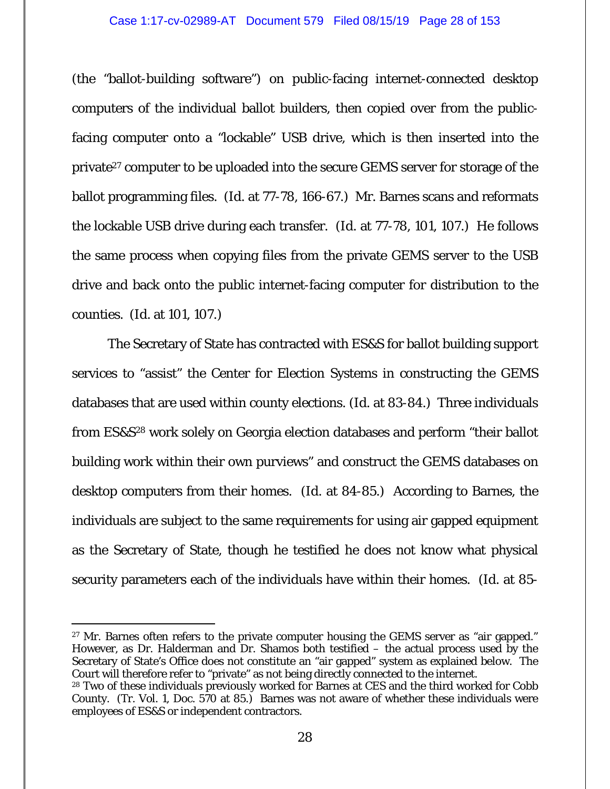(the "ballot-building software") on public-facing internet-connected desktop computers of the individual ballot builders, then copied over from the publicfacing computer onto a "lockable" USB drive, which is then inserted into the private<sup>27</sup> computer to be uploaded into the secure GEMS server for storage of the ballot programming files. (*Id.* at 77-78, 166-67.) Mr. Barnes scans and reformats the lockable USB drive during each transfer. (*Id.* at 77-78, 101, 107.) He follows the same process when copying files from the private GEMS server to the USB drive and back onto the public internet-facing computer for distribution to the counties. (*Id.* at 101, 107.)

The Secretary of State has contracted with ES&S for ballot building support services to "assist" the Center for Election Systems in constructing the GEMS databases that are used within county elections. (*Id.* at 83-84.) Three individuals from ES&S28 work solely on Georgia election databases and perform "their ballot building work within their own purviews" and construct the GEMS databases on desktop computers from their homes. (*Id.* at 84-85.) According to Barnes, the individuals are subject to the same requirements for using air gapped equipment as the Secretary of State, though he testified he does not know what physical security parameters each of the individuals have within their homes. (*Id.* at 85-

-

<sup>&</sup>lt;sup>27</sup> Mr. Barnes often refers to the private computer housing the GEMS server as "air gapped." However, as Dr. Halderman and Dr. Shamos both testified – the actual process used by the Secretary of State's Office does not constitute an "air gapped" system as explained below. The Court will therefore refer to "private" as not being directly connected to the internet.

<sup>&</sup>lt;sup>28</sup> Two of these individuals previously worked for Barnes at CES and the third worked for Cobb County. (Tr. Vol. 1, Doc. 570 at 85.) Barnes was not aware of whether these individuals were employees of ES&S or independent contractors.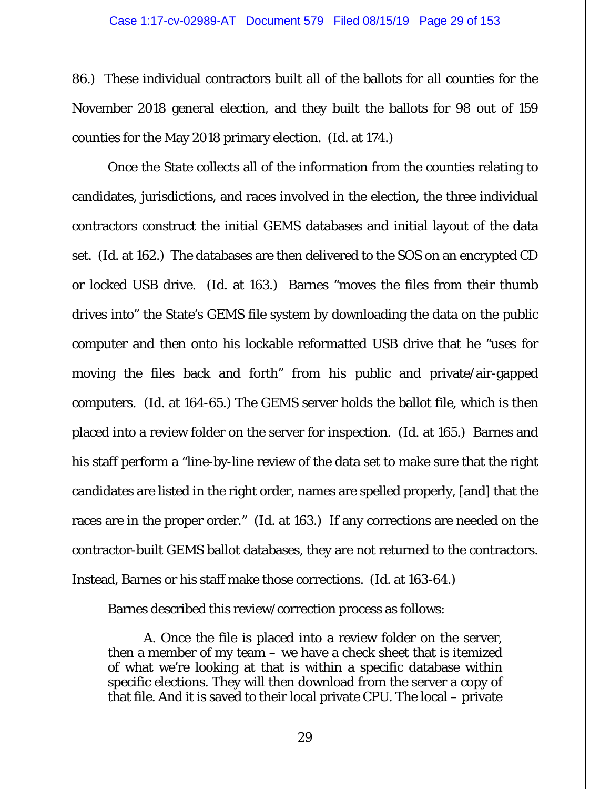86.) These individual contractors built all of the ballots for all counties for the November 2018 general election, and they built the ballots for 98 out of 159 counties for the May 2018 primary election. (*Id.* at 174.)

Once the State collects all of the information from the counties relating to candidates, jurisdictions, and races involved in the election, the three individual contractors construct the initial GEMS databases and initial layout of the data set. (*Id.* at 162.) The databases are then delivered to the SOS on an encrypted CD or locked USB drive. (*Id.* at 163.) Barnes "moves the files from their thumb drives into" the State's GEMS file system by downloading the data on the public computer and then onto his lockable reformatted USB drive that he "uses for moving the files back and forth" from his public and private/air-gapped computers. (*Id.* at 164-65.) The GEMS server holds the ballot file, which is then placed into a review folder on the server for inspection. (*Id.* at 165.) Barnes and his staff perform a "line-by-line review of the data set to make sure that the right candidates are listed in the right order, names are spelled properly, [and] that the races are in the proper order." (*Id.* at 163.) If any corrections are needed on the contractor-built GEMS ballot databases, they are not returned to the contractors. Instead, Barnes or his staff make those corrections. (*Id.* at 163-64.)

Barnes described this review/correction process as follows:

A. Once the file is placed into a review folder on the server, then a member of my team – we have a check sheet that is itemized of what we're looking at that is within a specific database within specific elections. They will then download from the server a copy of that file. And it is saved to their local private CPU. The local – private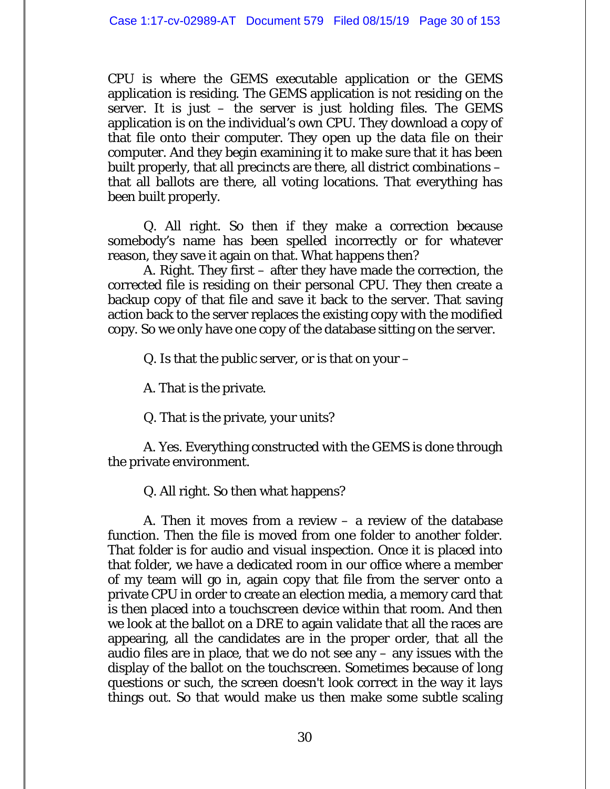CPU is where the GEMS executable application or the GEMS application is residing. The GEMS application is not residing on the server. It is just – the server is just holding files. The GEMS application is on the individual's own CPU. They download a copy of that file onto their computer. They open up the data file on their computer. And they begin examining it to make sure that it has been built properly, that all precincts are there, all district combinations – that all ballots are there, all voting locations. That everything has been built properly.

Q. All right. So then if they make a correction because somebody's name has been spelled incorrectly or for whatever reason, they save it again on that. What happens then?

A. Right. They first – after they have made the correction, the corrected file is residing on their personal CPU. They then create a backup copy of that file and save it back to the server. That saving action back to the server replaces the existing copy with the modified copy. So we only have one copy of the database sitting on the server.

Q. Is that the public server, or is that on your  $-$ 

A. That is the private.

Q. That is the private, your units?

A. Yes. Everything constructed with the GEMS is done through the private environment.

Q. All right. So then what happens?

A. Then it moves from a review – a review of the database function. Then the file is moved from one folder to another folder. That folder is for audio and visual inspection. Once it is placed into that folder, we have a dedicated room in our office where a member of my team will go in, again copy that file from the server onto a private CPU in order to create an election media, a memory card that is then placed into a touchscreen device within that room. And then we look at the ballot on a DRE to again validate that all the races are appearing, all the candidates are in the proper order, that all the audio files are in place, that we do not see any – any issues with the display of the ballot on the touchscreen. Sometimes because of long questions or such, the screen doesn't look correct in the way it lays things out. So that would make us then make some subtle scaling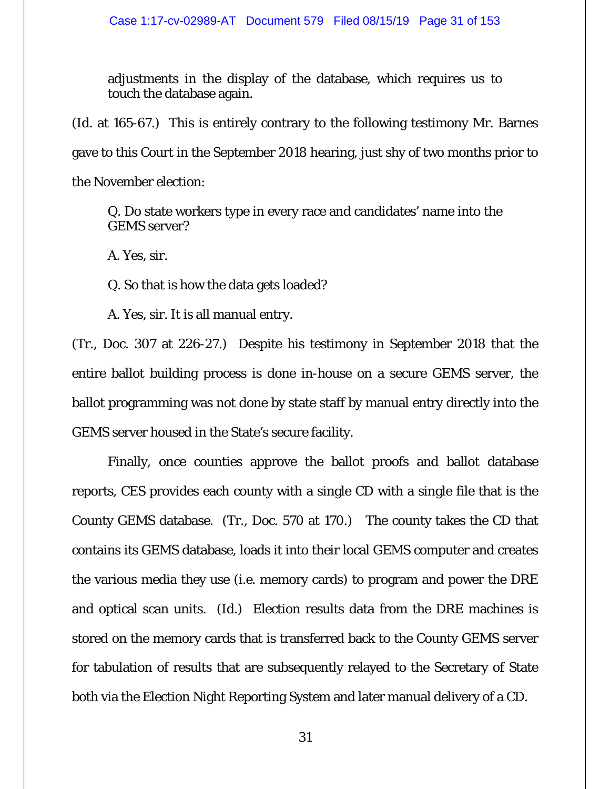adjustments in the display of the database, which requires us to touch the database again.

(*Id.* at 165-67.) This is entirely contrary to the following testimony Mr. Barnes gave to this Court in the September 2018 hearing, just shy of two months prior to the November election:

Q. Do state workers type in every race and candidates' name into the GEMS server?

A. Yes, sir.

Q. So that is how the data gets loaded?

A. Yes, sir. It is all manual entry.

(Tr., Doc. 307 at 226-27.) Despite his testimony in September 2018 that the entire ballot building process is done in-house on a secure GEMS server, the ballot programming was not done by state staff by manual entry directly into the GEMS server housed in the State's secure facility.

Finally, once counties approve the ballot proofs and ballot database reports, CES provides each county with a single CD with a single file that is the County GEMS database. (Tr., Doc. 570 at 170.) The county takes the CD that contains its GEMS database, loads it into their local GEMS computer and creates the various media they use (*i.e.* memory cards) to program and power the DRE and optical scan units. (*Id.*) Election results data from the DRE machines is stored on the memory cards that is transferred back to the County GEMS server for tabulation of results that are subsequently relayed to the Secretary of State both via the Election Night Reporting System and later manual delivery of a CD.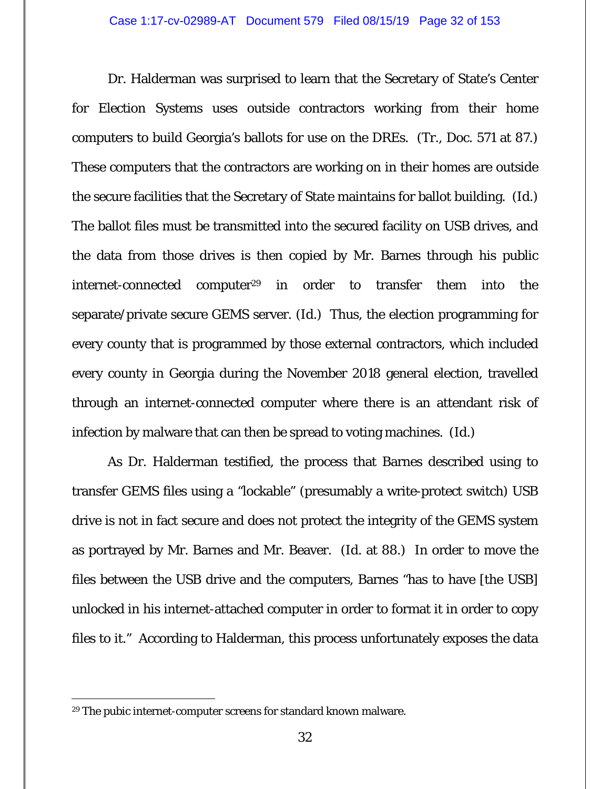Dr. Halderman was surprised to learn that the Secretary of State's Center for Election Systems uses outside contractors working from their home computers to build Georgia's ballots for use on the DREs. (Tr., Doc. 571 at 87.) These computers that the contractors are working on in their homes are outside the secure facilities that the Secretary of State maintains for ballot building. (*Id.*) The ballot files must be transmitted into the secured facility on USB drives, and the data from those drives is then copied by Mr. Barnes through his public internet-connected computer<sup>29</sup> in order to transfer them into the separate/private secure GEMS server. (*Id.*) Thus, the election programming for every county that is programmed by those external contractors, which included every county in Georgia during the November 2018 general election, travelled through an internet-connected computer where there is an attendant risk of infection by malware that can then be spread to voting machines. (*Id.*)

As Dr. Halderman testified, the process that Barnes described using to transfer GEMS files using a "lockable" (presumably a write-protect switch) USB drive is not in fact secure and does not protect the integrity of the GEMS system as portrayed by Mr. Barnes and Mr. Beaver. (*Id.* at 88.) In order to move the files between the USB drive and the computers, Barnes "has to have [the USB] unlocked in his internet-attached computer in order to format it in order to copy files to it." According to Halderman, this process unfortunately exposes the data

<sup>29</sup> The pubic internet-computer screens for standard known malware.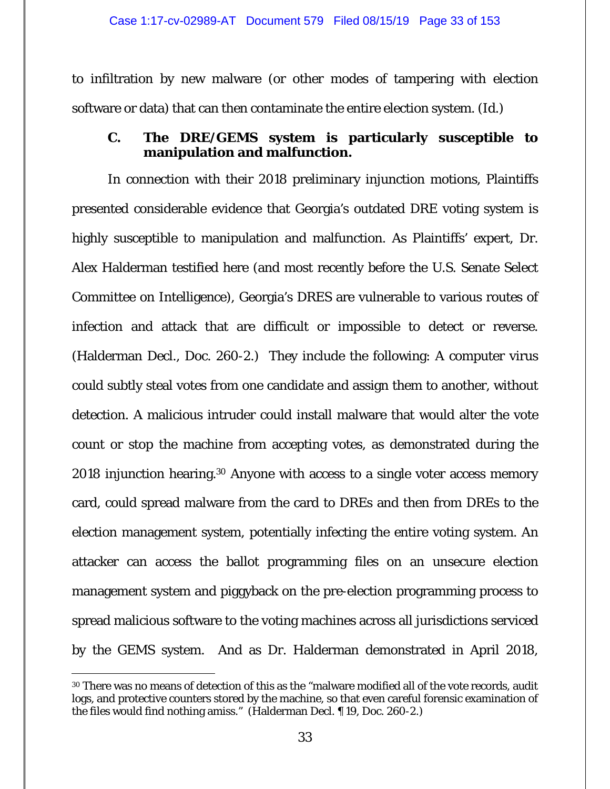to infiltration by new malware (or other modes of tampering with election software or data) that can then contaminate the entire election system. (*Id.*)

### **C. The DRE/GEMS system is particularly susceptible to manipulation and malfunction.**

In connection with their 2018 preliminary injunction motions, Plaintiffs presented considerable evidence that Georgia's outdated DRE voting system is highly susceptible to manipulation and malfunction. As Plaintiffs' expert, Dr. Alex Halderman testified here (and most recently before the U.S. Senate Select Committee on Intelligence), Georgia's DRES are vulnerable to various routes of infection and attack that are difficult or impossible to detect or reverse. (Halderman Decl., Doc. 260-2.) They include the following: A computer virus could subtly steal votes from one candidate and assign them to another, without detection. A malicious intruder could install malware that would alter the vote count or stop the machine from accepting votes, as demonstrated during the 2018 injunction hearing.30 Anyone with access to a single voter access memory card, could spread malware from the card to DREs and then from DREs to the election management system, potentially infecting the entire voting system. An attacker can access the ballot programming files on an unsecure election management system and piggyback on the pre-election programming process to spread malicious software to the voting machines across all jurisdictions serviced by the GEMS system. And as Dr. Halderman demonstrated in April 2018,

 $\overline{a}$ <sup>30</sup> There was no means of detection of this as the "malware modified all of the vote records, audit logs, and protective counters stored by the machine, so that even careful forensic examination of the files would find nothing amiss." (Halderman Decl. ¶ 19, Doc. 260-2.)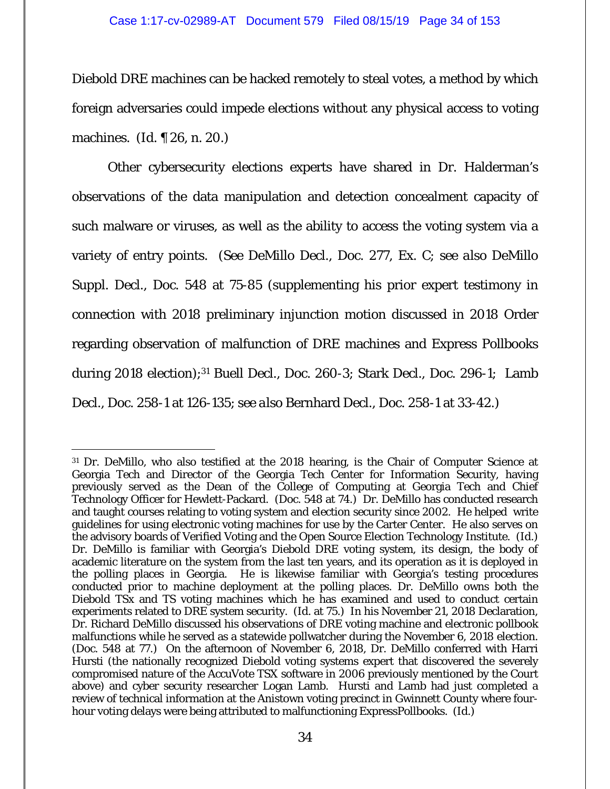#### Case 1:17-cv-02989-AT Document 579 Filed 08/15/19 Page 34 of 153

Diebold DRE machines can be hacked remotely to steal votes, a method by which foreign adversaries could impede elections without any physical access to voting machines. (*Id.* ¶ 26, n. 20.)

Other cybersecurity elections experts have shared in Dr. Halderman's observations of the data manipulation and detection concealment capacity of such malware or viruses, as well as the ability to access the voting system via a variety of entry points. (*See* DeMillo Decl., Doc. 277, Ex. C; *see also* DeMillo Suppl. Decl., Doc. 548 at 75-85 (supplementing his prior expert testimony in connection with 2018 preliminary injunction motion discussed in 2018 Order regarding observation of malfunction of DRE machines and Express Pollbooks during 2018 election);<sup>31</sup> Buell Decl., Doc. 260-3; Stark Decl., Doc. 296-1; Lamb Decl., Doc. 258-1 at 126-135; *see also* Bernhard Decl., Doc. 258-1 at 33-42.)

<sup>31</sup> Dr. DeMillo, who also testified at the 2018 hearing, is the Chair of Computer Science at Georgia Tech and Director of the Georgia Tech Center for Information Security, having previously served as the Dean of the College of Computing at Georgia Tech and Chief Technology Officer for Hewlett-Packard. (Doc. 548 at 74.) Dr. DeMillo has conducted research and taught courses relating to voting system and election security since 2002. He helped write guidelines for using electronic voting machines for use by the Carter Center. He also serves on the advisory boards of Verified Voting and the Open Source Election Technology Institute. (*Id.*) Dr. DeMillo is familiar with Georgia's Diebold DRE voting system, its design, the body of academic literature on the system from the last ten years, and its operation as it is deployed in the polling places in Georgia. He is likewise familiar with Georgia's testing procedures conducted prior to machine deployment at the polling places. Dr. DeMillo owns both the Diebold TSx and TS voting machines which he has examined and used to conduct certain experiments related to DRE system security. (*Id.* at 75.) In his November 21, 2018 Declaration, Dr. Richard DeMillo discussed his observations of DRE voting machine and electronic pollbook malfunctions while he served as a statewide pollwatcher during the November 6, 2018 election. (Doc. 548 at 77.) On the afternoon of November 6, 2018, Dr. DeMillo conferred with Harri Hursti (the nationally recognized Diebold voting systems expert that discovered the severely compromised nature of the AccuVote TSX software in 2006 previously mentioned by the Court above) and cyber security researcher Logan Lamb. Hursti and Lamb had just completed a review of technical information at the Anistown voting precinct in Gwinnett County where fourhour voting delays were being attributed to malfunctioning ExpressPollbooks. (*Id.*)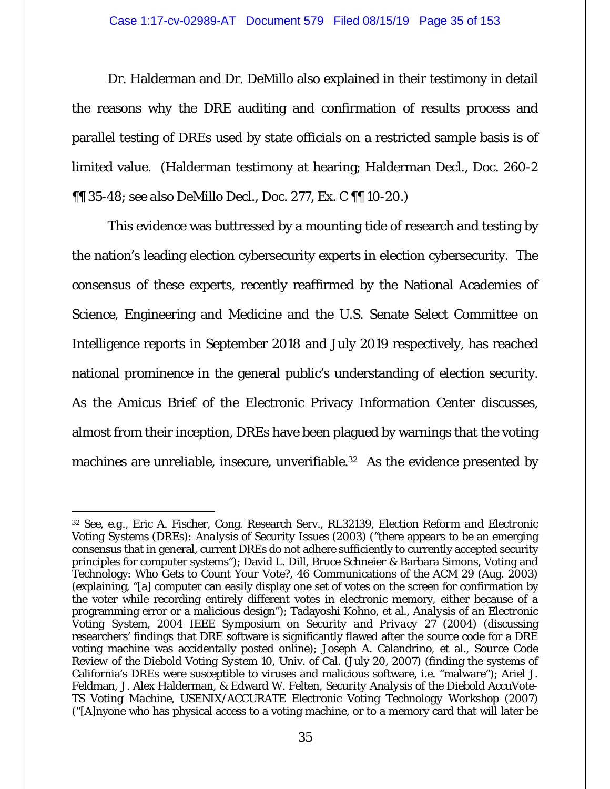Dr. Halderman and Dr. DeMillo also explained in their testimony in detail the reasons why the DRE auditing and confirmation of results process and parallel testing of DREs used by state officials on a restricted sample basis is of limited value. (Halderman testimony at hearing; Halderman Decl., Doc. 260-2 ¶¶ 35-48; *see also* DeMillo Decl., Doc. 277, Ex. C ¶¶ 10-20.)

This evidence was buttressed by a mounting tide of research and testing by the nation's leading election cybersecurity experts in election cybersecurity. The consensus of these experts, recently reaffirmed by the National Academies of Science, Engineering and Medicine and the U.S. Senate Select Committee on Intelligence reports in September 2018 and July 2019 respectively, has reached national prominence in the general public's understanding of election security. As the Amicus Brief of the Electronic Privacy Information Center discusses, almost from their inception, DREs have been plagued by warnings that the voting machines are unreliable, insecure, unverifiable.<sup>32</sup> As the evidence presented by

-

<sup>32</sup> *See, e.g.,* Eric A. Fischer, Cong. Research Serv., RL32139, *Election Reform and Electronic Voting Systems (DREs): Analysis of Security Issues* (2003) ("there appears to be an emerging consensus that in general, current DREs do not adhere sufficiently to currently accepted security principles for computer systems"); David L. Dill, Bruce Schneier & Barbara Simons, Voting and Technology: *Who Gets to Count Your Vote?*, 46 Communications of the ACM 29 (Aug. 2003) (explaining, "[a] computer can easily display one set of votes on the screen for confirmation by the voter while recording entirely different votes in electronic memory, either because of a programming error or a malicious design"); Tadayoshi Kohno, et al., *Analysis of an Electronic Voting System, 2004 IEEE Symposium on Security and Privacy* 27 (2004) (discussing researchers' findings that DRE software is significantly flawed after the source code for a DRE voting machine was accidentally posted online); Joseph A. Calandrino, et al., *Source Code Review of the Diebold Voting System* 10, Univ. of Cal. (July 20, 2007) (finding the systems of California's DREs were susceptible to viruses and malicious software, i.e. "malware"); Ariel J. Feldman, J. Alex Halderman, & Edward W. Felten*, Security Analysis of the Diebold AccuVote-TS Voting Machine, USENIX/ACCURATE Electronic Voting Technology Workshop* (2007) ("[A]nyone who has physical access to a voting machine, or to a memory card that will later be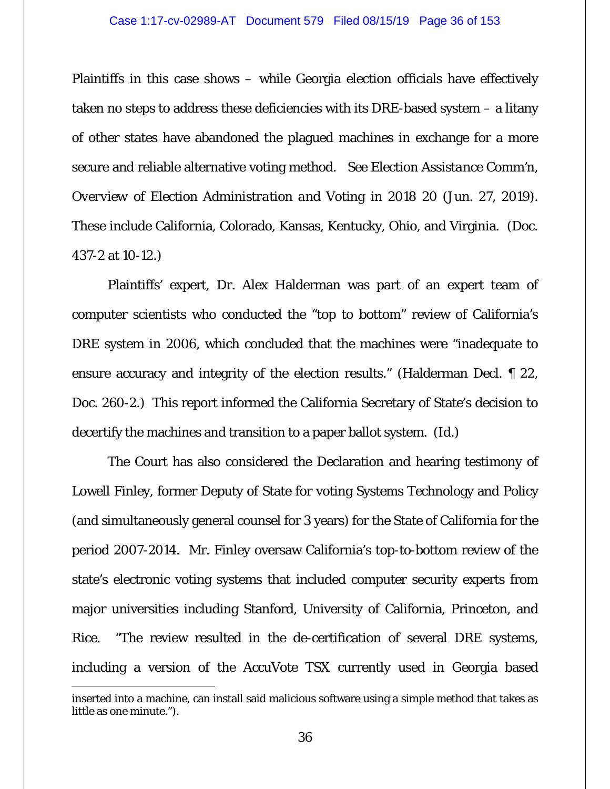Plaintiffs in this case shows – while Georgia election officials have effectively taken no steps to address these deficiencies with its DRE-based system – a litany of other states have abandoned the plagued machines in exchange for a more secure and reliable alternative voting method. *See Election Assistance Comm'n, Overview of Election Administration and Voting in 2018* 20 (Jun. 27, 2019). These include California, Colorado, Kansas, Kentucky, Ohio, and Virginia. (Doc. 437-2 at 10-12.)

Plaintiffs' expert, Dr. Alex Halderman was part of an expert team of computer scientists who conducted the "top to bottom" review of California's DRE system in 2006, which concluded that the machines were "inadequate to ensure accuracy and integrity of the election results." (Halderman Decl. ¶ 22, Doc. 260-2.) This report informed the California Secretary of State's decision to decertify the machines and transition to a paper ballot system. (*Id.*)

The Court has also considered the Declaration and hearing testimony of Lowell Finley, former Deputy of State for voting Systems Technology and Policy (and simultaneously general counsel for 3 years) for the State of California for the period 2007-2014. Mr. Finley oversaw California's top-to-bottom review of the state's electronic voting systems that included computer security experts from major universities including Stanford, University of California, Princeton, and Rice. "The review resulted in the de-certification of several DRE systems, including a version of the AccuVote TSX currently used in Georgia based

inserted into a machine, can install said malicious software using a simple method that takes as little as one minute.").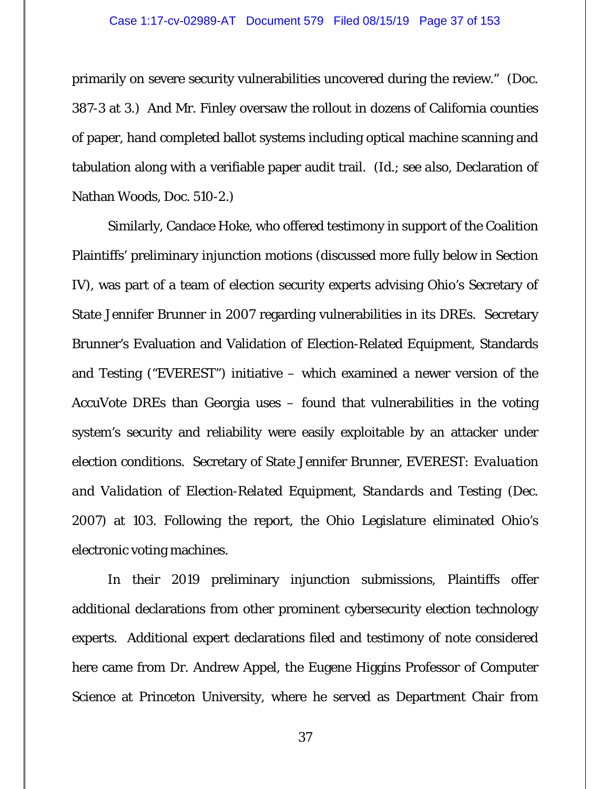primarily on severe security vulnerabilities uncovered during the review." (Doc. 387-3 at 3.) And Mr. Finley oversaw the rollout in dozens of California counties of paper, hand completed ballot systems including optical machine scanning and tabulation along with a verifiable paper audit trail. (*Id.*; *see also*, Declaration of Nathan Woods, Doc. 510-2.)

Similarly, Candace Hoke, who offered testimony in support of the Coalition Plaintiffs' preliminary injunction motions (discussed more fully below in Section IV), was part of a team of election security experts advising Ohio's Secretary of State Jennifer Brunner in 2007 regarding vulnerabilities in its DREs. Secretary Brunner's Evaluation and Validation of Election-Related Equipment, Standards and Testing ("EVEREST") initiative – which examined a newer version of the AccuVote DREs than Georgia uses – found that vulnerabilities in the voting system's security and reliability were easily exploitable by an attacker under election conditions. Secretary of State Jennifer Brunner, *EVEREST: Evaluation and Validation of Election-Related Equipment, Standards and Testing* (Dec. 2007) at 103. Following the report, the Ohio Legislature eliminated Ohio's electronic voting machines.

In their 2019 preliminary injunction submissions, Plaintiffs offer additional declarations from other prominent cybersecurity election technology experts. Additional expert declarations filed and testimony of note considered here came from Dr. Andrew Appel, the Eugene Higgins Professor of Computer Science at Princeton University, where he served as Department Chair from

37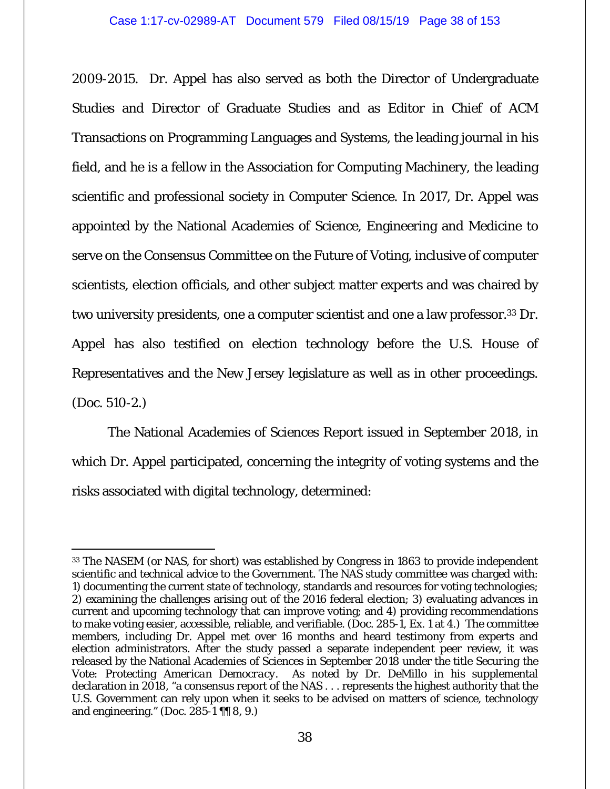2009-2015. Dr. Appel has also served as both the Director of Undergraduate Studies and Director of Graduate Studies and as Editor in Chief of ACM Transactions on Programming Languages and Systems, the leading journal in his field, and he is a fellow in the Association for Computing Machinery, the leading scientific and professional society in Computer Science. In 2017, Dr. Appel was appointed by the National Academies of Science, Engineering and Medicine to serve on the Consensus Committee on the Future of Voting, inclusive of computer scientists, election officials, and other subject matter experts and was chaired by two university presidents, one a computer scientist and one a law professor.33 Dr. Appel has also testified on election technology before the U.S. House of Representatives and the New Jersey legislature as well as in other proceedings. (Doc. 510-2.)

The National Academies of Sciences Report issued in September 2018, in which Dr. Appel participated, concerning the integrity of voting systems and the risks associated with digital technology, determined:

<sup>-</sup>33 The NASEM (or NAS, for short) was established by Congress in 1863 to provide independent scientific and technical advice to the Government. The NAS study committee was charged with: 1) documenting the current state of technology, standards and resources for voting technologies; 2) examining the challenges arising out of the 2016 federal election; 3) evaluating advances in current and upcoming technology that can improve voting; and 4) providing recommendations to make voting easier, accessible, reliable, and verifiable. (Doc. 285-1, Ex. 1 at 4.) The committee members, including Dr. Appel met over 16 months and heard testimony from experts and election administrators. After the study passed a separate independent peer review, it was released by the National Academies of Sciences in September 2018 under the title *Securing the Vote: Protecting American Democracy*. As noted by Dr. DeMillo in his supplemental declaration in 2018, "a consensus report of the NAS . . . represents the highest authority that the U.S. Government can rely upon when it seeks to be advised on matters of science, technology and engineering." (Doc. 285-1 ¶¶ 8, 9.)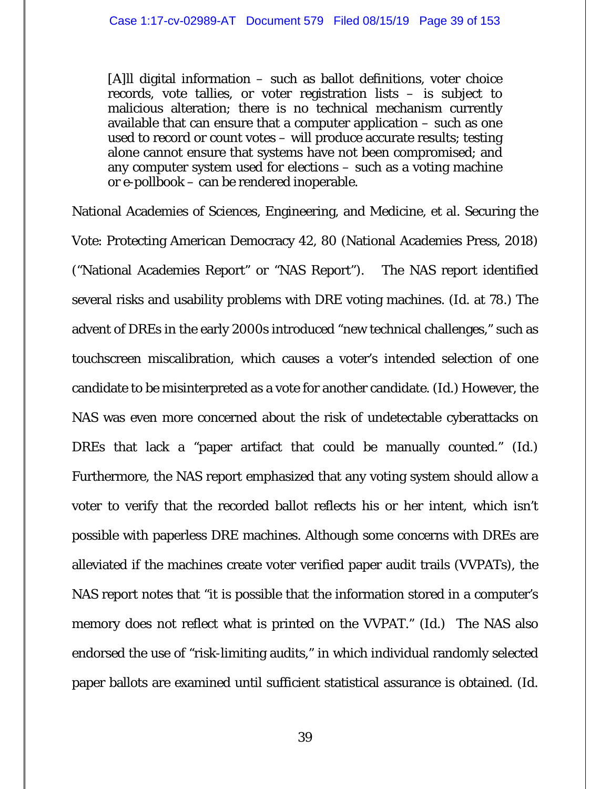[A]ll digital information – such as ballot definitions, voter choice records, vote tallies, or voter registration lists – is subject to malicious alteration; there is no technical mechanism currently available that can ensure that a computer application – such as one used to record or count votes – will produce accurate results; testing alone cannot ensure that systems have not been compromised; and any computer system used for elections – such as a voting machine or e-pollbook – can be rendered inoperable.

National Academies of Sciences, Engineering, and Medicine, et al. Securing the Vote: Protecting American Democracy 42, 80 (National Academies Press, 2018) ("National Academies Report" or "NAS Report"). The NAS report identified several risks and usability problems with DRE voting machines. (*Id*. at 78.) The advent of DREs in the early 2000s introduced "new technical challenges," such as touchscreen miscalibration, which causes a voter's intended selection of one candidate to be misinterpreted as a vote for another candidate. (*Id*.) However, the NAS was even more concerned about the risk of undetectable cyberattacks on DREs that lack a "paper artifact that could be manually counted." (*Id*.) Furthermore, the NAS report emphasized that any voting system should allow a voter to verify that the recorded ballot reflects his or her intent, which isn't possible with paperless DRE machines. Although some concerns with DREs are alleviated if the machines create voter verified paper audit trails (VVPATs), the NAS report notes that "it is possible that the information stored in a computer's memory does not reflect what is printed on the VVPAT." (*Id*.) The NAS also endorsed the use of "risk-limiting audits," in which individual randomly selected paper ballots are examined until sufficient statistical assurance is obtained. (*Id*.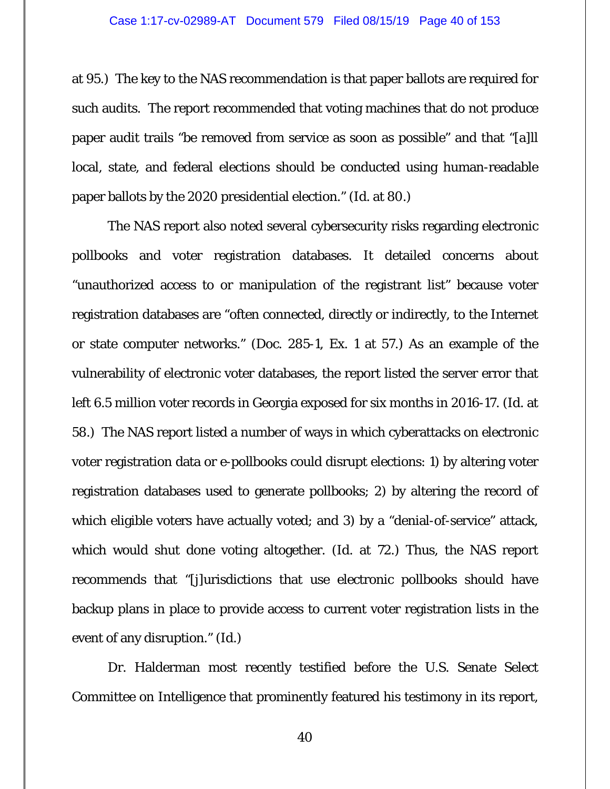at 95.) The key to the NAS recommendation is that paper ballots are required for such audits. The report recommended that voting machines that do not produce paper audit trails "be removed from service as soon as possible" and that "[a]ll local, state, and federal elections should be conducted using human-readable paper ballots by the 2020 presidential election." (*Id*. at 80.)

The NAS report also noted several cybersecurity risks regarding electronic pollbooks and voter registration databases. It detailed concerns about "unauthorized access to or manipulation of the registrant list" because voter registration databases are "often connected, directly or indirectly, to the Internet or state computer networks." (Doc. 285-1, Ex. 1 at 57.) As an example of the vulnerability of electronic voter databases, the report listed the server error that left 6.5 million voter records in Georgia exposed for six months in 2016-17. (*Id*. at 58.) The NAS report listed a number of ways in which cyberattacks on electronic voter registration data or e-pollbooks could disrupt elections: 1) by altering voter registration databases used to generate pollbooks; 2) by altering the record of which eligible voters have actually voted; and 3) by a "denial-of-service" attack, which would shut done voting altogether. (*Id*. at 72.) Thus, the NAS report recommends that "[j]urisdictions that use electronic pollbooks should have backup plans in place to provide access to current voter registration lists in the event of any disruption." (*Id*.)

Dr. Halderman most recently testified before the U.S. Senate Select Committee on Intelligence that prominently featured his testimony in its report,

40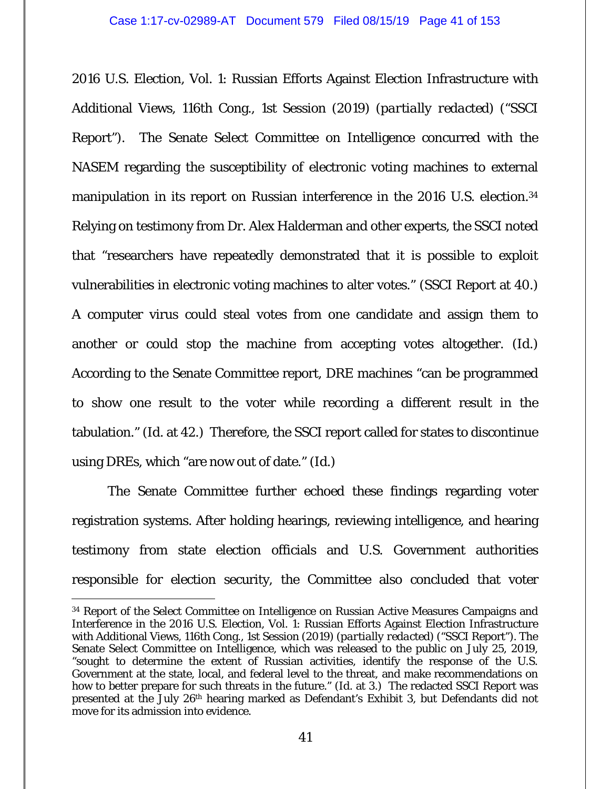2016 U.S. Election, Vol. 1: Russian Efforts Against Election Infrastructure with Additional Views, 116th Cong., 1st Session (2019) (*partially redacted*) ("SSCI Report"). The Senate Select Committee on Intelligence concurred with the NASEM regarding the susceptibility of electronic voting machines to external manipulation in its report on Russian interference in the 2016 U.S. election.<sup>34</sup> Relying on testimony from Dr. Alex Halderman and other experts, the SSCI noted that "researchers have repeatedly demonstrated that it is possible to exploit vulnerabilities in electronic voting machines to alter votes." (SSCI Report at 40.) A computer virus could steal votes from one candidate and assign them to another or could stop the machine from accepting votes altogether. (*Id*.) According to the Senate Committee report, DRE machines "can be programmed to show one result to the voter while recording a different result in the tabulation." (*Id*. at 42.) Therefore, the SSCI report called for states to discontinue using DREs, which "are now out of date." (*Id*.)

The Senate Committee further echoed these findings regarding voter registration systems. After holding hearings, reviewing intelligence, and hearing testimony from state election officials and U.S. Government authorities responsible for election security, the Committee also concluded that voter

 $\overline{a}$ 34 Report of the Select Committee on Intelligence on Russian Active Measures Campaigns and Interference in the 2016 U.S. Election, Vol. 1: Russian Efforts Against Election Infrastructure with Additional Views, 116th Cong., 1st Session (2019) (*partially redacted*) ("SSCI Report"). The Senate Select Committee on Intelligence, which was released to the public on July 25, 2019, "sought to determine the extent of Russian activities, identify the response of the U.S. Government at the state, local, and federal level to the threat, and make recommendations on how to better prepare for such threats in the future." (*Id*. at 3.) The redacted SSCI Report was presented at the July 26th hearing marked as Defendant's Exhibit 3, but Defendants did not move for its admission into evidence.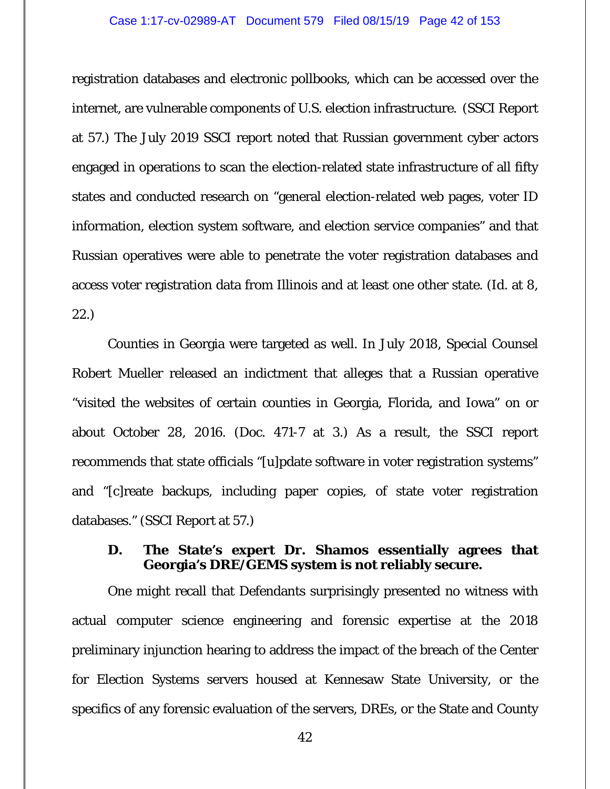#### Case 1:17-cv-02989-AT Document 579 Filed 08/15/19 Page 42 of 153

registration databases and electronic pollbooks, which can be accessed over the internet, are vulnerable components of U.S. election infrastructure. (SSCI Report at 57.) The July 2019 SSCI report noted that Russian government cyber actors engaged in operations to scan the election-related state infrastructure of all fifty states and conducted research on "general election-related web pages, voter ID information, election system software, and election service companies" and that Russian operatives were able to penetrate the voter registration databases and access voter registration data from Illinois and at least one other state. (*Id*. at 8, 22.)

Counties in Georgia were targeted as well. In July 2018, Special Counsel Robert Mueller released an indictment that alleges that a Russian operative "visited the websites of certain counties in Georgia, Florida, and Iowa" on or about October 28, 2016. (Doc. 471-7 at 3.) As a result, the SSCI report recommends that state officials "[u]pdate software in voter registration systems" and "[c]reate backups, including paper copies, of state voter registration databases." (SSCI Report at 57*.*)

## **D. The State's expert Dr. Shamos essentially agrees that Georgia's DRE/GEMS system is not reliably secure.**

 One might recall that Defendants surprisingly presented no witness with actual computer science engineering and forensic expertise at the 2018 preliminary injunction hearing to address the impact of the breach of the Center for Election Systems servers housed at Kennesaw State University, or the specifics of any forensic evaluation of the servers, DREs, or the State and County

42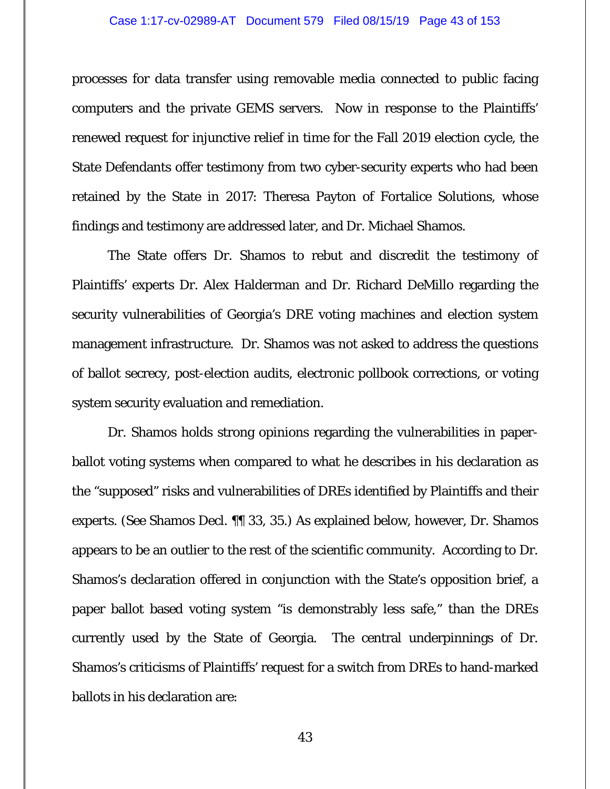#### Case 1:17-cv-02989-AT Document 579 Filed 08/15/19 Page 43 of 153

processes for data transfer using removable media connected to public facing computers and the private GEMS servers. Now in response to the Plaintiffs' renewed request for injunctive relief in time for the Fall 2019 election cycle, the State Defendants offer testimony from two cyber-security experts who had been retained by the State in 2017: Theresa Payton of Fortalice Solutions, whose findings and testimony are addressed later, and Dr. Michael Shamos.

 The State offers Dr. Shamos to rebut and discredit the testimony of Plaintiffs' experts Dr. Alex Halderman and Dr. Richard DeMillo regarding the security vulnerabilities of Georgia's DRE voting machines and election system management infrastructure. Dr. Shamos was not asked to address the questions of ballot secrecy, post-election audits, electronic pollbook corrections, or voting system security evaluation and remediation.

 Dr. Shamos holds strong opinions regarding the vulnerabilities in paperballot voting systems when compared to what he describes in his declaration as the "supposed" risks and vulnerabilities of DREs identified by Plaintiffs and their experts. (*See* Shamos Decl. ¶¶ 33, 35.) As explained below, however, Dr. Shamos appears to be an outlier to the rest of the scientific community. According to Dr. Shamos's declaration offered in conjunction with the State's opposition brief, a paper ballot based voting system "is demonstrably less safe," than the DREs currently used by the State of Georgia. The central underpinnings of Dr. Shamos's criticisms of Plaintiffs' request for a switch from DREs to hand-marked ballots in his declaration are: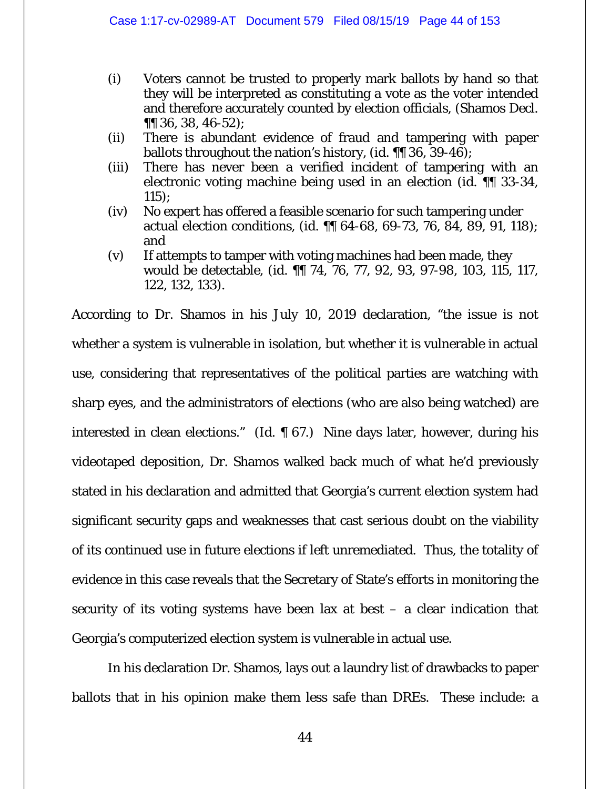- (i) Voters cannot be trusted to properly mark ballots by hand so that they will be interpreted as constituting a vote as the voter intended and therefore accurately counted by election officials, (Shamos Decl. ¶¶ 36, 38, 46-52);
- (ii) There is abundant evidence of fraud and tampering with paper ballots throughout the nation's history, (*id.* ¶¶ 36, 39-46);
- (iii) There has never been a verified incident of tampering with an electronic voting machine being used in an election (*id.* ¶¶ 33-34, 115);
- (iv) No expert has offered a feasible scenario for such tampering under actual election conditions, (*id.* ¶¶ 64-68, 69-73, 76, 84, 89, 91, 118); and
- (v) If attempts to tamper with voting machines had been made, they would be detectable, (*id.* ¶¶ 74, 76, 77, 92, 93, 97-98, 103, 115, 117, 122, 132, 133).

According to Dr. Shamos in his July 10, 2019 declaration, "the issue is not whether a system is vulnerable in isolation, but whether it is vulnerable in actual use, considering that representatives of the political parties are watching with sharp eyes, and the administrators of elections (who are also being watched) are interested in clean elections." (*Id.* ¶ 67.) Nine days later, however, during his videotaped deposition, Dr. Shamos walked back much of what he'd previously stated in his declaration and admitted that Georgia's current election system had significant security gaps and weaknesses that cast serious doubt on the viability of its continued use in future elections if left unremediated. Thus, the totality of evidence in this case reveals that the Secretary of State's efforts in monitoring the security of its voting systems have been lax at best  $-$  a clear indication that Georgia's computerized election system is vulnerable in actual use.

In his declaration Dr. Shamos, lays out a laundry list of drawbacks to paper ballots that in his opinion make them less safe than DREs. These include: a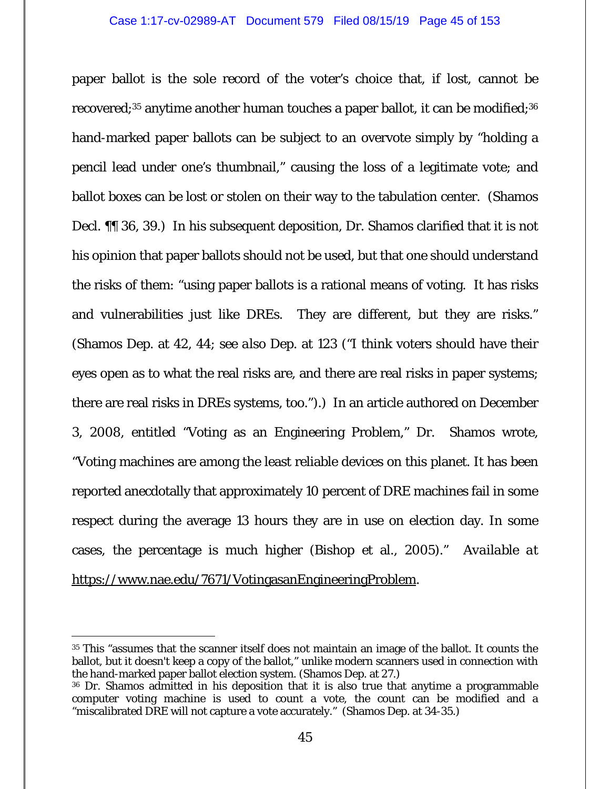paper ballot is the sole record of the voter's choice that, if lost, cannot be recovered;<sup>35</sup> anytime another human touches a paper ballot, it can be modified;<sup>36</sup> hand-marked paper ballots can be subject to an overvote simply by "holding a pencil lead under one's thumbnail," causing the loss of a legitimate vote; and ballot boxes can be lost or stolen on their way to the tabulation center. (Shamos Decl. ¶¶ 36, 39.) In his subsequent deposition, Dr. Shamos clarified that it is not his opinion that paper ballots should not be used, but that one should understand the risks of them: "using paper ballots is a rational means of voting. It has risks and vulnerabilities just like DREs. They are different, but they are risks." (Shamos Dep. at 42, 44; *see also* Dep. at 123 ("I think voters should have their eyes open as to what the real risks are, and there are real risks in paper systems; there are real risks in DREs systems, too.").) In an article authored on December 3, 2008, entitled "Voting as an Engineering Problem," Dr. Shamos wrote, "Voting machines are among the least reliable devices on this planet. It has been reported anecdotally that approximately 10 percent of DRE machines fail in some respect during the average 13 hours they are in use on election day. In some cases, the percentage is much higher (Bishop et al., 2005)." *Available at* https://www.nae.edu/7671/VotingasanEngineeringProblem.

 $\overline{a}$ 

<sup>35</sup> This "assumes that the scanner itself does not maintain an image of the ballot. It counts the ballot, but it doesn't keep a copy of the ballot," unlike modern scanners used in connection with the hand-marked paper ballot election system. (Shamos Dep. at 27.)

<sup>36</sup> Dr. Shamos admitted in his deposition that it is also true that anytime a programmable computer voting machine is used to count a vote, the count can be modified and a "miscalibrated DRE will not capture a vote accurately." (Shamos Dep. at 34-35.)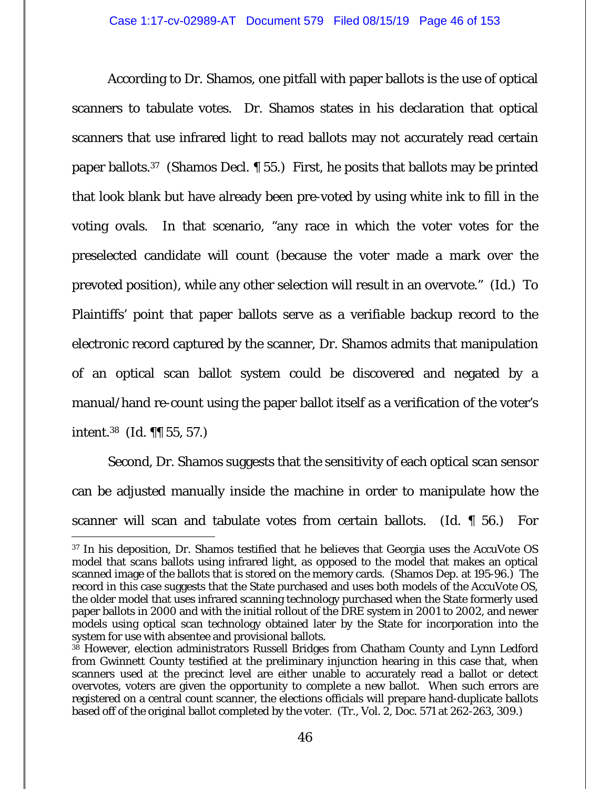According to Dr. Shamos, one pitfall with paper ballots is the use of optical scanners to tabulate votes. Dr. Shamos states in his declaration that optical scanners that use infrared light to read ballots may not accurately read certain paper ballots.37 (Shamos Decl. ¶ 55.) First, he posits that ballots may be printed that look blank but have already been pre-voted by using white ink to fill in the voting ovals. In that scenario, "any race in which the voter votes for the preselected candidate will count (because the voter made a mark over the prevoted position), while any other selection will result in an overvote." (*Id.*) To Plaintiffs' point that paper ballots serve as a verifiable backup record to the electronic record captured by the scanner, Dr. Shamos admits that manipulation of an optical scan ballot system could be discovered and negated by a manual/hand re-count using the paper ballot itself as a verification of the voter's intent.38 (*Id.* ¶¶ 55, 57.)

 Second, Dr. Shamos suggests that the sensitivity of each optical scan sensor can be adjusted manually inside the machine in order to manipulate how the scanner will scan and tabulate votes from certain ballots. (*Id.* ¶ 56.) For

 37 In his deposition, Dr. Shamos testified that he believes that Georgia uses the AccuVote OS model that scans ballots using infrared light, as opposed to the model that makes an optical scanned image of the ballots that is stored on the memory cards. (Shamos Dep. at 195-96.) The record in this case suggests that the State purchased and uses both models of the AccuVote OS, the older model that uses infrared scanning technology purchased when the State formerly used paper ballots in 2000 and with the initial rollout of the DRE system in 2001 to 2002, and newer models using optical scan technology obtained later by the State for incorporation into the system for use with absentee and provisional ballots.

<sup>&</sup>lt;sup>38</sup> However, election administrators Russell Bridges from Chatham County and Lynn Ledford from Gwinnett County testified at the preliminary injunction hearing in this case that, when scanners used at the precinct level are either unable to accurately read a ballot or detect overvotes, voters are given the opportunity to complete a new ballot. When such errors are registered on a central count scanner, the elections officials will prepare hand-duplicate ballots based off of the original ballot completed by the voter. (Tr., Vol. 2, Doc. 571 at 262-263, 309.)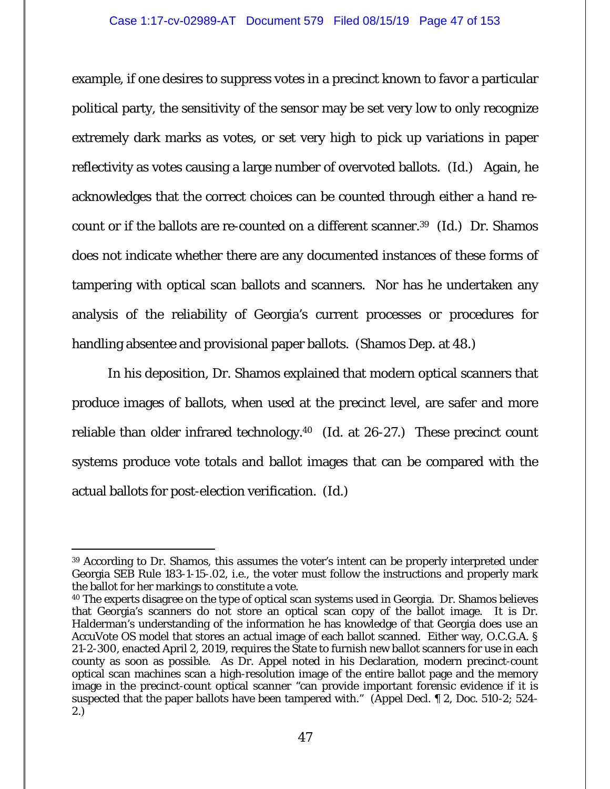example, if one desires to suppress votes in a precinct known to favor a particular political party, the sensitivity of the sensor may be set very low to only recognize extremely dark marks as votes, or set very high to pick up variations in paper reflectivity as votes causing a large number of overvoted ballots. (*Id.*) Again, he acknowledges that the correct choices can be counted through either a hand recount or if the ballots are re-counted on a different scanner.39 (*Id.*) Dr. Shamos does not indicate whether there are any documented instances of these forms of tampering with optical scan ballots and scanners. Nor has he undertaken any analysis of the reliability of Georgia's current processes or procedures for handling absentee and provisional paper ballots. (Shamos Dep. at 48.)

 In his deposition, Dr. Shamos explained that modern optical scanners that produce images of ballots, when used at the precinct level, are safer and more reliable than older infrared technology.40 (*Id.* at 26-27.) These precinct count systems produce vote totals and ballot images that can be compared with the actual ballots for post-election verification. (*Id.*)

 $\overline{a}$ 

<sup>39</sup> According to Dr. Shamos, this assumes the voter's intent can be properly interpreted under Georgia SEB Rule 183-1-15-.02, *i.e.*, the voter must follow the instructions and properly mark the ballot for her markings to constitute a vote.

<sup>&</sup>lt;sup>40</sup> The experts disagree on the type of optical scan systems used in Georgia. Dr. Shamos believes that Georgia's scanners do not store an optical scan copy of the ballot image. It is Dr. Halderman's understanding of the information he has knowledge of that Georgia does use an AccuVote OS model that stores an actual image of each ballot scanned. Either way, O.C.G.A. § 21-2-300, enacted April 2, 2019, requires the State to furnish new ballot scanners for use in each county as soon as possible. As Dr. Appel noted in his Declaration, modern precinct-count optical scan machines scan a high-resolution image of the entire ballot page and the memory image in the precinct-count optical scanner "can provide important forensic evidence if it is suspected that the paper ballots have been tampered with." (Appel Decl. ¶ 2, Doc. 510-2; 524- 2.)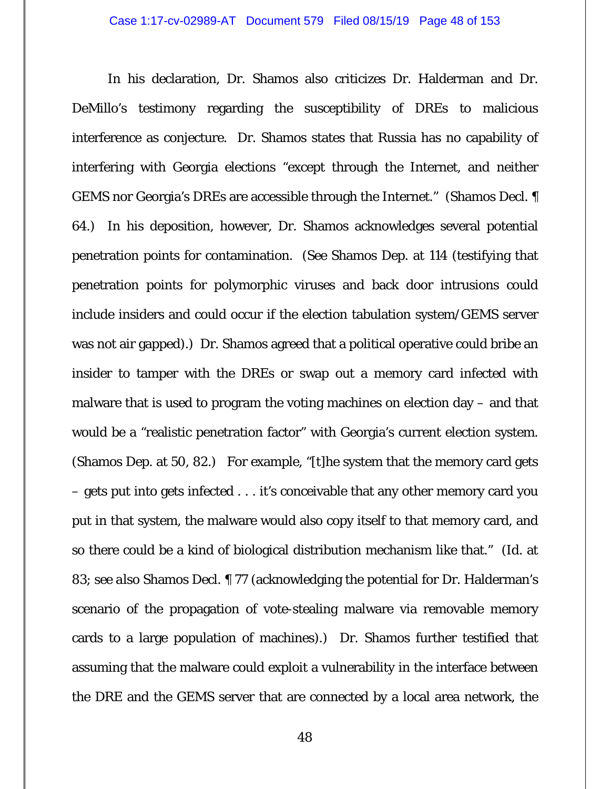In his declaration, Dr. Shamos also criticizes Dr. Halderman and Dr. DeMillo's testimony regarding the susceptibility of DREs to malicious interference as conjecture. Dr. Shamos states that Russia has no capability of interfering with Georgia elections "except through the Internet, and neither GEMS nor Georgia's DREs are accessible through the Internet." (Shamos Decl. ¶ 64.) In his deposition, however, Dr. Shamos acknowledges several potential penetration points for contamination. (*See* Shamos Dep. at 114 (testifying that penetration points for polymorphic viruses and back door intrusions could include insiders and could occur if the election tabulation system/GEMS server was not air gapped).) Dr. Shamos agreed that a political operative could bribe an insider to tamper with the DREs or swap out a memory card infected with malware that is used to program the voting machines on election day – and that would be a "realistic penetration factor" with Georgia's current election system. (Shamos Dep. at 50, 82.) For example, "[t]he system that the memory card gets – gets put into gets infected . . . it's conceivable that any other memory card you put in that system, the malware would also copy itself to that memory card, and so there could be a kind of biological distribution mechanism like that." (*Id.* at 83; *see also* Shamos Decl. ¶ 77 (acknowledging the potential for Dr. Halderman's scenario of the propagation of vote-stealing malware via removable memory cards to a large population of machines).) Dr. Shamos further testified that assuming that the malware could exploit a vulnerability in the interface between the DRE and the GEMS server that are connected by a local area network, the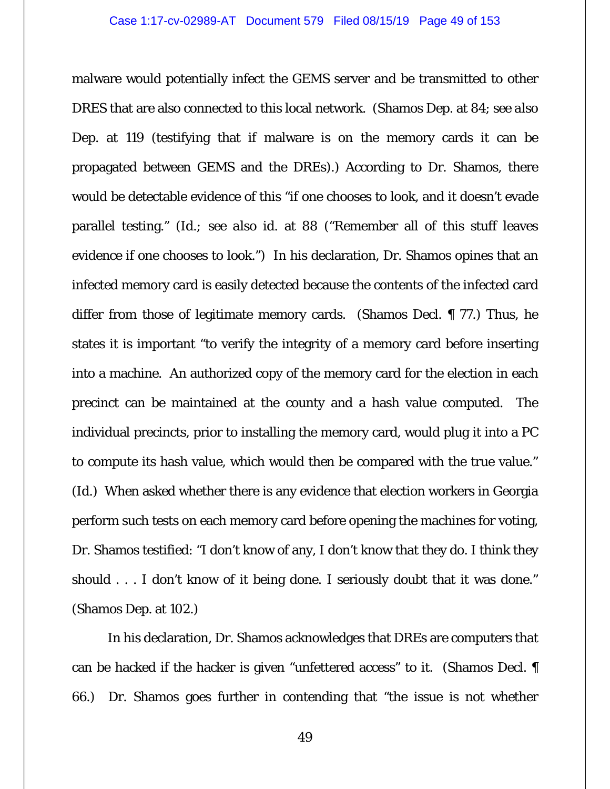malware would potentially infect the GEMS server and be transmitted to other DRES that are also connected to this local network. (Shamos Dep. at 84; *see also* Dep. at 119 (testifying that if malware is on the memory cards it can be propagated between GEMS and the DREs).) According to Dr. Shamos, there would be detectable evidence of this "if one chooses to look, and it doesn't evade parallel testing." (*Id.; see also id.* at 88 ("Remember all of this stuff leaves evidence if one chooses to look.") In his declaration, Dr. Shamos opines that an infected memory card is easily detected because the contents of the infected card differ from those of legitimate memory cards. (Shamos Decl. ¶ 77.) Thus, he states it is important "to verify the integrity of a memory card before inserting into a machine. An authorized copy of the memory card for the election in each precinct can be maintained at the county and a hash value computed. The individual precincts, prior to installing the memory card, would plug it into a PC to compute its hash value, which would then be compared with the true value." (*Id.*) When asked whether there is any evidence that election workers in Georgia perform such tests on each memory card before opening the machines for voting, Dr. Shamos testified: "I don't know of any, I don't know that they do. I think they should . . . I don't know of it being done. I seriously doubt that it was done." (Shamos Dep. at 102.)

 In his declaration, Dr. Shamos acknowledges that DREs are computers that can be hacked if the hacker is given "unfettered access" to it. (Shamos Decl. ¶ 66.) Dr. Shamos goes further in contending that "the issue is not whether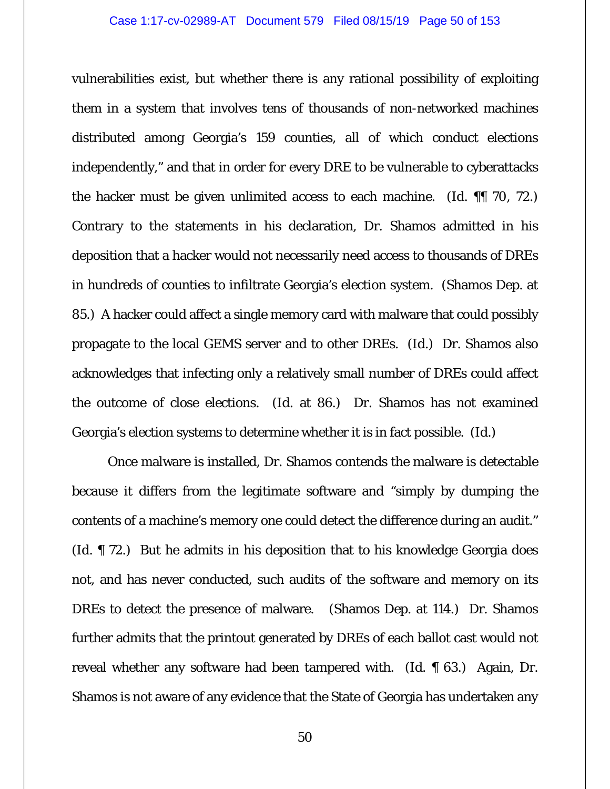vulnerabilities exist, but whether there is any rational possibility of exploiting them in a system that involves tens of thousands of non-networked machines distributed among Georgia's 159 counties, all of which conduct elections independently," and that in order for every DRE to be vulnerable to cyberattacks the hacker must be given unlimited access to each machine. (*Id.* ¶¶ 70, 72.) Contrary to the statements in his declaration, Dr. Shamos admitted in his deposition that a hacker would not necessarily need access to thousands of DREs in hundreds of counties to infiltrate Georgia's election system. (Shamos Dep. at 85.) A hacker could affect a single memory card with malware that could possibly propagate to the local GEMS server and to other DREs. (*Id.*) Dr. Shamos also acknowledges that infecting only a relatively small number of DREs could affect the outcome of close elections. (*Id.* at 86.) Dr. Shamos has not examined Georgia's election systems to determine whether it is in fact possible. (*Id.*)

 Once malware is installed, Dr. Shamos contends the malware is detectable because it differs from the legitimate software and "simply by dumping the contents of a machine's memory one could detect the difference during an audit." (*Id.* ¶ 72.) But he admits in his deposition that to his knowledge Georgia does not, and has never conducted, such audits of the software and memory on its DREs to detect the presence of malware. (Shamos Dep. at 114.) Dr. Shamos further admits that the printout generated by DREs of each ballot cast would not reveal whether any software had been tampered with. (*Id.* ¶ 63.) Again, Dr. Shamos is not aware of any evidence that the State of Georgia has undertaken any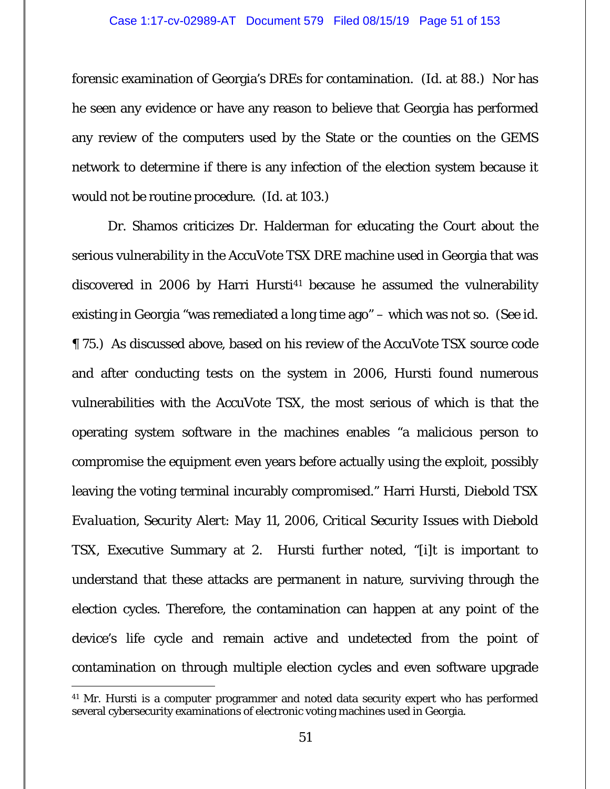forensic examination of Georgia's DREs for contamination. (*Id.* at 88.) Nor has he seen any evidence or have any reason to believe that Georgia has performed any review of the computers used by the State or the counties on the GEMS network to determine if there is any infection of the election system because it would not be routine procedure. (*Id.* at 103.)

 Dr. Shamos criticizes Dr. Halderman for educating the Court about the serious vulnerability in the AccuVote TSX DRE machine used in Georgia that was discovered in 2006 by Harri Hursti<sup>41</sup> because he assumed the vulnerability existing in Georgia "was remediated a long time ago" – which was not so. (*See id.*  ¶ 75.) As discussed above, based on his review of the AccuVote TSX source code and after conducting tests on the system in 2006, Hursti found numerous vulnerabilities with the AccuVote TSX, the most serious of which is that the operating system software in the machines enables "a malicious person to compromise the equipment even years before actually using the exploit, possibly leaving the voting terminal incurably compromised." Harri Hursti, *Diebold TSX Evaluation, Security Alert: May 11, 2006, Critical Security Issues with Diebold TSX*, Executive Summary at 2. Hursti further noted, "[i]t is important to understand that these attacks are permanent in nature, surviving through the election cycles. Therefore, the contamination can happen at any point of the device's life cycle and remain active and undetected from the point of contamination on through multiple election cycles and even software upgrade

<sup>&</sup>lt;sup>41</sup> Mr. Hursti is a computer programmer and noted data security expert who has performed several cybersecurity examinations of electronic voting machines used in Georgia.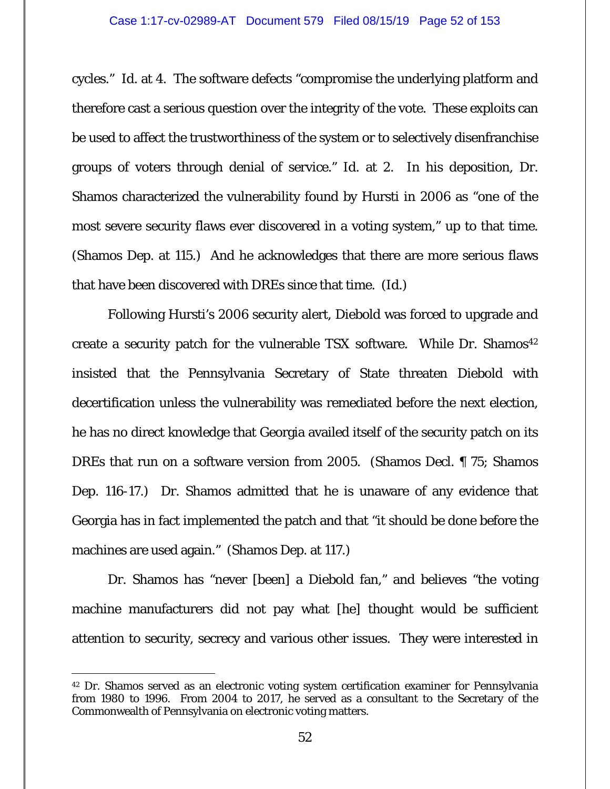cycles." *Id.* at 4. The software defects "compromise the underlying platform and therefore cast a serious question over the integrity of the vote. These exploits can be used to affect the trustworthiness of the system or to selectively disenfranchise groups of voters through denial of service." *Id.* at 2. In his deposition, Dr. Shamos characterized the vulnerability found by Hursti in 2006 as "one of the most severe security flaws ever discovered in a voting system," up to that time. (Shamos Dep. at 115.) And he acknowledges that there are more serious flaws that have been discovered with DREs since that time. (*Id.*)

 Following Hursti's 2006 security alert, Diebold was forced to upgrade and create a security patch for the vulnerable TSX software. While Dr. Shamos<sup>42</sup> insisted that the Pennsylvania Secretary of State threaten Diebold with decertification unless the vulnerability was remediated before the next election, he has no direct knowledge that Georgia availed itself of the security patch on its DREs that run on a software version from 2005. (Shamos Decl. ¶ 75; Shamos Dep. 116-17.) Dr. Shamos admitted that he is unaware of any evidence that Georgia has in fact implemented the patch and that "it should be done before the machines are used again." (Shamos Dep. at 117.)

 Dr. Shamos has "never [been] a Diebold fan," and believes "the voting machine manufacturers did not pay what [he] thought would be sufficient attention to security, secrecy and various other issues. They were interested in

-

<sup>42</sup> Dr. Shamos served as an electronic voting system certification examiner for Pennsylvania from 1980 to 1996. From 2004 to 2017, he served as a consultant to the Secretary of the Commonwealth of Pennsylvania on electronic voting matters.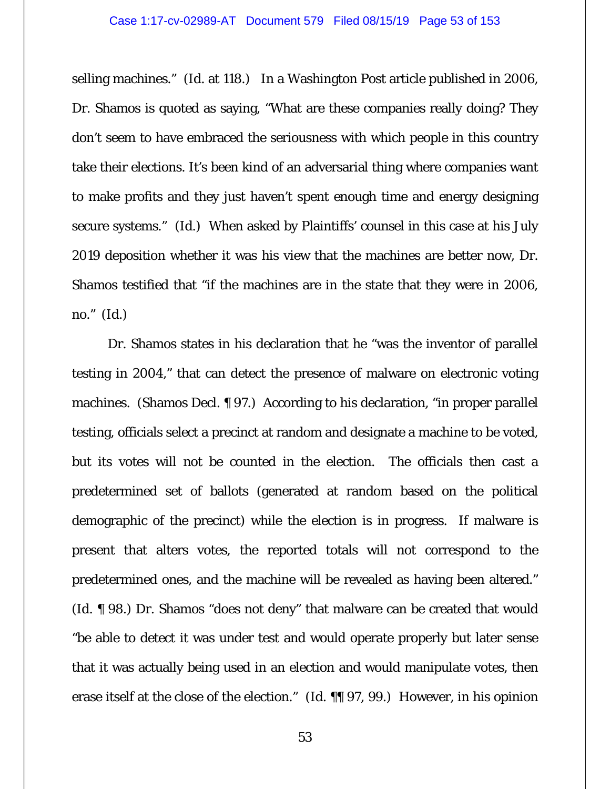selling machines." (*Id.* at 118.) In a Washington Post article published in 2006, Dr. Shamos is quoted as saying, "What are these companies really doing? They don't seem to have embraced the seriousness with which people in this country take their elections. It's been kind of an adversarial thing where companies want to make profits and they just haven't spent enough time and energy designing secure systems." (*Id.*) When asked by Plaintiffs' counsel in this case at his July 2019 deposition whether it was his view that the machines are better now, Dr. Shamos testified that "if the machines are in the state that they were in 2006, no." (*Id.*)

 Dr. Shamos states in his declaration that he "was the inventor of parallel testing in 2004," that can detect the presence of malware on electronic voting machines. (Shamos Decl. ¶ 97.) According to his declaration, "in proper parallel testing, officials select a precinct at random and designate a machine to be voted, but its votes will not be counted in the election. The officials then cast a predetermined set of ballots (generated at random based on the political demographic of the precinct) while the election is in progress. If malware is present that alters votes, the reported totals will not correspond to the predetermined ones, and the machine will be revealed as having been altered." (*Id.* ¶ 98.) Dr. Shamos "does not deny" that malware can be created that would "be able to detect it was under test and would operate properly but later sense that it was actually being used in an election and would manipulate votes, then erase itself at the close of the election." (*Id.* ¶¶ 97, 99.) However, in his opinion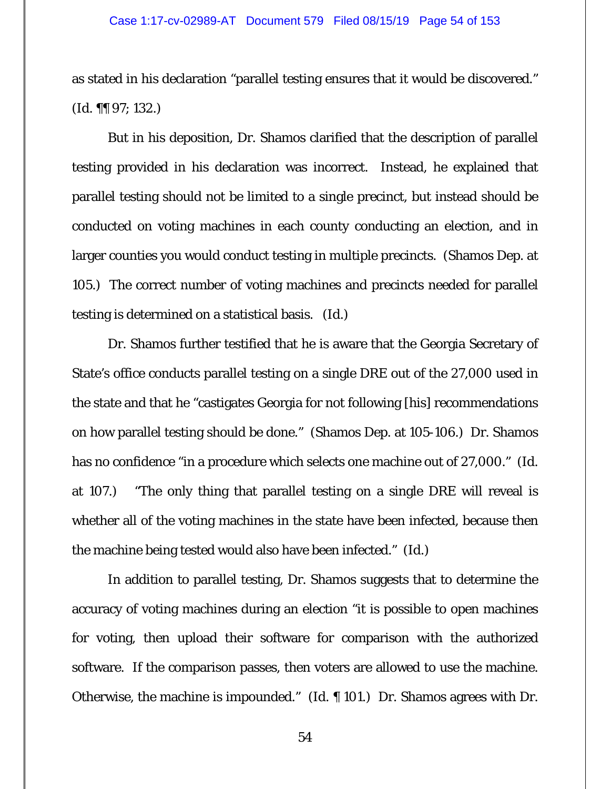as stated in his declaration "parallel testing ensures that it would be discovered." (*Id.* ¶¶ 97; 132.)

But in his deposition, Dr. Shamos clarified that the description of parallel testing provided in his declaration was incorrect. Instead, he explained that parallel testing should not be limited to a single precinct, but instead should be conducted on voting machines in each county conducting an election, and in larger counties you would conduct testing in multiple precincts. (Shamos Dep. at 105.) The correct number of voting machines and precincts needed for parallel testing is determined on a statistical basis. (*Id.*)

 Dr. Shamos further testified that he is aware that the Georgia Secretary of State's office conducts parallel testing on a single DRE out of the 27,000 used in the state and that he "castigates Georgia for not following [his] recommendations on how parallel testing should be done." (Shamos Dep. at 105-106.) Dr. Shamos has no confidence "in a procedure which selects one machine out of 27,000." (*Id.* at 107.) "The only thing that parallel testing on a single DRE will reveal is whether all of the voting machines in the state have been infected, because then the machine being tested would also have been infected." (*Id.*)

 In addition to parallel testing, Dr. Shamos suggests that to determine the accuracy of voting machines during an election "it is possible to open machines for voting, then upload their software for comparison with the authorized software. If the comparison passes, then voters are allowed to use the machine. Otherwise, the machine is impounded." (*Id.* ¶ 101.) Dr. Shamos agrees with Dr.

54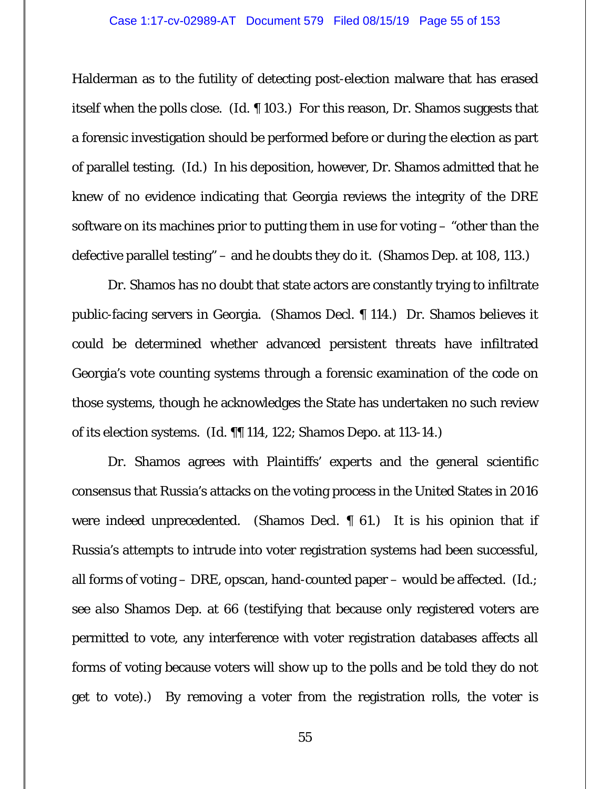Halderman as to the futility of detecting post-election malware that has erased itself when the polls close. (*Id.* ¶ 103.) For this reason, Dr. Shamos suggests that a forensic investigation should be performed before or during the election as part of parallel testing. (*Id.*) In his deposition, however, Dr. Shamos admitted that he knew of no evidence indicating that Georgia reviews the integrity of the DRE software on its machines prior to putting them in use for voting – "other than the defective parallel testing" – and he doubts they do it. (Shamos Dep. at 108, 113.)

 Dr. Shamos has no doubt that state actors are constantly trying to infiltrate public-facing servers in Georgia. (Shamos Decl. ¶ 114.) Dr. Shamos believes it could be determined whether advanced persistent threats have infiltrated Georgia's vote counting systems through a forensic examination of the code on those systems, though he acknowledges the State has undertaken no such review of its election systems. (*Id.* ¶¶ 114, 122; Shamos Depo. at 113-14.)

 Dr. Shamos agrees with Plaintiffs' experts and the general scientific consensus that Russia's attacks on the voting process in the United States in 2016 were indeed unprecedented. (Shamos Decl. ¶ 61.) It is his opinion that if Russia's attempts to intrude into voter registration systems had been successful, all forms of voting – DRE, opscan, hand-counted paper – would be affected. (*Id.; see also* Shamos Dep. at 66 (testifying that because only registered voters are permitted to vote, any interference with voter registration databases affects all forms of voting because voters will show up to the polls and be told they do not get to vote).) By removing a voter from the registration rolls, the voter is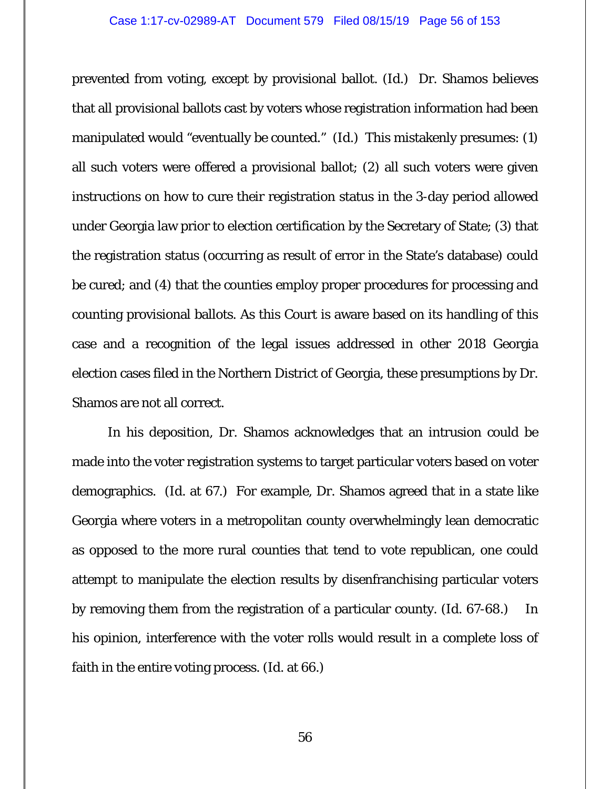prevented from voting, except by provisional ballot. (*Id.*) Dr. Shamos believes that all provisional ballots cast by voters whose registration information had been manipulated would "eventually be counted." (*Id.*) This mistakenly presumes: (1) all such voters were offered a provisional ballot; (2) all such voters were given instructions on how to cure their registration status in the 3-day period allowed under Georgia law prior to election certification by the Secretary of State; (3) that the registration status (occurring as result of error in the State's database) could be cured; and (4) that the counties employ proper procedures for processing and counting provisional ballots. As this Court is aware based on its handling of this case and a recognition of the legal issues addressed in other 2018 Georgia election cases filed in the Northern District of Georgia, these presumptions by Dr. Shamos are not all correct.

 In his deposition, Dr. Shamos acknowledges that an intrusion could be made into the voter registration systems to target particular voters based on voter demographics. (*Id.* at 67.) For example, Dr. Shamos agreed that in a state like Georgia where voters in a metropolitan county overwhelmingly lean democratic as opposed to the more rural counties that tend to vote republican, one could attempt to manipulate the election results by disenfranchising particular voters by removing them from the registration of a particular county. (*Id.* 67-68.) In his opinion, interference with the voter rolls would result in a complete loss of faith in the entire voting process. (*Id.* at 66.)

56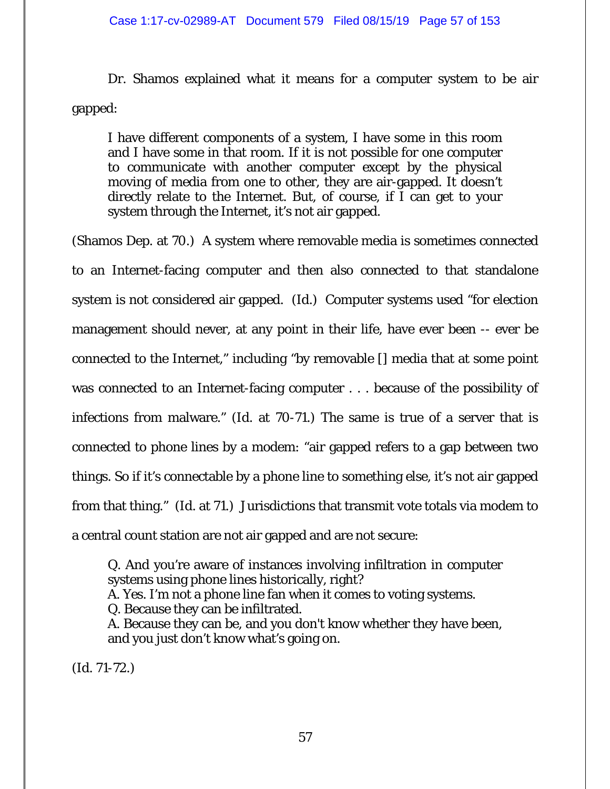Dr. Shamos explained what it means for a computer system to be air gapped:

I have different components of a system, I have some in this room and I have some in that room. If it is not possible for one computer to communicate with another computer except by the physical moving of media from one to other, they are air-gapped. It doesn't directly relate to the Internet. But, of course, if I can get to your system through the Internet, it's not air gapped.

(Shamos Dep. at 70.) A system where removable media is sometimes connected to an Internet-facing computer and then also connected to that standalone system is not considered air gapped. (*Id.*) Computer systems used "for election management should never, at any point in their life, have ever been -- ever be connected to the Internet," including "by removable [] media that at some point was connected to an Internet-facing computer . . . because of the possibility of infections from malware." (*Id.* at 70-71.) The same is true of a server that is connected to phone lines by a modem: "air gapped refers to a gap between two things. So if it's connectable by a phone line to something else, it's not air gapped from that thing." (*Id.* at 71.) Jurisdictions that transmit vote totals via modem to a central count station are not air gapped and are not secure:

Q. And you're aware of instances involving infiltration in computer systems using phone lines historically, right? A. Yes. I'm not a phone line fan when it comes to voting systems. Q. Because they can be infiltrated. A. Because they can be, and you don't know whether they have been, and you just don't know what's going on.

(*Id.* 71-72.)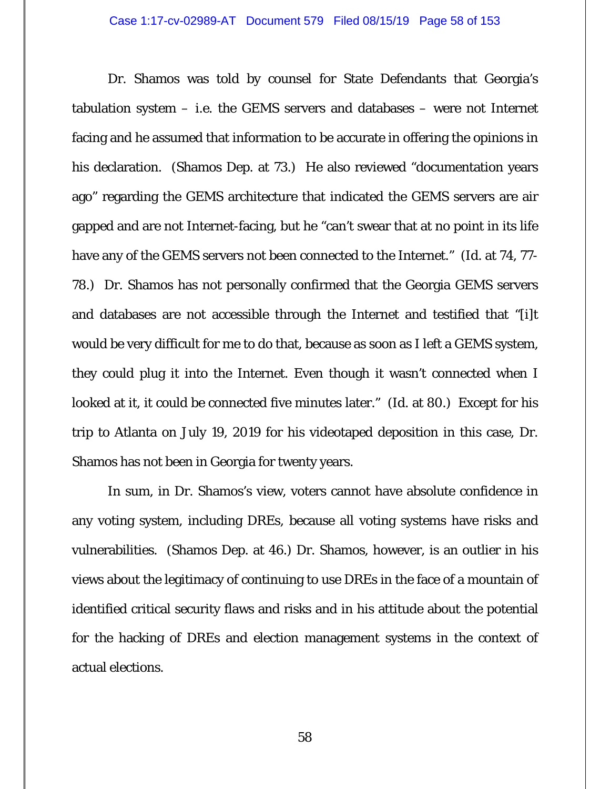Dr. Shamos was told by counsel for State Defendants that Georgia's tabulation system – i.e. the GEMS servers and databases – were not Internet facing and he assumed that information to be accurate in offering the opinions in his declaration. (Shamos Dep. at 73.) He also reviewed "documentation years ago" regarding the GEMS architecture that indicated the GEMS servers are air gapped and are not Internet-facing, but he "can't swear that at no point in its life have any of the GEMS servers not been connected to the Internet." (*Id.* at 74, 77- 78.) Dr. Shamos has not personally confirmed that the Georgia GEMS servers and databases are not accessible through the Internet and testified that "[i]t would be very difficult for me to do that, because as soon as I left a GEMS system, they could plug it into the Internet. Even though it wasn't connected when I looked at it, it could be connected five minutes later." (*Id.* at 80.) Except for his trip to Atlanta on July 19, 2019 for his videotaped deposition in this case, Dr. Shamos has not been in Georgia for twenty years.

 In sum, in Dr. Shamos's view, voters cannot have absolute confidence in any voting system, including DREs, because all voting systems have risks and vulnerabilities. (Shamos Dep. at 46.) Dr. Shamos, however, is an outlier in his views about the legitimacy of continuing to use DREs in the face of a mountain of identified critical security flaws and risks and in his attitude about the potential for the hacking of DREs and election management systems in the context of actual elections.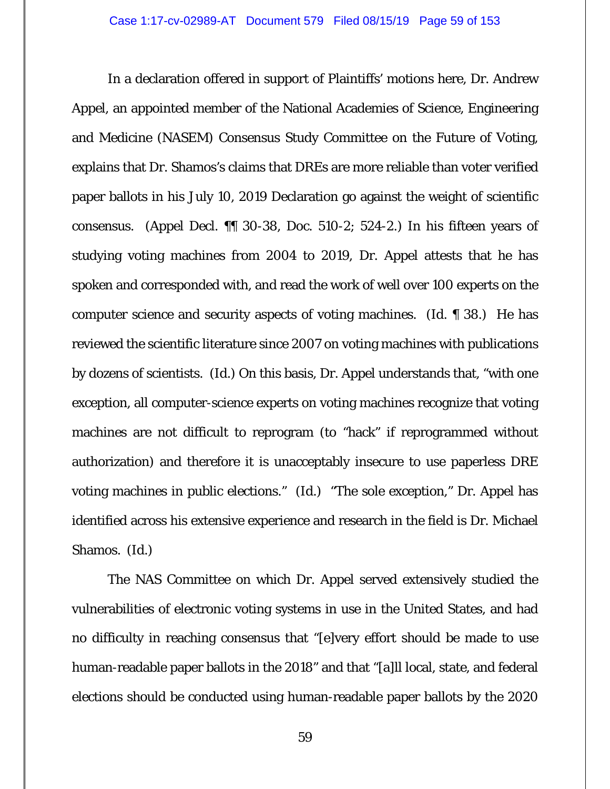In a declaration offered in support of Plaintiffs' motions here, Dr. Andrew Appel, an appointed member of the National Academies of Science, Engineering and Medicine (NASEM) Consensus Study Committee on the Future of Voting, explains that Dr. Shamos's claims that DREs are more reliable than voter verified paper ballots in his July 10, 2019 Declaration go against the weight of scientific consensus. (Appel Decl. ¶¶ 30-38, Doc. 510-2; 524-2.) In his fifteen years of studying voting machines from 2004 to 2019, Dr. Appel attests that he has spoken and corresponded with, and read the work of well over 100 experts on the computer science and security aspects of voting machines. (*Id.* ¶ 38.) He has reviewed the scientific literature since 2007 on voting machines with publications by dozens of scientists. (*Id.*) On this basis, Dr. Appel understands that, "with one exception, all computer-science experts on voting machines recognize that voting machines are not difficult to reprogram (to "hack" if reprogrammed without authorization) and therefore it is unacceptably insecure to use paperless DRE voting machines in public elections." (*Id.*) "The sole exception," Dr. Appel has identified across his extensive experience and research in the field is Dr. Michael Shamos. (*Id.*)

 The NAS Committee on which Dr. Appel served extensively studied the vulnerabilities of electronic voting systems in use in the United States, and had no difficulty in reaching consensus that "[e]very effort should be made to use human-readable paper ballots in the 2018" and that "[a]ll local, state, and federal elections should be conducted using human-readable paper ballots by the 2020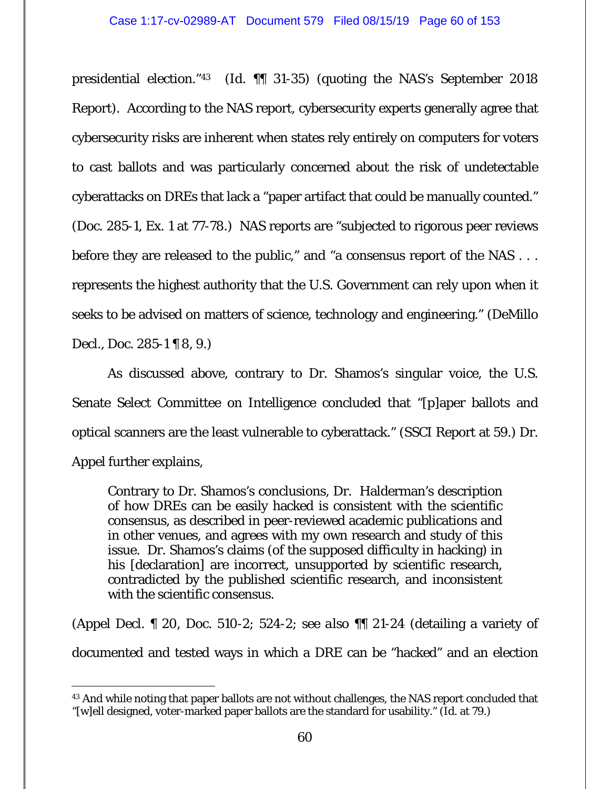presidential election."43 (*Id.* ¶¶ 31-35) (quoting the NAS's September 2018 Report). According to the NAS report, cybersecurity experts generally agree that cybersecurity risks are inherent when states rely entirely on computers for voters to cast ballots and was particularly concerned about the risk of undetectable cyberattacks on DREs that lack a "paper artifact that could be manually counted." (Doc. 285-1, Ex. 1 at 77-78.) NAS reports are "subjected to rigorous peer reviews before they are released to the public," and "a consensus report of the NAS . . . represents the highest authority that the U.S. Government can rely upon when it seeks to be advised on matters of science, technology and engineering." (DeMillo Decl., Doc. 285-1 ¶ 8, 9.)

As discussed above, contrary to Dr. Shamos's singular voice, the U.S. Senate Select Committee on Intelligence concluded that "[p]aper ballots and optical scanners are the least vulnerable to cyberattack." (SSCI Report at 59.) Dr. Appel further explains,

Contrary to Dr. Shamos's conclusions, Dr. Halderman's description of how DREs can be easily hacked is consistent with the scientific consensus, as described in peer-reviewed academic publications and in other venues, and agrees with my own research and study of this issue. Dr. Shamos's claims (of the supposed difficulty in hacking) in his [declaration] are incorrect, unsupported by scientific research, contradicted by the published scientific research, and inconsistent with the scientific consensus.

(Appel Decl. ¶ 20, Doc. 510-2; 524-2; *see also* ¶¶ 21-24 (detailing a variety of documented and tested ways in which a DRE can be "hacked" and an election

 $\overline{a}$ <sup>43</sup> And while noting that paper ballots are not without challenges, the NAS report concluded that "[w]ell designed, voter-marked paper ballots are the standard for usability." (*Id*. at 79.)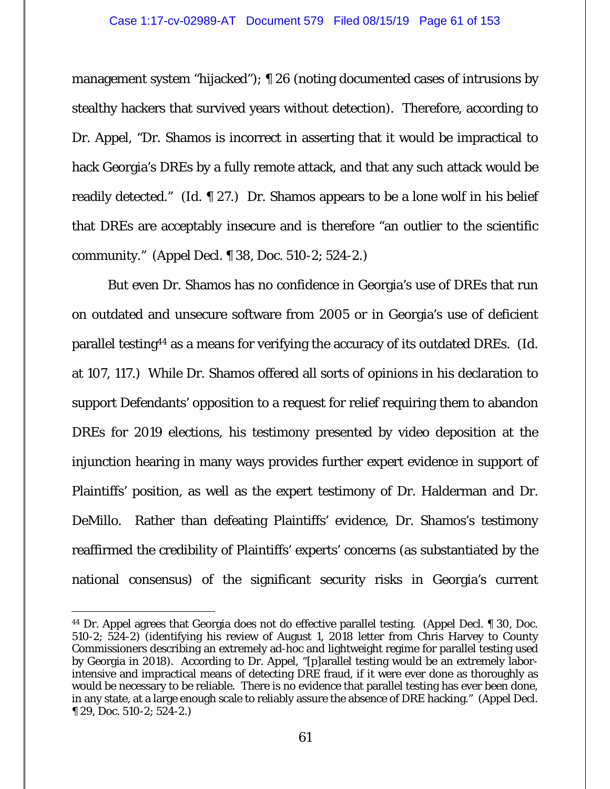management system "hijacked"); ¶ 26 (noting documented cases of intrusions by stealthy hackers that survived years without detection). Therefore, according to Dr. Appel, "Dr. Shamos is incorrect in asserting that it would be impractical to hack Georgia's DREs by a fully remote attack, and that any such attack would be readily detected." (*Id.* ¶ 27.) Dr. Shamos appears to be a lone wolf in his belief that DREs are acceptably insecure and is therefore "an outlier to the scientific community." (Appel Decl. ¶ 38, Doc. 510-2; 524-2.)

 But even Dr. Shamos has no confidence in Georgia's use of DREs that run on outdated and unsecure software from 2005 or in Georgia's use of deficient parallel testing44 as a means for verifying the accuracy of its outdated DREs. (*Id.* at 107, 117.) While Dr. Shamos offered all sorts of opinions in his declaration to support Defendants' opposition to a request for relief requiring them to abandon DREs for 2019 elections, his testimony presented by video deposition at the injunction hearing in many ways provides further expert evidence in support of Plaintiffs' position, as well as the expert testimony of Dr. Halderman and Dr. DeMillo. Rather than defeating Plaintiffs' evidence, Dr. Shamos's testimony reaffirmed the credibility of Plaintiffs' experts' concerns (as substantiated by the national consensus) of the significant security risks in Georgia's current

 $\overline{a}$ 44 Dr. Appel agrees that Georgia does not do effective parallel testing. (Appel Decl. ¶ 30, Doc. 510-2; 524-2) (identifying his review of August 1, 2018 letter from Chris Harvey to County Commissioners describing an extremely ad-hoc and lightweight regime for parallel testing used by Georgia in 2018). According to Dr. Appel, "[p]arallel testing would be an extremely laborintensive and impractical means of detecting DRE fraud, if it were ever done as thoroughly as would be necessary to be reliable. There is no evidence that parallel testing has ever been done, in any state, at a large enough scale to reliably assure the absence of DRE hacking." (Appel Decl. ¶ 29, Doc. 510-2; 524-2.)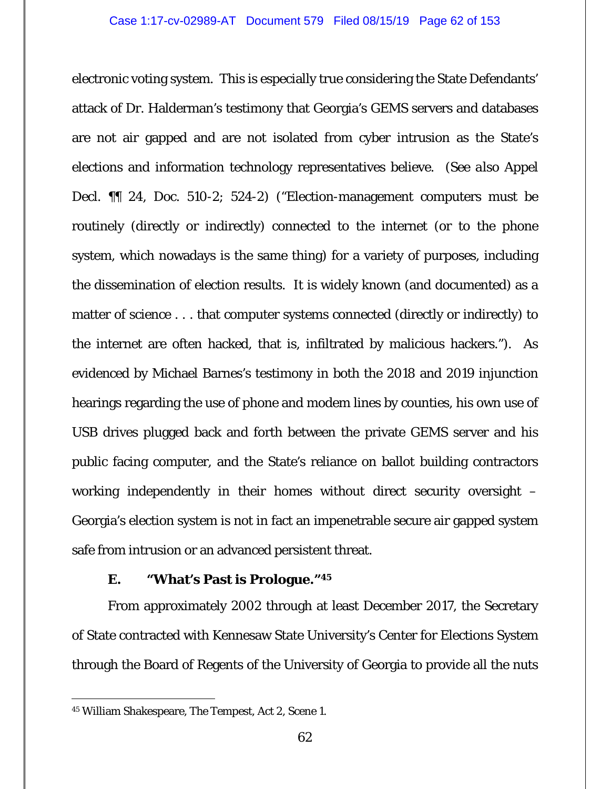electronic voting system. This is especially true considering the State Defendants' attack of Dr. Halderman's testimony that Georgia's GEMS servers and databases are not air gapped and are not isolated from cyber intrusion as the State's elections and information technology representatives believe. (*See also* Appel Decl. ¶¶ 24, Doc. 510-2; 524-2) ("Election-management computers must be routinely (directly or indirectly) connected to the internet (or to the phone system, which nowadays is the same thing) for a variety of purposes, including the dissemination of election results. It is widely known (and documented) as a matter of science . . . that computer systems connected (directly or indirectly) to the internet are often hacked, that is, infiltrated by malicious hackers."). As evidenced by Michael Barnes's testimony in both the 2018 and 2019 injunction hearings regarding the use of phone and modem lines by counties, his own use of USB drives plugged back and forth between the private GEMS server and his public facing computer, and the State's reliance on ballot building contractors working independently in their homes without direct security oversight – Georgia's election system is not in fact an impenetrable secure air gapped system safe from intrusion or an advanced persistent threat.

## **E. "What's Past is Prologue."45**

From approximately 2002 through at least December 2017, the Secretary of State contracted with Kennesaw State University's Center for Elections System through the Board of Regents of the University of Georgia to provide all the nuts

 $\overline{a}$ 

<sup>45</sup> William Shakespeare, *The Tempest*, Act 2, Scene 1.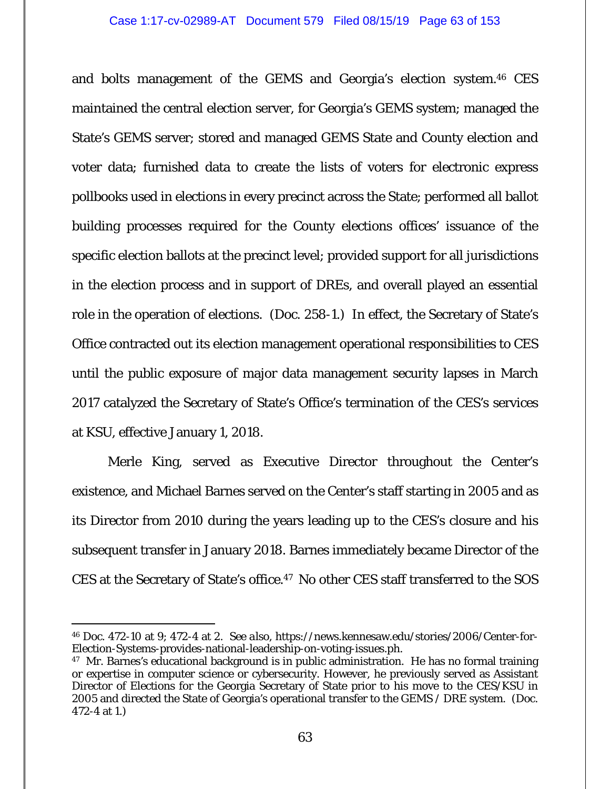and bolts management of the GEMS and Georgia's election system.46 CES maintained the central election server, for Georgia's GEMS system; managed the State's GEMS server; stored and managed GEMS State and County election and voter data; furnished data to create the lists of voters for electronic express pollbooks used in elections in every precinct across the State; performed all ballot building processes required for the County elections offices' issuance of the specific election ballots at the precinct level; provided support for all jurisdictions in the election process and in support of DREs, and overall played an essential role in the operation of elections. (Doc. 258-1.) In effect, the Secretary of State's Office contracted out its election management operational responsibilities to CES until the public exposure of major data management security lapses in March 2017 catalyzed the Secretary of State's Office's termination of the CES's services at KSU, effective January 1, 2018.

Merle King, served as Executive Director throughout the Center's existence, and Michael Barnes served on the Center's staff starting in 2005 and as its Director from 2010 during the years leading up to the CES's closure and his subsequent transfer in January 2018. Barnes immediately became Director of the CES at the Secretary of State's office.47 No other CES staff transferred to the SOS

 $\overline{a}$ 

<sup>46</sup> Doc. 472-10 at 9; 472-4 at 2. *See also*, https://news.kennesaw.edu/stories/2006/Center-for-Election-Systems-provides-national-leadership-on-voting-issues.ph.

<sup>&</sup>lt;sup>47</sup> Mr. Barnes's educational background is in public administration. He has no formal training or expertise in computer science or cybersecurity. However, he previously served as Assistant Director of Elections for the Georgia Secretary of State prior to his move to the CES/KSU in 2005 and directed the State of Georgia's operational transfer to the GEMS / DRE system. (Doc. 472-4 at 1.)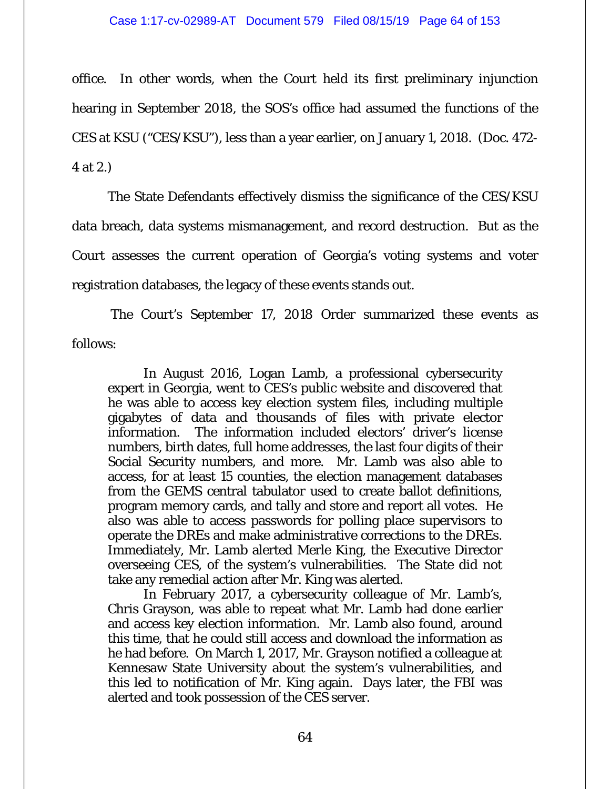office. In other words, when the Court held its first preliminary injunction hearing in September 2018, the SOS's office had assumed the functions of the CES at KSU ("CES/KSU"), less than a year earlier, on January 1, 2018. (Doc. 472- 4 at 2.)

The State Defendants effectively dismiss the significance of the CES/KSU data breach, data systems mismanagement, and record destruction. But as the Court assesses the current operation of Georgia's voting systems and voter registration databases, the legacy of these events stands out.

 The Court's September 17, 2018 Order summarized these events as follows:

In August 2016, Logan Lamb, a professional cybersecurity expert in Georgia, went to CES's public website and discovered that he was able to access key election system files, including multiple gigabytes of data and thousands of files with private elector information. The information included electors' driver's license numbers, birth dates, full home addresses, the last four digits of their Social Security numbers, and more. Mr. Lamb was also able to access, for at least 15 counties, the election management databases from the GEMS central tabulator used to create ballot definitions, program memory cards, and tally and store and report all votes. He also was able to access passwords for polling place supervisors to operate the DREs and make administrative corrections to the DREs. Immediately, Mr. Lamb alerted Merle King, the Executive Director overseeing CES, of the system's vulnerabilities. The State did not take any remedial action after Mr. King was alerted.

In February 2017, a cybersecurity colleague of Mr. Lamb's, Chris Grayson, was able to repeat what Mr. Lamb had done earlier and access key election information. Mr. Lamb also found, around this time, that he could still access and download the information as he had before. On March 1, 2017, Mr. Grayson notified a colleague at Kennesaw State University about the system's vulnerabilities, and this led to notification of Mr. King again. Days later, the FBI was alerted and took possession of the CES server.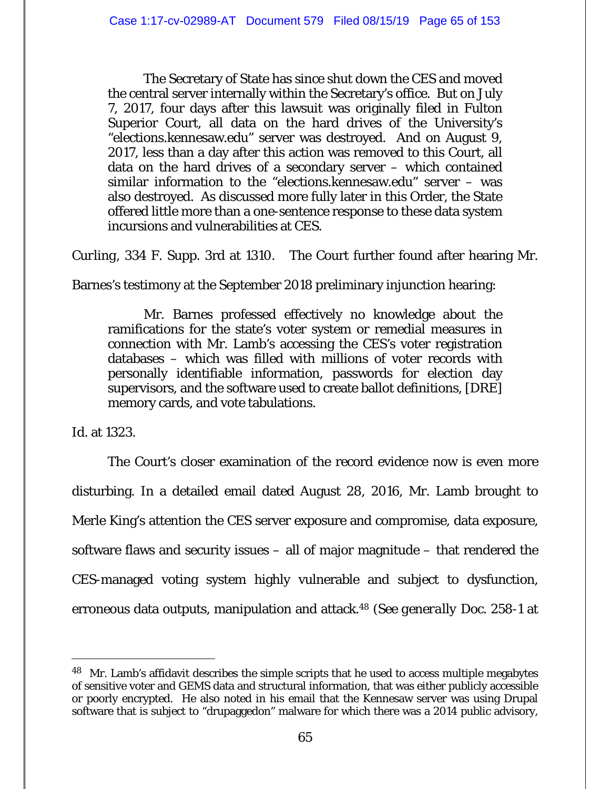The Secretary of State has since shut down the CES and moved the central server internally within the Secretary's office. But on July 7, 2017, four days after this lawsuit was originally filed in Fulton Superior Court, all data on the hard drives of the University's "elections.kennesaw.edu" server was destroyed. And on August 9, 2017, less than a day after this action was removed to this Court, all data on the hard drives of a secondary server – which contained similar information to the "elections.kennesaw.edu" server – was also destroyed. As discussed more fully later in this Order, the State offered little more than a one-sentence response to these data system incursions and vulnerabilities at CES.

*Curling*, 334 F. Supp. 3rd at 1310. The Court further found after hearing Mr.

Barnes's testimony at the September 2018 preliminary injunction hearing:

Mr. Barnes professed effectively no knowledge about the ramifications for the state's voter system or remedial measures in connection with Mr. Lamb's accessing the CES's voter registration databases – which was filled with millions of voter records with personally identifiable information, passwords for election day supervisors, and the software used to create ballot definitions, [DRE] memory cards, and vote tabulations.

*Id.* at 1323.

 $\overline{a}$ 

The Court's closer examination of the record evidence now is even more disturbing. In a detailed email dated August 28, 2016, Mr. Lamb brought to Merle King's attention the CES server exposure and compromise, data exposure, software flaws and security issues – all of major magnitude – that rendered the CES-managed voting system highly vulnerable and subject to dysfunction, erroneous data outputs, manipulation and attack.48 (*See generally* Doc. 258-1 at

<sup>&</sup>lt;sup>48</sup> Mr. Lamb's affidavit describes the simple scripts that he used to access multiple megabytes of sensitive voter and GEMS data and structural information, that was either publicly accessible or poorly encrypted. He also noted in his email that the Kennesaw server was using Drupal software that is subject to "drupaggedon" malware for which there was a 2014 public advisory,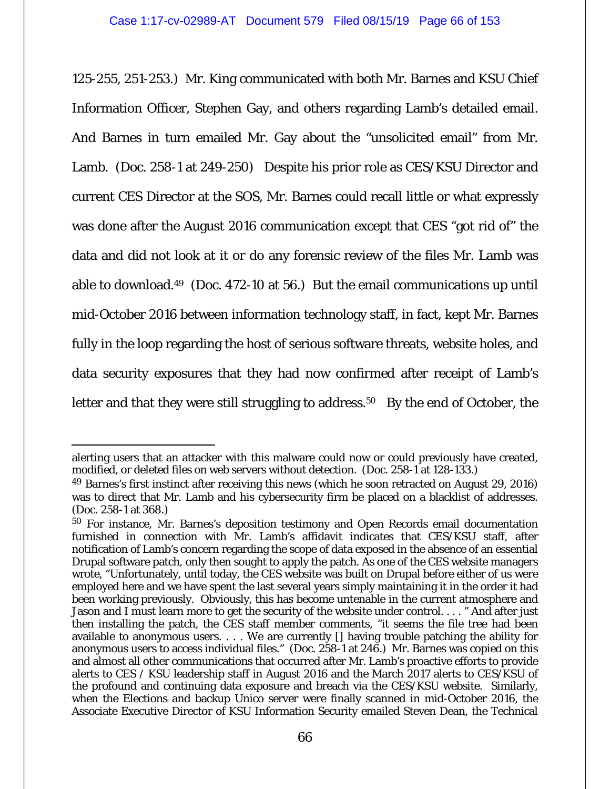125-255, 251-253.) Mr. King communicated with both Mr. Barnes and KSU Chief Information Officer, Stephen Gay, and others regarding Lamb's detailed email. And Barnes in turn emailed Mr. Gay about the "unsolicited email" from Mr. Lamb. (Doc. 258-1 at 249-250) Despite his prior role as CES/KSU Director and current CES Director at the SOS, Mr. Barnes could recall little or what expressly was done after the August 2016 communication except that CES "got rid of" the data and did not look at it or do any forensic review of the files Mr. Lamb was able to download.49 (Doc. 472-10 at 56.) But the email communications up until mid-October 2016 between information technology staff, in fact, kept Mr. Barnes fully in the loop regarding the host of serious software threats, website holes, and data security exposures that they had now confirmed after receipt of Lamb's letter and that they were still struggling to address.<sup>50</sup> By the end of October, the

 $\overline{a}$ alerting users that an attacker with this malware could now or could previously have created, modified, or deleted files on web servers without detection. (Doc. 258-1 at 128-133.)

<sup>49</sup> Barnes's first instinct after receiving this news (which he soon retracted on August 29, 2016) was to direct that Mr. Lamb and his cybersecurity firm be placed on a blacklist of addresses. (Doc. 258-1 at 368.)

<sup>50</sup> For instance, Mr. Barnes's deposition testimony and Open Records email documentation furnished in connection with Mr. Lamb's affidavit indicates that CES/KSU staff, after notification of Lamb's concern regarding the scope of data exposed in the absence of an essential Drupal software patch, only then sought to apply the patch. As one of the CES website managers wrote, "Unfortunately, until today, the CES website was built on Drupal before either of us were employed here and we have spent the last several years simply maintaining it in the order it had been working previously. Obviously, this has become untenable in the current atmosphere and Jason and I must learn more to get the security of the website under control. . . . " And after just then installing the patch, the CES staff member comments, "it seems the file tree had been available to anonymous users. . . . We are currently [] having trouble patching the ability for anonymous users to access individual files." (Doc. 258-1 at 246.) Mr. Barnes was copied on this and almost all other communications that occurred after Mr. Lamb's proactive efforts to provide alerts to CES / KSU leadership staff in August 2016 and the March 2017 alerts to CES/KSU of the profound and continuing data exposure and breach via the CES/KSU website. Similarly, when the Elections and backup Unico server were finally scanned in mid-October 2016, the Associate Executive Director of KSU Information Security emailed Steven Dean, the Technical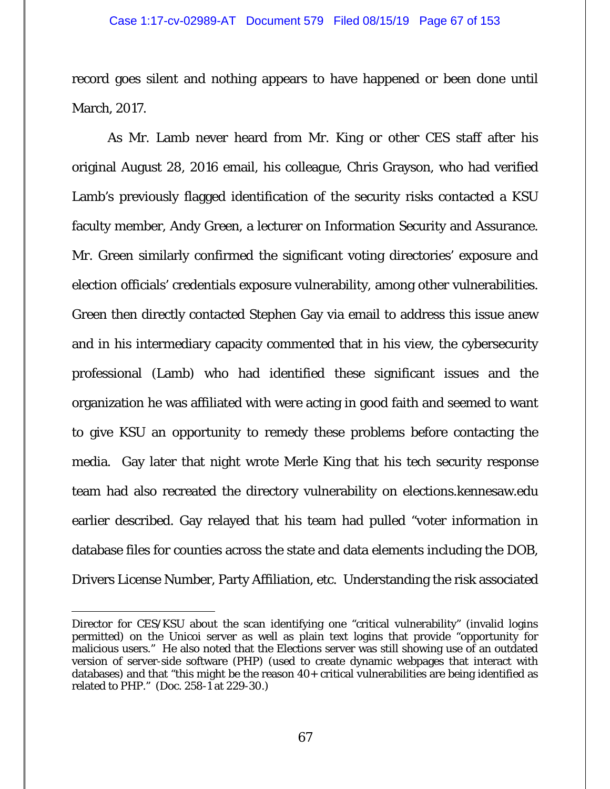record goes silent and nothing appears to have happened or been done until March, 2017.

As Mr. Lamb never heard from Mr. King or other CES staff after his original August 28, 2016 email, his colleague, Chris Grayson, who had verified Lamb's previously flagged identification of the security risks contacted a KSU faculty member, Andy Green, a lecturer on Information Security and Assurance. Mr. Green similarly confirmed the significant voting directories' exposure and election officials' credentials exposure vulnerability, among other vulnerabilities. Green then directly contacted Stephen Gay via email to address this issue anew and in his intermediary capacity commented that in his view, the cybersecurity professional (Lamb) who had identified these significant issues and the organization he was affiliated with were acting in good faith and seemed to want to give KSU an opportunity to remedy these problems before contacting the media. Gay later that night wrote Merle King that his tech security response team had also recreated the directory vulnerability on elections.kennesaw.edu earlier described. Gay relayed that his team had pulled "voter information in database files for counties across the state and data elements including the DOB, Drivers License Number, Party Affiliation, etc. Understanding the risk associated

 $\overline{a}$ 

Director for CES/KSU about the scan identifying one "critical vulnerability" (invalid logins permitted) on the Unicoi server as well as plain text logins that provide "opportunity for malicious users." He also noted that the Elections server was still showing use of an outdated version of server-side software (PHP) (used to create dynamic webpages that interact with databases) and that "this might be the reason 40+ critical vulnerabilities are being identified as related to PHP." (Doc. 258-1 at 229-30.)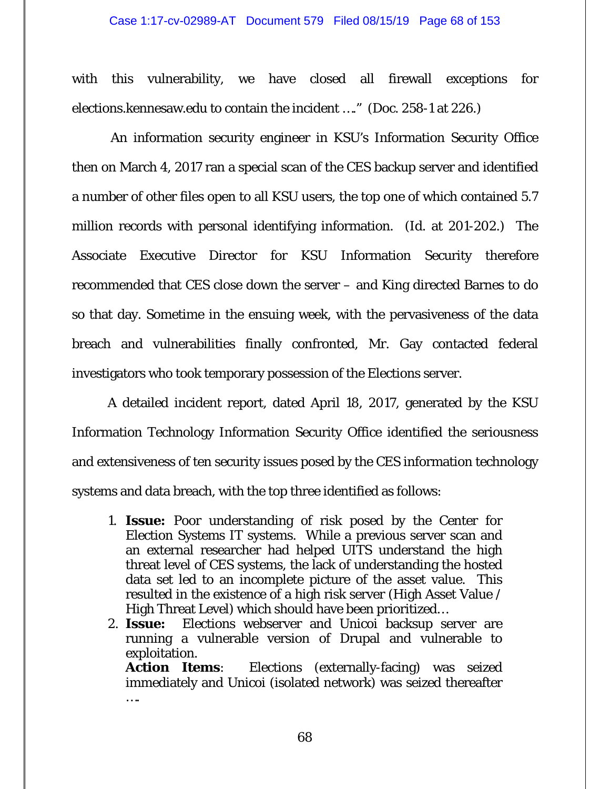with this vulnerability, we have closed all firewall exceptions for elections.kennesaw.edu to contain the incident …." (Doc. 258-1 at 226.)

 An information security engineer in KSU's Information Security Office then on March 4, 2017 ran a special scan of the CES backup server and identified a number of other files open to all KSU users, the top one of which contained 5.7 million records with personal identifying information. (*Id.* at 201-202.) The Associate Executive Director for KSU Information Security therefore recommended that CES close down the server – and King directed Barnes to do so that day. Sometime in the ensuing week, with the pervasiveness of the data breach and vulnerabilities finally confronted, Mr. Gay contacted federal investigators who took temporary possession of the Elections server.

A detailed incident report, dated April 18, 2017, generated by the KSU Information Technology Information Security Office identified the seriousness and extensiveness of ten security issues posed by the CES information technology systems and data breach, with the top three identified as follows:

- 1. **Issue:** Poor understanding of risk posed by the Center for Election Systems IT systems. While a previous server scan and an external researcher had helped UITS understand the high threat level of CES systems, the lack of understanding the hosted data set led to an incomplete picture of the asset value. This resulted in the existence of a high risk server (High Asset Value / High Threat Level) which should have been prioritized…
- 2. **Issue:** Elections webserver and Unicoi backsup server are running a vulnerable version of Drupal and vulnerable to exploitation.

**Action Items**: Elections (externally-facing) was seized immediately and Unicoi (isolated network) was seized thereafter ….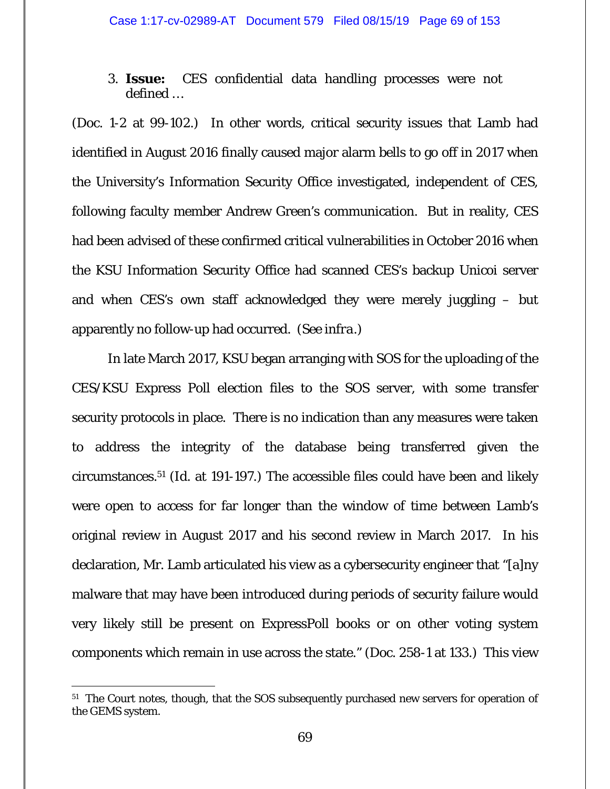# 3. **Issue:** CES confidential data handling processes were not defined …

(Doc. 1-2 at 99-102.) In other words, critical security issues that Lamb had identified in August 2016 finally caused major alarm bells to go off in 2017 when the University's Information Security Office investigated, independent of CES, following faculty member Andrew Green's communication. But in reality, CES had been advised of these *confirmed* critical vulnerabilities in October 2016 when the KSU Information Security Office had scanned CES's backup Unicoi server and when CES's own staff acknowledged they were merely juggling – but apparently no follow-up had occurred. (*See infra*.)

In late March 2017, KSU began arranging with SOS for the uploading of the CES/KSU Express Poll election files to the SOS server, with some transfer security protocols in place. There is no indication than any measures were taken to address the integrity of the database being transferred given the circumstances.51 (*Id.* at 191-197.) The accessible files could have been and likely were open to access for far longer than the window of time between Lamb's original review in August 2017 and his second review in March 2017. In his declaration, Mr. Lamb articulated his view as a cybersecurity engineer that "[a]ny malware that may have been introduced during periods of security failure would very likely still be present on ExpressPoll books or on other voting system components which remain in use across the state." (Doc. 258-1 at 133.) This view

<sup>&</sup>lt;sup>51</sup> The Court notes, though, that the SOS subsequently purchased new servers for operation of the GEMS system.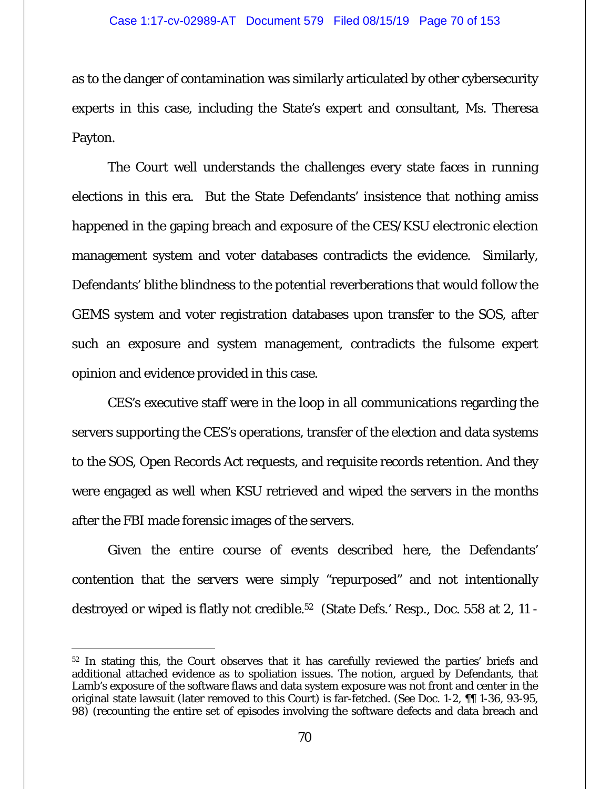as to the danger of contamination was similarly articulated by other cybersecurity experts in this case, including the State's expert and consultant, Ms. Theresa Payton.

The Court well understands the challenges every state faces in running elections in this era. But the State Defendants' insistence that nothing amiss happened in the gaping breach and exposure of the CES/KSU electronic election management system and voter databases contradicts the evidence. Similarly, Defendants' blithe blindness to the potential reverberations that would follow the GEMS system and voter registration databases upon transfer to the SOS, after such an exposure and system management, contradicts the fulsome expert opinion and evidence provided in this case.

CES's executive staff were in the loop in all communications regarding the servers supporting the CES's operations, transfer of the election and data systems to the SOS, Open Records Act requests, and requisite records retention. And they were engaged as well when KSU retrieved and wiped the servers in the months after the FBI made forensic images of the servers.

Given the entire course of events described here, the Defendants' contention that the servers were simply "repurposed" and not intentionally destroyed or wiped is flatly not credible.52 (State Defs.' Resp., Doc. 558 at 2, 11 -

 $\overline{a}$ <sup>52</sup> In stating this, the Court observes that it has carefully reviewed the parties' briefs and additional attached evidence as to spoliation issues. The notion, argued by Defendants, that Lamb's exposure of the software flaws and data system exposure was not front and center in the original state lawsuit (later removed to this Court) is far-fetched. (*See* Doc. 1-2, ¶¶ 1-36, 93-95, 98) (recounting the entire set of episodes involving the software defects and data breach and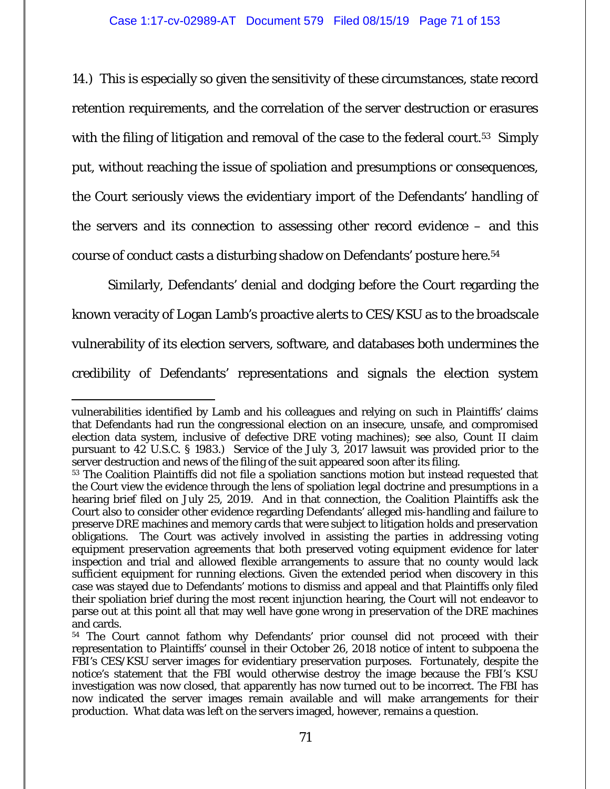14.) This is especially so given the sensitivity of these circumstances, state record retention requirements, and the correlation of the server destruction or erasures with the filing of litigation and removal of the case to the federal court.<sup>53</sup> Simply put, without reaching the issue of spoliation and presumptions or consequences, the Court seriously views the evidentiary import of the Defendants' handling of the servers and its connection to assessing other record evidence – and this course of conduct casts a disturbing shadow on Defendants' posture here.54

Similarly, Defendants' denial and dodging before the Court regarding the known veracity of Logan Lamb's proactive alerts to CES/KSU as to the broadscale vulnerability of its election servers, software, and databases both undermines the credibility of Defendants' representations and signals the election system

vulnerabilities identified by Lamb and his colleagues and relying on such in Plaintiffs' claims that Defendants had run the congressional election on an insecure, unsafe, and compromised election data system, inclusive of defective DRE voting machines); *see also*, Count II claim pursuant to 42 U.S.C. § 1983.) Service of the July 3, 2017 lawsuit was provided prior to the server destruction and news of the filing of the suit appeared soon after its filing.

<sup>53</sup> The Coalition Plaintiffs did not file a spoliation sanctions motion but instead requested that the Court view the evidence through the lens of spoliation legal doctrine and presumptions in a hearing brief filed on July 25, 2019. And in that connection, the Coalition Plaintiffs ask the Court also to consider other evidence regarding Defendants' alleged mis-handling and failure to preserve DRE machines and memory cards that were subject to litigation holds and preservation obligations. The Court was actively involved in assisting the parties in addressing voting equipment preservation agreements that both preserved voting equipment evidence for later inspection and trial and allowed flexible arrangements to assure that no county would lack sufficient equipment for running elections. Given the extended period when discovery in this case was stayed due to Defendants' motions to dismiss and appeal and that Plaintiffs only filed their spoliation brief during the most recent injunction hearing, the Court will not endeavor to parse out at this point all that may well have gone wrong in preservation of the DRE machines and cards.

<sup>54</sup> The Court cannot fathom why Defendants' prior counsel did not proceed with their representation to Plaintiffs' counsel in their October 26, 2018 notice of intent to subpoena the FBI's CES/KSU server images for evidentiary preservation purposes. Fortunately, despite the notice's statement that the FBI would otherwise destroy the image because the FBI's KSU investigation was now closed, that apparently has now turned out to be incorrect. The FBI has now indicated the server images remain available and will make arrangements for their production. What data was left on the servers imaged, however, remains a question.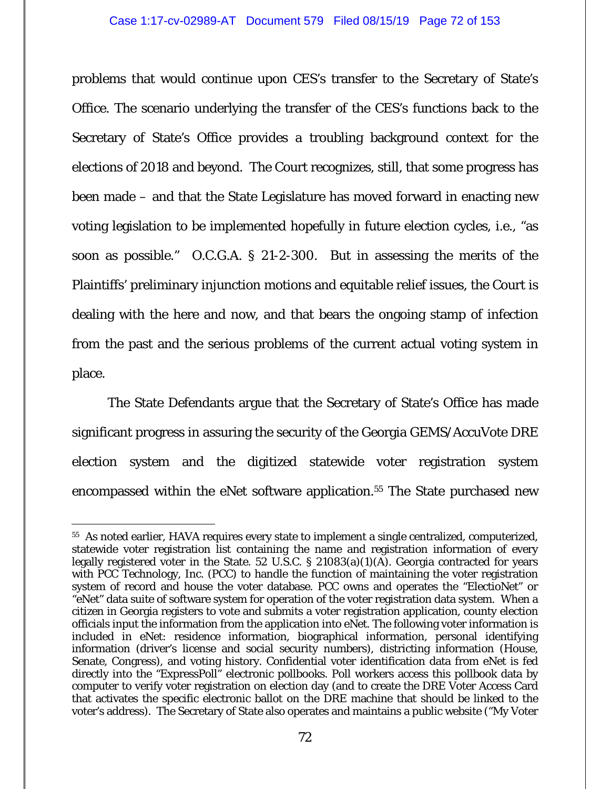problems that would continue upon CES's transfer to the Secretary of State's Office. The scenario underlying the transfer of the CES's functions back to the Secretary of State's Office provides a troubling background context for the elections of 2018 and beyond. The Court recognizes, still, that some progress has been made – and that the State Legislature has moved forward in enacting new voting legislation to be implemented hopefully in future election cycles, *i.e.*, "as soon as possible." O.C.G.A. § 21-2-300. But in assessing the merits of the Plaintiffs' preliminary injunction motions and equitable relief issues, the Court is dealing with the here and now, and that bears the ongoing stamp of infection from the past and the serious problems of the current actual voting system in place.

The State Defendants argue that the Secretary of State's Office has made significant progress in assuring the security of the Georgia GEMS/AccuVote DRE election system and the digitized statewide voter registration system encompassed within the eNet software application.<sup>55</sup> The State purchased new

 $\overline{a}$ 55 As noted earlier, HAVA requires every state to implement a single centralized, computerized, statewide voter registration list containing the name and registration information of every legally registered voter in the State. 52 U.S.C. § 21083(a)(1)(A). Georgia contracted for years with PCC Technology, Inc. (PCC) to handle the function of maintaining the voter registration system of record and house the voter database. PCC owns and operates the "ElectioNet" or "eNet" data suite of software system for operation of the voter registration data system. When a citizen in Georgia registers to vote and submits a voter registration application, county election officials input the information from the application into eNet. The following voter information is included in eNet: residence information, biographical information, personal identifying information (driver's license and social security numbers), districting information (House, Senate, Congress), and voting history. Confidential voter identification data from eNet is fed directly into the "ExpressPoll" electronic pollbooks. Poll workers access this pollbook data by computer to verify voter registration on election day (and to create the DRE Voter Access Card that activates the specific electronic ballot on the DRE machine that should be linked to the voter's address). The Secretary of State also operates and maintains a public website ("My Voter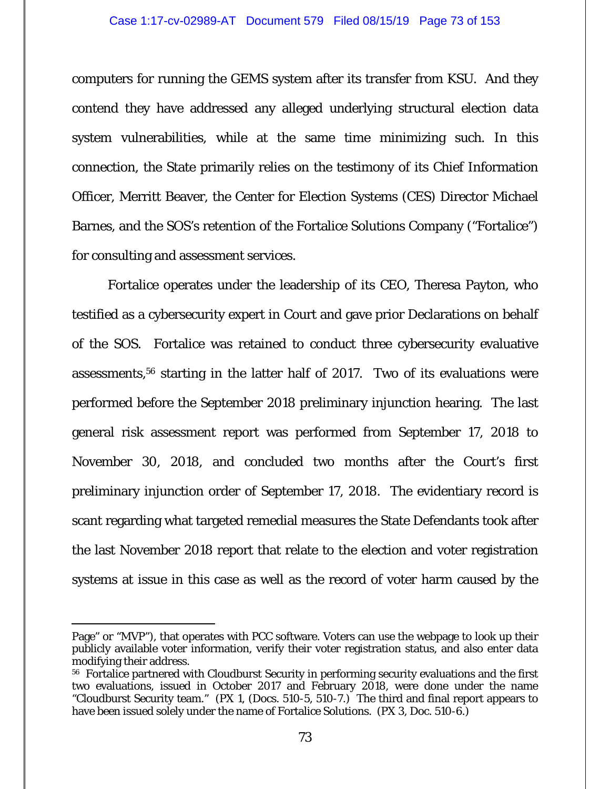computers for running the GEMS system after its transfer from KSU. And they contend they have addressed any alleged underlying structural election data system vulnerabilities, while at the same time minimizing such. In this connection, the State primarily relies on the testimony of its Chief Information Officer, Merritt Beaver, the Center for Election Systems (CES) Director Michael Barnes, and the SOS's retention of the Fortalice Solutions Company ("Fortalice") for consulting and assessment services.

Fortalice operates under the leadership of its CEO, Theresa Payton, who testified as a cybersecurity expert in Court and gave prior Declarations on behalf of the SOS. Fortalice was retained to conduct three cybersecurity evaluative assessments,56 starting in the latter half of 2017. Two of its evaluations were performed before the September 2018 preliminary injunction hearing. The last general risk assessment report was performed from September 17, 2018 to November 30, 2018, and concluded two months after the Court's first preliminary injunction order of September 17, 2018. The evidentiary record is scant regarding what targeted remedial measures the State Defendants took after the last November 2018 report that relate to the election and voter registration systems at issue in this case as well as the record of voter harm caused by the

-

Page" or "MVP"), that operates with PCC software. Voters can use the webpage to look up their publicly available voter information, verify their voter registration status, and also enter data modifying their address.

<sup>&</sup>lt;sup>56</sup> Fortalice partnered with Cloudburst Security in performing security evaluations and the first two evaluations, issued in October 2017 and February 2018, were done under the name "Cloudburst Security team." (PX 1, (Docs. 510-5, 510-7.) The third and final report appears to have been issued solely under the name of Fortalice Solutions. (PX 3, Doc. 510-6.)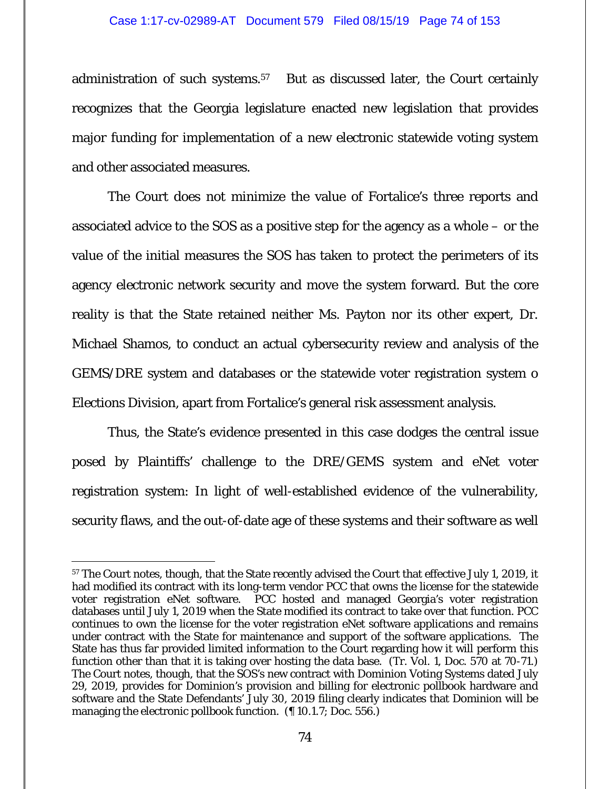## Case 1:17-cv-02989-AT Document 579 Filed 08/15/19 Page 74 of 153

administration of such systems.57 But as discussed later, the Court certainly recognizes that the Georgia legislature enacted new legislation that provides major funding for implementation of a new electronic statewide voting system and other associated measures.

The Court does not minimize the value of Fortalice's three reports and associated advice to the SOS as a positive step for the agency as a whole – or the value of the initial measures the SOS has taken to protect the perimeters of its agency electronic network security and move the system forward. But the core reality is that the State retained neither Ms. Payton nor its other expert, Dr. Michael Shamos, to conduct an actual cybersecurity review and analysis of the GEMS/DRE system and databases or the statewide voter registration system o Elections Division, apart from Fortalice's general risk assessment analysis.

Thus, the State's evidence presented in this case dodges the central issue posed by Plaintiffs' challenge to the DRE/GEMS system and eNet voter registration system: In light of well-established evidence of the vulnerability, security flaws, and the out-of-date age of these systems and their software as well

 $\overline{a}$ 

<sup>&</sup>lt;sup>57</sup> The Court notes, though, that the State recently advised the Court that effective July 1, 2019, it had modified its contract with its long-term vendor PCC that owns the license for the statewide voter registration eNet software. PCC hosted and managed Georgia's voter registration databases until July 1, 2019 when the State modified its contract to take over that function. PCC continues to own the license for the voter registration eNet software applications and remains under contract with the State for maintenance and support of the software applications. The State has thus far provided limited information to the Court regarding how it will perform this function other than that it is taking over hosting the data base. (Tr. Vol. 1, Doc. 570 at 70-71.) The Court notes, though, that the SOS's new contract with Dominion Voting Systems dated July 29, 2019, provides for Dominion's provision and billing for electronic pollbook hardware and software and the State Defendants' July 30, 2019 filing clearly indicates that Dominion will be managing the electronic pollbook function. (¶ 10.1.7; Doc. 556.)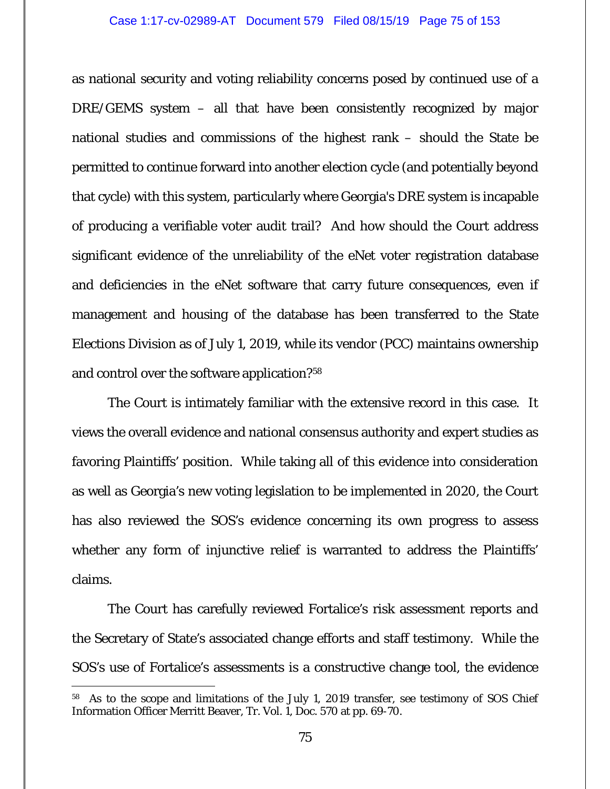as national security and voting reliability concerns posed by continued use of a DRE/GEMS system – all that have been consistently recognized by major national studies and commissions of the highest rank – should the State be permitted to continue forward into another election cycle (and potentially beyond that cycle) with this system, particularly where Georgia's DRE system is incapable of producing a verifiable voter audit trail? And how should the Court address significant evidence of the unreliability of the eNet voter registration database and deficiencies in the eNet software that carry future consequences, even if management and housing of the database has been transferred to the State Elections Division as of July 1, 2019, while its vendor (PCC) maintains ownership and control over the software application?58

The Court is intimately familiar with the extensive record in this case. It views the overall evidence and national consensus authority and expert studies as favoring Plaintiffs' position. While taking all of this evidence into consideration as well as Georgia's new voting legislation to be implemented in 2020, the Court has also reviewed the SOS's evidence concerning its own progress to assess whether any form of injunctive relief is warranted to address the Plaintiffs' claims.

The Court has carefully reviewed Fortalice's risk assessment reports and the Secretary of State's associated change efforts and staff testimony. While the SOS's use of Fortalice's assessments is a constructive change tool, the evidence

 $\overline{a}$ 

<sup>58</sup> As to the scope and limitations of the July 1, 2019 transfer, *see* testimony of SOS Chief Information Officer Merritt Beaver, Tr. Vol. 1, Doc. 570 at pp. 69-70.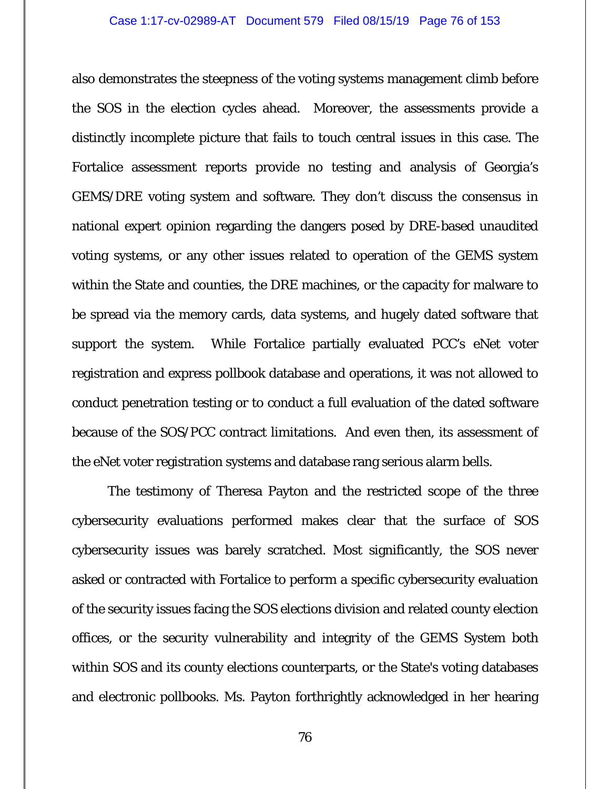also demonstrates the steepness of the voting systems management climb before the SOS in the election cycles ahead. Moreover, the assessments provide a distinctly incomplete picture that fails to touch central issues in this case. The Fortalice assessment reports provide no testing and analysis of Georgia's GEMS/DRE voting system and software. They don't discuss the consensus in national expert opinion regarding the dangers posed by DRE-based unaudited voting systems, or any other issues related to operation of the GEMS system within the State and counties, the DRE machines, or the capacity for malware to be spread via the memory cards, data systems, and hugely dated software that support the system. While Fortalice partially evaluated PCC's eNet voter registration and express pollbook database and operations, it was not allowed to conduct penetration testing or to conduct a full evaluation of the dated software because of the SOS/PCC contract limitations. And even then, its assessment of the eNet voter registration systems and database rang serious alarm bells.

The testimony of Theresa Payton and the restricted scope of the three cybersecurity evaluations performed makes clear that the surface of SOS cybersecurity issues was barely scratched. Most significantly, the SOS never asked or contracted with Fortalice to perform a specific cybersecurity evaluation of the security issues facing the SOS elections division and related county election offices, or the security vulnerability and integrity of the GEMS System both within SOS and its county elections counterparts, or the State's voting databases and electronic pollbooks. Ms. Payton forthrightly acknowledged in her hearing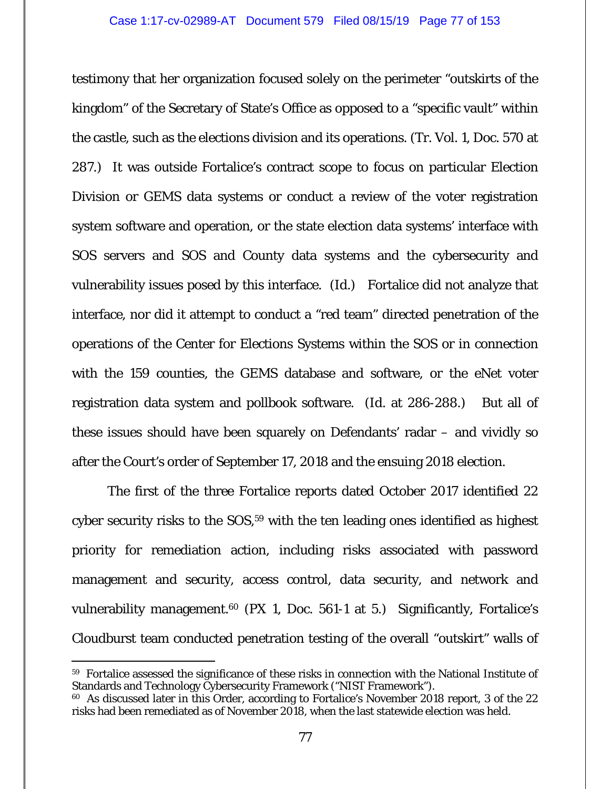testimony that her organization focused solely on the perimeter "outskirts of the kingdom" of the Secretary of State's Office as opposed to a "specific vault" within the castle, such as the elections division and its operations. (Tr. Vol. 1, Doc. 570 at 287.) It was outside Fortalice's contract scope to focus on particular Election Division or GEMS data systems or conduct a review of the voter registration system software and operation, or the state election data systems' interface with SOS servers and SOS and County data systems and the cybersecurity and vulnerability issues posed by this interface. (*Id.*) Fortalice did not analyze that interface, nor did it attempt to conduct a "red team" directed penetration of the operations of the Center for Elections Systems within the SOS or in connection with the 159 counties, the GEMS database and software, or the eNet voter registration data system and pollbook software. (*Id.* at 286-288.) But all of these issues should have been squarely on Defendants' radar – and vividly so after the Court's order of September 17, 2018 and the ensuing 2018 election.

The first of the three Fortalice reports dated October 2017 identified 22 cyber security risks to the SOS,<sup>59</sup> with the ten leading ones identified as highest priority for remediation action, including risks associated with password management and security, access control, data security, and network and vulnerability management.<sup>60</sup> (PX 1, Doc. 561-1 at 5.) Significantly, Fortalice's Cloudburst team conducted penetration testing of the overall "outskirt" walls of

-

<sup>59</sup> Fortalice assessed the significance of these risks in connection with the National Institute of Standards and Technology Cybersecurity Framework ("NIST Framework").

<sup>60</sup> As discussed later in this Order, according to Fortalice's November 2018 report, 3 of the 22 risks had been remediated as of November 2018, when the last statewide election was held.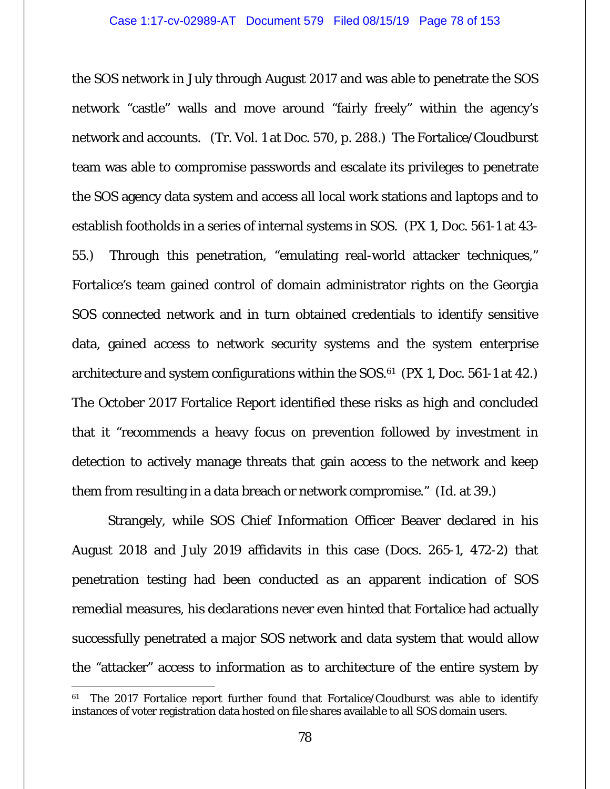the SOS network in July through August 2017 and was able to penetrate the SOS network "castle" walls and move around "fairly freely" within the agency's network and accounts. (Tr. Vol. 1 at Doc. 570, p. 288.) The Fortalice/Cloudburst team was able to compromise passwords and escalate its privileges to penetrate the SOS agency data system and access all local work stations and laptops and to establish footholds in a series of internal systems in SOS. (PX 1, Doc. 561-1 at 43- 55.) Through this penetration, "emulating real-world attacker techniques," Fortalice's team gained control of domain administrator rights on the Georgia SOS connected network and in turn obtained credentials to identify sensitive data, gained access to network security systems and the system enterprise architecture and system configurations within the  $SOS<sup>61</sup>$  (PX 1, Doc. 561-1 at 42.) The October 2017 Fortalice Report identified these risks as high and concluded that it "recommends a heavy focus on prevention followed by investment in detection to actively manage threats that gain access to the network and keep them from resulting in a data breach or network compromise." (*Id.* at 39.)

Strangely, while SOS Chief Information Officer Beaver declared in his August 2018 and July 2019 affidavits in this case (Docs. 265-1, 472-2) that penetration testing had been conducted as an apparent indication of SOS remedial measures, his declarations never even hinted that Fortalice had actually successfully penetrated a major SOS network and data system that would allow the "attacker" access to information as to architecture of the entire system by

 $\overline{a}$ 

 $61$  The 2017 Fortalice report further found that Fortalice/Cloudburst was able to identify instances of voter registration data hosted on file shares available to all SOS domain users.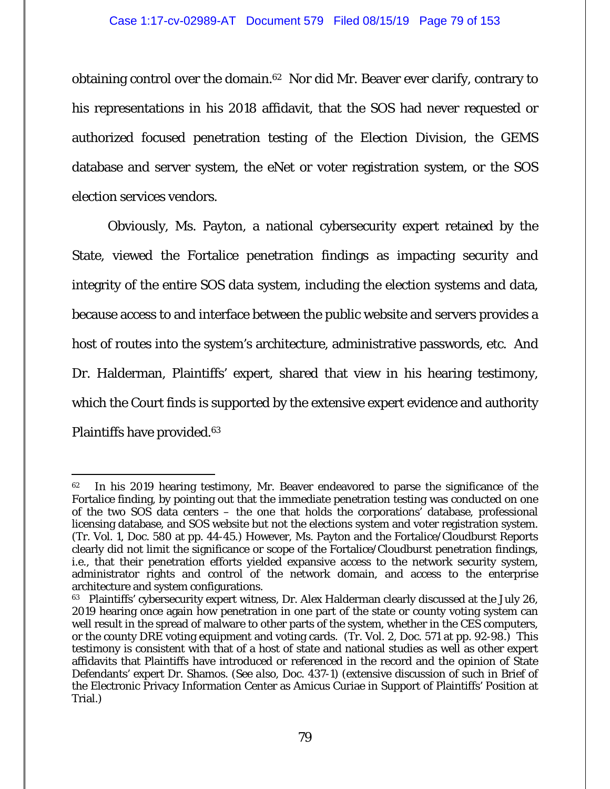obtaining control over the domain.62 Nor did Mr. Beaver ever clarify, contrary to his representations in his 2018 affidavit, that the SOS had never requested or authorized focused penetration testing of the Election Division, the GEMS database and server system, the eNet or voter registration system, or the SOS election services vendors.

Obviously, Ms. Payton, a national cybersecurity expert retained by the State, viewed the Fortalice penetration findings as impacting security and integrity of the entire SOS data system, including the election systems and data, because access to and interface between the public website and servers provides a host of routes into the system's architecture, administrative passwords, etc. And Dr. Halderman, Plaintiffs' expert, shared that view in his hearing testimony, which the Court finds is supported by the extensive expert evidence and authority Plaintiffs have provided.63

-

<sup>&</sup>lt;sup>62</sup> In his 2019 hearing testimony, Mr. Beaver endeavored to parse the significance of the Fortalice finding, by pointing out that the immediate penetration testing was conducted on one of the two SOS data centers – the one that holds the corporations' database, professional licensing database, and SOS website but not the elections system and voter registration system. (Tr. Vol. 1, Doc. 580 at pp. 44-45.) However, Ms. Payton and the Fortalice/Cloudburst Reports clearly did not limit the significance or scope of the Fortalice/Cloudburst penetration findings, i.e., that their penetration efforts yielded expansive access to the network security system, administrator rights and control of the network domain, and access to the enterprise architecture and system configurations.

<sup>&</sup>lt;sup>63</sup> Plaintiffs' cybersecurity expert witness, Dr. Alex Halderman clearly discussed at the July 26, 2019 hearing once again how penetration in one part of the state or county voting system can well result in the spread of malware to other parts of the system, whether in the CES computers, or the county DRE voting equipment and voting cards. (Tr. Vol. 2, Doc. 571 at pp. 92-98.) This testimony is consistent with that of a host of state and national studies as well as other expert affidavits that Plaintiffs have introduced or referenced in the record and the opinion of State Defendants' expert Dr. Shamos. (*See also*, Doc. 437-1) (extensive discussion of such in Brief of the Electronic Privacy Information Center as Amicus Curiae in Support of Plaintiffs' Position at Trial.)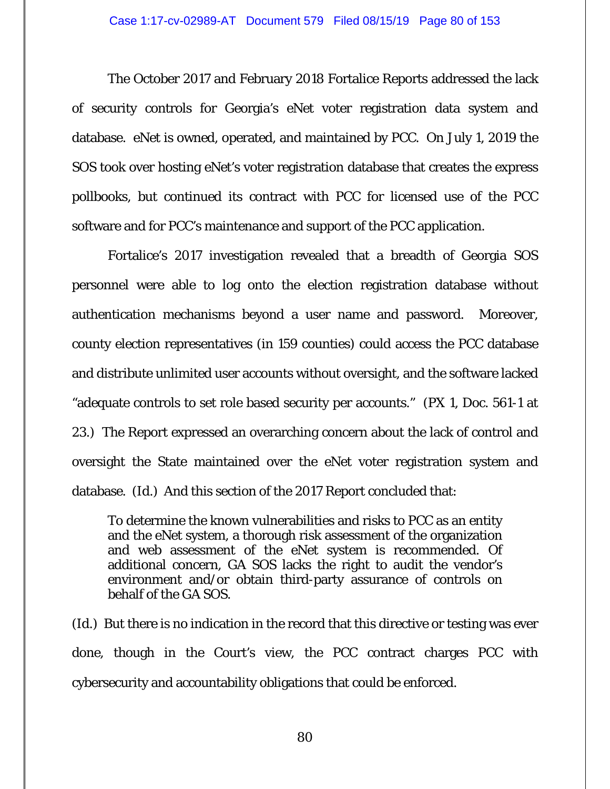The October 2017 and February 2018 Fortalice Reports addressed the lack of security controls for Georgia's eNet voter registration data system and database. eNet is owned, operated, and maintained by PCC. On July 1, 2019 the SOS took over hosting eNet's voter registration database that creates the express pollbooks, but continued its contract with PCC for licensed use of the PCC software and for PCC's maintenance and support of the PCC application.

Fortalice's 2017 investigation revealed that a breadth of Georgia SOS personnel were able to log onto the election registration database without authentication mechanisms beyond a user name and password. Moreover, county election representatives (in 159 counties) could access the PCC database and distribute unlimited user accounts without oversight, and the software lacked "adequate controls to set role based security per accounts." (PX 1, Doc. 561-1 at 23.) The Report expressed an overarching concern about the lack of control and oversight the State maintained over the eNet voter registration system and database. (*Id.*) And this section of the 2017 Report concluded that:

To determine the known vulnerabilities and risks to PCC as an entity and the eNet system, a thorough risk assessment of the organization and web assessment of the eNet system is recommended. Of additional concern, GA SOS lacks the right to audit the vendor's environment and/or obtain third-party assurance of controls on behalf of the GA SOS.

(*Id.*) But there is no indication in the record that this directive or testing was ever done, though in the Court's view, the PCC contract charges PCC with cybersecurity and accountability obligations that could be enforced.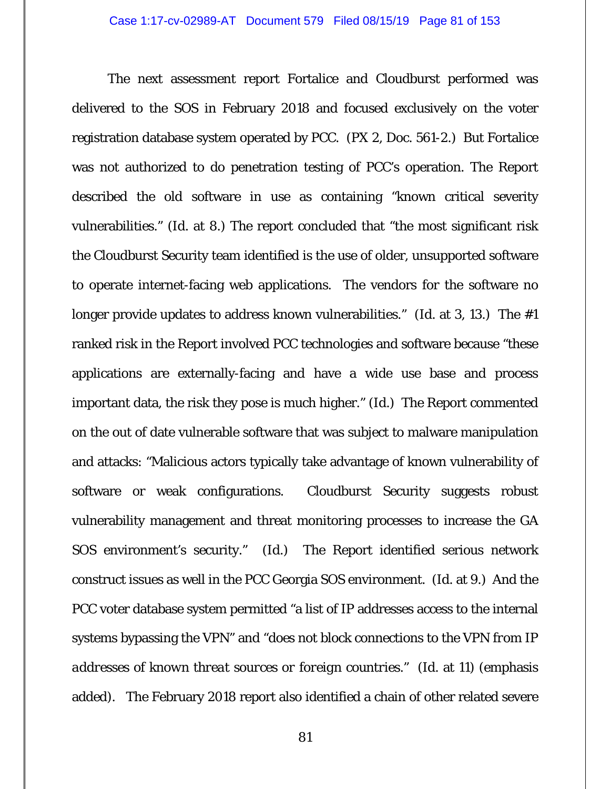The next assessment report Fortalice and Cloudburst performed was delivered to the SOS in February 2018 and focused exclusively on the voter registration database system operated by PCC. (PX 2, Doc. 561-2.) But Fortalice was not authorized to do penetration testing of PCC's operation. The Report described the old software in use as containing "known critical severity vulnerabilities." (*Id.* at 8.) The report concluded that "the most significant risk the Cloudburst Security team identified is the use of older, unsupported software to operate internet-facing web applications. The vendors for the software no longer provide updates to address known vulnerabilities." (*Id.* at 3, 13.) The #1 ranked risk in the Report involved PCC technologies and software because "these applications are externally-facing and have a wide use base and process important data, the risk they pose is much higher." (*Id.*) The Report commented on the out of date vulnerable software that was subject to malware manipulation and attacks: "Malicious actors typically take advantage of known vulnerability of software or weak configurations. Cloudburst Security suggests robust vulnerability management and threat monitoring processes to increase the GA SOS environment's security." (*Id*.) The Report identified serious network construct issues as well in the PCC Georgia SOS environment. (*Id.* at 9.) And the PCC voter database system permitted "a list of IP addresses access to the internal systems bypassing the VPN" and "*does not block connections to the VPN from IP addresses of known threat sources or foreign countries*." (*Id.* at 11) (emphasis added). The February 2018 report also identified a chain of other related severe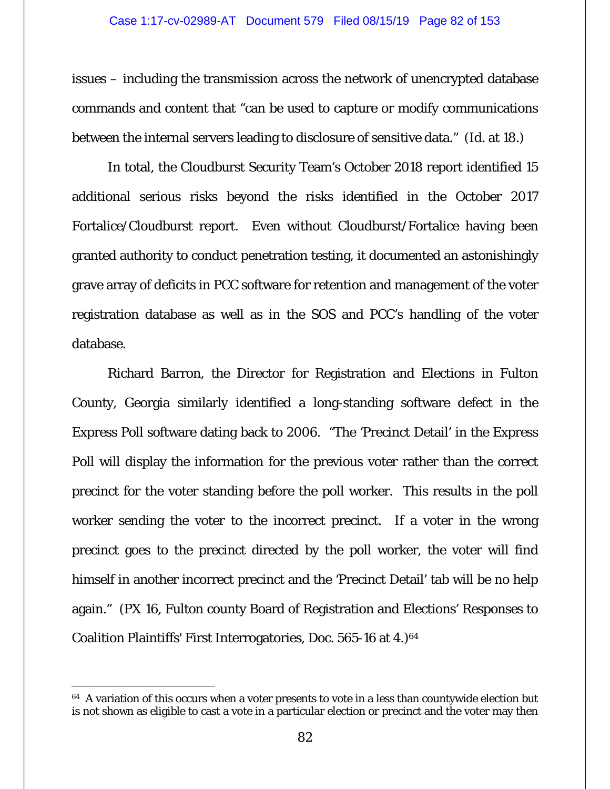issues – including the transmission across the network of unencrypted database commands and content that "can be used to capture or modify communications between the internal servers leading to disclosure of sensitive data." (*Id.* at 18.)

In total, the Cloudburst Security Team's October 2018 report identified 15 additional serious risks beyond the risks identified in the October 2017 Fortalice/Cloudburst report. Even without Cloudburst/Fortalice having been granted authority to conduct penetration testing, it documented an astonishingly grave array of deficits in PCC software for retention and management of the voter registration database as well as in the SOS and PCC's handling of the voter database.

Richard Barron, the Director for Registration and Elections in Fulton County, Georgia similarly identified a long-standing software defect in the Express Poll software dating back to 2006. "The 'Precinct Detail' in the Express Poll will display the information for the previous voter rather than the correct precinct for the voter standing before the poll worker. This results in the poll worker sending the voter to the incorrect precinct. If a voter in the wrong precinct goes to the precinct directed by the poll worker, the voter will find himself in another incorrect precinct and the 'Precinct Detail' tab will be no help again." (PX 16, Fulton county Board of Registration and Elections' Responses to Coalition Plaintiffs' First Interrogatories, Doc. 565-16 at 4.)<sup>64</sup>

 $\overline{a}$ 

 $64$  A variation of this occurs when a voter presents to vote in a less than countywide election but is not shown as eligible to cast a vote in a particular election or precinct and the voter may then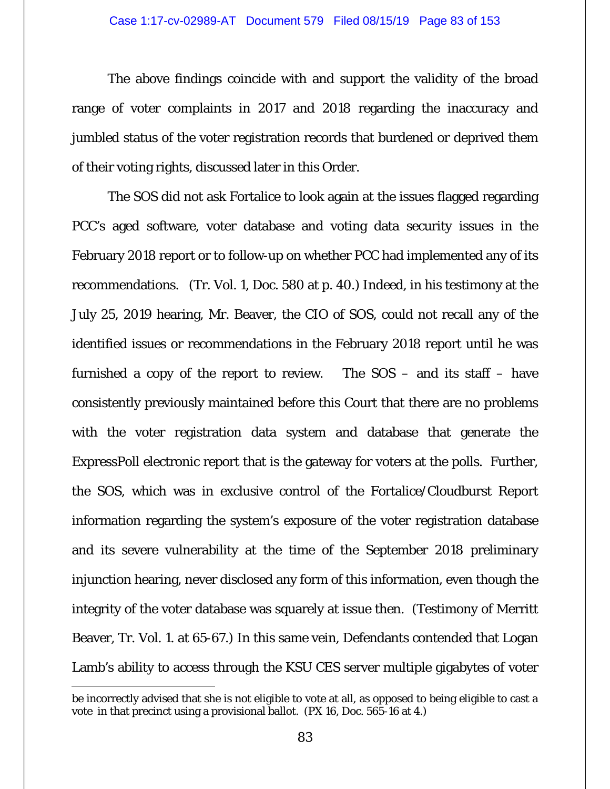The above findings coincide with and support the validity of the broad range of voter complaints in 2017 and 2018 regarding the inaccuracy and jumbled status of the voter registration records that burdened or deprived them of their voting rights, discussed later in this Order.

The SOS did not ask Fortalice to look again at the issues flagged regarding PCC's aged software, voter database and voting data security issues in the February 2018 report or to follow-up on whether PCC had implemented any of its recommendations. (Tr. Vol. 1, Doc. 580 at p. 40.) Indeed, in his testimony at the July 25, 2019 hearing, Mr. Beaver, the CIO of SOS, could not recall any of the identified issues or recommendations in the February 2018 report until he was furnished a copy of the report to review. The  $SOS -$  and its staff  $-$  have consistently previously maintained before this Court that there are no problems with the voter registration data system and database that generate the ExpressPoll electronic report that is the gateway for voters at the polls. Further, the SOS, which was in exclusive control of the Fortalice/Cloudburst Report information regarding the system's exposure of the voter registration database and its severe vulnerability at the time of the September 2018 preliminary injunction hearing, never disclosed any form of this information, even though the integrity of the voter database was squarely at issue then. (Testimony of Merritt Beaver, Tr. Vol. 1. at 65-67.) In this same vein, Defendants contended that Logan Lamb's ability to access through the KSU CES server multiple gigabytes of voter

be incorrectly advised that she is not eligible to vote at all, as opposed to being eligible to cast a vote in that precinct using a provisional ballot. (PX 16, Doc. 565-16 at 4.)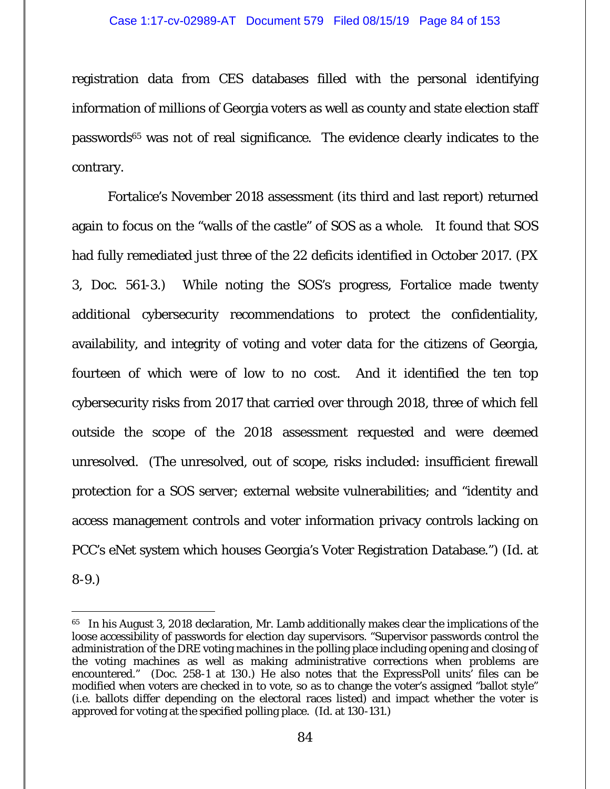registration data from CES databases filled with the personal identifying information of millions of Georgia voters as well as county and state election staff passwords<sup>65</sup> was not of real significance. The evidence clearly indicates to the contrary.

Fortalice's November 2018 assessment (its third and last report) returned again to focus on the "walls of the castle" of SOS as a whole. It found that SOS had fully remediated just three of the 22 deficits identified in October 2017. (PX 3, Doc. 561-3.) While noting the SOS's progress, Fortalice made twenty additional cybersecurity recommendations to protect the confidentiality, availability, and integrity of voting and voter data for the citizens of Georgia, fourteen of which were of low to no cost. And it identified the ten top cybersecurity risks from 2017 that carried over through 2018, three of which fell outside the scope of the 2018 assessment requested and were deemed unresolved. (The unresolved, out of scope, risks included: insufficient firewall protection for a SOS server; external website vulnerabilities; and "identity and access management controls and voter information privacy controls lacking on PCC's eNet system which houses Georgia's Voter Registration Database.") (*Id*. at 8-9.)

<sup>65</sup> In his August 3, 2018 declaration, Mr. Lamb additionally makes clear the implications of the loose accessibility of passwords for election day supervisors. "Supervisor passwords control the administration of the DRE voting machines in the polling place including opening and closing of the voting machines as well as making administrative corrections when problems are encountered." (Doc. 258-1 at 130.) He also notes that the ExpressPoll units' files can be modified when voters are checked in to vote, so as to change the voter's assigned "ballot style" (i.e. ballots differ depending on the electoral races listed) and impact whether the voter is approved for voting at the specified polling place. (*Id*. at 130-131.)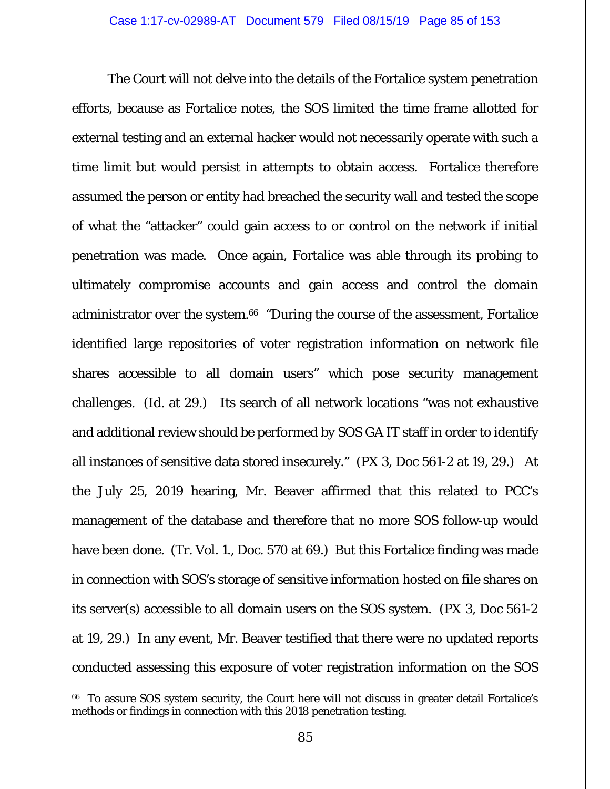The Court will not delve into the details of the Fortalice system penetration efforts, because as Fortalice notes, the SOS limited the time frame allotted for external testing and an external hacker would not necessarily operate with such a time limit but would persist in attempts to obtain access. Fortalice therefore assumed the person or entity had breached the security wall and tested the scope of what the "attacker" could gain access to or control on the network if initial penetration was made. Once again, Fortalice was able through its probing to ultimately compromise accounts and gain access and control the domain administrator over the system.<sup>66</sup> "During the course of the assessment, Fortalice identified large repositories of voter registration information on network file shares accessible to all domain users" which pose security management challenges. (*Id.* at 29.) Its search of all network locations "was not exhaustive and additional review should be performed by SOS GA IT staff in order to identify all instances of sensitive data stored insecurely." (PX 3, Doc 561-2 at 19, 29.) At the July 25, 2019 hearing, Mr. Beaver affirmed that this related to PCC's management of the database and therefore that no more SOS follow-up would have been done. (Tr. Vol. 1., Doc. 570 at 69.) But this Fortalice finding was made in connection with SOS's storage of sensitive information hosted on file shares on its server(s) accessible to all domain users on the SOS system. (PX 3, Doc 561-2 at 19, 29.) In any event, Mr. Beaver testified that there were no updated reports conducted assessing this exposure of voter registration information on the SOS

<sup>66</sup> To assure SOS system security, the Court here will not discuss in greater detail Fortalice's methods or findings in connection with this 2018 penetration testing.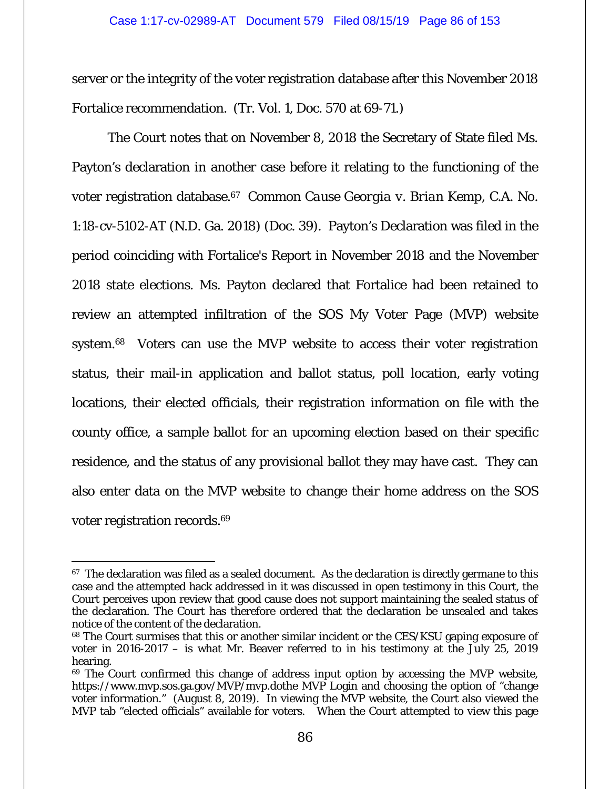server or the integrity of the voter registration database after this November 2018 Fortalice recommendation. (Tr. Vol. 1, Doc. 570 at 69-71.)

The Court notes that on November 8, 2018 the Secretary of State filed Ms. Payton's declaration in another case before it relating to the functioning of the voter registration database.67 *Common Cause Georgia v. Brian Kemp*, C.A. No. 1:18-cv-5102-AT (N.D. Ga. 2018) (Doc. 39). Payton's Declaration was filed in the period coinciding with Fortalice's Report in November 2018 and the November 2018 state elections. Ms. Payton declared that Fortalice had been retained to review an attempted infiltration of the SOS My Voter Page (MVP) website system.68 Voters can use the MVP website to access their voter registration status, their mail-in application and ballot status, poll location, early voting locations, their elected officials, their registration information on file with the county office, a sample ballot for an upcoming election based on their specific residence, and the status of any provisional ballot they may have cast. They can also enter data on the MVP website to change their home address on the SOS voter registration records.69

-

 $67$  The declaration was filed as a sealed document. As the declaration is directly germane to this case and the attempted hack addressed in it was discussed in open testimony in this Court, the Court perceives upon review that good cause does not support maintaining the sealed status of the declaration. The Court has therefore ordered that the declaration be unsealed and takes notice of the content of the declaration.

<sup>&</sup>lt;sup>68</sup> The Court surmises that this or another similar incident or the CES/KSU gaping exposure of voter in 2016-2017 – is what Mr. Beaver referred to in his testimony at the July 25, 2019 hearing.

<sup>&</sup>lt;sup>69</sup> The Court confirmed this change of address input option by accessing the MVP website, https://www.mvp.sos.ga.gov/MVP/mvp.dothe MVP Login and choosing the option of "change voter information." (August 8, 2019). In viewing the MVP website, the Court also viewed the MVP tab "elected officials" available for voters. When the Court attempted to view this page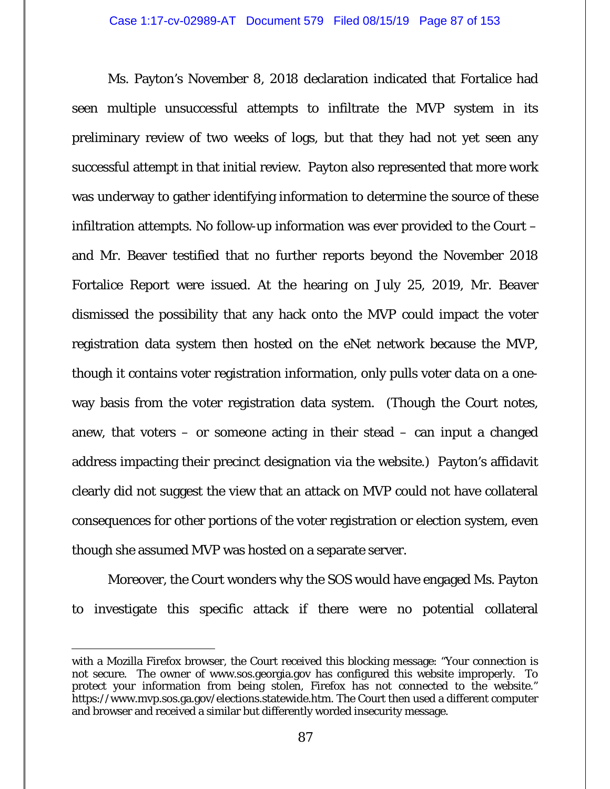Ms. Payton's November 8, 2018 declaration indicated that Fortalice had seen multiple unsuccessful attempts to infiltrate the MVP system in its preliminary review of two weeks of logs, but that they had not yet seen any successful attempt in that initial review. Payton also represented that more work was underway to gather identifying information to determine the source of these infiltration attempts. No follow-up information was ever provided to the Court – and Mr. Beaver testified that no further reports beyond the November 2018 Fortalice Report were issued. At the hearing on July 25, 2019, Mr. Beaver dismissed the possibility that any hack onto the MVP could impact the voter registration data system then hosted on the eNet network because the MVP, though it contains voter registration information, only pulls voter data on a oneway basis from the voter registration data system. (Though the Court notes, anew, that voters – or someone acting in their stead – can input a changed address impacting their precinct designation via the website.) Payton's affidavit clearly did not suggest the view that an attack on MVP could not have collateral consequences for other portions of the voter registration or election system, even though she assumed MVP was hosted on a separate server.

Moreover, the Court wonders why the SOS would have engaged Ms. Payton to investigate this specific attack if there were no potential collateral

 $\overline{a}$ with a Mozilla Firefox browser, the Court received this blocking message: "Your connection is not secure. The owner of www.sos.georgia.gov has configured this website improperly. To protect your information from being stolen, Firefox has not connected to the website." https://www.mvp.sos.ga.gov/elections.statewide.htm. The Court then used a different computer and browser and received a similar but differently worded insecurity message.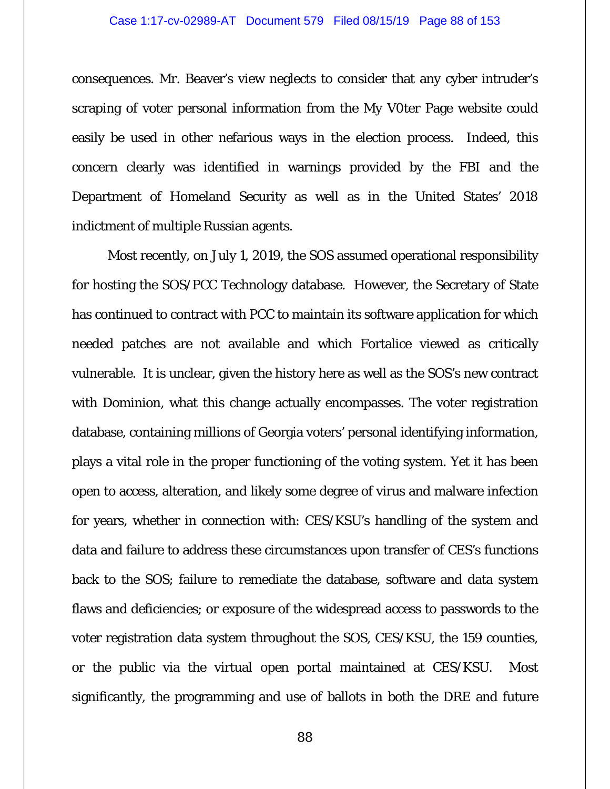#### Case 1:17-cv-02989-AT Document 579 Filed 08/15/19 Page 88 of 153

consequences. Mr. Beaver's view neglects to consider that any cyber intruder's scraping of voter personal information from the My V0ter Page website could easily be used in other nefarious ways in the election process. Indeed, this concern clearly was identified in warnings provided by the FBI and the Department of Homeland Security as well as in the United States' 2018 indictment of multiple Russian agents.

Most recently, on July 1, 2019, the SOS assumed operational responsibility for hosting the SOS/PCC Technology database. However, the Secretary of State has continued to contract with PCC to maintain its software application for which needed patches are not available and which Fortalice viewed as critically vulnerable. It is unclear, given the history here as well as the SOS's new contract with Dominion, what this change actually encompasses. The voter registration database, containing millions of Georgia voters' personal identifying information, plays a vital role in the proper functioning of the voting system. Yet it has been open to access, alteration, and likely some degree of virus and malware infection for years, whether in connection with: CES/KSU's handling of the system and data and failure to address these circumstances upon transfer of CES's functions back to the SOS; failure to remediate the database, software and data system flaws and deficiencies; or exposure of the widespread access to passwords to the voter registration data system throughout the SOS, CES/KSU, the 159 counties, or the public via the virtual open portal maintained at CES/KSU. Most significantly, the programming and use of ballots in both the DRE and future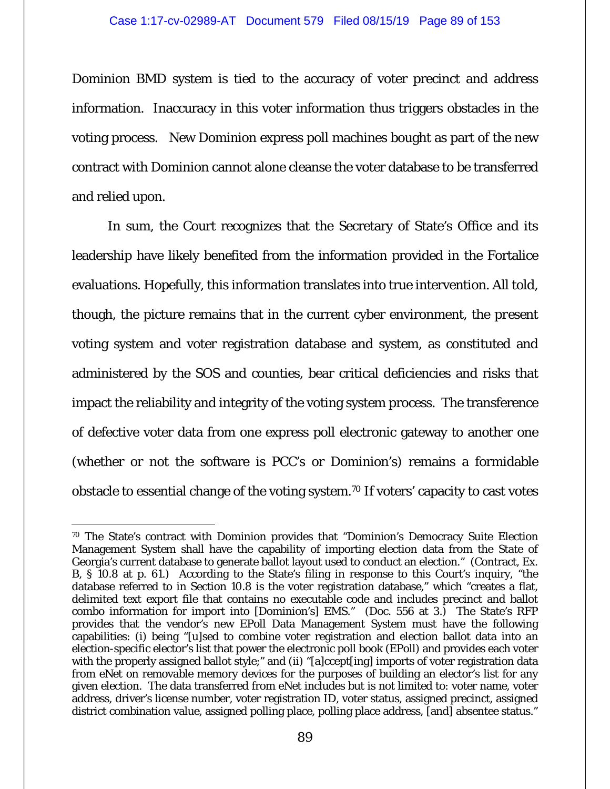Dominion BMD system is tied to the accuracy of voter precinct and address information. Inaccuracy in this voter information thus triggers obstacles in the voting process. New Dominion express poll machines bought as part of the new contract with Dominion cannot alone cleanse the voter database to be transferred and relied upon.

In sum, the Court recognizes that the Secretary of State's Office and its leadership have likely benefited from the information provided in the Fortalice evaluations. Hopefully, this information translates into true intervention. All told, though, the picture remains that in the current cyber environment, the *present* voting system and voter registration database and system, as constituted and administered by the SOS and counties, bear critical deficiencies and risks that impact the reliability and integrity of the voting system process. The transference of defective voter data from one express poll electronic gateway to another one (whether or not the software is PCC's or Dominion's) remains a formidable obstacle to essential change of the voting system.70 If voters' capacity to cast votes

 $\overline{a}$ 70 The State's contract with Dominion provides that "Dominion's Democracy Suite Election Management System shall have the capability of importing election data from the State of Georgia's current database to generate ballot layout used to conduct an election." (Contract, Ex. B, § 10.8 at p. 61.) According to the State's filing in response to this Court's inquiry, "the database referred to in Section 10.8 is the voter registration database," which "creates a flat, delimited text export file that contains no executable code and includes precinct and ballot combo information for import into [Dominion's] EMS." (Doc. 556 at 3.) The State's RFP provides that the vendor's new EPoll Data Management System must have the following capabilities: (i) being "[u]sed to combine voter registration and election ballot data into an election-specific elector's list that power the electronic poll book (EPoll) and provides each voter with the properly assigned ballot style;" and (ii) "[a]ccept[ing] imports of voter registration data from eNet on removable memory devices for the purposes of building an elector's list for any given election. The data transferred from eNet includes but is not limited to: voter name, voter address, driver's license number, voter registration ID, voter status, assigned precinct, assigned district combination value, assigned polling place, polling place address, [and] absentee status."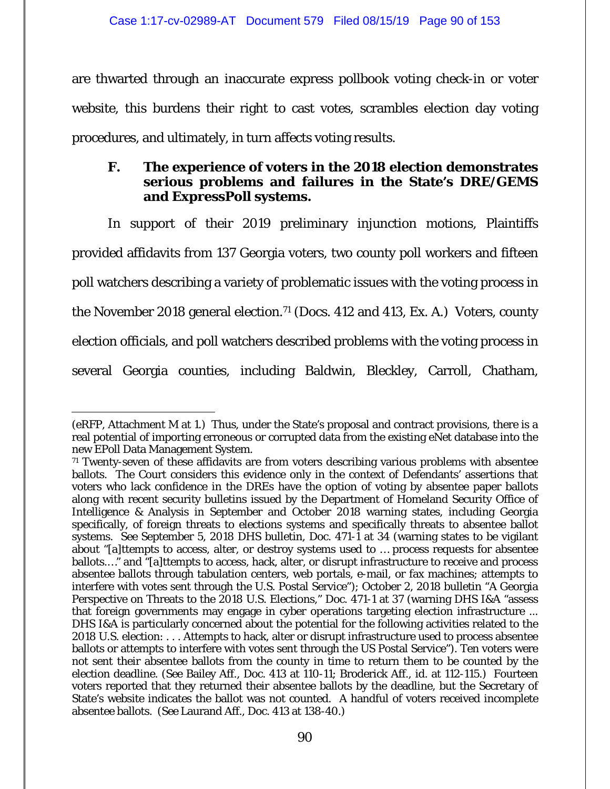are thwarted through an inaccurate express pollbook voting check-in or voter website, this burdens their right to cast votes, scrambles election day voting procedures, and ultimately, in turn affects voting results.

# **F. The experience of voters in the 2018 election demonstrates serious problems and failures in the State's DRE/GEMS and ExpressPoll systems.**

In support of their 2019 preliminary injunction motions, Plaintiffs provided affidavits from 137 Georgia voters, two county poll workers and fifteen poll watchers describing a variety of problematic issues with the voting process in the November 2018 general election.<sup>71</sup> (Docs. 412 and 413, Ex. A.) Voters, county election officials, and poll watchers described problems with the voting process in several Georgia counties, including Baldwin, Bleckley, Carroll, Chatham,

-

<sup>(</sup>eRFP, Attachment M at 1.) Thus, under the State's proposal and contract provisions, there is a real potential of importing erroneous or corrupted data from the existing eNet database into the new EPoll Data Management System.

 $71$  Twenty-seven of these affidavits are from voters describing various problems with absentee ballots. The Court considers this evidence only in the context of Defendants' assertions that voters who lack confidence in the DREs have the option of voting by absentee paper ballots along with recent security bulletins issued by the Department of Homeland Security Office of Intelligence & Analysis in September and October 2018 warning states, including Georgia specifically, of foreign threats to elections systems and specifically threats to absentee ballot systems. *See* September 5, 2018 DHS bulletin, Doc. 471-1 at 34 (warning states to be vigilant about "[a]ttempts to access, alter, or destroy systems used to … process requests for absentee ballots.…" and "[a]ttempts to access, hack, alter, or disrupt infrastructure to receive and process absentee ballots through tabulation centers, web portals, e-mail, or fax machines; attempts to interfere with votes sent through the U.S. Postal Service"); October 2, 2018 bulletin "A Georgia Perspective on Threats to the 2018 U.S. Elections," Doc. 471-1 at 37 (warning DHS I&A "assess that foreign governments may engage in cyber operations targeting election infrastructure ... DHS I&A is particularly concerned about the potential for the following activities related to the 2018 U.S. election: . . . Attempts to hack, alter or disrupt infrastructure used to process absentee ballots or attempts to interfere with votes sent through the US Postal Service"). Ten voters were not sent their absentee ballots from the county in time to return them to be counted by the election deadline. (*See* Bailey Aff., Doc. 413 at 110-11; Broderick Aff., *id.* at 112-115.) Fourteen voters reported that they returned their absentee ballots by the deadline, but the Secretary of State's website indicates the ballot was not counted. A handful of voters received incomplete absentee ballots. (*See* Laurand Aff., Doc. 413 at 138-40.)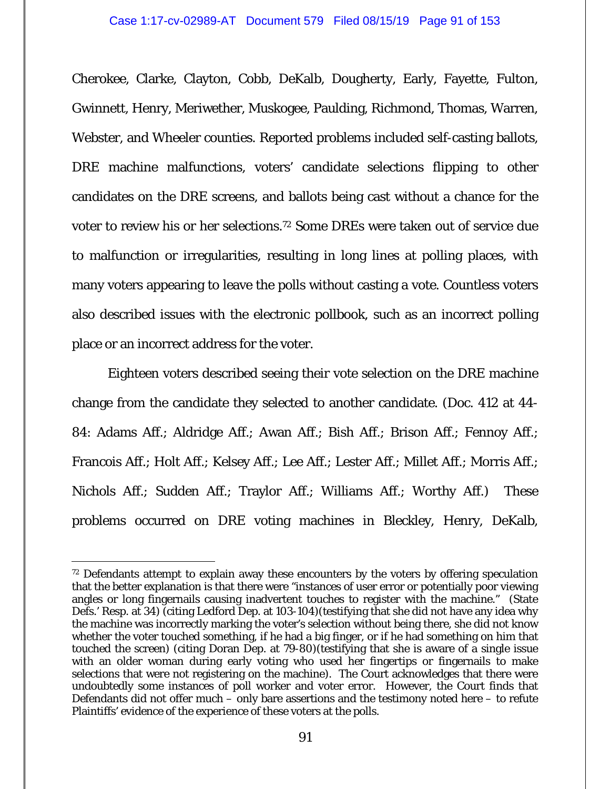Cherokee, Clarke, Clayton, Cobb, DeKalb, Dougherty, Early, Fayette, Fulton, Gwinnett, Henry, Meriwether, Muskogee, Paulding, Richmond, Thomas, Warren, Webster, and Wheeler counties. Reported problems included self-casting ballots, DRE machine malfunctions, voters' candidate selections flipping to other candidates on the DRE screens, and ballots being cast without a chance for the voter to review his or her selections.72 Some DREs were taken out of service due to malfunction or irregularities, resulting in long lines at polling places, with many voters appearing to leave the polls without casting a vote. Countless voters also described issues with the electronic pollbook, such as an incorrect polling place or an incorrect address for the voter.

Eighteen voters described seeing their vote selection on the DRE machine change from the candidate they selected to another candidate. (Doc. 412 at 44- 84: Adams Aff.; Aldridge Aff.; Awan Aff.; Bish Aff.; Brison Aff.; Fennoy Aff.; Francois Aff.; Holt Aff.; Kelsey Aff.; Lee Aff.; Lester Aff.; Millet Aff.; Morris Aff.; Nichols Aff.; Sudden Aff.; Traylor Aff.; Williams Aff.; Worthy Aff.) These problems occurred on DRE voting machines in Bleckley, Henry, DeKalb,

 $\overline{a}$ 

<sup>72</sup> Defendants attempt to explain away these encounters by the voters by offering speculation that the better explanation is that there were "instances of user error or potentially poor viewing angles or long fingernails causing inadvertent touches to register with the machine." (State Defs.' Resp. at 34) (citing Ledford Dep. at 103-104)(testifying that she did not have any idea why the machine was incorrectly marking the voter's selection without being there, she did not know whether the voter touched something, if he had a big finger, or if he had something on him that touched the screen) (citing Doran Dep. at 79-80)(testifying that she is aware of a single issue with an older woman during early voting who used her fingertips or fingernails to make selections that were not registering on the machine). The Court acknowledges that there were undoubtedly some instances of poll worker and voter error. However, the Court finds that Defendants did not offer much – only bare assertions and the testimony noted here – to refute Plaintiffs' evidence of the experience of these voters at the polls.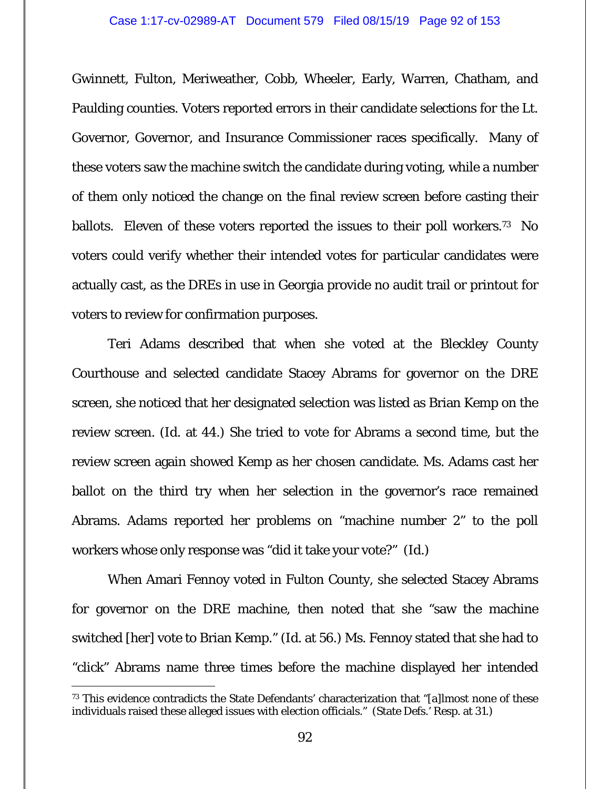## Case 1:17-cv-02989-AT Document 579 Filed 08/15/19 Page 92 of 153

Gwinnett, Fulton, Meriweather, Cobb, Wheeler, Early, Warren, Chatham, and Paulding counties. Voters reported errors in their candidate selections for the Lt. Governor, Governor, and Insurance Commissioner races specifically. Many of these voters saw the machine switch the candidate during voting, while a number of them only noticed the change on the final review screen before casting their ballots. Eleven of these voters reported the issues to their poll workers.<sup>73</sup> No voters could verify whether their intended votes for particular candidates were actually cast, as the DREs in use in Georgia provide no audit trail or printout for voters to review for confirmation purposes.

Teri Adams described that when she voted at the Bleckley County Courthouse and selected candidate Stacey Abrams for governor on the DRE screen, she noticed that her designated selection was listed as Brian Kemp on the review screen. (*Id*. at 44.) She tried to vote for Abrams a second time, but the review screen again showed Kemp as her chosen candidate. Ms. Adams cast her ballot on the third try when her selection in the governor's race remained Abrams. Adams reported her problems on "machine number 2" to the poll workers whose only response was "did it take your vote?" (*Id.*)

When Amari Fennoy voted in Fulton County, she selected Stacey Abrams for governor on the DRE machine, then noted that she "saw the machine switched [her] vote to Brian Kemp." (*Id*. at 56.) Ms. Fennoy stated that she had to "click" Abrams name three times before the machine displayed her intended

 $\overline{a}$ 

<sup>&</sup>lt;sup>73</sup> This evidence contradicts the State Defendants' characterization that "[a]lmost none of these individuals raised these alleged issues with election officials." (State Defs.' Resp. at 31.)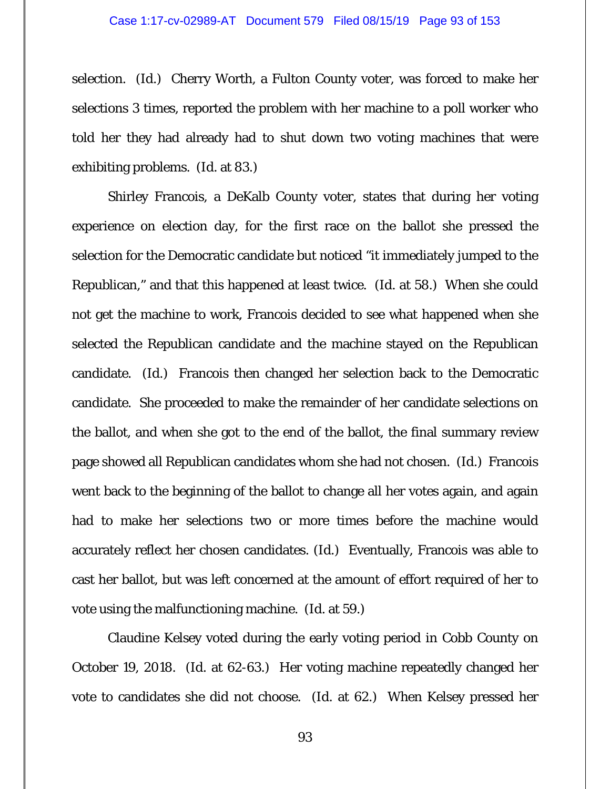selection. (*Id.*) Cherry Worth, a Fulton County voter, was forced to make her selections 3 times, reported the problem with her machine to a poll worker who told her they had already had to shut down two voting machines that were exhibiting problems. (*Id.* at 83.)

Shirley Francois, a DeKalb County voter, states that during her voting experience on election day, for the first race on the ballot she pressed the selection for the Democratic candidate but noticed "it immediately jumped to the Republican," and that this happened at least twice. (*Id.* at 58.) When she could not get the machine to work, Francois decided to see what happened when she selected the Republican candidate and the machine stayed on the Republican candidate. (*Id.*) Francois then changed her selection back to the Democratic candidate. She proceeded to make the remainder of her candidate selections on the ballot, and when she got to the end of the ballot, the final summary review page showed all Republican candidates whom she had not chosen. (*Id.*) Francois went back to the beginning of the ballot to change all her votes again, and again had to make her selections two or more times before the machine would accurately reflect her chosen candidates. (*Id.*) Eventually, Francois was able to cast her ballot, but was left concerned at the amount of effort required of her to vote using the malfunctioning machine. (*Id.* at 59.)

Claudine Kelsey voted during the early voting period in Cobb County on October 19, 2018. (*Id.* at 62-63.) Her voting machine repeatedly changed her vote to candidates she did not choose. (*Id.* at 62.) When Kelsey pressed her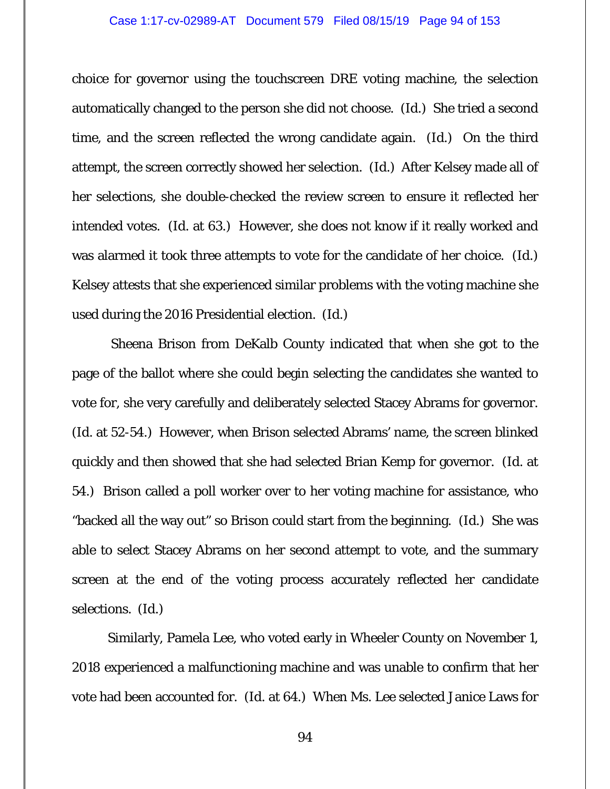choice for governor using the touchscreen DRE voting machine, the selection automatically changed to the person she did not choose. (*Id.*) She tried a second time, and the screen reflected the wrong candidate again. (*Id.*) On the third attempt, the screen correctly showed her selection. (*Id.)* After Kelsey made all of her selections, she double-checked the review screen to ensure it reflected her intended votes. (*Id.* at 63.)However, she does not know if it really worked and was alarmed it took three attempts to vote for the candidate of her choice. (*Id.*) Kelsey attests that she experienced similar problems with the voting machine she used during the 2016 Presidential election. (*Id.*)

 Sheena Brison from DeKalb County indicated that when she got to the page of the ballot where she could begin selecting the candidates she wanted to vote for, she very carefully and deliberately selected Stacey Abrams for governor. (*Id.* at 52-54.) However, when Brison selected Abrams' name, the screen blinked quickly and then showed that she had selected Brian Kemp for governor. (*Id.* at 54.) Brison called a poll worker over to her voting machine for assistance, who "backed all the way out" so Brison could start from the beginning. (*Id.*) She was able to select Stacey Abrams on her second attempt to vote, and the summary screen at the end of the voting process accurately reflected her candidate selections. (*Id.*)

Similarly, Pamela Lee, who voted early in Wheeler County on November 1, 2018 experienced a malfunctioning machine and was unable to confirm that her vote had been accounted for. (*Id.* at 64.) When Ms. Lee selected Janice Laws for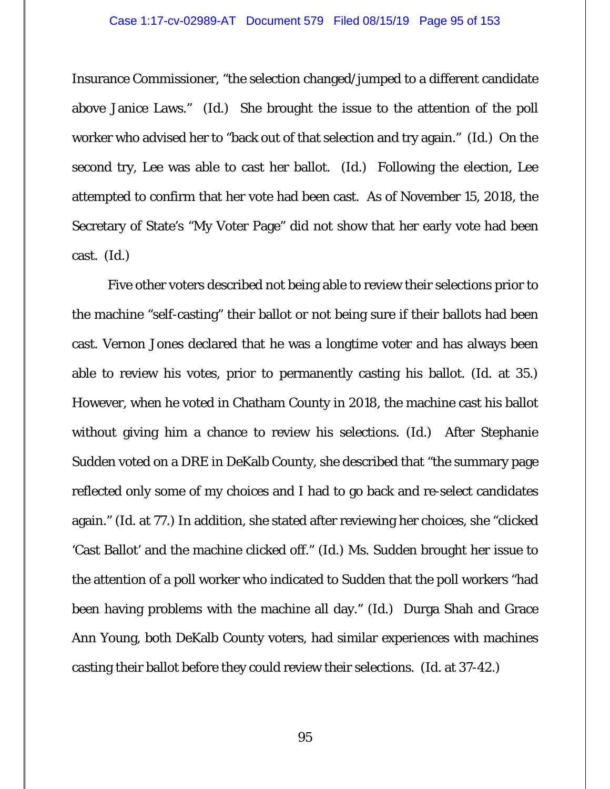Insurance Commissioner, "the selection changed/jumped to a different candidate above Janice Laws." (*Id.*) She brought the issue to the attention of the poll worker who advised her to "back out of that selection and try again." (*Id.*) On the second try, Lee was able to cast her ballot. (*Id.*) Following the election, Lee attempted to confirm that her vote had been cast. As of November 15, 2018, the Secretary of State's "My Voter Page" did not show that her early vote had been cast. (*Id.*)

Five other voters described not being able to review their selections prior to the machine "self-casting" their ballot or not being sure if their ballots had been cast. Vernon Jones declared that he was a longtime voter and has always been able to review his votes, prior to permanently casting his ballot. (*Id*. at 35.) However, when he voted in Chatham County in 2018, the machine cast his ballot without giving him a chance to review his selections. (*Id.*) After Stephanie Sudden voted on a DRE in DeKalb County, she described that "the summary page reflected only some of my choices and I had to go back and re-select candidates again." (*Id*. at 77.) In addition, she stated after reviewing her choices, she "clicked 'Cast Ballot' and the machine clicked off." (*Id*.) Ms. Sudden brought her issue to the attention of a poll worker who indicated to Sudden that the poll workers "had been having problems with the machine all day." (*Id.*) Durga Shah and Grace Ann Young, both DeKalb County voters, had similar experiences with machines casting their ballot before they could review their selections. (*Id.* at 37-42.)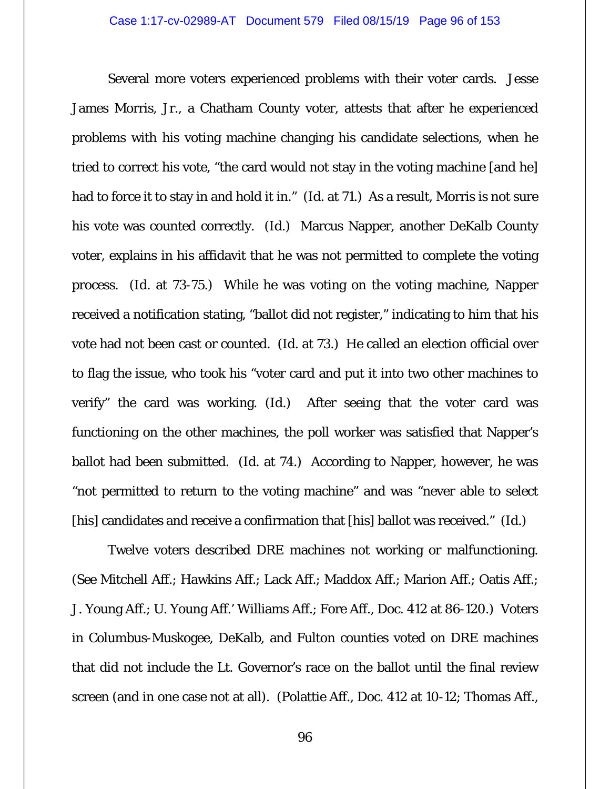Several more voters experienced problems with their voter cards. Jesse James Morris, Jr., a Chatham County voter, attests that after he experienced problems with his voting machine changing his candidate selections, when he tried to correct his vote, "the card would not stay in the voting machine [and he] had to force it to stay in and hold it in." (*Id.* at 71.) As a result, Morris is not sure his vote was counted correctly. (*Id.*) Marcus Napper, another DeKalb County voter, explains in his affidavit that he was not permitted to complete the voting process. (*Id.* at 73-75.) While he was voting on the voting machine, Napper received a notification stating, "ballot did not register," indicating to him that his vote had not been cast or counted. (*Id.* at 73.) He called an election official over to flag the issue, who took his "voter card and put it into two other machines to verify" the card was working. (*Id.*) After seeing that the voter card was functioning on the other machines, the poll worker was satisfied that Napper's ballot had been submitted. (*Id.* at 74.) According to Napper, however, he was "not permitted to return to the voting machine" and was "never able to select [his] candidates and receive a confirmation that [his] ballot was received." (*Id.*)

Twelve voters described DRE machines not working or malfunctioning. (*See* Mitchell Aff.; Hawkins Aff.; Lack Aff.; Maddox Aff.; Marion Aff.; Oatis Aff.; J. Young Aff.; U. Young Aff.' Williams Aff.; Fore Aff., Doc. 412 at 86-120.) Voters in Columbus-Muskogee, DeKalb, and Fulton counties voted on DRE machines that did not include the Lt. Governor's race on the ballot until the final review screen (and in one case not at all). (Polattie Aff., Doc. 412 at 10-12; Thomas Aff.,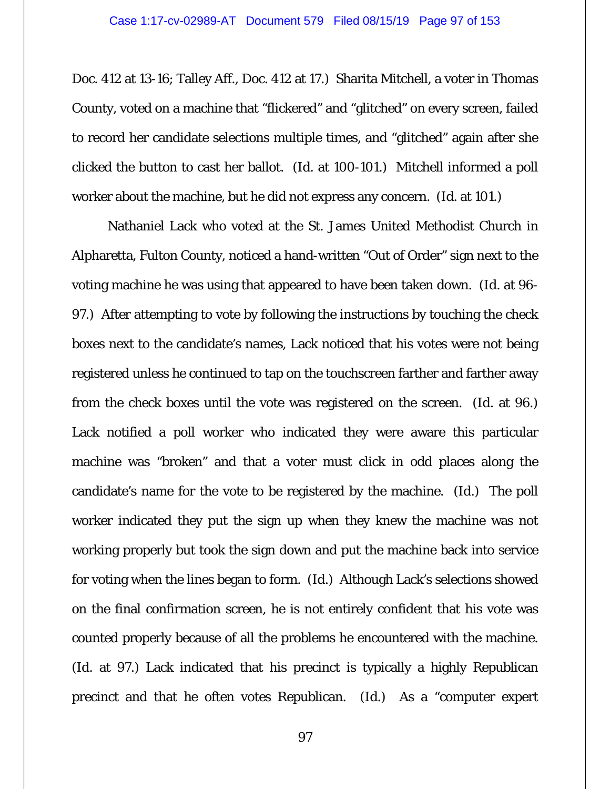Doc. 412 at 13-16; Talley Aff., Doc. 412 at 17.) Sharita Mitchell, a voter in Thomas County, voted on a machine that "flickered" and "glitched" on every screen, failed to record her candidate selections multiple times, and "glitched" again after she clicked the button to cast her ballot. (*Id.* at 100-101.) Mitchell informed a poll worker about the machine, but he did not express any concern. (*Id.* at 101.)

Nathaniel Lack who voted at the St. James United Methodist Church in Alpharetta, Fulton County, noticed a hand-written "Out of Order" sign next to the voting machine he was using that appeared to have been taken down. (*Id.* at 96- 97.) After attempting to vote by following the instructions by touching the check boxes next to the candidate's names, Lack noticed that his votes were not being registered unless he continued to tap on the touchscreen farther and farther away from the check boxes until the vote was registered on the screen. (*Id.* at 96.) Lack notified a poll worker who indicated they were aware this particular machine was "broken" and that a voter must click in odd places along the candidate's name for the vote to be registered by the machine. (*Id.*) The poll worker indicated they put the sign up when they knew the machine was not working properly but took the sign down and put the machine back into service for voting when the lines began to form. (*Id.*) Although Lack's selections showed on the final confirmation screen, he is not entirely confident that his vote was counted properly because of all the problems he encountered with the machine. (*Id.* at 97.) Lack indicated that his precinct is typically a highly Republican precinct and that he often votes Republican. (*Id.*) As a "computer expert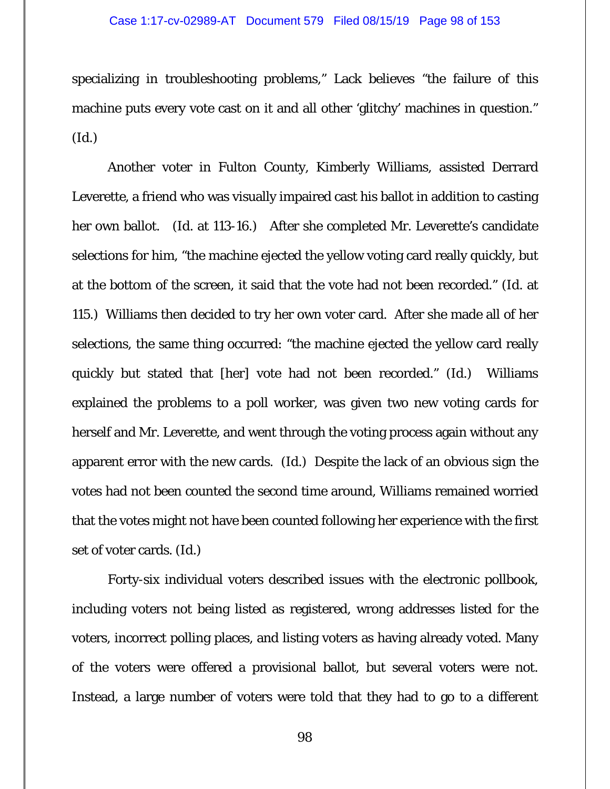## Case 1:17-cv-02989-AT Document 579 Filed 08/15/19 Page 98 of 153

specializing in troubleshooting problems," Lack believes "the failure of this machine puts every vote cast on it and all other 'glitchy' machines in question." (*Id.*)

Another voter in Fulton County, Kimberly Williams, assisted Derrard Leverette, a friend who was visually impaired cast his ballot in addition to casting her own ballot. (*Id.* at 113-16.) After she completed Mr. Leverette's candidate selections for him, "the machine ejected the yellow voting card really quickly, but at the bottom of the screen, it said that the vote had not been recorded." (*Id.* at 115.) Williams then decided to try her own voter card. After she made all of her selections, the same thing occurred: "the machine ejected the yellow card really quickly but stated that [her] vote had not been recorded." (*Id.*) Williams explained the problems to a poll worker, was given two new voting cards for herself and Mr. Leverette, and went through the voting process again without any apparent error with the new cards. (*Id.*) Despite the lack of an obvious sign the votes had not been counted the second time around, Williams remained worried that the votes might not have been counted following her experience with the first set of voter cards. (*Id.*)

Forty-six individual voters described issues with the electronic pollbook, including voters not being listed as registered, wrong addresses listed for the voters, incorrect polling places, and listing voters as having already voted. Many of the voters were offered a provisional ballot, but several voters were not. Instead, a large number of voters were told that they had to go to a different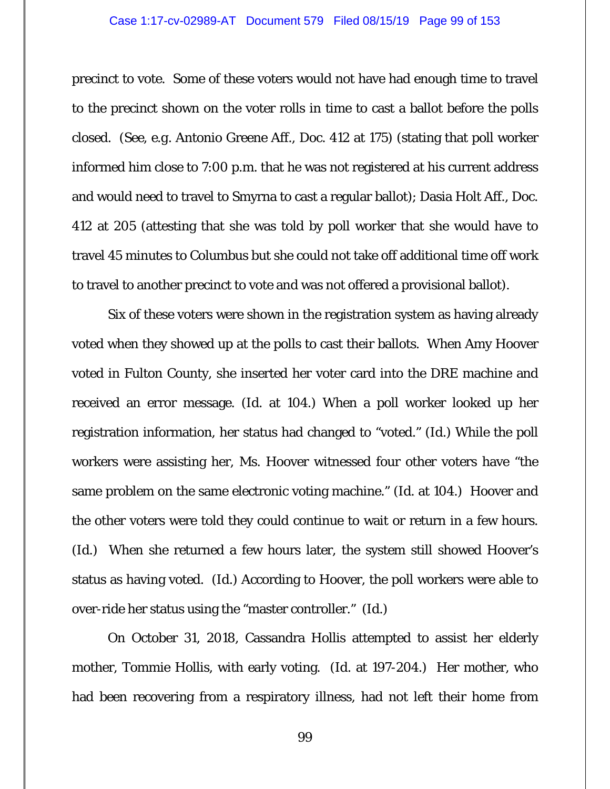## Case 1:17-cv-02989-AT Document 579 Filed 08/15/19 Page 99 of 153

precinct to vote. Some of these voters would not have had enough time to travel to the precinct shown on the voter rolls in time to cast a ballot before the polls closed. (*See, e.g.* Antonio Greene Aff., Doc. 412 at 175) (stating that poll worker informed him close to 7:00 p.m. that he was not registered at his current address and would need to travel to Smyrna to cast a regular ballot); Dasia Holt Aff., Doc. 412 at 205 (attesting that she was told by poll worker that she would have to travel 45 minutes to Columbus but she could not take off additional time off work to travel to another precinct to vote and was not offered a provisional ballot).

Six of these voters were shown in the registration system as having already voted when they showed up at the polls to cast their ballots. When Amy Hoover voted in Fulton County, she inserted her voter card into the DRE machine and received an error message. (*Id*. at 104.) When a poll worker looked up her registration information, her status had changed to "voted." (*Id*.) While the poll workers were assisting her, Ms. Hoover witnessed four other voters have "the same problem on the same electronic voting machine." (*Id*. at 104.) Hoover and the other voters were told they could continue to wait or return in a few hours. (*Id.*) When she returned a few hours later, the system still showed Hoover's status as having voted. (*Id.*) According to Hoover, the poll workers were able to over-ride her status using the "master controller." (*Id.*)

On October 31, 2018, Cassandra Hollis attempted to assist her elderly mother, Tommie Hollis, with early voting. (*Id.* at 197-204.) Her mother, who had been recovering from a respiratory illness, had not left their home from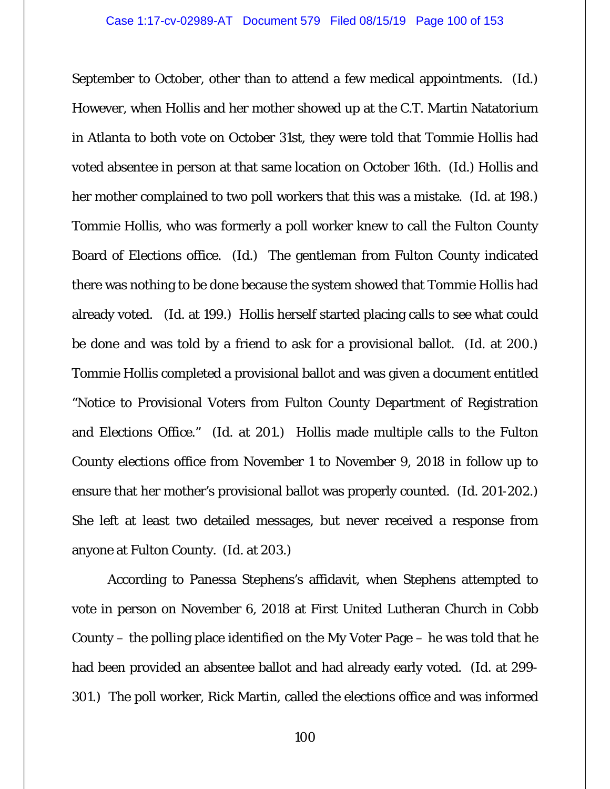September to October, other than to attend a few medical appointments. (*Id.*) However, when Hollis and her mother showed up at the C.T. Martin Natatorium in Atlanta to both vote on October 31st, they were told that Tommie Hollis had voted absentee in person at that same location on October 16th. (*Id.*) Hollis and her mother complained to two poll workers that this was a mistake. (*Id.* at 198.) Tommie Hollis, who was formerly a poll worker knew to call the Fulton County Board of Elections office. (*Id.*) The gentleman from Fulton County indicated there was nothing to be done because the system showed that Tommie Hollis had already voted. (*Id.* at 199.) Hollis herself started placing calls to see what could be done and was told by a friend to ask for a provisional ballot. (*Id.* at 200.) Tommie Hollis completed a provisional ballot and was given a document entitled "Notice to Provisional Voters from Fulton County Department of Registration and Elections Office." (*Id.* at 201.) Hollis made multiple calls to the Fulton County elections office from November 1 to November 9, 2018 in follow up to ensure that her mother's provisional ballot was properly counted. (*Id.* 201-202.) She left at least two detailed messages, but never received a response from anyone at Fulton County. (*Id.* at 203.)

According to Panessa Stephens's affidavit, when Stephens attempted to vote in person on November 6, 2018 at First United Lutheran Church in Cobb County – the polling place identified on the My Voter Page – he was told that he had been provided an absentee ballot and had already early voted. (*Id.* at 299- 301.) The poll worker, Rick Martin, called the elections office and was informed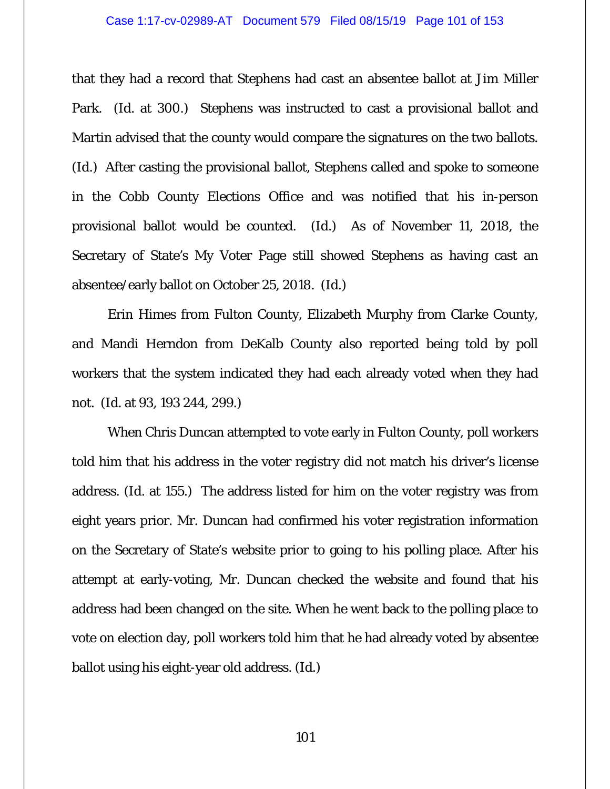that they had a record that Stephens had cast an absentee ballot at Jim Miller Park. (*Id.* at 300.) Stephens was instructed to cast a provisional ballot and Martin advised that the county would compare the signatures on the two ballots. (*Id.*)After casting the provisional ballot, Stephens called and spoke to someone in the Cobb County Elections Office and was notified that his in-person provisional ballot would be counted. (*Id.*) As of November 11, 2018, the Secretary of State's My Voter Page still showed Stephens as having cast an absentee/early ballot on October 25, 2018. (*Id.*)

Erin Himes from Fulton County, Elizabeth Murphy from Clarke County, and Mandi Herndon from DeKalb County also reported being told by poll workers that the system indicated they had each already voted when they had not. (*Id.* at 93, 193 244, 299.)

When Chris Duncan attempted to vote early in Fulton County, poll workers told him that his address in the voter registry did not match his driver's license address. (*Id*. at 155.) The address listed for him on the voter registry was from eight years prior. Mr. Duncan had confirmed his voter registration information on the Secretary of State's website prior to going to his polling place. After his attempt at early-voting, Mr. Duncan checked the website and found that his address had been changed on the site. When he went back to the polling place to vote on election day, poll workers told him that he had already voted by absentee ballot using his eight-year old address. (*Id*.)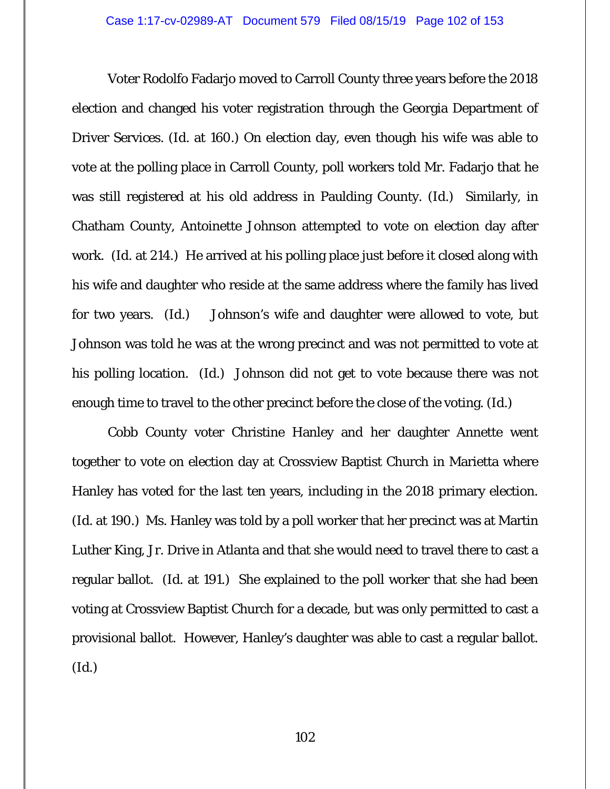Voter Rodolfo Fadarjo moved to Carroll County three years before the 2018 election and changed his voter registration through the Georgia Department of Driver Services. (*Id*. at 160.) On election day, even though his wife was able to vote at the polling place in Carroll County, poll workers told Mr. Fadarjo that he was still registered at his old address in Paulding County. (*Id*.) Similarly, in Chatham County, Antoinette Johnson attempted to vote on election day after work. (*Id.* at 214.) He arrived at his polling place just before it closed along with his wife and daughter who reside at the same address where the family has lived for two years. (*Id*.) Johnson's wife and daughter were allowed to vote, but Johnson was told he was at the wrong precinct and was not permitted to vote at his polling location. (*Id*.) Johnson did not get to vote because there was not enough time to travel to the other precinct before the close of the voting. (*Id*.)

Cobb County voter Christine Hanley and her daughter Annette went together to vote on election day at Crossview Baptist Church in Marietta where Hanley has voted for the last ten years, including in the 2018 primary election. (*Id.* at 190.) Ms. Hanley was told by a poll worker that her precinct was at Martin Luther King, Jr. Drive in Atlanta and that she would need to travel there to cast a regular ballot. (*Id.* at 191.) She explained to the poll worker that she had been voting at Crossview Baptist Church for a decade, but was only permitted to cast a provisional ballot. However, Hanley's daughter was able to cast a regular ballot. (*Id.*)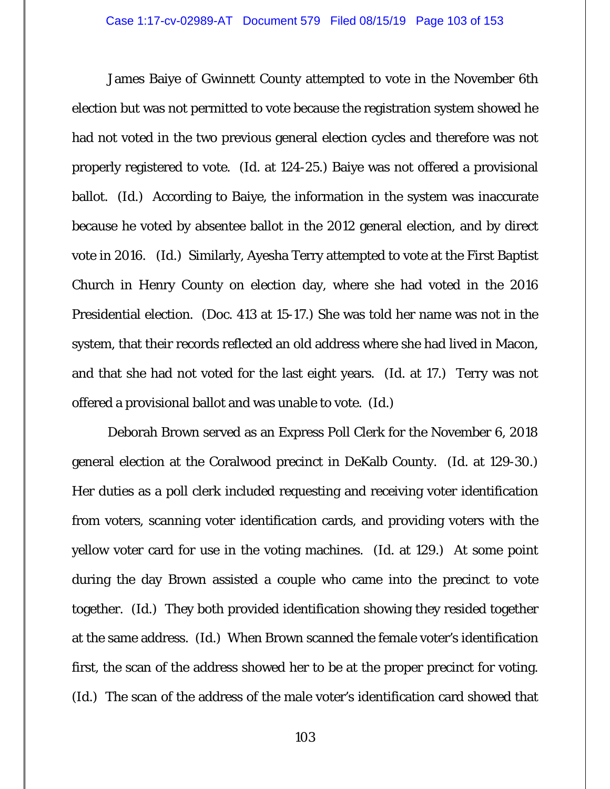James Baiye of Gwinnett County attempted to vote in the November 6th election but was not permitted to vote because the registration system showed he had not voted in the two previous general election cycles and therefore was not properly registered to vote. (*Id.* at 124-25.) Baiye was not offered a provisional ballot. (*Id.*) According to Baiye, the information in the system was inaccurate because he voted by absentee ballot in the 2012 general election, and by direct vote in 2016. (*Id.*) Similarly, Ayesha Terry attempted to vote at the First Baptist Church in Henry County on election day, where she had voted in the 2016 Presidential election. (Doc. 413 at 15-17.) She was told her name was not in the system, that their records reflected an old address where she had lived in Macon, and that she had not voted for the last eight years. (*Id.* at 17.) Terry was not offered a provisional ballot and was unable to vote. (*Id.*)

Deborah Brown served as an Express Poll Clerk for the November 6, 2018 general election at the Coralwood precinct in DeKalb County. (*Id.* at 129-30.) Her duties as a poll clerk included requesting and receiving voter identification from voters, scanning voter identification cards, and providing voters with the yellow voter card for use in the voting machines. (*Id.* at 129.) At some point during the day Brown assisted a couple who came into the precinct to vote together. (*Id.*) They both provided identification showing they resided together at the same address. (*Id.*) When Brown scanned the female voter's identification first, the scan of the address showed her to be at the proper precinct for voting. (*Id.*) The scan of the address of the male voter's identification card showed that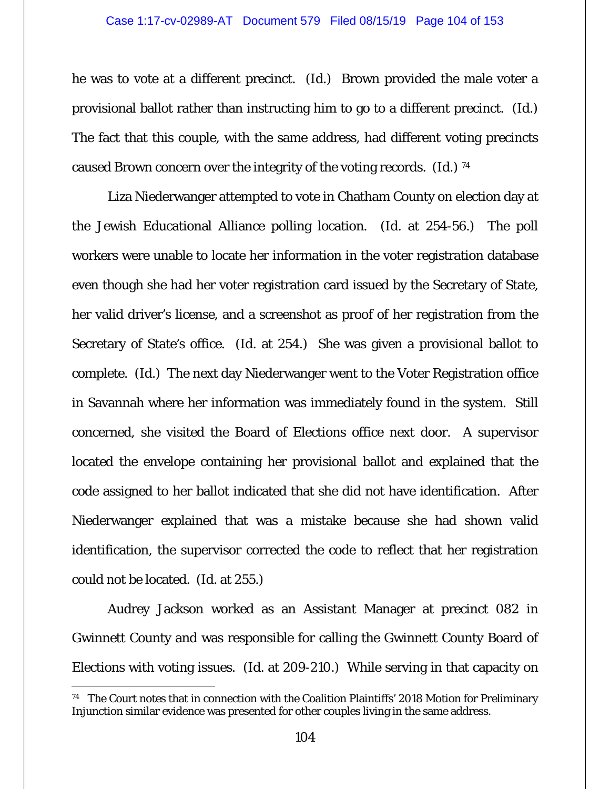he was to vote at a different precinct. (*Id.*) Brown provided the male voter a provisional ballot rather than instructing him to go to a different precinct. (*Id.*) The fact that this couple, with the same address, had different voting precincts caused Brown concern over the integrity of the voting records. (*Id.*) 74

Liza Niederwanger attempted to vote in Chatham County on election day at the Jewish Educational Alliance polling location. (*Id.* at 254-56.) The poll workers were unable to locate her information in the voter registration database even though she had her voter registration card issued by the Secretary of State, her valid driver's license, and a screenshot as proof of her registration from the Secretary of State's office. (*Id.* at 254.) She was given a provisional ballot to complete. (*Id.*) The next day Niederwanger went to the Voter Registration office in Savannah where her information was immediately found in the system. Still concerned, she visited the Board of Elections office next door. A supervisor located the envelope containing her provisional ballot and explained that the code assigned to her ballot indicated that she did not have identification. After Niederwanger explained that was a mistake because she had shown valid identification, the supervisor corrected the code to reflect that her registration could not be located. (*Id.* at 255.)

Audrey Jackson worked as an Assistant Manager at precinct 082 in Gwinnett County and was responsible for calling the Gwinnett County Board of Elections with voting issues. (*Id.* at 209-210.) While serving in that capacity on

<sup>&</sup>lt;sup>74</sup> The Court notes that in connection with the Coalition Plaintiffs' 2018 Motion for Preliminary Injunction similar evidence was presented for other couples living in the same address.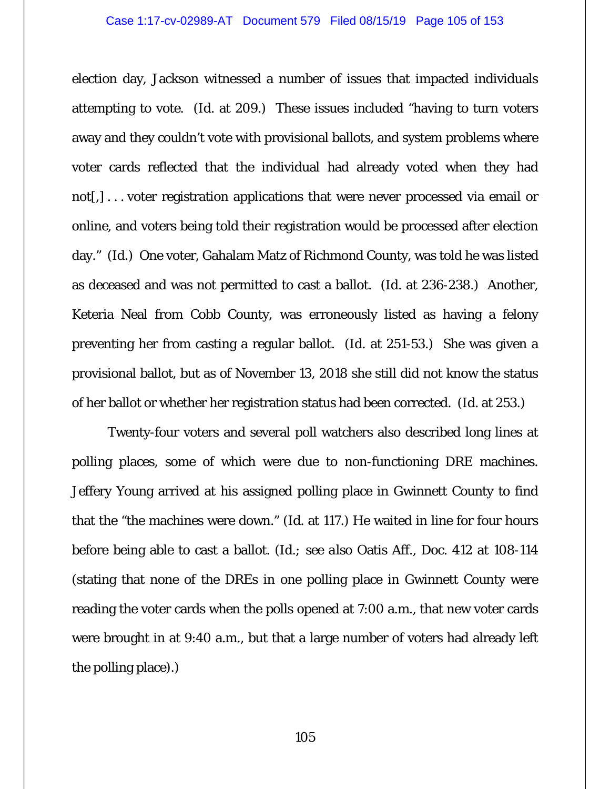election day, Jackson witnessed a number of issues that impacted individuals attempting to vote. (*Id.* at 209.) These issues included "having to turn voters away and they couldn't vote with provisional ballots, and system problems where voter cards reflected that the individual had already voted when they had not[,] . . . voter registration applications that were never processed via email or online, and voters being told their registration would be processed after election day." (*Id.*) One voter, Gahalam Matz of Richmond County, was told he was listed as deceased and was not permitted to cast a ballot. (*Id.* at 236-238.) Another, Keteria Neal from Cobb County, was erroneously listed as having a felony preventing her from casting a regular ballot. (*Id.* at 251-53.) She was given a provisional ballot, but as of November 13, 2018 she still did not know the status of her ballot or whether her registration status had been corrected. (*Id.* at 253.)

Twenty-four voters and several poll watchers also described long lines at polling places, some of which were due to non-functioning DRE machines. Jeffery Young arrived at his assigned polling place in Gwinnett County to find that the "the machines were down." (*Id.* at 117.) He waited in line for four hours before being able to cast a ballot. (*Id.; see also* Oatis Aff., Doc. 412 at 108-114 (stating that none of the DREs in one polling place in Gwinnett County were reading the voter cards when the polls opened at 7:00 a.m., that new voter cards were brought in at 9:40 a.m., but that a large number of voters had already left the polling place).)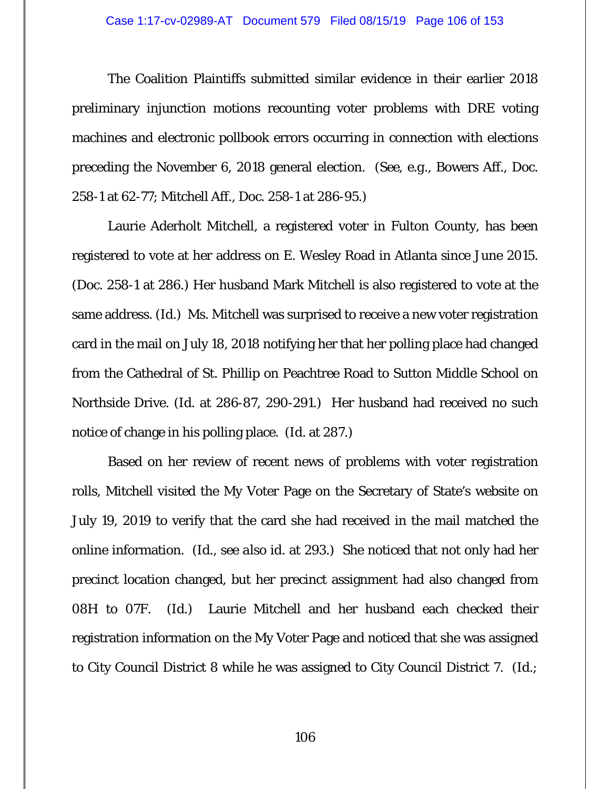#### Case 1:17-cv-02989-AT Document 579 Filed 08/15/19 Page 106 of 153

The Coalition Plaintiffs submitted similar evidence in their earlier 2018 preliminary injunction motions recounting voter problems with DRE voting machines and electronic pollbook errors occurring in connection with elections preceding the November 6, 2018 general election. (*See, e.g.*, Bowers Aff., Doc. 258-1 at 62-77; Mitchell Aff., Doc. 258-1 at 286-95.)

Laurie Aderholt Mitchell, a registered voter in Fulton County, has been registered to vote at her address on E. Wesley Road in Atlanta since June 2015. (Doc. 258-1 at 286.) Her husband Mark Mitchell is also registered to vote at the same address. (*Id.*) Ms. Mitchell was surprised to receive a new voter registration card in the mail on July 18, 2018 notifying her that her polling place had changed from the Cathedral of St. Phillip on Peachtree Road to Sutton Middle School on Northside Drive. (*Id.* at 286-87, 290-291.) Her husband had received no such notice of change in his polling place. (*Id.* at 287.)

Based on her review of recent news of problems with voter registration rolls, Mitchell visited the My Voter Page on the Secretary of State's website on July 19, 2019 to verify that the card she had received in the mail matched the online information. (*Id., see also id.* at 293.) She noticed that not only had her precinct location changed, but her precinct assignment had also changed from 08H to 07F. (*Id.*) Laurie Mitchell and her husband each checked their registration information on the My Voter Page and noticed that she was assigned to City Council District 8 while he was assigned to City Council District 7. (*Id.;*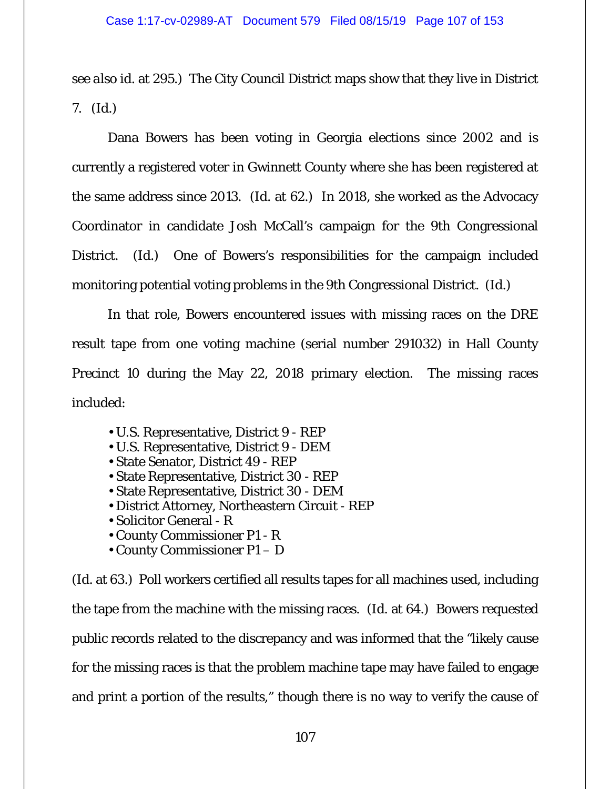*see also id.* at 295.) The City Council District maps show that they live in District 7. (*Id.*)

Dana Bowers has been voting in Georgia elections since 2002 and is currently a registered voter in Gwinnett County where she has been registered at the same address since 2013. (*Id.* at 62.) In 2018, she worked as the Advocacy Coordinator in candidate Josh McCall's campaign for the 9th Congressional District. (*Id.*) One of Bowers's responsibilities for the campaign included monitoring potential voting problems in the 9th Congressional District. (*Id.*)

In that role, Bowers encountered issues with missing races on the DRE result tape from one voting machine (serial number 291032) in Hall County Precinct 10 during the May 22, 2018 primary election. The missing races included:

- U.S. Representative, District 9 REP
- U.S. Representative, District 9 DEM
- State Senator, District 49 REP
- State Representative, District 30 REP
- State Representative, District 30 DEM
- District Attorney, Northeastern Circuit REP
- Solicitor General R
- County Commissioner P1 R
- County Commissioner P1 D

(*Id.* at 63.) Poll workers certified all results tapes for all machines used, including the tape from the machine with the missing races. (*Id.* at 64.) Bowers requested public records related to the discrepancy and was informed that the "likely cause for the missing races is that the problem machine tape may have failed to engage and print a portion of the results," though there is no way to verify the cause of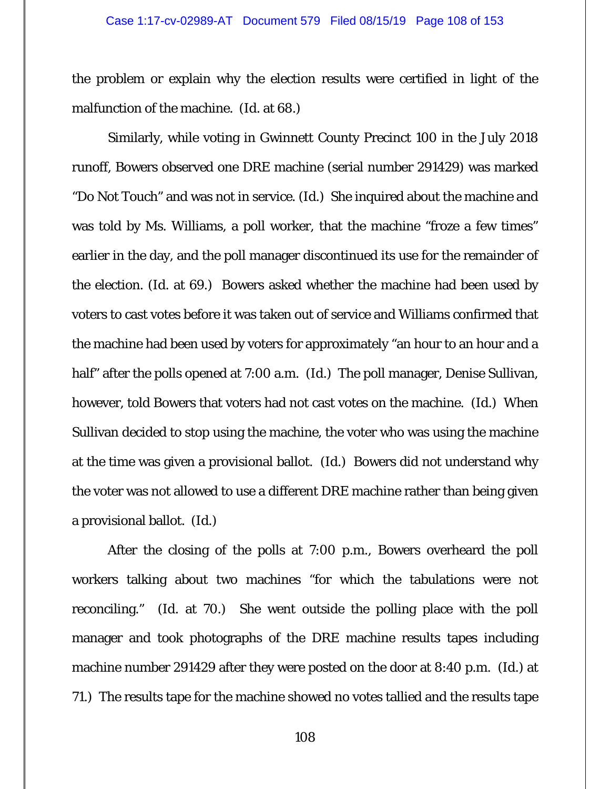the problem or explain why the election results were certified in light of the malfunction of the machine. (*Id.* at 68.)

Similarly, while voting in Gwinnett County Precinct 100 in the July 2018 runoff, Bowers observed one DRE machine (serial number 291429) was marked "Do Not Touch" and was not in service. (*Id.*) She inquired about the machine and was told by Ms. Williams, a poll worker, that the machine "froze a few times" earlier in the day, and the poll manager discontinued its use for the remainder of the election. (*Id.* at 69.) Bowers asked whether the machine had been used by voters to cast votes before it was taken out of service and Williams confirmed that the machine had been used by voters for approximately "an hour to an hour and a half" after the polls opened at 7:00 a.m. (*Id.*) The poll manager, Denise Sullivan, however, told Bowers that voters had not cast votes on the machine. (*Id.*) When Sullivan decided to stop using the machine, the voter who was using the machine at the time was given a provisional ballot. (*Id.*) Bowers did not understand why the voter was not allowed to use a different DRE machine rather than being given a provisional ballot. (*Id.*)

After the closing of the polls at 7:00 p.m., Bowers overheard the poll workers talking about two machines "for which the tabulations were not reconciling." (*Id.* at 70.) She went outside the polling place with the poll manager and took photographs of the DRE machine results tapes including machine number 291429 after they were posted on the door at 8:40 p.m. (*Id.*) at 71.) The results tape for the machine showed no votes tallied and the results tape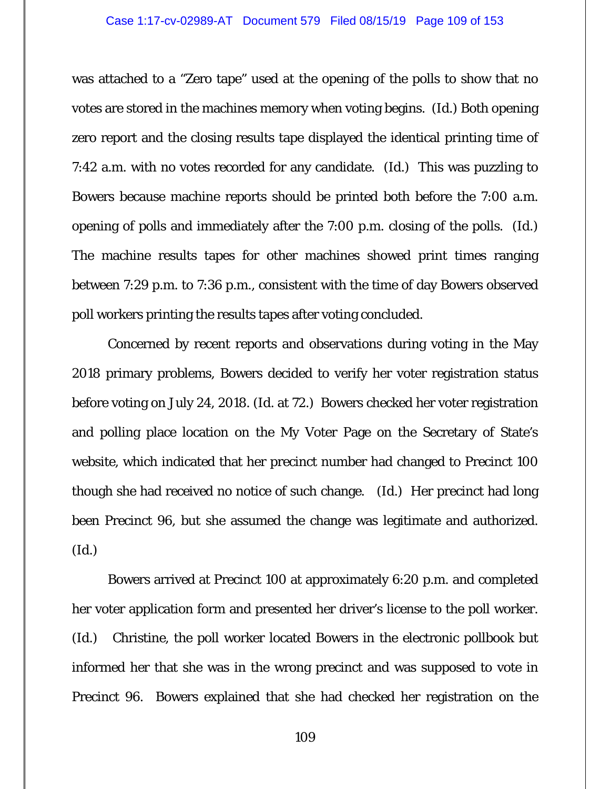was attached to a "Zero tape" used at the opening of the polls to show that no votes are stored in the machines memory when voting begins. (*Id.*) Both opening zero report and the closing results tape displayed the identical printing time of 7:42 a.m. with no votes recorded for any candidate. (*Id.*) This was puzzling to Bowers because machine reports should be printed both before the 7:00 a.m. opening of polls and immediately after the 7:00 p.m. closing of the polls. (*Id.*) The machine results tapes for other machines showed print times ranging between 7:29 p.m. to 7:36 p.m., consistent with the time of day Bowers observed poll workers printing the results tapes after voting concluded.

Concerned by recent reports and observations during voting in the May 2018 primary problems, Bowers decided to verify her voter registration status before voting on July 24, 2018. (*Id.* at 72.) Bowers checked her voter registration and polling place location on the My Voter Page on the Secretary of State's website, which indicated that her precinct number had changed to Precinct 100 though she had received no notice of such change. (*Id.*) Her precinct had long been Precinct 96, but she assumed the change was legitimate and authorized. (*Id.*)

Bowers arrived at Precinct 100 at approximately 6:20 p.m. and completed her voter application form and presented her driver's license to the poll worker. (*Id.*) Christine, the poll worker located Bowers in the electronic pollbook but informed her that she was in the wrong precinct and was supposed to vote in Precinct 96. Bowers explained that she had checked her registration on the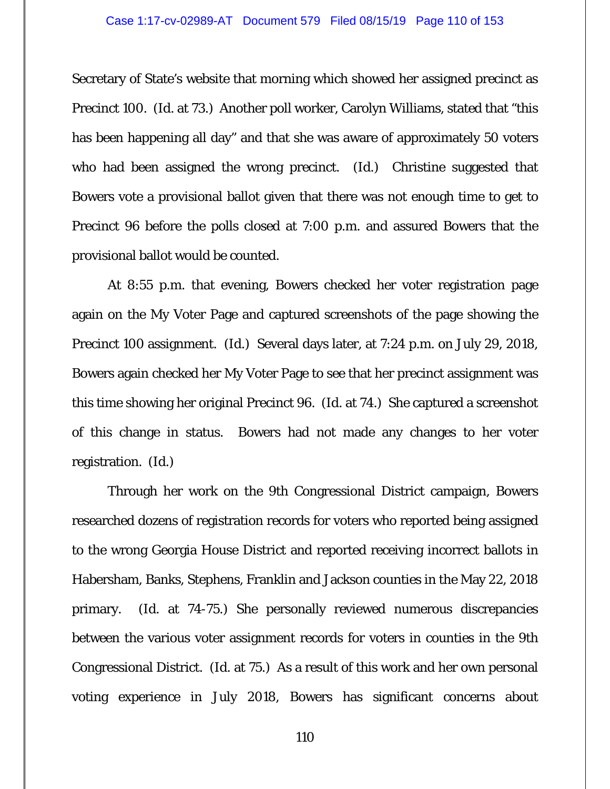Secretary of State's website that morning which showed her assigned precinct as Precinct 100. (*Id.* at 73.) Another poll worker, Carolyn Williams, stated that "this has been happening all day" and that she was aware of approximately 50 voters who had been assigned the wrong precinct. (*Id.*) Christine suggested that Bowers vote a provisional ballot given that there was not enough time to get to Precinct 96 before the polls closed at 7:00 p.m. and assured Bowers that the provisional ballot would be counted.

At 8:55 p.m. that evening, Bowers checked her voter registration page again on the My Voter Page and captured screenshots of the page showing the Precinct 100 assignment. (*Id.*) Several days later, at 7:24 p.m. on July 29, 2018, Bowers again checked her My Voter Page to see that her precinct assignment was this time showing her original Precinct 96. (*Id.* at 74.) She captured a screenshot of this change in status. Bowers had not made any changes to her voter registration. (*Id.*)

Through her work on the 9th Congressional District campaign, Bowers researched dozens of registration records for voters who reported being assigned to the wrong Georgia House District and reported receiving incorrect ballots in Habersham, Banks, Stephens, Franklin and Jackson counties in the May 22, 2018 primary. (*Id.* at 74-75.) She personally reviewed numerous discrepancies between the various voter assignment records for voters in counties in the 9th Congressional District. (*Id.* at 75.) As a result of this work and her own personal voting experience in July 2018, Bowers has significant concerns about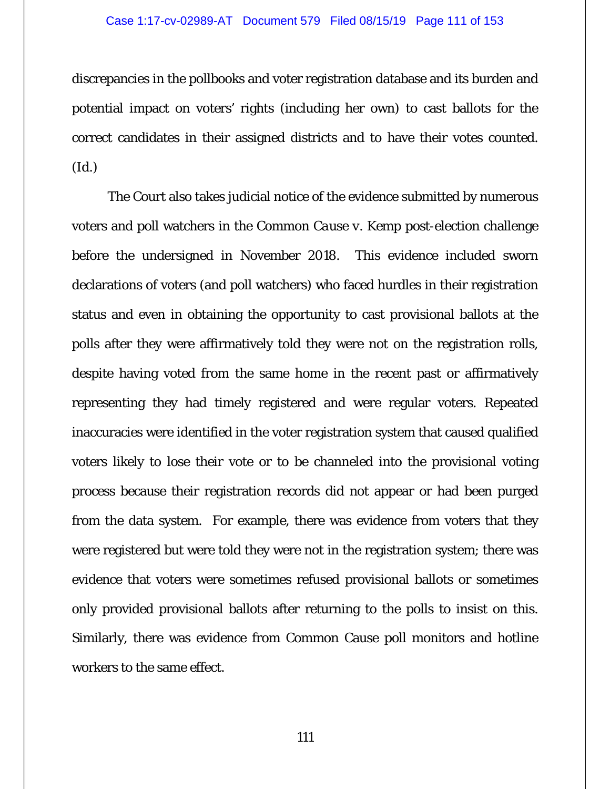### Case 1:17-cv-02989-AT Document 579 Filed 08/15/19 Page 111 of 153

discrepancies in the pollbooks and voter registration database and its burden and potential impact on voters' rights (including her own) to cast ballots for the correct candidates in their assigned districts and to have their votes counted. (*Id.*)

The Court also takes judicial notice of the evidence submitted by numerous voters and poll watchers in the *Common Cause v. Kemp* post-election challenge before the undersigned in November 2018. This evidence included sworn declarations of voters (and poll watchers) who faced hurdles in their registration status and even in obtaining the opportunity to cast provisional ballots at the polls after they were affirmatively told they were not on the registration rolls, despite having voted from the same home in the recent past or affirmatively representing they had timely registered and were regular voters. Repeated inaccuracies were identified in the voter registration system that caused qualified voters likely to lose their vote or to be channeled into the provisional voting process because their registration records did not appear or had been purged from the data system. For example, there was evidence from voters that they were registered but were told they were not in the registration system; there was evidence that voters were sometimes refused provisional ballots or sometimes only provided provisional ballots after returning to the polls to insist on this. Similarly, there was evidence from Common Cause poll monitors and hotline workers to the same effect.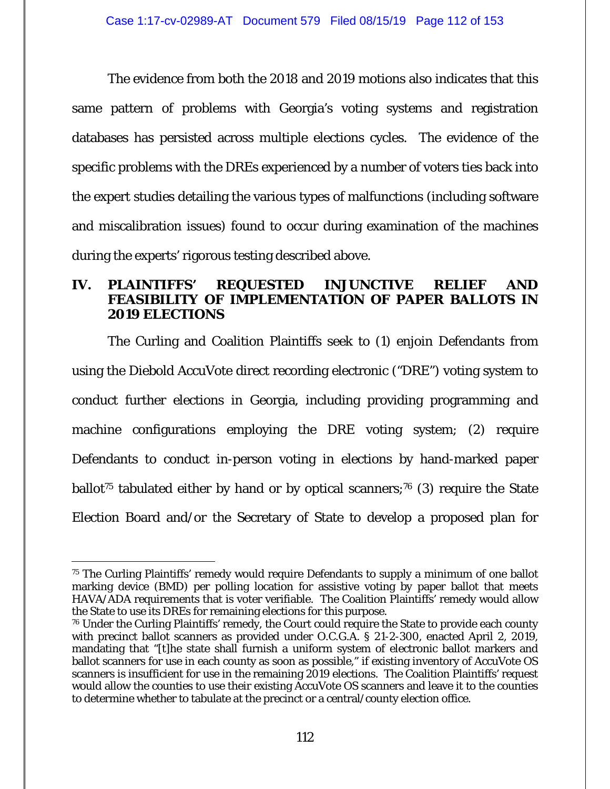The evidence from both the 2018 and 2019 motions also indicates that this same pattern of problems with Georgia's voting systems and registration databases has persisted across multiple elections cycles. The evidence of the specific problems with the DREs experienced by a number of voters ties back into the expert studies detailing the various types of malfunctions (including software and miscalibration issues) found to occur during examination of the machines during the experts' rigorous testing described above.

# **IV. PLAINTIFFS' REQUESTED INJUNCTIVE RELIEF AND FEASIBILITY OF IMPLEMENTATION OF PAPER BALLOTS IN 2019 ELECTIONS**

The Curling and Coalition Plaintiffs seek to (1) enjoin Defendants from using the Diebold AccuVote direct recording electronic ("DRE") voting system to conduct further elections in Georgia, including providing programming and machine configurations employing the DRE voting system; (2) require Defendants to conduct in-person voting in elections by hand-marked paper ballot<sup>75</sup> tabulated either by hand or by optical scanners;<sup>76</sup> (3) require the State Election Board and/or the Secretary of State to develop a proposed plan for

<sup>-</sup>75 The Curling Plaintiffs' remedy would require Defendants to supply a minimum of one ballot marking device (BMD) per polling location for assistive voting by paper ballot that meets HAVA/ADA requirements that is voter verifiable. The Coalition Plaintiffs' remedy would allow the State to use its DREs for remaining elections for this purpose.

<sup>76</sup> Under the Curling Plaintiffs' remedy, the Court could require the State to provide each county with precinct ballot scanners as provided under O.C.G.A. § 21-2-300, enacted April 2, 2019, mandating that "[t]he state shall furnish a uniform system of electronic ballot markers and ballot scanners for use in each county as soon as possible," if existing inventory of AccuVote OS scanners is insufficient for use in the remaining 2019 elections. The Coalition Plaintiffs' request would allow the counties to use their existing AccuVote OS scanners and leave it to the counties to determine whether to tabulate at the precinct or a central/county election office.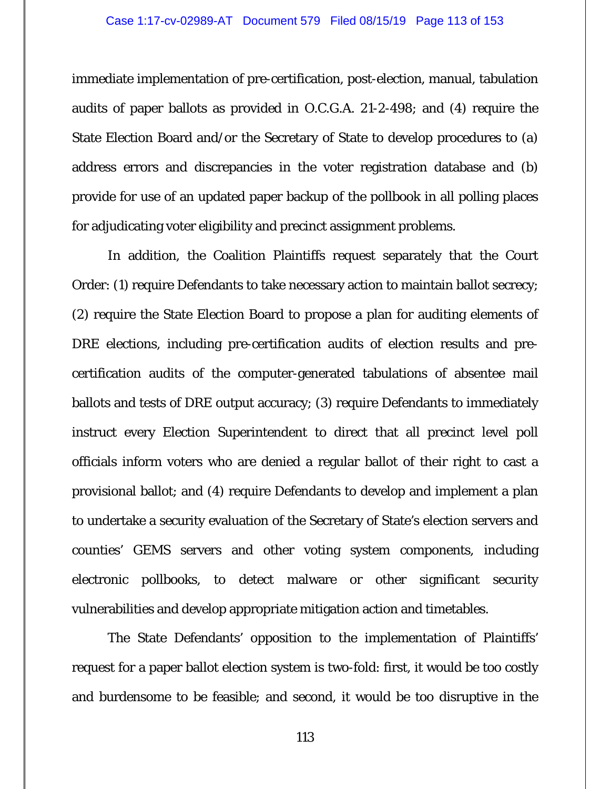immediate implementation of pre-certification, post-election, manual, tabulation audits of paper ballots as provided in O.C.G.A. 21-2-498; and (4) require the State Election Board and/or the Secretary of State to develop procedures to (a) address errors and discrepancies in the voter registration database and (b) provide for use of an updated paper backup of the pollbook in all polling places for adjudicating voter eligibility and precinct assignment problems.

In addition, the Coalition Plaintiffs request separately that the Court Order: (1) require Defendants to take necessary action to maintain ballot secrecy; (2) require the State Election Board to propose a plan for auditing elements of DRE elections, including pre-certification audits of election results and precertification audits of the computer-generated tabulations of absentee mail ballots and tests of DRE output accuracy; (3) require Defendants to immediately instruct every Election Superintendent to direct that all precinct level poll officials inform voters who are denied a regular ballot of their right to cast a provisional ballot; and (4) require Defendants to develop and implement a plan to undertake a security evaluation of the Secretary of State's election servers and counties' GEMS servers and other voting system components, including electronic pollbooks, to detect malware or other significant security vulnerabilities and develop appropriate mitigation action and timetables.

The State Defendants' opposition to the implementation of Plaintiffs' request for a paper ballot election system is two-fold: first, it would be too costly and burdensome to be feasible; and second, it would be too disruptive in the

113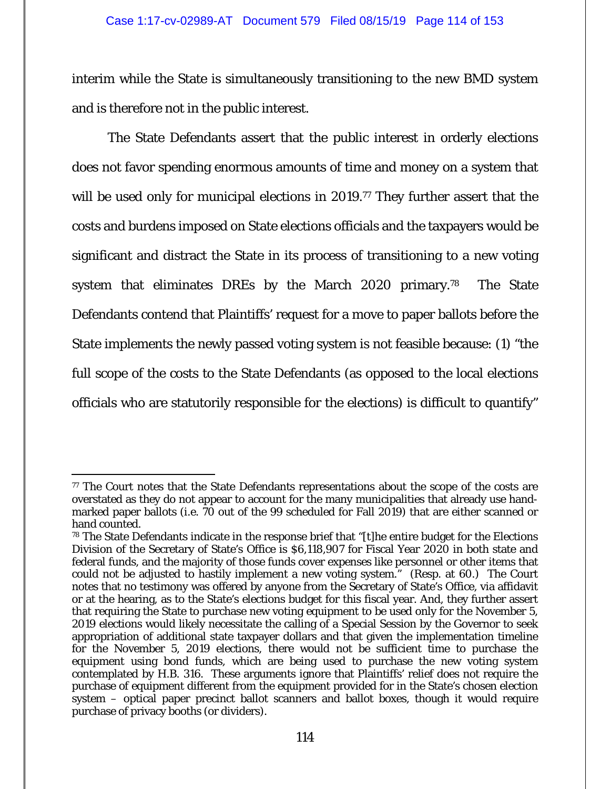interim while the State is simultaneously transitioning to the new BMD system and is therefore not in the public interest.

The State Defendants assert that the public interest in orderly elections does not favor spending enormous amounts of time and money on a system that will be used only for municipal elections in 2019.<sup>77</sup> They further assert that the costs and burdens imposed on State elections officials and the taxpayers would be significant and distract the State in its process of transitioning to a new voting system that eliminates DREs by the March 2020 primary.<sup>78</sup> The State Defendants contend that Plaintiffs' request for a move to paper ballots before the State implements the newly passed voting system is not feasible because: (1) "the full scope of the costs to the State Defendants (as opposed to the local elections officials who are statutorily responsible for the elections) is difficult to quantify"

<sup>77</sup> The Court notes that the State Defendants representations about the scope of the costs are overstated as they do not appear to account for the many municipalities that already use handmarked paper ballots (i.e. 70 out of the 99 scheduled for Fall 2019) that are either scanned or hand counted.

<sup>&</sup>lt;sup>78</sup> The State Defendants indicate in the response brief that "[t]he entire budget for the Elections Division of the Secretary of State's Office is \$6,118,907 for Fiscal Year 2020 in both state and federal funds, and the majority of those funds cover expenses like personnel or other items that could not be adjusted to hastily implement a new voting system." (Resp. at 60.) The Court notes that no testimony was offered by anyone from the Secretary of State's Office, via affidavit or at the hearing, as to the State's elections budget for this fiscal year. And, they further assert that requiring the State to purchase new voting equipment to be used only for the November 5, 2019 elections would likely necessitate the calling of a Special Session by the Governor to seek appropriation of additional state taxpayer dollars and that given the implementation timeline for the November 5, 2019 elections, there would not be sufficient time to purchase the equipment using bond funds, which are being used to purchase the new voting system contemplated by H.B. 316. These arguments ignore that Plaintiffs' relief does not require the purchase of equipment different from the equipment provided for in the State's chosen election system – optical paper precinct ballot scanners and ballot boxes, though it would require purchase of privacy booths (or dividers).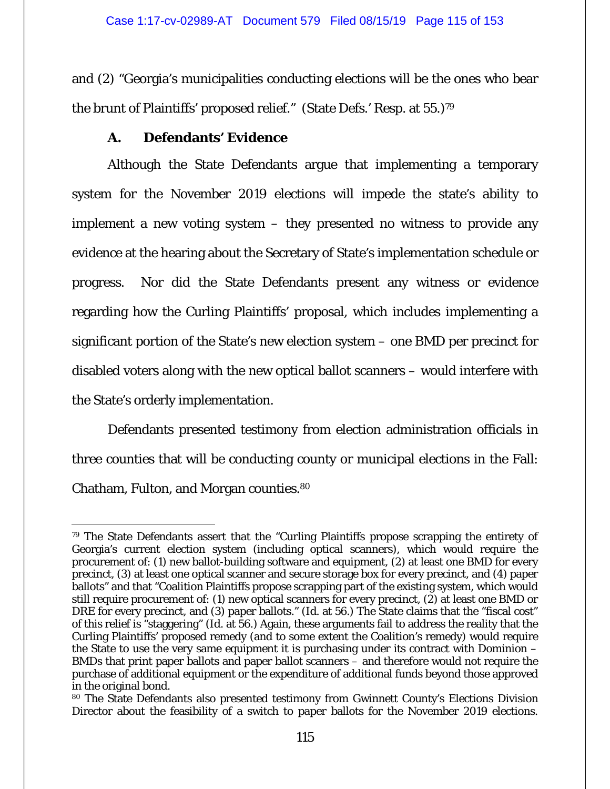and (2) "Georgia's municipalities conducting elections will be the ones who bear the brunt of Plaintiffs' proposed relief." (State Defs.' Resp. at 55.)79

# **A. Defendants' Evidence**

Although the State Defendants argue that implementing a temporary system for the November 2019 elections will impede the state's ability to implement a new voting system – they presented no witness to provide any evidence at the hearing about the Secretary of State's implementation schedule or progress. Nor did the State Defendants present any witness or evidence regarding how the Curling Plaintiffs' proposal, which includes implementing a significant portion of the State's new election system – one BMD per precinct for disabled voters along with the new optical ballot scanners – would interfere with the State's orderly implementation.

Defendants presented testimony from election administration officials in three counties that will be conducting county or municipal elections in the Fall: Chatham, Fulton, and Morgan counties.80

<sup>-</sup>79 The State Defendants assert that the "Curling Plaintiffs propose scrapping the entirety of Georgia's current election system (including optical scanners), which would require the procurement of: (1) new ballot-building software and equipment, (2) at least one BMD for every precinct, (3) at least one optical scanner and secure storage box for every precinct, and (4) paper ballots" and that "Coalition Plaintiffs propose scrapping part of the existing system, which would still require procurement of: (1) new optical scanners for every precinct, (2) at least one BMD or DRE for every precinct, and (3) paper ballots." (*Id.* at 56.) The State claims that the "fiscal cost" of this relief is "staggering" (*Id.* at 56.) Again, these arguments fail to address the reality that the Curling Plaintiffs' proposed remedy (and to some extent the Coalition's remedy) would require the State to use the very same equipment it is purchasing under its contract with Dominion – BMDs that print paper ballots and paper ballot scanners – and therefore would not require the purchase of additional equipment or the expenditure of additional funds beyond those approved in the original bond.

<sup>80</sup> The State Defendants also presented testimony from Gwinnett County's Elections Division Director about the feasibility of a switch to paper ballots for the November 2019 elections.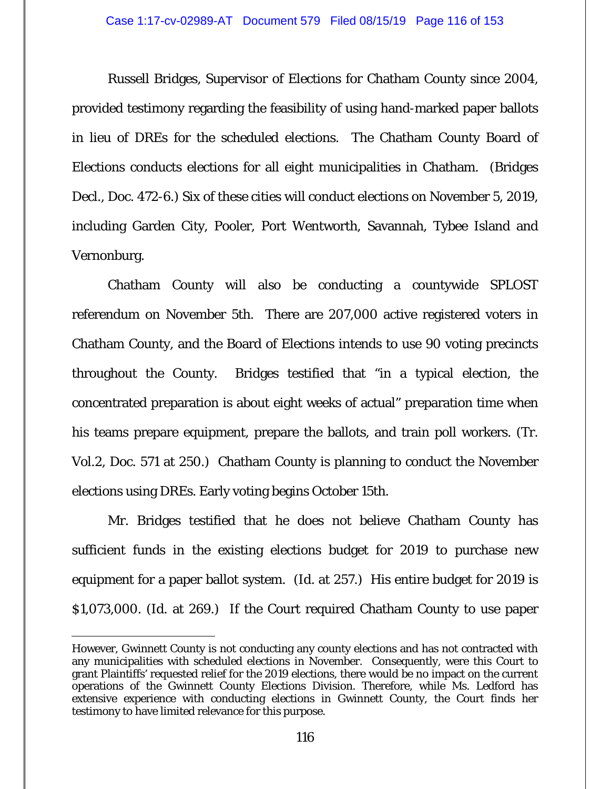### Case 1:17-cv-02989-AT Document 579 Filed 08/15/19 Page 116 of 153

Russell Bridges, Supervisor of Elections for Chatham County since 2004, provided testimony regarding the feasibility of using hand-marked paper ballots in lieu of DREs for the scheduled elections. The Chatham County Board of Elections conducts elections for all eight municipalities in Chatham. (Bridges Decl., Doc. 472-6.) Six of these cities will conduct elections on November 5, 2019, including Garden City, Pooler, Port Wentworth, Savannah, Tybee Island and Vernonburg.

Chatham County will also be conducting a countywide SPLOST referendum on November 5th. There are 207,000 active registered voters in Chatham County, and the Board of Elections intends to use 90 voting precincts throughout the County. Bridges testified that "in a typical election, the concentrated preparation is about eight weeks of actual" preparation time when his teams prepare equipment, prepare the ballots, and train poll workers. (Tr. Vol.2, Doc. 571 at 250.) Chatham County is planning to conduct the November elections using DREs. Early voting begins October 15th.

Mr. Bridges testified that he does not believe Chatham County has sufficient funds in the existing elections budget for 2019 to purchase new equipment for a paper ballot system. (*Id.* at 257.) His entire budget for 2019 is \$1,073,000. (*Id.* at 269.) If the Court required Chatham County to use paper

 $\overline{a}$ However, Gwinnett County is not conducting any county elections and has not contracted with any municipalities with scheduled elections in November. Consequently, were this Court to grant Plaintiffs' requested relief for the 2019 elections, there would be no impact on the current operations of the Gwinnett County Elections Division. Therefore, while Ms. Ledford has extensive experience with conducting elections in Gwinnett County, the Court finds her testimony to have limited relevance for this purpose.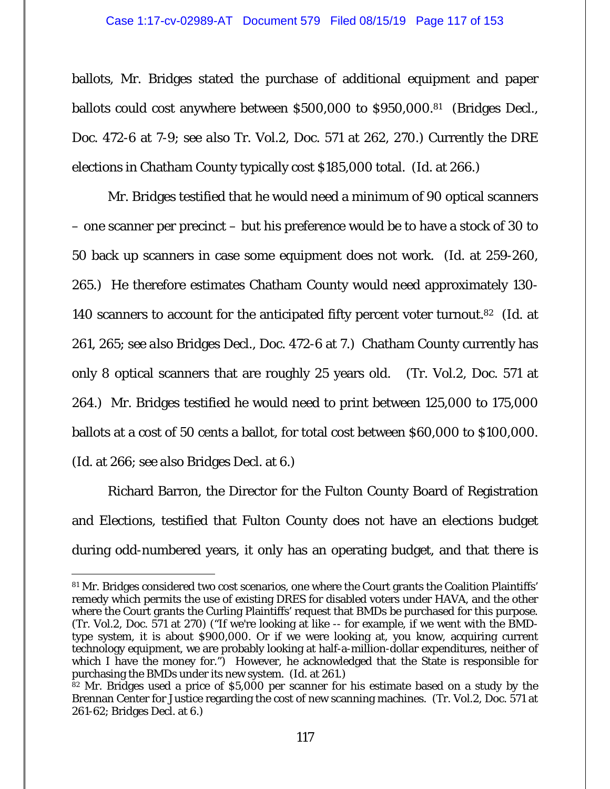## Case 1:17-cv-02989-AT Document 579 Filed 08/15/19 Page 117 of 153

ballots, Mr. Bridges stated the purchase of additional equipment and paper ballots could cost anywhere between \$500,000 to \$950,000.81 (Bridges Decl., Doc. 472-6 at 7-9; *see also* Tr. Vol.2, Doc. 571 at 262, 270.) Currently the DRE elections in Chatham County typically cost \$185,000 total. (*Id.* at 266.)

Mr. Bridges testified that he would need a minimum of 90 optical scanners – one scanner per precinct – but his preference would be to have a stock of 30 to 50 back up scanners in case some equipment does not work. (*Id.* at 259-260, 265.) He therefore estimates Chatham County would need approximately 130- 140 scanners to account for the anticipated fifty percent voter turnout.82 (*Id.* at 261, 265; *see also* Bridges Decl., Doc. 472-6 at 7.) Chatham County currently has only 8 optical scanners that are roughly 25 years old. (Tr. Vol.2, Doc. 571 at 264.) Mr. Bridges testified he would need to print between 125,000 to 175,000 ballots at a cost of 50 cents a ballot, for total cost between \$60,000 to \$100,000. (*Id.* at 266; *see also* Bridges Decl. at 6.)

Richard Barron, the Director for the Fulton County Board of Registration and Elections, testified that Fulton County does not have an elections budget during odd-numbered years, it only has an operating budget, and that there is

 81 Mr. Bridges considered two cost scenarios, one where the Court grants the Coalition Plaintiffs' remedy which permits the use of existing DRES for disabled voters under HAVA, and the other where the Court grants the Curling Plaintiffs' request that BMDs be purchased for this purpose. (Tr. Vol.2, Doc. 571 at 270) ("If we're looking at like -- for example, if we went with the BMDtype system, it is about \$900,000. Or if we were looking at, you know, acquiring current technology equipment, we are probably looking at half-a-million-dollar expenditures, neither of which I have the money for.") However, he acknowledged that the State is responsible for purchasing the BMDs under its new system. (*Id.* at 261.)

 $82$  Mr. Bridges used a price of \$5,000 per scanner for his estimate based on a study by the Brennan Center for Justice regarding the cost of new scanning machines. (Tr. Vol.2, Doc. 571 at 261-62; Bridges Decl. at 6.)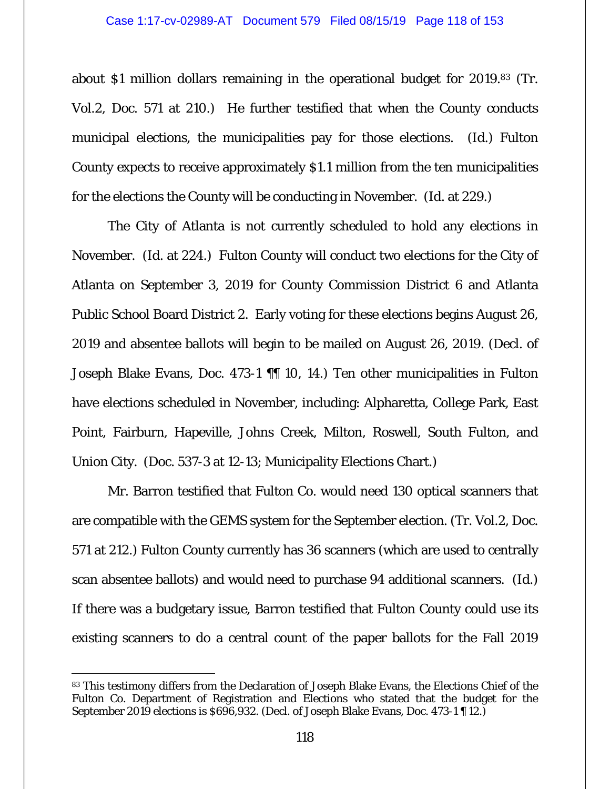about \$1 million dollars remaining in the operational budget for 2019.83 (Tr. Vol.2, Doc. 571 at 210.) He further testified that when the County conducts municipal elections, the municipalities pay for those elections. (*Id.*) Fulton County expects to receive approximately \$1.1 million from the ten municipalities for the elections the County will be conducting in November. (*Id.* at 229.)

The City of Atlanta is not currently scheduled to hold any elections in November. (*Id.* at 224.) Fulton County will conduct two elections for the City of Atlanta on September 3, 2019 for County Commission District 6 and Atlanta Public School Board District 2. Early voting for these elections begins August 26, 2019 and absentee ballots will begin to be mailed on August 26, 2019. (Decl. of Joseph Blake Evans, Doc. 473-1 ¶¶ 10, 14.) Ten other municipalities in Fulton have elections scheduled in November, including: Alpharetta, College Park, East Point, Fairburn, Hapeville, Johns Creek, Milton, Roswell, South Fulton, and Union City. (Doc. 537-3 at 12-13; Municipality Elections Chart.)

Mr. Barron testified that Fulton Co. would need 130 optical scanners that are compatible with the GEMS system for the September election. (Tr. Vol.2, Doc. 571 at 212.) Fulton County currently has 36 scanners (which are used to centrally scan absentee ballots) and would need to purchase 94 additional scanners. (*Id.*) If there was a budgetary issue, Barron testified that Fulton County could use its existing scanners to do a central count of the paper ballots for the Fall 2019

<sup>83</sup> This testimony differs from the Declaration of Joseph Blake Evans, the Elections Chief of the Fulton Co. Department of Registration and Elections who stated that the budget for the September 2019 elections is \$696,932. (Decl. of Joseph Blake Evans, Doc. 473-1 ¶ 12.)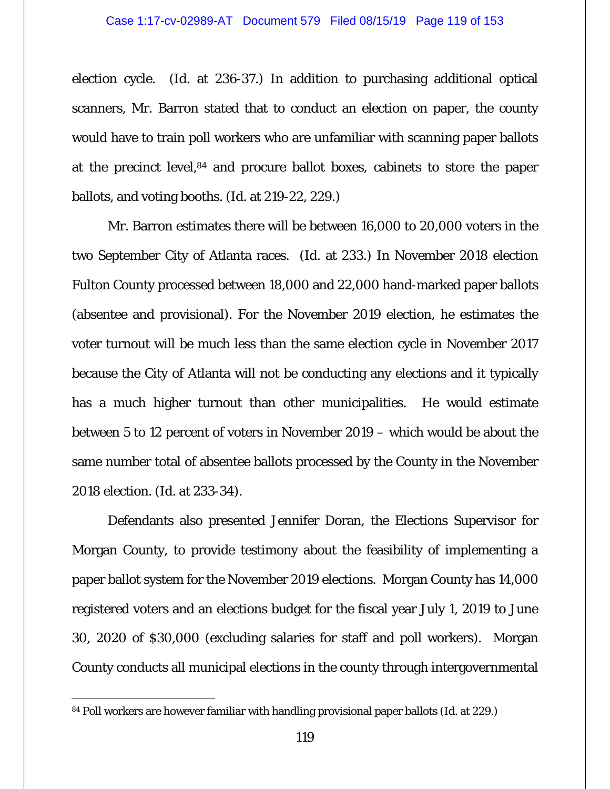election cycle. (*Id.* at 236-37.) In addition to purchasing additional optical scanners, Mr. Barron stated that to conduct an election on paper, the county would have to train poll workers who are unfamiliar with scanning paper ballots at the precinct level,84 and procure ballot boxes, cabinets to store the paper ballots, and voting booths. (*Id.* at 219-22, 229.)

Mr. Barron estimates there will be between 16,000 to 20,000 voters in the two September City of Atlanta races. (*Id.* at 233.) In November 2018 election Fulton County processed between 18,000 and 22,000 hand-marked paper ballots (absentee and provisional). For the November 2019 election, he estimates the voter turnout will be much less than the same election cycle in November 2017 because the City of Atlanta will not be conducting any elections and it typically has a much higher turnout than other municipalities. He would estimate between 5 to 12 percent of voters in November 2019 – which would be about the same number total of absentee ballots processed by the County in the November 2018 election. (*Id.* at 233-34).

Defendants also presented Jennifer Doran, the Elections Supervisor for Morgan County, to provide testimony about the feasibility of implementing a paper ballot system for the November 2019 elections. Morgan County has 14,000 registered voters and an elections budget for the fiscal year July 1, 2019 to June 30, 2020 of \$30,000 (excluding salaries for staff and poll workers). Morgan County conducts all municipal elections in the county through intergovernmental

<sup>84</sup> Poll workers are however familiar with handling provisional paper ballots (*Id.* at 229.)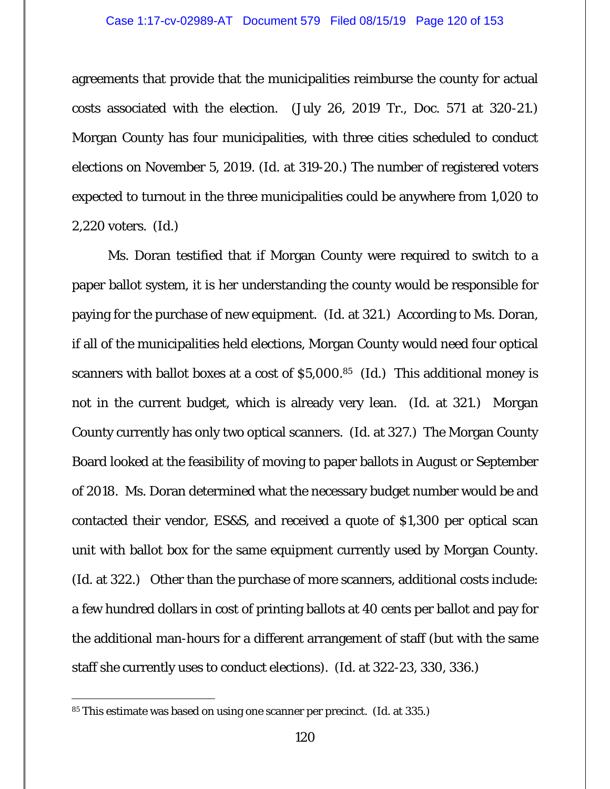agreements that provide that the municipalities reimburse the county for actual costs associated with the election. (July 26, 2019 Tr., Doc. 571 at 320-21.) Morgan County has four municipalities, with three cities scheduled to conduct elections on November 5, 2019. (*Id.* at 319-20.) The number of registered voters expected to turnout in the three municipalities could be anywhere from 1,020 to 2,220 voters. (*Id.*)

Ms. Doran testified that if Morgan County were required to switch to a paper ballot system, it is her understanding the county would be responsible for paying for the purchase of new equipment. (*Id.* at 321.) According to Ms. Doran, if all of the municipalities held elections, Morgan County would need four optical scanners with ballot boxes at a cost of \$5,000.85 (*Id.*) This additional money is not in the current budget, which is already very lean. (*Id.* at 321.) Morgan County currently has only two optical scanners. (*Id.* at 327.) The Morgan County Board looked at the feasibility of moving to paper ballots in August or September of 2018. Ms. Doran determined what the necessary budget number would be and contacted their vendor, ES&S, and received a quote of \$1,300 per optical scan unit with ballot box for the same equipment currently used by Morgan County. (*Id.* at 322.) Other than the purchase of more scanners, additional costs include: a few hundred dollars in cost of printing ballots at 40 cents per ballot and pay for the additional man-hours for a different arrangement of staff (but with the same staff she currently uses to conduct elections). (*Id.* at 322-23, 330, 336.)

<sup>85</sup> This estimate was based on using one scanner per precinct. (*Id.* at 335.)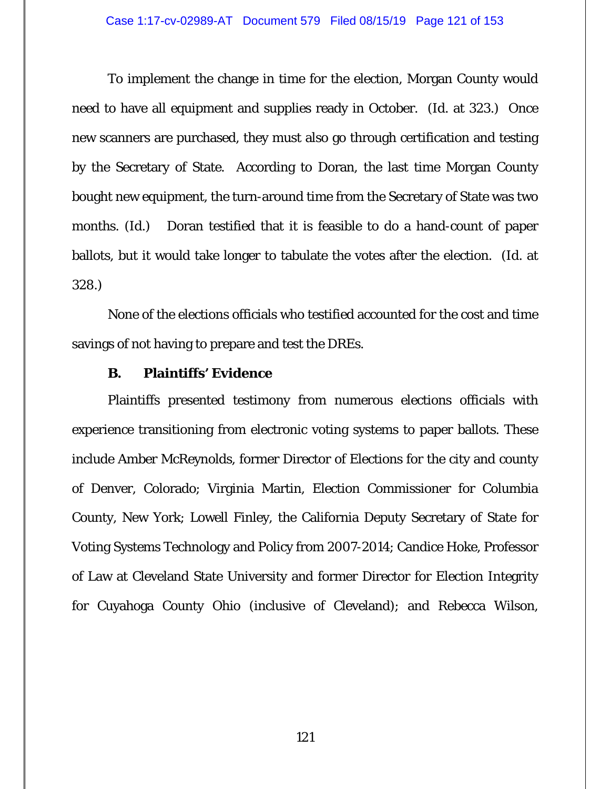To implement the change in time for the election, Morgan County would need to have all equipment and supplies ready in October. (*Id.* at 323.) Once new scanners are purchased, they must also go through certification and testing by the Secretary of State. According to Doran, the last time Morgan County bought new equipment, the turn-around time from the Secretary of State was two months. (*Id.*) Doran testified that it is feasible to do a hand-count of paper ballots, but it would take longer to tabulate the votes after the election. (*Id.* at 328.)

None of the elections officials who testified accounted for the cost and time savings of not having to prepare and test the DREs.

# **B. Plaintiffs' Evidence**

Plaintiffs presented testimony from numerous elections officials with experience transitioning from electronic voting systems to paper ballots. These include Amber McReynolds, former Director of Elections for the city and county of Denver, Colorado; Virginia Martin, Election Commissioner for Columbia County, New York; Lowell Finley, the California Deputy Secretary of State for Voting Systems Technology and Policy from 2007-2014; Candice Hoke, Professor of Law at Cleveland State University and former Director for Election Integrity for Cuyahoga County Ohio (inclusive of Cleveland); and Rebecca Wilson,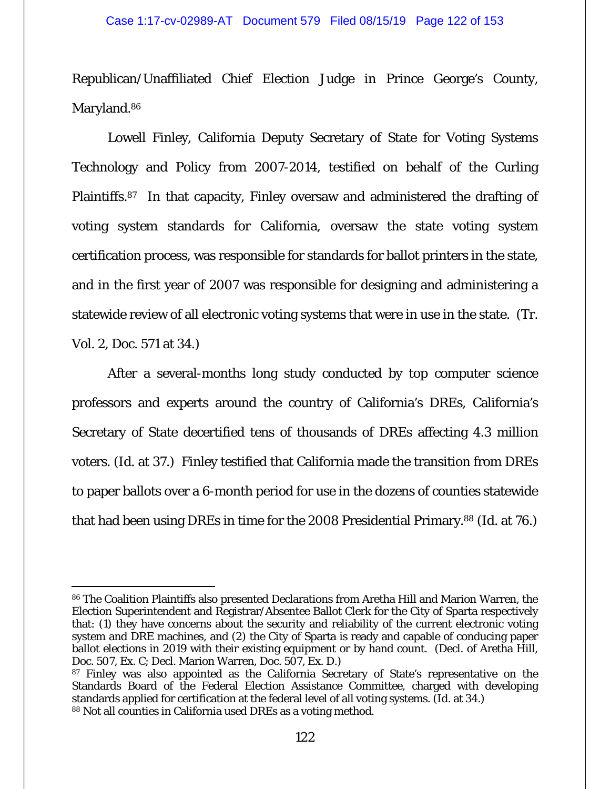## Case 1:17-cv-02989-AT Document 579 Filed 08/15/19 Page 122 of 153

Republican/Unaffiliated Chief Election Judge in Prince George's County, Maryland.<sup>86</sup>

Lowell Finley, California Deputy Secretary of State for Voting Systems Technology and Policy from 2007-2014, testified on behalf of the Curling Plaintiffs.87 In that capacity, Finley oversaw and administered the drafting of voting system standards for California, oversaw the state voting system certification process, was responsible for standards for ballot printers in the state, and in the first year of 2007 was responsible for designing and administering a statewide review of all electronic voting systems that were in use in the state. (Tr. Vol. 2, Doc. 571 at 34.)

After a several-months long study conducted by top computer science professors and experts around the country of California's DREs, California's Secretary of State decertified tens of thousands of DREs affecting 4.3 million voters. (*Id.* at 37.) Finley testified that California made the transition from DREs to paper ballots over a 6-month period for use in the dozens of counties statewide that had been using DREs in time for the 2008 Presidential Primary.88 (*Id.* at 76.)

<sup>86</sup> The Coalition Plaintiffs also presented Declarations from Aretha Hill and Marion Warren, the Election Superintendent and Registrar/Absentee Ballot Clerk for the City of Sparta respectively that: (1) they have concerns about the security and reliability of the current electronic voting system and DRE machines, and (2) the City of Sparta is ready and capable of conducing paper ballot elections in 2019 with their existing equipment or by hand count. (Decl. of Aretha Hill, Doc. 507, Ex. C; Decl. Marion Warren, Doc. 507, Ex. D.)

<sup>&</sup>lt;sup>87</sup> Finley was also appointed as the California Secretary of State's representative on the Standards Board of the Federal Election Assistance Committee, charged with developing standards applied for certification at the federal level of all voting systems. (*Id.* at 34.) 88 Not all counties in California used DREs as a voting method.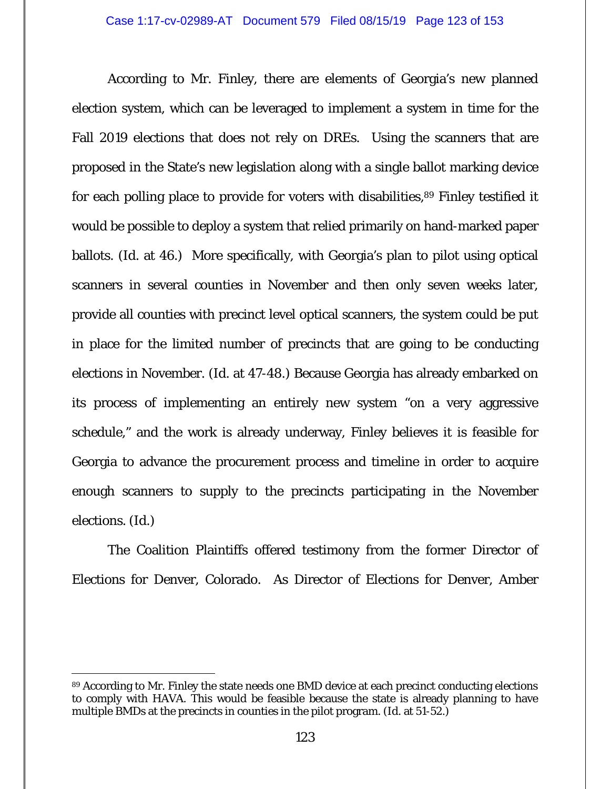According to Mr. Finley, there are elements of Georgia's new planned election system, which can be leveraged to implement a system in time for the Fall 2019 elections that does not rely on DREs. Using the scanners that are proposed in the State's new legislation along with a single ballot marking device for each polling place to provide for voters with disabilities,<sup>89</sup> Finley testified it would be possible to deploy a system that relied primarily on hand-marked paper ballots. (*Id.* at 46.) More specifically, with Georgia's plan to pilot using optical scanners in several counties in November and then only seven weeks later, provide all counties with precinct level optical scanners, the system could be put in place for the limited number of precincts that are going to be conducting elections in November. (*Id.* at 47-48.) Because Georgia has already embarked on its process of implementing an entirely new system "on a very aggressive schedule," and the work is already underway, Finley believes it is feasible for Georgia to advance the procurement process and timeline in order to acquire enough scanners to supply to the precincts participating in the November elections. (*Id.*)

The Coalition Plaintiffs offered testimony from the former Director of Elections for Denver, Colorado. As Director of Elections for Denver, Amber

<sup>89</sup> According to Mr. Finley the state needs one BMD device at each precinct conducting elections to comply with HAVA. This would be feasible because the state is already planning to have multiple BMDs at the precincts in counties in the pilot program. (*Id.* at 51-52.)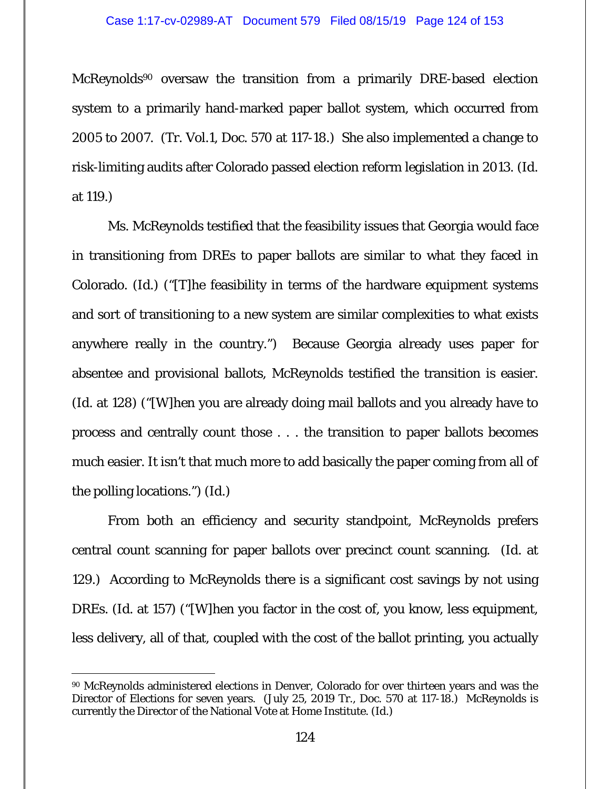McReynolds<sup>90</sup> oversaw the transition from a primarily DRE-based election system to a primarily hand-marked paper ballot system, which occurred from 2005 to 2007. (Tr. Vol.1, Doc. 570 at 117-18.) She also implemented a change to risk-limiting audits after Colorado passed election reform legislation in 2013. (*Id.*  at 119.)

Ms. McReynolds testified that the feasibility issues that Georgia would face in transitioning from DREs to paper ballots are similar to what they faced in Colorado. (*Id.*) ("[T]he feasibility in terms of the hardware equipment systems and sort of transitioning to a new system are similar complexities to what exists anywhere really in the country.") Because Georgia already uses paper for absentee and provisional ballots, McReynolds testified the transition is easier. (*Id.* at 128) ("[W]hen you are already doing mail ballots and you already have to process and centrally count those . . . the transition to paper ballots becomes much easier. It isn't that much more to add basically the paper coming from all of the polling locations.") (*Id.*)

From both an efficiency and security standpoint, McReynolds prefers central count scanning for paper ballots over precinct count scanning. (*Id.* at 129.) According to McReynolds there is a significant cost savings by not using DREs. (*Id.* at 157) ("[W]hen you factor in the cost of, you know, less equipment, less delivery, all of that, coupled with the cost of the ballot printing, you actually

<sup>90</sup> McReynolds administered elections in Denver, Colorado for over thirteen years and was the Director of Elections for seven years. (July 25, 2019 Tr., Doc. 570 at 117-18.) McReynolds is currently the Director of the National Vote at Home Institute. (*Id.*)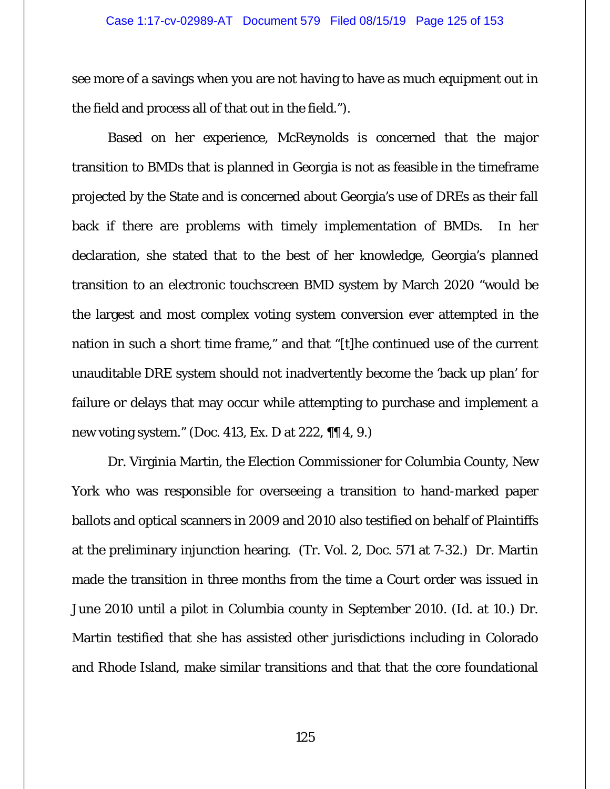see more of a savings when you are not having to have as much equipment out in the field and process all of that out in the field.").

Based on her experience, McReynolds is concerned that the major transition to BMDs that is planned in Georgia is not as feasible in the timeframe projected by the State and is concerned about Georgia's use of DREs as their fall back if there are problems with timely implementation of BMDs. In her declaration, she stated that to the best of her knowledge, Georgia's planned transition to an electronic touchscreen BMD system by March 2020 "would be the largest and most complex voting system conversion ever attempted in the nation in such a short time frame," and that "[t]he continued use of the current unauditable DRE system should not inadvertently become the 'back up plan' for failure or delays that may occur while attempting to purchase and implement a new voting system." (Doc. 413, Ex. D at 222, ¶¶ 4, 9.)

Dr. Virginia Martin, the Election Commissioner for Columbia County, New York who was responsible for overseeing a transition to hand-marked paper ballots and optical scanners in 2009 and 2010 also testified on behalf of Plaintiffs at the preliminary injunction hearing. (Tr. Vol. 2, Doc. 571 at 7-32.) Dr. Martin made the transition in three months from the time a Court order was issued in June 2010 until a pilot in Columbia county in September 2010. (*Id.* at 10.) Dr. Martin testified that she has assisted other jurisdictions including in Colorado and Rhode Island, make similar transitions and that that the core foundational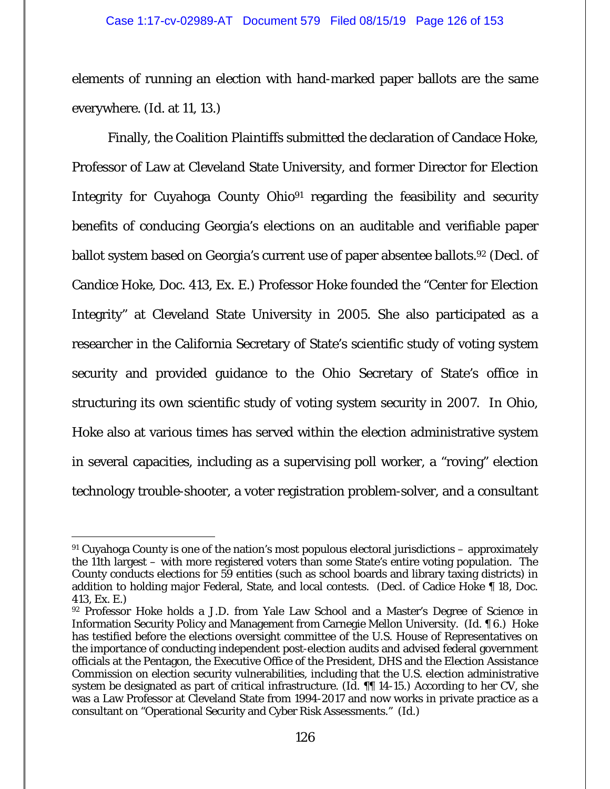elements of running an election with hand-marked paper ballots are the same everywhere. (*Id.* at 11, 13.)

Finally, the Coalition Plaintiffs submitted the declaration of Candace Hoke, Professor of Law at Cleveland State University, and former Director for Election Integrity for Cuyahoga County Ohio<sup>91</sup> regarding the feasibility and security benefits of conducing Georgia's elections on an auditable and verifiable paper ballot system based on Georgia's current use of paper absentee ballots.<sup>92</sup> (Decl. of Candice Hoke, Doc. 413, Ex. E.) Professor Hoke founded the "Center for Election Integrity" at Cleveland State University in 2005. She also participated as a researcher in the California Secretary of State's scientific study of voting system security and provided guidance to the Ohio Secretary of State's office in structuring its own scientific study of voting system security in 2007. In Ohio, Hoke also at various times has served within the election administrative system in several capacities, including as a supervising poll worker, a "roving" election technology trouble-shooter, a voter registration problem-solver, and a consultant

 $91$  Cuyahoga County is one of the nation's most populous electoral jurisdictions – approximately the 11th largest – with more registered voters than some State's entire voting population. The County conducts elections for 59 entities (such as school boards and library taxing districts) in addition to holding major Federal, State, and local contests. (Decl. of Cadice Hoke ¶ 18, Doc. 413, Ex. E.)

<sup>92</sup> Professor Hoke holds a J.D. from Yale Law School and a Master's Degree of Science in Information Security Policy and Management from Carnegie Mellon University. (*Id.* ¶ 6.) Hoke has testified before the elections oversight committee of the U.S. House of Representatives on the importance of conducting independent post-election audits and advised federal government officials at the Pentagon, the Executive Office of the President, DHS and the Election Assistance Commission on election security vulnerabilities, including that the U.S. election administrative system be designated as part of critical infrastructure. (*Id.* ¶¶ 14-15.) According to her CV, she was a Law Professor at Cleveland State from 1994-2017 and now works in private practice as a consultant on "Operational Security and Cyber Risk Assessments." (*Id.*)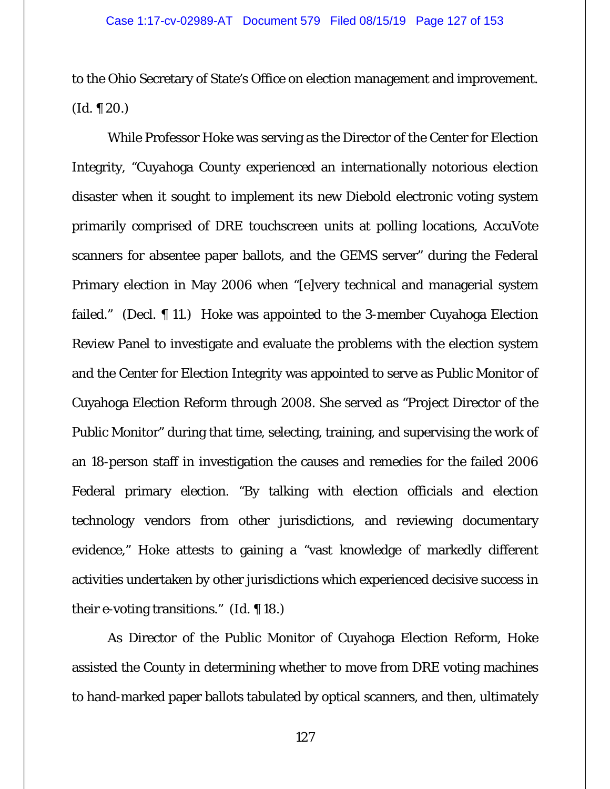to the Ohio Secretary of State's Office on election management and improvement.  $(Id. \P 20.)$ 

While Professor Hoke was serving as the Director of the Center for Election Integrity, "Cuyahoga County experienced an internationally notorious election disaster when it sought to implement its new Diebold electronic voting system primarily comprised of DRE touchscreen units at polling locations, AccuVote scanners for absentee paper ballots, and the GEMS server" during the Federal Primary election in May 2006 when "[e]very technical and managerial system failed." (Decl. ¶ 11.) Hoke was appointed to the 3-member Cuyahoga Election Review Panel to investigate and evaluate the problems with the election system and the Center for Election Integrity was appointed to serve as Public Monitor of Cuyahoga Election Reform through 2008. She served as "Project Director of the Public Monitor" during that time, selecting, training, and supervising the work of an 18-person staff in investigation the causes and remedies for the failed 2006 Federal primary election. "By talking with election officials and election technology vendors from other jurisdictions, and reviewing documentary evidence," Hoke attests to gaining a "vast knowledge of markedly different activities undertaken by other jurisdictions which experienced decisive success in their e-voting transitions." (*Id.* ¶ 18.)

As Director of the Public Monitor of Cuyahoga Election Reform, Hoke assisted the County in determining whether to move from DRE voting machines to hand-marked paper ballots tabulated by optical scanners, and then, ultimately

127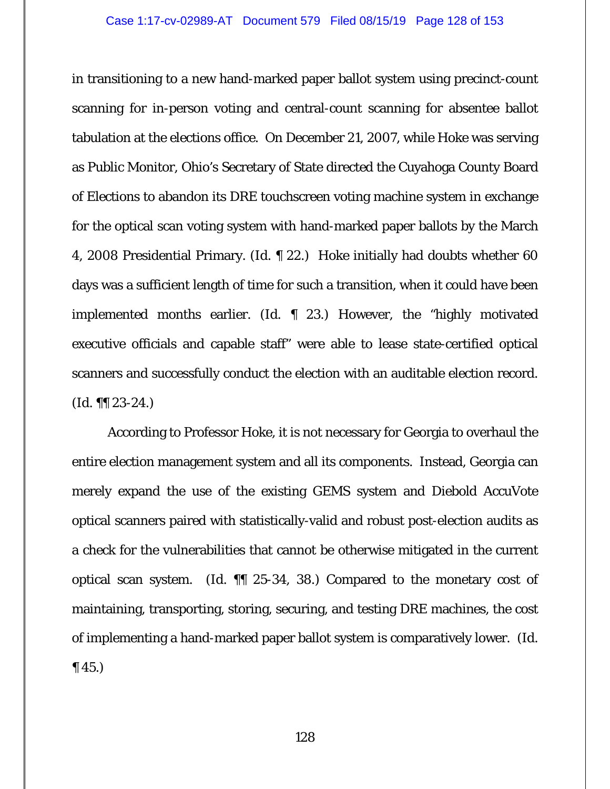in transitioning to a new hand-marked paper ballot system using precinct-count scanning for in-person voting and central-count scanning for absentee ballot tabulation at the elections office. On December 21, 2007, while Hoke was serving as Public Monitor, Ohio's Secretary of State directed the Cuyahoga County Board of Elections to abandon its DRE touchscreen voting machine system in exchange for the optical scan voting system with hand-marked paper ballots by the March 4, 2008 Presidential Primary. (*Id.* ¶ 22.) Hoke initially had doubts whether 60 days was a sufficient length of time for such a transition, when it could have been implemented months earlier. (*Id.* ¶ 23.) However, the "highly motivated executive officials and capable staff" were able to lease state-certified optical scanners and successfully conduct the election with an auditable election record. (*Id.* ¶¶ 23-24.)

According to Professor Hoke, it is not necessary for Georgia to overhaul the entire election management system and all its components. Instead, Georgia can merely expand the use of the existing GEMS system and Diebold AccuVote optical scanners paired with statistically-valid and robust post-election audits as a check for the vulnerabilities that cannot be otherwise mitigated in the current optical scan system. (*Id.* ¶¶ 25-34, 38.) Compared to the monetary cost of maintaining, transporting, storing, securing, and testing DRE machines, the cost of implementing a hand-marked paper ballot system is comparatively lower. (*Id.*  $\P(45.)$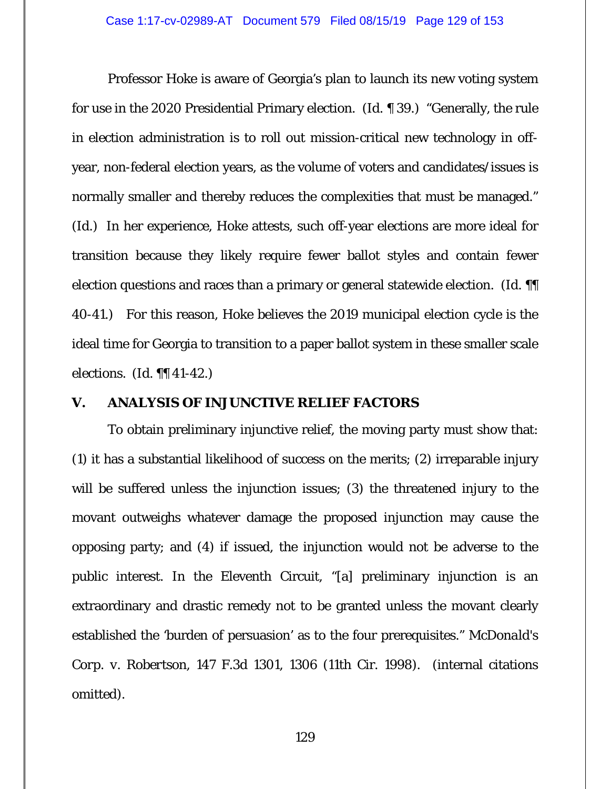Professor Hoke is aware of Georgia's plan to launch its new voting system for use in the 2020 Presidential Primary election. (*Id.* ¶ 39.) "Generally, the rule in election administration is to roll out mission-critical new technology in offyear, non-federal election years, as the volume of voters and candidates/issues is normally smaller and thereby reduces the complexities that must be managed." (*Id.*) In her experience, Hoke attests, such off-year elections are more ideal for transition because they likely require fewer ballot styles and contain fewer election questions and races than a primary or general statewide election. (*Id.* ¶¶ 40-41.) For this reason, Hoke believes the 2019 municipal election cycle is the ideal time for Georgia to transition to a paper ballot system in these smaller scale elections. (*Id.* ¶¶ 41-42.)

# **V. ANALYSIS OF INJUNCTIVE RELIEF FACTORS**

To obtain preliminary injunctive relief, the moving party must show that: (1) it has a substantial likelihood of success on the merits; (2) irreparable injury will be suffered unless the injunction issues; (3) the threatened injury to the movant outweighs whatever damage the proposed injunction may cause the opposing party; and (4) if issued, the injunction would not be adverse to the public interest. In the Eleventh Circuit, "[a] preliminary injunction is an extraordinary and drastic remedy not to be granted unless the movant clearly established the 'burden of persuasion' as to the four prerequisites." *McDonald's Corp. v. Robertson*, 147 F.3d 1301, 1306 (11th Cir. 1998). (internal citations omitted).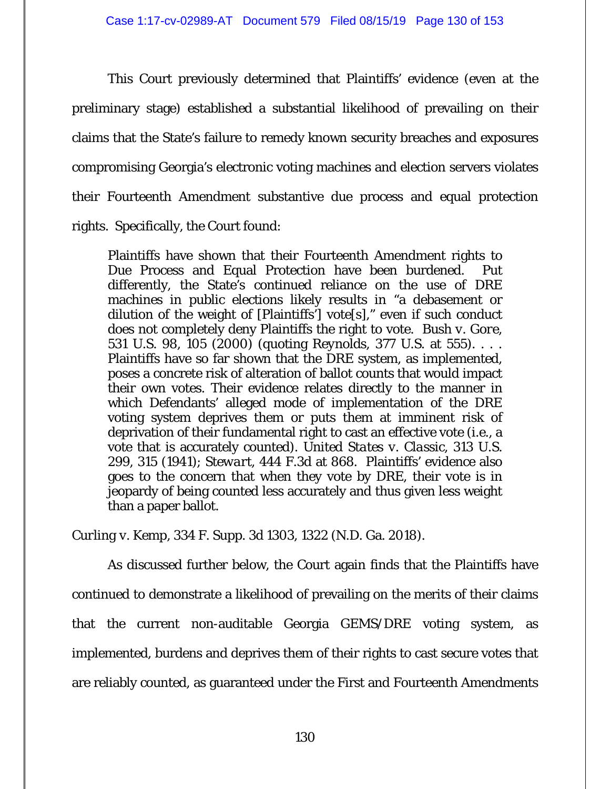This Court previously determined that Plaintiffs' evidence (even at the preliminary stage) established a substantial likelihood of prevailing on their claims that the State's failure to remedy known security breaches and exposures compromising Georgia's electronic voting machines and election servers violates their Fourteenth Amendment substantive due process and equal protection rights. Specifically, the Court found:

Plaintiffs have shown that their Fourteenth Amendment rights to Due Process and Equal Protection have been burdened. Put differently, the State's continued reliance on the use of DRE machines in public elections likely results in "a debasement or dilution of the weight of [Plaintiffs'] vote[s]," even if such conduct does not completely deny Plaintiffs the right to vote. *Bush v. Gore*, 531 U.S. 98, 105 (2000) (quoting *Reynolds*, 377 U.S. at 555). . . . Plaintiffs have so far shown that the DRE system, as implemented, poses a concrete risk of alteration of ballot counts that would impact their own votes. Their evidence relates directly to the manner in which Defendants' alleged mode of implementation of the DRE voting system deprives them or puts them at imminent risk of deprivation of their fundamental right to cast an effective vote (i.e., a vote that is accurately counted). *United States v. Classic*, 313 U.S. 299, 315 (1941); *Stewart*, 444 F.3d at 868. Plaintiffs' evidence also goes to the concern that when they vote by DRE, their vote is in jeopardy of being counted less accurately and thus given less weight than a paper ballot.

*Curling v. Kemp*, 334 F. Supp. 3d 1303, 1322 (N.D. Ga. 2018).

As discussed further below, the Court again finds that the Plaintiffs have continued to demonstrate a likelihood of prevailing on the merits of their claims that the current non-auditable Georgia GEMS/DRE voting system, as implemented, burdens and deprives them of their rights to cast secure votes that are reliably counted, as guaranteed under the First and Fourteenth Amendments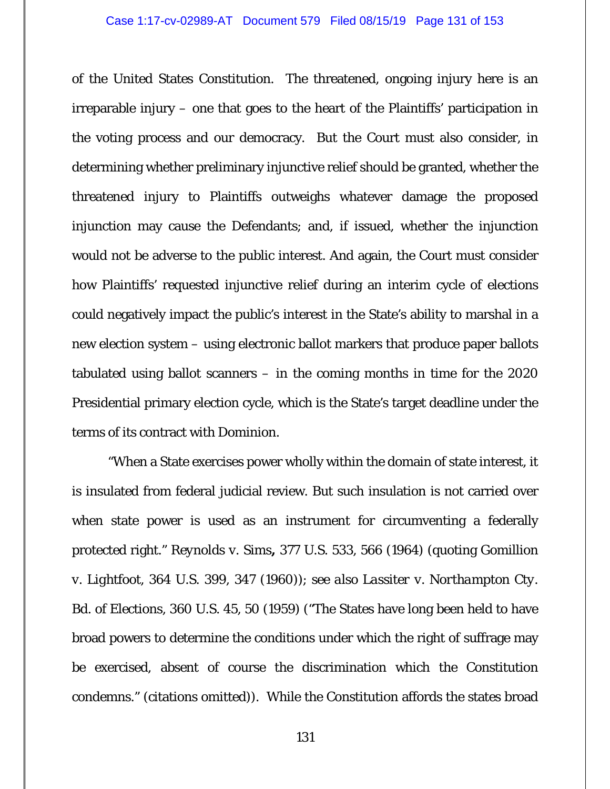of the United States Constitution. The threatened, ongoing injury here is an irreparable injury – one that goes to the heart of the Plaintiffs' participation in the voting process and our democracy. But the Court must also consider, in determining whether preliminary injunctive relief should be granted, whether the threatened injury to Plaintiffs outweighs whatever damage the proposed injunction may cause the Defendants; and, if issued, whether the injunction would not be adverse to the public interest. And again, the Court must consider how Plaintiffs' requested injunctive relief during an interim cycle of elections could negatively impact the public's interest in the State's ability to marshal in a new election system – using electronic ballot markers that produce paper ballots tabulated using ballot scanners – in the coming months in time for the 2020 Presidential primary election cycle, which is the State's target deadline under the terms of its contract with Dominion.

"When a State exercises power wholly within the domain of state interest, it is insulated from federal judicial review. But such insulation is not carried over when state power is used as an instrument for circumventing a federally protected right." *Reynolds v. Sims***,** 377 U.S. 533, 566 (1964) (quoting *Gomillion v. Lightfoot*, 364 U.S. 399, 347 (1960)); *see also Lassiter v. Northampton Cty. Bd. of Elections*, 360 U.S. 45, 50 (1959) ("The States have long been held to have broad powers to determine the conditions under which the right of suffrage may be exercised, absent of course the discrimination which the Constitution condemns." (citations omitted)). While the Constitution affords the states broad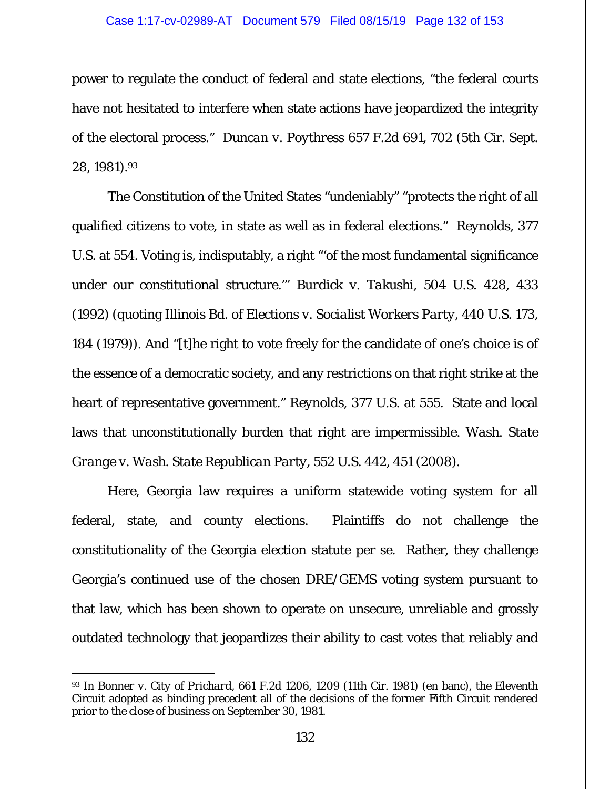power to regulate the conduct of federal and state elections, "the federal courts have not hesitated to interfere when state actions have jeopardized the integrity of the electoral process." *Duncan v. Poythress* 657 F.2d 691, 702 (5th Cir. Sept. 28, 1981).93

The Constitution of the United States "undeniably" "protects the right of all qualified citizens to vote, in state as well as in federal elections." *Reynolds*, 377 U.S. at 554. Voting is, indisputably, a right "'of the most fundamental significance under our constitutional structure.'" *Burdick v. Takushi*, 504 U.S. 428, 433 (1992) (quoting *Illinois Bd. of Elections v. Socialist Workers Party*, 440 U.S. 173, 184 (1979)). And "[t]he right to vote freely for the candidate of one's choice is of the essence of a democratic society, and any restrictions on that right strike at the heart of representative government." *Reynolds*, 377 U.S. at 555. State and local laws that unconstitutionally burden that right are impermissible. *Wash. State Grange v. Wash. State Republican Party*, 552 U.S. 442, 451 (2008).

Here, Georgia law requires a uniform statewide voting system for all federal, state, and county elections. Plaintiffs do not challenge the constitutionality of the Georgia election statute per se. Rather, they challenge Georgia's continued use of the chosen DRE/GEMS voting system pursuant to that law, which has been shown to operate on unsecure, unreliable and grossly outdated technology that jeopardizes their ability to cast votes that reliably and

<sup>93</sup> In *Bonner v. City of Prichard*, 661 F.2d 1206, 1209 (11th Cir. 1981) (en banc), the Eleventh Circuit adopted as binding precedent all of the decisions of the former Fifth Circuit rendered prior to the close of business on September 30, 1981.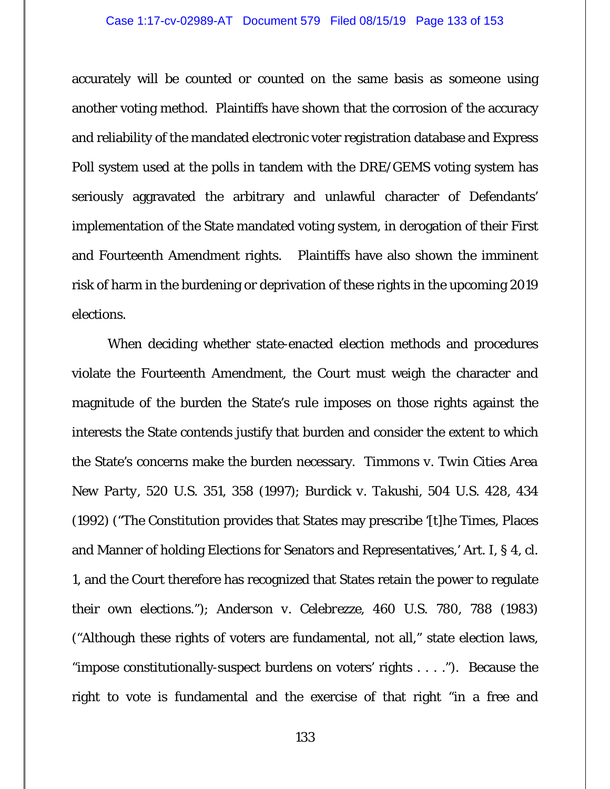### Case 1:17-cv-02989-AT Document 579 Filed 08/15/19 Page 133 of 153

accurately will be counted or counted on the same basis as someone using another voting method. Plaintiffs have shown that the corrosion of the accuracy and reliability of the mandated electronic voter registration database and Express Poll system used at the polls in tandem with the DRE/GEMS voting system has seriously aggravated the arbitrary and unlawful character of Defendants' implementation of the State mandated voting system, in derogation of their First and Fourteenth Amendment rights. Plaintiffs have also shown the imminent risk of harm in the burdening or deprivation of these rights in the upcoming 2019 elections.

When deciding whether state-enacted election methods and procedures violate the Fourteenth Amendment, the Court must weigh the character and magnitude of the burden the State's rule imposes on those rights against the interests the State contends justify that burden and consider the extent to which the State's concerns make the burden necessary. *Timmons v. Twin Cities Area New Party*, 520 U.S. 351, 358 (1997); *Burdick v. Takushi*, 504 U.S. 428, 434 (1992) ("The Constitution provides that States may prescribe '[t]he Times, Places and Manner of holding Elections for Senators and Representatives,' Art. I, § 4, cl. 1, and the Court therefore has recognized that States retain the power to regulate their own elections."); *Anderson v. Celebrezze,* 460 U.S. 780, 788 (1983) ("Although these rights of voters are fundamental, not all," state election laws, "impose constitutionally-suspect burdens on voters' rights . . . ."). Because the right to vote is fundamental and the exercise of that right "in a free and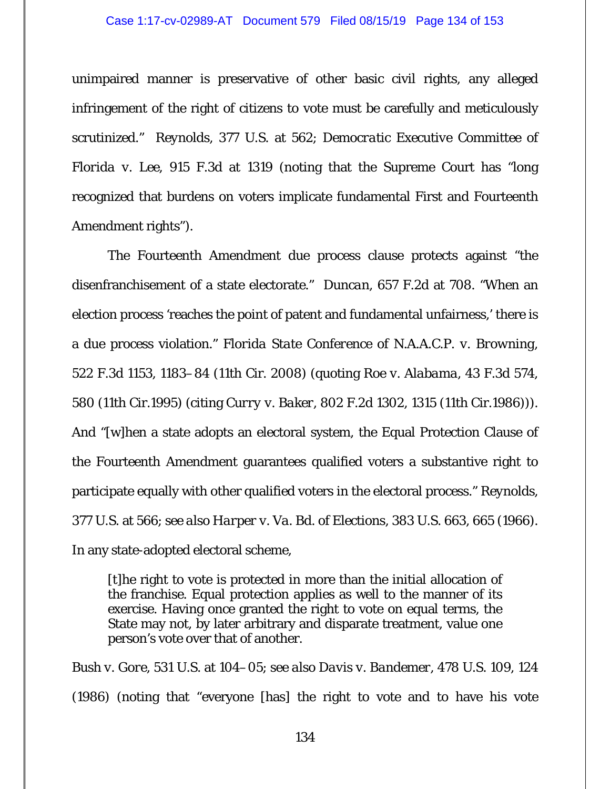#### Case 1:17-cv-02989-AT Document 579 Filed 08/15/19 Page 134 of 153

unimpaired manner is preservative of other basic civil rights, any alleged infringement of the right of citizens to vote must be carefully and meticulously scrutinized." *Reynolds*, 377 U.S. at 562; *Democratic Executive Committee of Florida v. Lee*, 915 F.3d at 1319 (noting that the Supreme Court has "long recognized that burdens on voters implicate fundamental First and Fourteenth Amendment rights").

The Fourteenth Amendment due process clause protects against "the disenfranchisement of a state electorate." *Duncan*, 657 F.2d at 708. "When an election process 'reaches the point of patent and fundamental unfairness,' there is a due process violation." *Florida State Conference of N.A.A.C.P. v. Browning*, 522 F.3d 1153, 1183–84 (11th Cir. 2008) (quoting *Roe v. Alabama*, 43 F.3d 574, 580 (11th Cir.1995) (citing *Curry v. Baker*, 802 F.2d 1302, 1315 (11th Cir.1986))). And "[w]hen a state adopts an electoral system, the Equal Protection Clause of the Fourteenth Amendment guarantees qualified voters a substantive right to participate equally with other qualified voters in the electoral process." *Reynolds*, 377 U.S. at 566; *see also Harper v. Va. Bd. of Elections*, 383 U.S. 663, 665 (1966). In any state-adopted electoral scheme,

[t]he right to vote is protected in more than the initial allocation of the franchise. Equal protection applies as well to the manner of its exercise. Having once granted the right to vote on equal terms, the State may not, by later arbitrary and disparate treatment, value one person's vote over that of another.

*Bush v. Gore*, 531 U.S. at 104–05; *see also Davis v. Bandemer*, 478 U.S. 109, 124 (1986) (noting that "everyone [has] the right to vote and to have his vote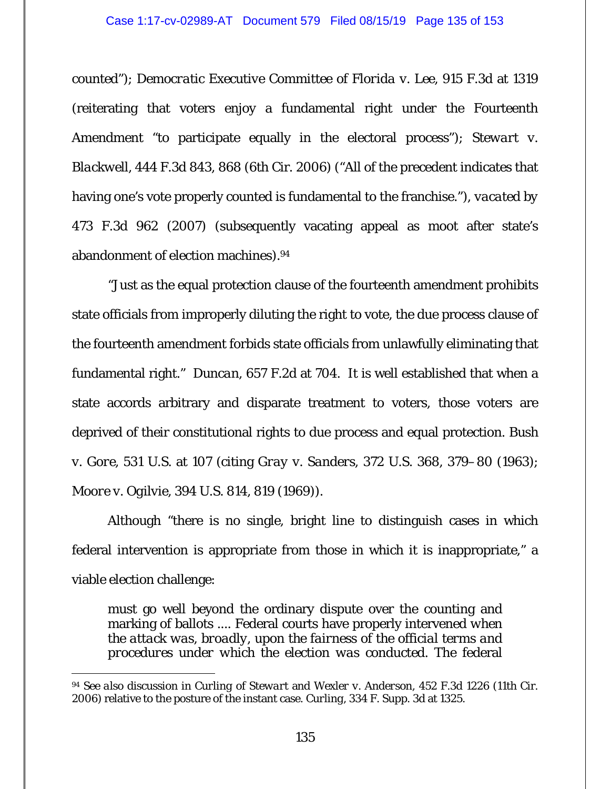### Case 1:17-cv-02989-AT Document 579 Filed 08/15/19 Page 135 of 153

counted"); *Democratic Executive Committee of Florida v. Lee*, 915 F.3d at 1319 (reiterating that voters enjoy a fundamental right under the Fourteenth Amendment "to participate equally in the electoral process"); *Stewart v. Blackwell*, 444 F.3d 843, 868 (6th Cir. 2006) ("All of the precedent indicates that having one's vote properly counted is fundamental to the franchise."), *vacated by* 473 F.3d 962 (2007) (subsequently vacating appeal as moot after state's abandonment of election machines).94

"Just as the equal protection clause of the fourteenth amendment prohibits state officials from improperly diluting the right to vote, the due process clause of the fourteenth amendment forbids state officials from unlawfully eliminating that fundamental right." *Duncan*, 657 F.2d at 704. It is well established that when a state accords arbitrary and disparate treatment to voters, those voters are deprived of their constitutional rights to due process and equal protection. *Bush v. Gore*, 531 U.S. at 107 (citing *Gray v. Sanders*, 372 U.S. 368, 379–80 (1963); *Moore v. Ogilvie*, 394 U.S. 814, 819 (1969)).

Although "there is no single, bright line to distinguish cases in which federal intervention is appropriate from those in which it is inappropriate," a viable election challenge:

must go well beyond the ordinary dispute over the counting and marking of ballots .... Federal courts have properly intervened *when the attack was, broadly, upon the fairness of the official terms and procedures under which the election was conducted*. The federal

<sup>-</sup><sup>94</sup> *See also* discussion in *Curling* of *Stewart* and *Wexler v. Anderson*, 452 F.3d 1226 (11th Cir. 2006) relative to the posture of the instant case. *Curling*, 334 F. Supp. 3d at 1325.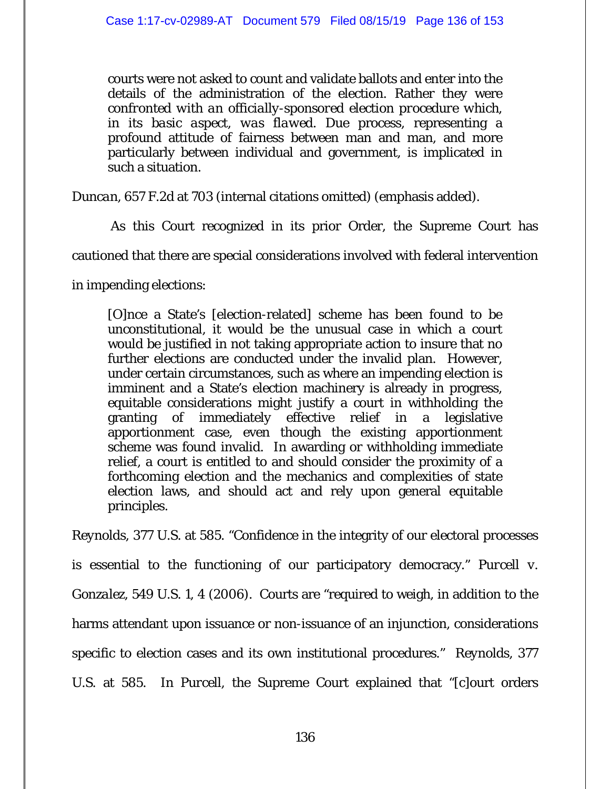courts were not asked to count and validate ballots and enter into the details of the administration of the election. Rather they were *confronted with an officially-sponsored election procedure which, in its basic aspect, was flawed*. Due process, representing a profound attitude of fairness between man and man, and more particularly between individual and government, is implicated in such a situation.

*Duncan*, 657 F.2d at 703 (internal citations omitted) (emphasis added).

As this Court recognized in its prior Order, the Supreme Court has

cautioned that there are special considerations involved with federal intervention

in impending elections:

[O]nce a State's [election-related] scheme has been found to be unconstitutional, it would be the unusual case in which a court would be justified in not taking appropriate action to insure that no further elections are conducted under the invalid plan. However, under certain circumstances, such as where an impending election is imminent and a State's election machinery is already in progress, equitable considerations might justify a court in withholding the granting of immediately effective relief in a legislative apportionment case, even though the existing apportionment scheme was found invalid. In awarding or withholding immediate relief, a court is entitled to and should consider the proximity of a forthcoming election and the mechanics and complexities of state election laws, and should act and rely upon general equitable principles.

*Reynolds,* 377 U.S. at 585. "Confidence in the integrity of our electoral processes is essential to the functioning of our participatory democracy." *Purcell v. Gonzalez*, 549 U.S. 1, 4 (2006). Courts are "required to weigh, in addition to the harms attendant upon issuance or non-issuance of an injunction, considerations specific to election cases and its own institutional procedures." *Reynolds,* 377 U.S. at 585. In *Purcell*, the Supreme Court explained that "[c]ourt orders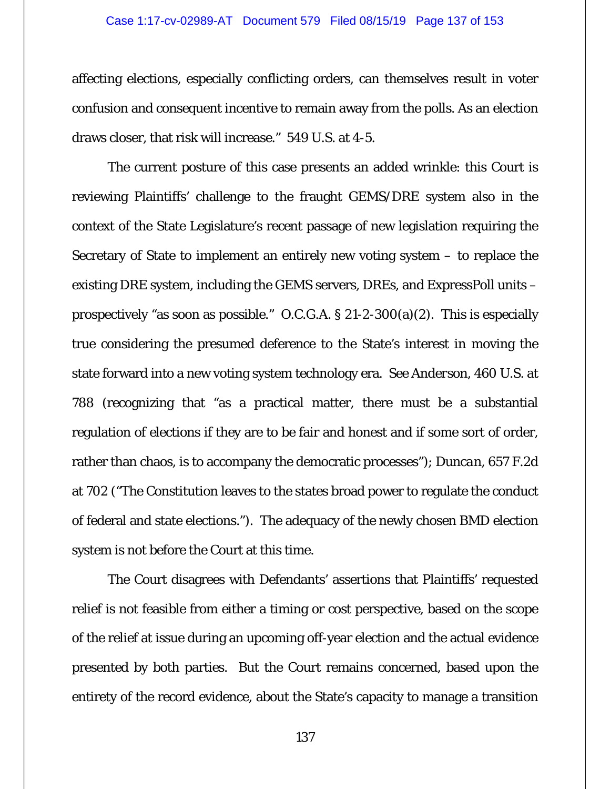### Case 1:17-cv-02989-AT Document 579 Filed 08/15/19 Page 137 of 153

affecting elections, especially conflicting orders, can themselves result in voter confusion and consequent incentive to remain away from the polls. As an election draws closer, that risk will increase." 549 U.S. at 4-5.

The current posture of this case presents an added wrinkle: this Court is reviewing Plaintiffs' challenge to the fraught GEMS/DRE system also in the context of the State Legislature's recent passage of new legislation requiring the Secretary of State to implement an entirely new voting system – to replace the existing DRE system, including the GEMS servers, DREs, and ExpressPoll units – prospectively "as soon as possible." O.C.G.A. § 21-2-300(a)(2). This is especially true considering the presumed deference to the State's interest in moving the state forward into a new voting system technology era. *See Anderson*, 460 U.S. at 788 (recognizing that "as a practical matter, there must be a substantial regulation of elections if they are to be fair and honest and if some sort of order, rather than chaos, is to accompany the democratic processes"); *Duncan*, 657 F.2d at 702 ("The Constitution leaves to the states broad power to regulate the conduct of federal and state elections."). The adequacy of the newly chosen BMD election system is not before the Court at this time.

The Court disagrees with Defendants' assertions that Plaintiffs' requested relief is not feasible from either a timing or cost perspective, based on the scope of the relief at issue during an upcoming off-year election and the actual evidence presented by both parties. But the Court remains concerned, based upon the entirety of the record evidence, about the State's capacity to manage a transition

137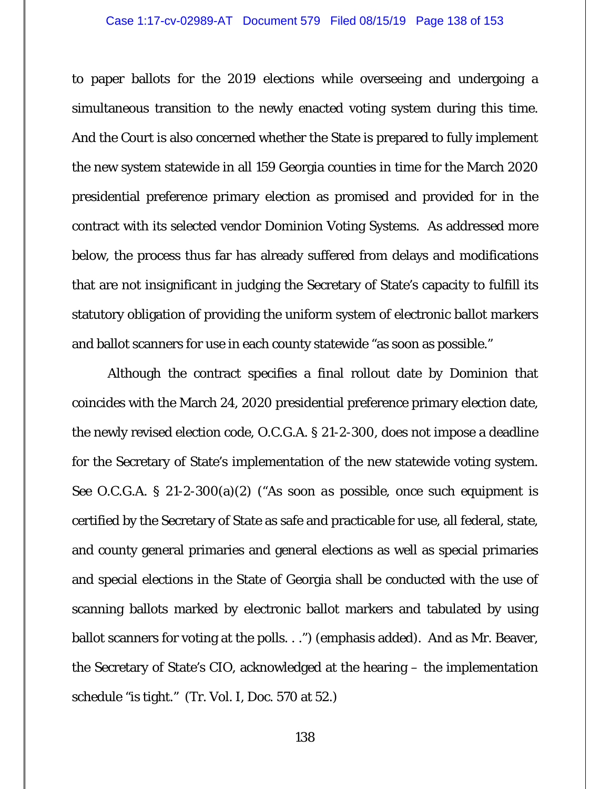### Case 1:17-cv-02989-AT Document 579 Filed 08/15/19 Page 138 of 153

to paper ballots for the 2019 elections while overseeing and undergoing a simultaneous transition to the newly enacted voting system during this time. And the Court is also concerned whether the State is prepared to fully implement the new system statewide in all 159 Georgia counties in time for the March 2020 presidential preference primary election as promised and provided for in the contract with its selected vendor Dominion Voting Systems. As addressed more below, the process thus far has already suffered from delays and modifications that are not insignificant in judging the Secretary of State's capacity to fulfill its statutory obligation of providing the uniform system of electronic ballot markers and ballot scanners for use in each county statewide "as soon as possible."

Although the contract specifies a final rollout date by Dominion that coincides with the March 24, 2020 presidential preference primary election date, the newly revised election code, O.C.G.A. § 21-2-300, does not impose a deadline for the Secretary of State's implementation of the new statewide voting system. *See* O.C.G.A. § 21-2-300(a)(2) ("*As soon as possible*, once such equipment is certified by the Secretary of State as safe and practicable for use, all federal, state, and county general primaries and general elections as well as special primaries and special elections in the State of Georgia shall be conducted with the use of scanning ballots marked by electronic ballot markers and tabulated by using ballot scanners for voting at the polls. . .") (emphasis added). And as Mr. Beaver, the Secretary of State's CIO, acknowledged at the hearing – the implementation schedule "is tight." (Tr. Vol. I, Doc. 570 at 52.)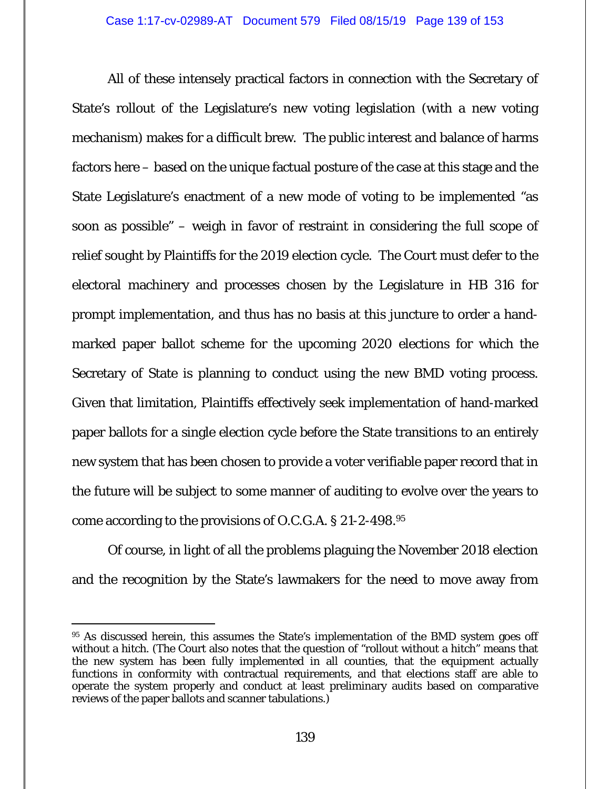All of these intensely practical factors in connection with the Secretary of State's rollout of the Legislature's new voting legislation (with a new voting mechanism) makes for a difficult brew. The public interest and balance of harms factors here – based on the unique factual posture of the case at this stage and the State Legislature's enactment of a new mode of voting to be implemented "as soon as possible" – weigh in favor of restraint in considering the full scope of relief sought by Plaintiffs for the 2019 election cycle. The Court must defer to the electoral machinery and processes chosen by the Legislature in HB 316 for prompt implementation, and thus has no basis at this juncture to order a handmarked paper ballot scheme for the upcoming 2020 elections for which the Secretary of State is planning to conduct using the new BMD voting process. Given that limitation, Plaintiffs effectively seek implementation of hand-marked paper ballots for a single election cycle before the State transitions to an entirely new system that has been chosen to provide a voter verifiable paper record that in the future will be subject to some manner of auditing to evolve over the years to come according to the provisions of O.C.G.A. § 21-2-498.95

Of course, in light of all the problems plaguing the November 2018 election and the recognition by the State's lawmakers for the need to move away from

<sup>95</sup> As discussed herein, this assumes the State's implementation of the BMD system goes off without a hitch. (The Court also notes that the question of "rollout without a hitch" means that the new system has been fully implemented in all counties, that the equipment actually functions in conformity with contractual requirements, and that elections staff are able to operate the system properly and conduct at least preliminary audits based on comparative reviews of the paper ballots and scanner tabulations.)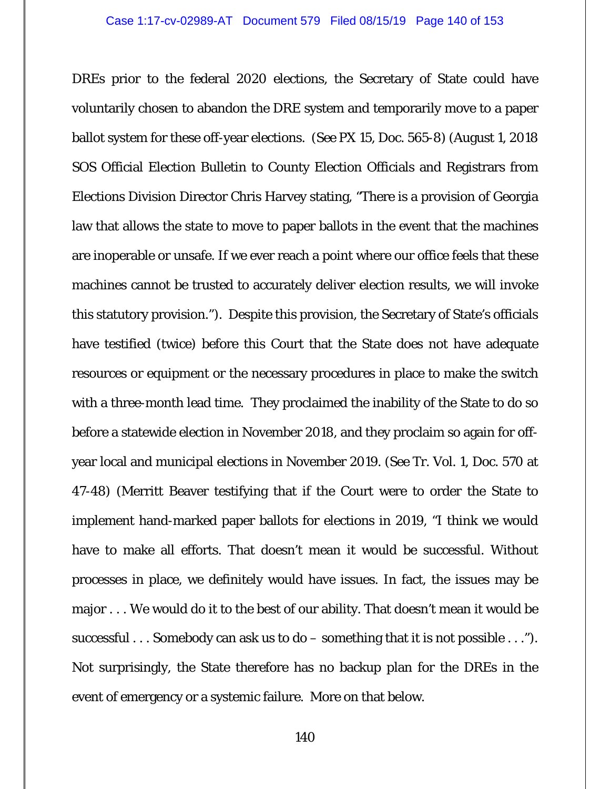DREs prior to the federal 2020 elections, the Secretary of State could have voluntarily chosen to abandon the DRE system and temporarily move to a paper ballot system for these off-year elections. (*See* PX 15, Doc. 565-8) (August 1, 2018 SOS Official Election Bulletin to County Election Officials and Registrars from Elections Division Director Chris Harvey stating, "There is a provision of Georgia law that allows the state to move to paper ballots in the event that the machines are inoperable or unsafe. If we ever reach a point where our office feels that these machines cannot be trusted to accurately deliver election results, we will invoke this statutory provision."). Despite this provision, the Secretary of State's officials have testified (twice) before this Court that the State does not have adequate resources or equipment or the necessary procedures in place to make the switch with a three-month lead time. They proclaimed the inability of the State to do so before a statewide election in November 2018, and they proclaim so again for offyear local and municipal elections in November 2019. (*See* Tr. Vol. 1, Doc. 570 at 47-48) (Merritt Beaver testifying that if the Court were to order the State to implement hand-marked paper ballots for elections in 2019, "I think we would have to make all efforts. That doesn't mean it would be successful. Without processes in place, we definitely would have issues. In fact, the issues may be major . . . We would do it to the best of our ability. That doesn't mean it would be successful . . . Somebody can ask us to do – something that it is not possible . . ."). Not surprisingly, the State therefore has no backup plan for the DREs in the event of emergency or a systemic failure. More on that below.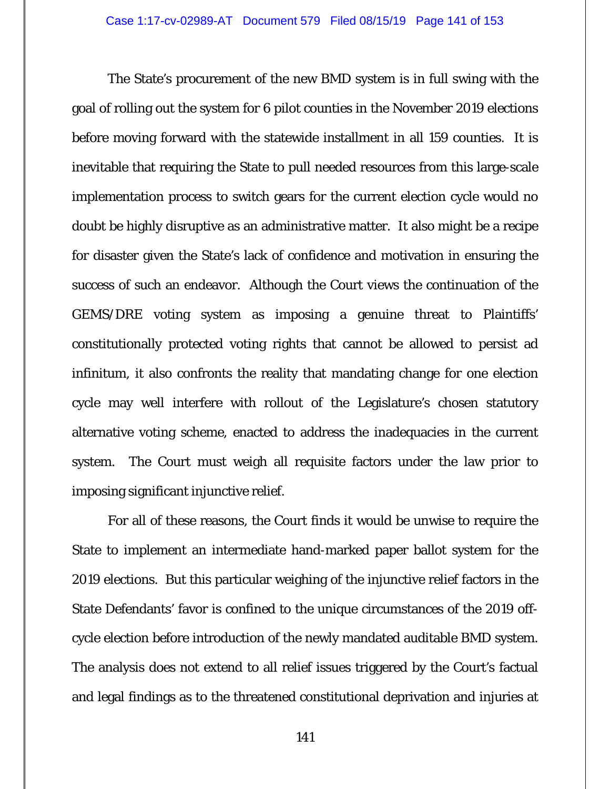The State's procurement of the new BMD system is in full swing with the goal of rolling out the system for 6 pilot counties in the November 2019 elections before moving forward with the statewide installment in all 159 counties. It is inevitable that requiring the State to pull needed resources from this large-scale implementation process to switch gears for the current election cycle would no doubt be highly disruptive as an administrative matter. It also might be a recipe for disaster given the State's lack of confidence and motivation in ensuring the success of such an endeavor. Although the Court views the continuation of the GEMS/DRE voting system as imposing a genuine threat to Plaintiffs' constitutionally protected voting rights that cannot be allowed to persist ad infinitum, it also confronts the reality that mandating change for one election cycle may well interfere with rollout of the Legislature's chosen statutory alternative voting scheme, enacted to address the inadequacies in the current system. The Court must weigh all requisite factors under the law prior to imposing significant injunctive relief.

For all of these reasons, the Court finds it would be unwise to require the State to implement an intermediate hand-marked paper ballot system for the 2019 elections. But this particular weighing of the injunctive relief factors in the State Defendants' favor is confined to the unique circumstances of the 2019 offcycle election before introduction of the newly mandated auditable BMD system. The analysis does not extend to all relief issues triggered by the Court's factual and legal findings as to the threatened constitutional deprivation and injuries at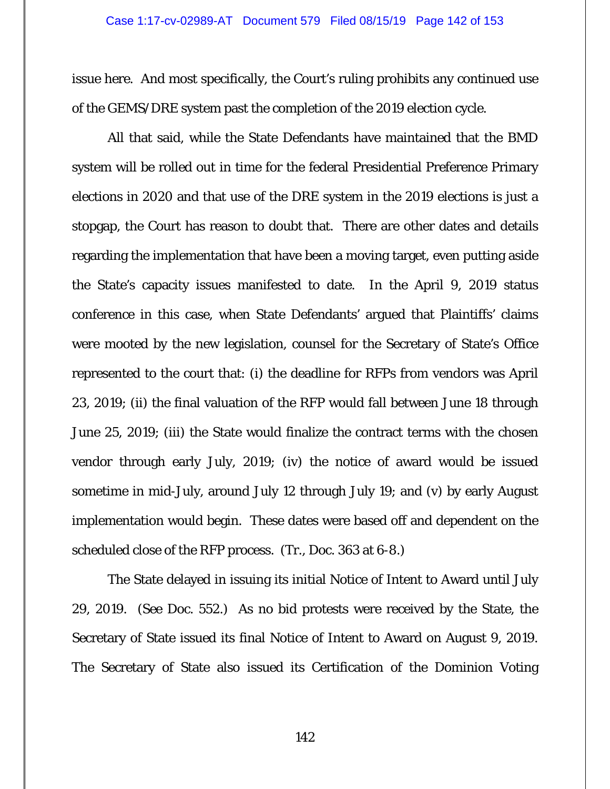issue here. And most specifically, the Court's ruling prohibits any continued use of the GEMS/DRE system past the completion of the 2019 election cycle.

All that said, while the State Defendants have maintained that the BMD system will be rolled out in time for the federal Presidential Preference Primary elections in 2020 and that use of the DRE system in the 2019 elections is just a stopgap, the Court has reason to doubt that. There are other dates and details regarding the implementation that have been a moving target, even putting aside the State's capacity issues manifested to date. In the April 9, 2019 status conference in this case, when State Defendants' argued that Plaintiffs' claims were mooted by the new legislation, counsel for the Secretary of State's Office represented to the court that: (i) the deadline for RFPs from vendors was April 23, 2019; (ii) the final valuation of the RFP would fall between June 18 through June 25, 2019; (iii) the State would finalize the contract terms with the chosen vendor through early July, 2019; (iv) the notice of award would be issued sometime in mid-July, around July 12 through July 19; and (v) by early August implementation would begin. These dates were based off and dependent on the scheduled close of the RFP process. (Tr., Doc. 363 at 6-8.)

The State delayed in issuing its initial Notice of Intent to Award until July 29, 2019. (*See* Doc. 552.) As no bid protests were received by the State, the Secretary of State issued its final Notice of Intent to Award on August 9, 2019. The Secretary of State also issued its Certification of the Dominion Voting

142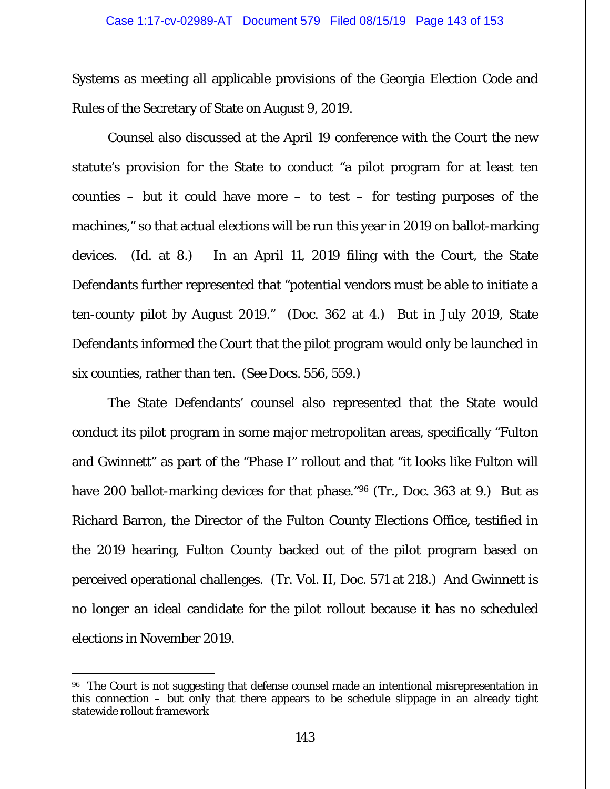Systems as meeting all applicable provisions of the Georgia Election Code and Rules of the Secretary of State on August 9, 2019.

Counsel also discussed at the April 19 conference with the Court the new statute's provision for the State to conduct "a pilot program for at least ten counties – but it could have more – to test – for testing purposes of the machines," so that actual elections will be run this year in 2019 on ballot-marking devices. (*Id.* at 8.) In an April 11, 2019 filing with the Court, the State Defendants further represented that "potential vendors must be able to initiate a ten-county pilot by August 2019." (Doc. 362 at 4.) But in July 2019, State Defendants informed the Court that the pilot program would only be launched in six counties, rather than ten. (*See* Docs. 556, 559.)

The State Defendants' counsel also represented that the State would conduct its pilot program in some major metropolitan areas, specifically "Fulton and Gwinnett" as part of the "Phase I" rollout and that "it looks like Fulton will have 200 ballot-marking devices for that phase."96 (Tr., Doc. 363 at 9.) But as Richard Barron, the Director of the Fulton County Elections Office, testified in the 2019 hearing, Fulton County backed out of the pilot program based on perceived operational challenges. (Tr. Vol. II, Doc. 571 at 218.) And Gwinnett is no longer an ideal candidate for the pilot rollout because it has no scheduled elections in November 2019.

<sup>&</sup>lt;sup>96</sup> The Court is not suggesting that defense counsel made an intentional misrepresentation in this connection – but only that there appears to be schedule slippage in an already tight statewide rollout framework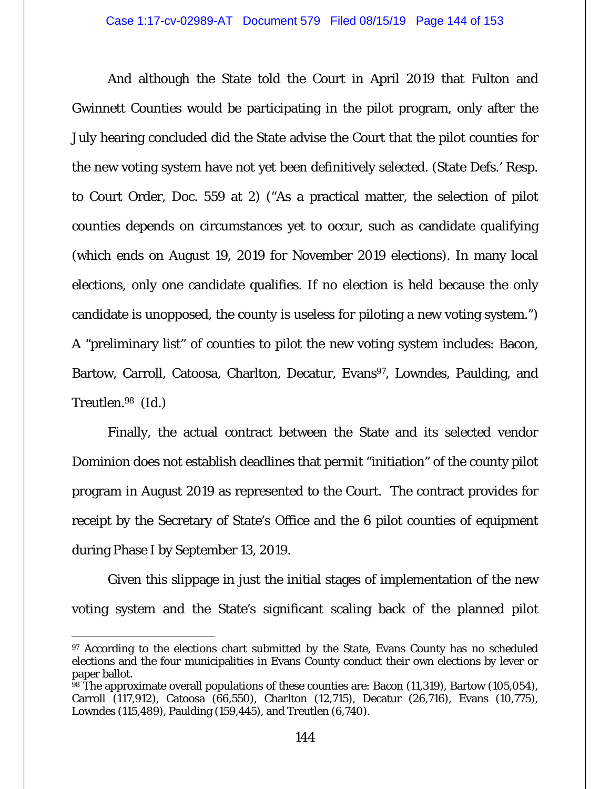And although the State told the Court in April 2019 that Fulton and Gwinnett Counties would be participating in the pilot program, only after the July hearing concluded did the State advise the Court that the pilot counties for the new voting system have not yet been definitively selected. (State Defs.' Resp. to Court Order, Doc. 559 at 2) ("As a practical matter, the selection of pilot counties depends on circumstances yet to occur, such as candidate qualifying (which ends on August 19, 2019 for November 2019 elections). In many local elections, only one candidate qualifies. If no election is held because the only candidate is unopposed, the county is useless for piloting a new voting system.") A "preliminary list" of counties to pilot the new voting system includes: Bacon, Bartow, Carroll, Catoosa, Charlton, Decatur, Evans<sup>97</sup>, Lowndes, Paulding, and Treutlen.98 (*Id.*)

Finally, the actual contract between the State and its selected vendor Dominion does not establish deadlines that permit "initiation" of the county pilot program in August 2019 as represented to the Court. The contract provides for receipt by the Secretary of State's Office and the 6 pilot counties of equipment during Phase I by September 13, 2019.

Given this slippage in just the initial stages of implementation of the new voting system and the State's significant scaling back of the planned pilot

<sup>&</sup>lt;sup>97</sup> According to the elections chart submitted by the State, Evans County has no scheduled elections and the four municipalities in Evans County conduct their own elections by lever or paper ballot.

 $\frac{58}{98}$  The approximate overall populations of these counties are: Bacon (11,319), Bartow (105,054), Carroll (117,912), Catoosa (66,550), Charlton (12,715), Decatur (26,716), Evans (10,775), Lowndes (115,489), Paulding (159,445), and Treutlen (6,740).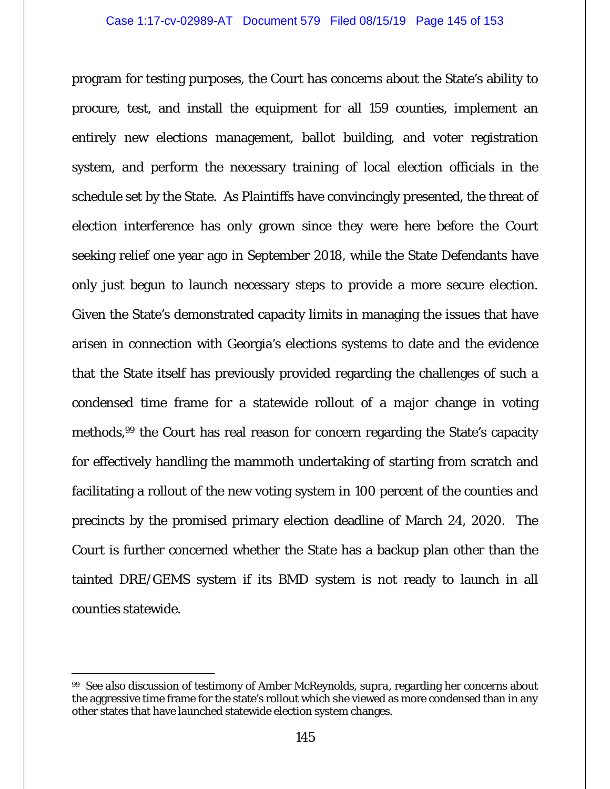program for testing purposes, the Court has concerns about the State's ability to procure, test, and install the equipment for all 159 counties, implement an entirely new elections management, ballot building, and voter registration system, and perform the necessary training of local election officials in the schedule set by the State. As Plaintiffs have convincingly presented, the threat of election interference has only grown since they were here before the Court seeking relief one year ago in September 2018, while the State Defendants have only just begun to launch necessary steps to provide a more secure election. Given the State's demonstrated capacity limits in managing the issues that have arisen in connection with Georgia's elections systems to date and the evidence that the State itself has previously provided regarding the challenges of such a condensed time frame for a statewide rollout of a major change in voting methods,99 the Court has real reason for concern regarding the State's capacity for effectively handling the mammoth undertaking of starting from scratch and facilitating a rollout of the new voting system in 100 percent of the counties and precincts by the promised primary election deadline of March 24, 2020. The Court is further concerned whether the State has a backup plan other than the tainted DRE/GEMS system if its BMD system is not ready to launch in all counties statewide.

<sup>-</sup>99 *See also* discussion of testimony of Amber McReynolds, *supra*, regarding her concerns about the aggressive time frame for the state's rollout which she viewed as more condensed than in any other states that have launched statewide election system changes.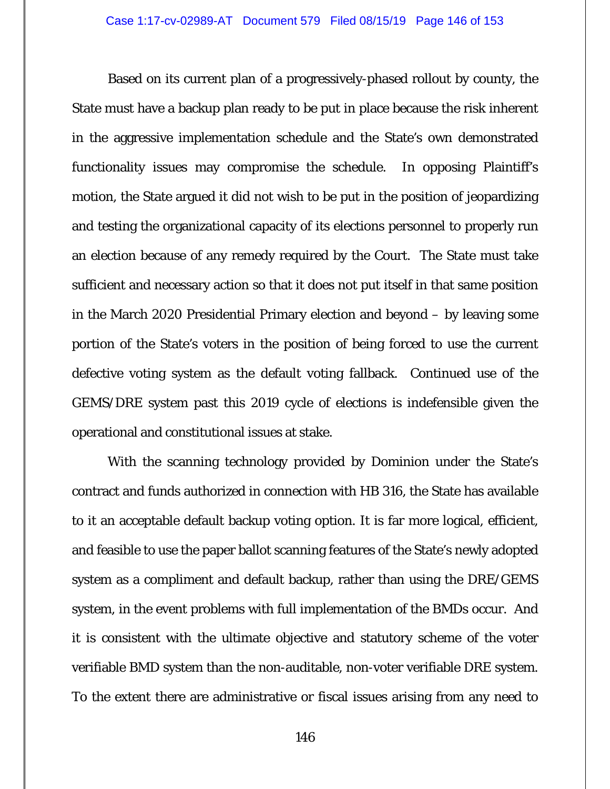Based on its current plan of a progressively-phased rollout by county, the State must have a backup plan ready to be put in place because the risk inherent in the aggressive implementation schedule and the State's own demonstrated functionality issues may compromise the schedule. In opposing Plaintiff's motion, the State argued it did not wish to be put in the position of jeopardizing and testing the organizational capacity of its elections personnel to properly run an election because of any remedy required by the Court. The State must take sufficient and necessary action so that it does not put itself in that same position in the March 2020 Presidential Primary election and beyond – by leaving some portion of the State's voters in the position of being forced to use the current defective voting system as the default voting fallback. Continued use of the GEMS/DRE system past this 2019 cycle of elections is indefensible given the operational and constitutional issues at stake.

With the scanning technology provided by Dominion under the State's contract and funds authorized in connection with HB 316, the State has available to it an acceptable default backup voting option. It is far more logical, efficient, and feasible to use the paper ballot scanning features of the State's newly adopted system as a compliment and default backup, rather than using the DRE/GEMS system, in the event problems with full implementation of the BMDs occur. And it is consistent with the ultimate objective and statutory scheme of the voter verifiable BMD system than the non-auditable, non-voter verifiable DRE system. To the extent there are administrative or fiscal issues arising from any need to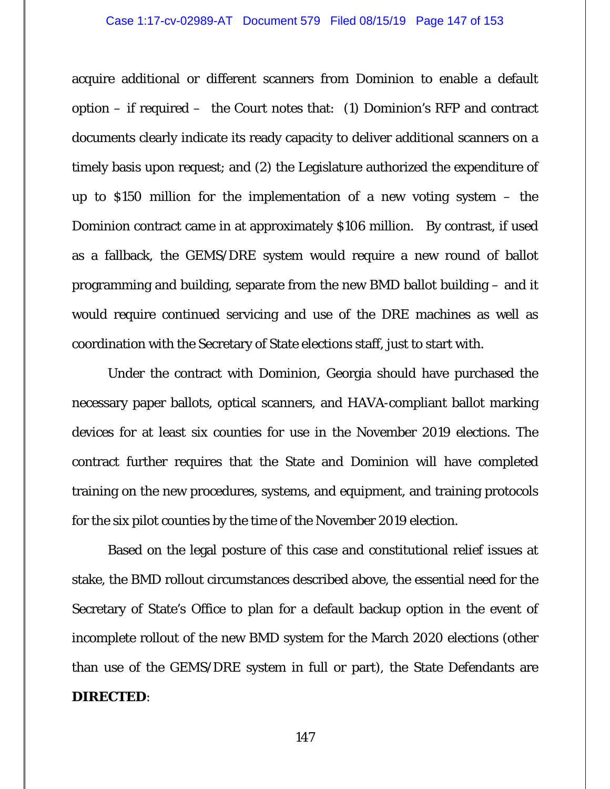## Case 1:17-cv-02989-AT Document 579 Filed 08/15/19 Page 147 of 153

acquire additional or different scanners from Dominion to enable a default option – if required – the Court notes that: (1) Dominion's RFP and contract documents clearly indicate its ready capacity to deliver additional scanners on a timely basis upon request; and (2) the Legislature authorized the expenditure of up to \$150 million for the implementation of a new voting system – the Dominion contract came in at approximately \$106 million. By contrast, if used as a fallback, the GEMS/DRE system would require a new round of ballot programming and building, separate from the new BMD ballot building – and it would require continued servicing and use of the DRE machines as well as coordination with the Secretary of State elections staff, just to start with.

Under the contract with Dominion, Georgia should have purchased the necessary paper ballots, optical scanners, and HAVA-compliant ballot marking devices for at least six counties for use in the November 2019 elections. The contract further requires that the State and Dominion will have completed training on the new procedures, systems, and equipment, and training protocols for the six pilot counties by the time of the November 2019 election.

Based on the legal posture of this case and constitutional relief issues at stake, the BMD rollout circumstances described above, the essential need for the Secretary of State's Office to plan for a default backup option in the event of incomplete rollout of the new BMD system for the March 2020 elections (other than use of the GEMS/DRE system in full or part), the State Defendants are **DIRECTED**:

147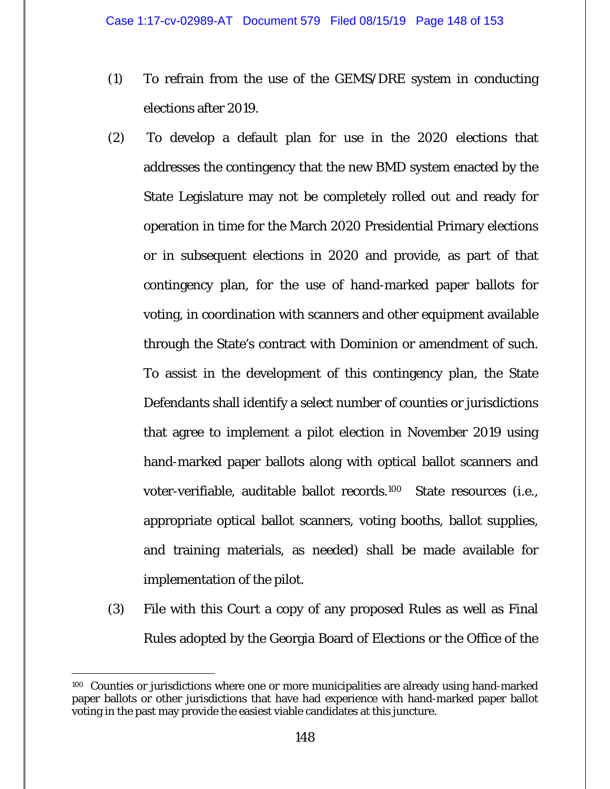- (1) To refrain from the use of the GEMS/DRE system in conducting elections after 2019.
- (2) To develop a default plan for use in the 2020 elections that addresses the contingency that the new BMD system enacted by the State Legislature may not be completely rolled out and ready for operation in time for the March 2020 Presidential Primary elections or in subsequent elections in 2020 and provide, as part of that contingency plan, for the use of hand-marked paper ballots for voting, in coordination with scanners and other equipment available through the State's contract with Dominion or amendment of such. To assist in the development of this contingency plan, the State Defendants shall identify a select number of counties or jurisdictions that agree to implement a pilot election in November 2019 using hand-marked paper ballots along with optical ballot scanners and voter-verifiable, auditable ballot records.100 State resources (i.e., appropriate optical ballot scanners, voting booths, ballot supplies, and training materials, as needed) shall be made available for implementation of the pilot.
- (3) File with this Court a copy of any proposed Rules as well as Final Rules adopted by the Georgia Board of Elections or the Office of the

 $\overline{a}$ 100 Counties or jurisdictions where one or more municipalities are already using hand-marked paper ballots or other jurisdictions that have had experience with hand-marked paper ballot voting in the past may provide the easiest viable candidates at this juncture.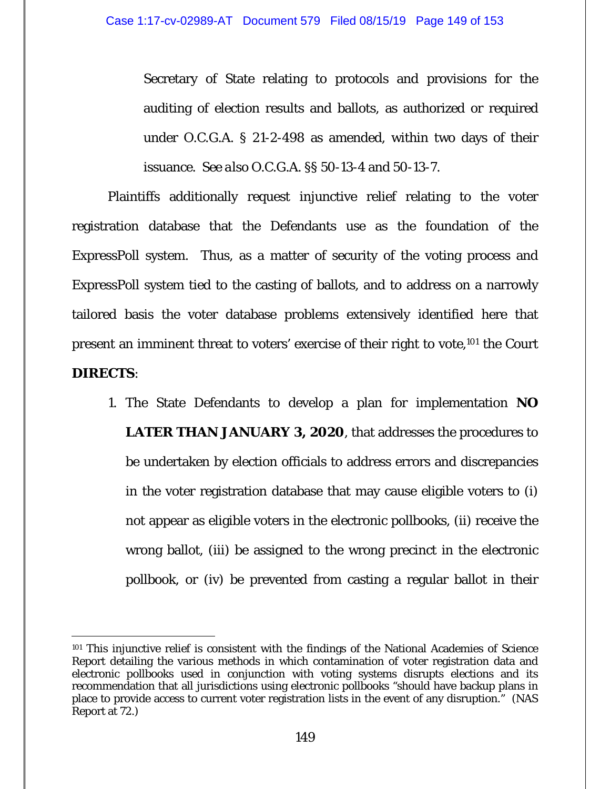Secretary of State relating to protocols and provisions for the auditing of election results and ballots, as authorized or required under O.C.G.A. § 21-2-498 as amended, within two days of their issuance. *See also* O.C.G.A. §§ 50-13-4 and 50-13-7.

Plaintiffs additionally request injunctive relief relating to the voter registration database that the Defendants use as the foundation of the ExpressPoll system. Thus, as a matter of security of the voting process and ExpressPoll system tied to the casting of ballots, and to address on a narrowly tailored basis the voter database problems extensively identified here that present an imminent threat to voters' exercise of their right to vote,101 the Court **DIRECTS**:

1. The State Defendants to develop a plan for implementation **NO LATER THAN JANUARY 3, 2020**, that addresses the procedures to be undertaken by election officials to address errors and discrepancies in the voter registration database that may cause eligible voters to (i) not appear as eligible voters in the electronic pollbooks, (ii) receive the wrong ballot, (iii) be assigned to the wrong precinct in the electronic pollbook, or (iv) be prevented from casting a regular ballot in their

 $\overline{a}$ <sup>101</sup> This injunctive relief is consistent with the findings of the National Academies of Science Report detailing the various methods in which contamination of voter registration data and electronic pollbooks used in conjunction with voting systems disrupts elections and its recommendation that all jurisdictions using electronic pollbooks "should have backup plans in place to provide access to current voter registration lists in the event of any disruption." (NAS Report at 72.)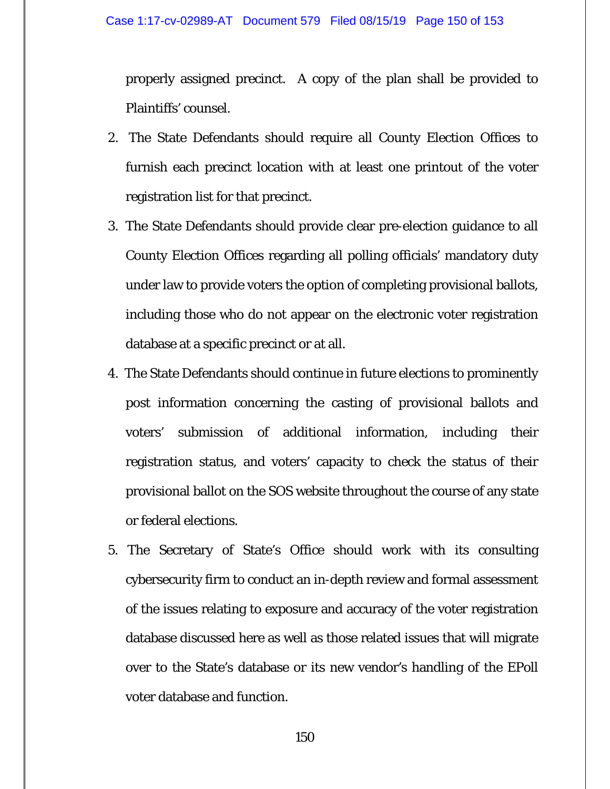properly assigned precinct. A copy of the plan shall be provided to Plaintiffs' counsel.

- 2. The State Defendants should require all County Election Offices to furnish each precinct location with at least one printout of the voter registration list for that precinct.
- 3. The State Defendants should provide clear pre-election guidance to all County Election Offices regarding all polling officials' mandatory duty under law to provide voters the option of completing provisional ballots, including those who do not appear on the electronic voter registration database at a specific precinct or at all.
- 4. The State Defendants should continue in future elections to prominently post information concerning the casting of provisional ballots and voters' submission of additional information, including their registration status, and voters' capacity to check the status of their provisional ballot on the SOS website throughout the course of any state or federal elections.
- 5. The Secretary of State's Office should work with its consulting cybersecurity firm to conduct an in-depth review and formal assessment of the issues relating to exposure and accuracy of the voter registration database discussed here as well as those related issues that will migrate over to the State's database or its new vendor's handling of the EPoll voter database and function.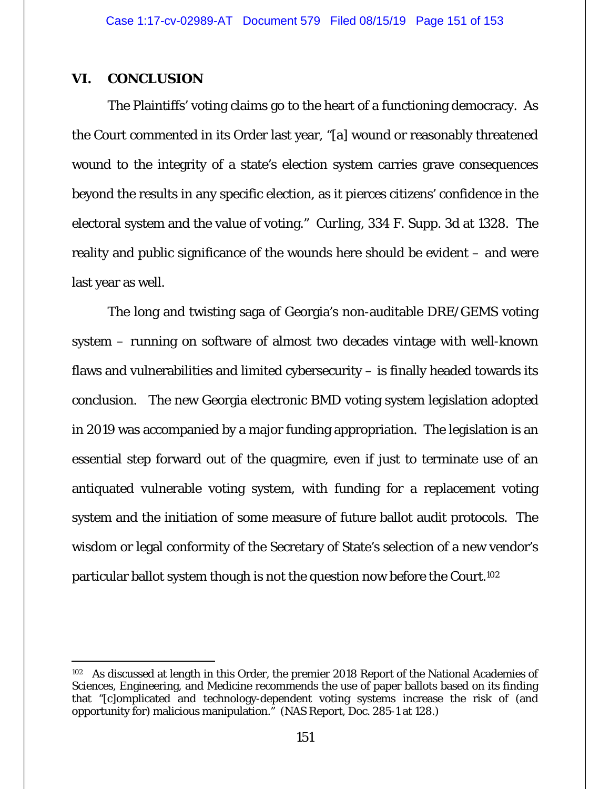## **VI. CONCLUSION**

-

The Plaintiffs' voting claims go to the heart of a functioning democracy. As the Court commented in its Order last year, "[a] wound or reasonably threatened wound to the integrity of a state's election system carries grave consequences beyond the results in any specific election, as it pierces citizens' confidence in the electoral system and the value of voting." *Curling*, 334 F. Supp. 3d at 1328. The reality and public significance of the wounds here should be evident – and were last year as well.

The long and twisting saga of Georgia's non-auditable DRE/GEMS voting system – running on software of almost two decades vintage with well-known flaws and vulnerabilities and limited cybersecurity – is finally headed towards its conclusion. The new Georgia electronic BMD voting system legislation adopted in 2019 was accompanied by a major funding appropriation. The legislation is an essential step forward out of the quagmire, even if just to terminate use of an antiquated vulnerable voting system, with funding for a replacement voting system and the initiation of some measure of future ballot audit protocols. The wisdom or legal conformity of the Secretary of State's selection of a new vendor's particular ballot system though is not the question now before the Court.102

<sup>&</sup>lt;sup>102</sup> As discussed at length in this Order, the premier 2018 Report of the National Academies of Sciences, Engineering, and Medicine recommends the use of paper ballots based on its finding that "[c]omplicated and technology-dependent voting systems increase the risk of (and opportunity for) malicious manipulation." (NAS Report, Doc. 285-1 at 128.)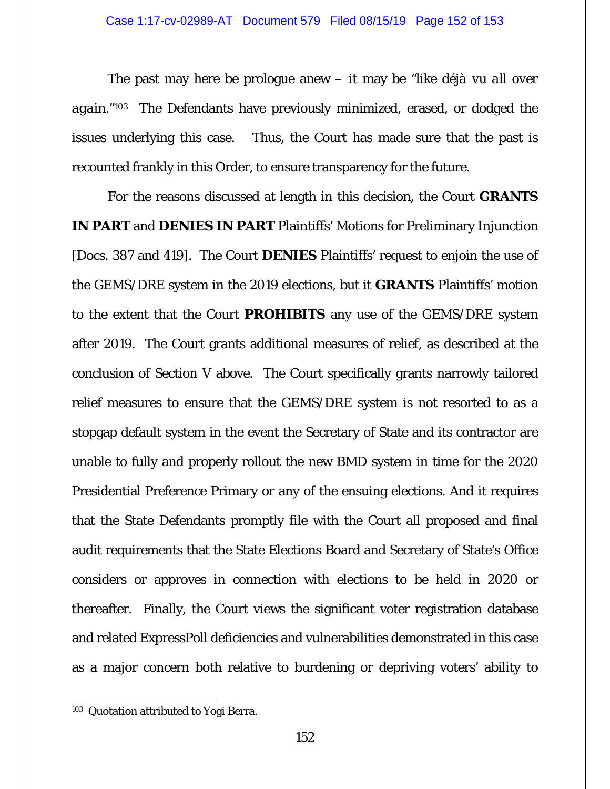The past may here be prologue anew – it may be *"like déjà vu all over again*."103 The Defendants have previously minimized, erased, or dodged the issues underlying this case. Thus, the Court has made sure that the past is recounted frankly in this Order, to ensure transparency for the future.

For the reasons discussed at length in this decision, the Court **GRANTS IN PART** and **DENIES IN PART** Plaintiffs' Motions for Preliminary Injunction [Docs. 387 and 419]. The Court **DENIES** Plaintiffs' request to enjoin the use of the GEMS/DRE system in the 2019 elections, but it **GRANTS** Plaintiffs' motion to the extent that the Court **PROHIBITS** any use of the GEMS/DRE system after 2019. The Court grants additional measures of relief, as described at the conclusion of Section V above. The Court specifically grants narrowly tailored relief measures to ensure that the GEMS/DRE system is not resorted to as a stopgap default system in the event the Secretary of State and its contractor are unable to fully and properly rollout the new BMD system in time for the 2020 Presidential Preference Primary or any of the ensuing elections. And it requires that the State Defendants promptly file with the Court all proposed and final audit requirements that the State Elections Board and Secretary of State's Office considers or approves in connection with elections to be held in 2020 or thereafter. Finally, the Court views the significant voter registration database and related ExpressPoll deficiencies and vulnerabilities demonstrated in this case as a major concern both relative to burdening or depriving voters' ability to

-

<sup>&</sup>lt;sup>103</sup> Quotation attributed to Yogi Berra.